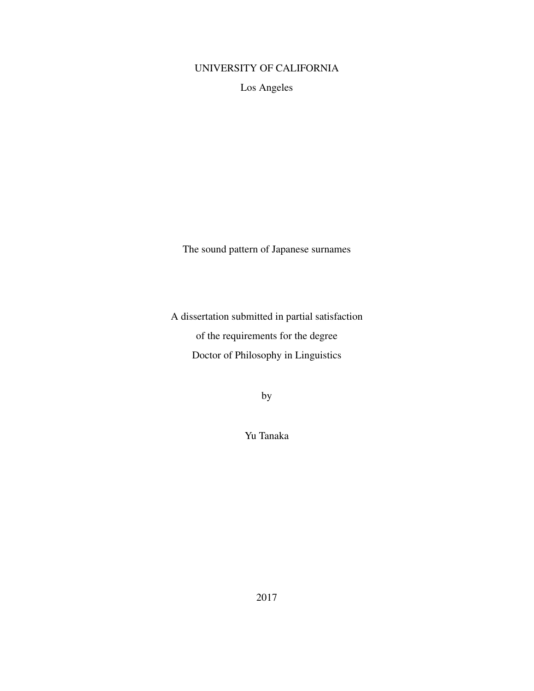## UNIVERSITY OF CALIFORNIA

Los Angeles

The sound pattern of Japanese surnames

A dissertation submitted in partial satisfaction of the requirements for the degree Doctor of Philosophy in Linguistics

by

Yu Tanaka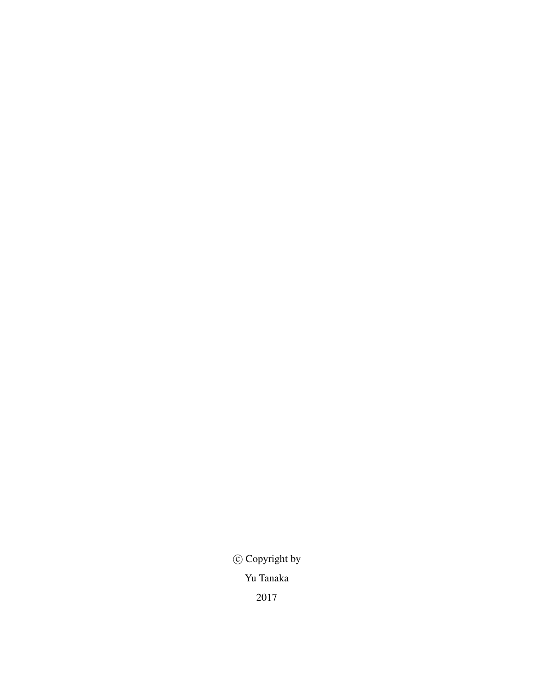*⃝*c Copyright by Yu Tanaka 2017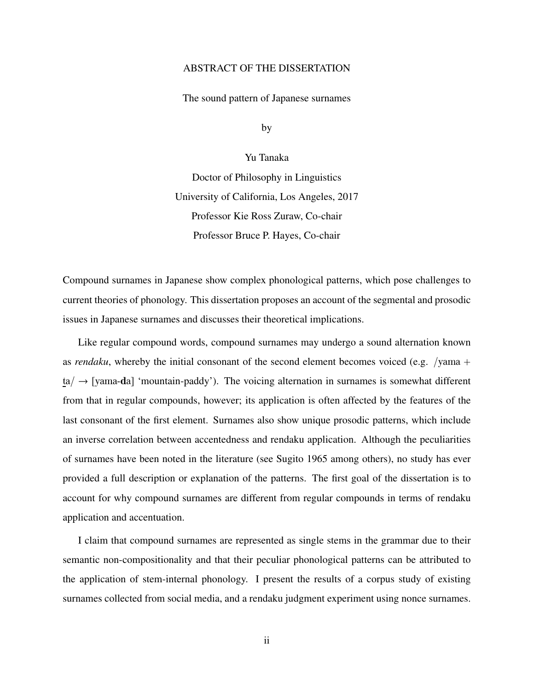#### ABSTRACT OF THE DISSERTATION

The sound pattern of Japanese surnames

by

Yu Tanaka

Doctor of Philosophy in Linguistics University of California, Los Angeles, 2017 Professor Kie Ross Zuraw, Co-chair Professor Bruce P. Hayes, Co-chair

Compound surnames in Japanese show complex phonological patterns, which pose challenges to current theories of phonology. This dissertation proposes an account of the segmental and prosodic issues in Japanese surnames and discusses their theoretical implications.

Like regular compound words, compound surnames may undergo a sound alternation known as *rendaku*, whereby the initial consonant of the second element becomes voiced (e.g. /yama +  $ta/ \rightarrow$  [yama-da] 'mountain-paddy'). The voicing alternation in surnames is somewhat different from that in regular compounds, however; its application is often affected by the features of the last consonant of the first element. Surnames also show unique prosodic patterns, which include an inverse correlation between accentedness and rendaku application. Although the peculiarities of surnames have been noted in the literature (see Sugito 1965 among others), no study has ever provided a full description or explanation of the patterns. The first goal of the dissertation is to account for why compound surnames are different from regular compounds in terms of rendaku application and accentuation.

I claim that compound surnames are represented as single stems in the grammar due to their semantic non-compositionality and that their peculiar phonological patterns can be attributed to the application of stem-internal phonology. I present the results of a corpus study of existing surnames collected from social media, and a rendaku judgment experiment using nonce surnames.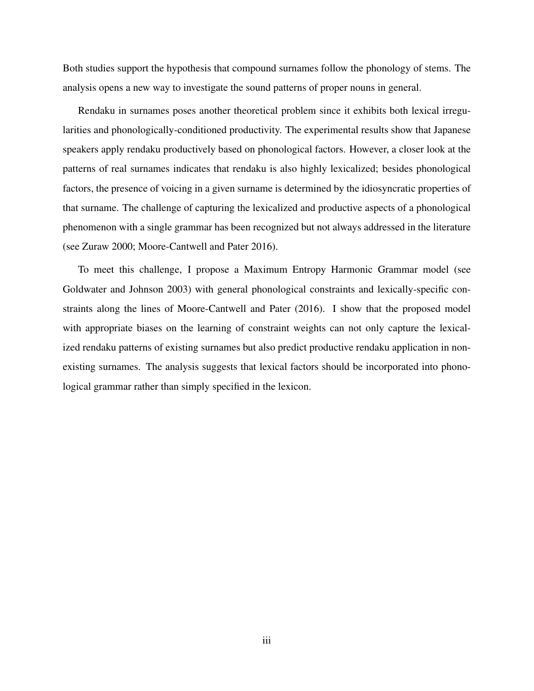Both studies support the hypothesis that compound surnames follow the phonology of stems. The analysis opens a new way to investigate the sound patterns of proper nouns in general.

Rendaku in surnames poses another theoretical problem since it exhibits both lexical irregularities and phonologically-conditioned productivity. The experimental results show that Japanese speakers apply rendaku productively based on phonological factors. However, a closer look at the patterns of real surnames indicates that rendaku is also highly lexicalized; besides phonological factors, the presence of voicing in a given surname is determined by the idiosyncratic properties of that surname. The challenge of capturing the lexicalized and productive aspects of a phonological phenomenon with a single grammar has been recognized but not always addressed in the literature (see Zuraw 2000; Moore-Cantwell and Pater 2016).

To meet this challenge, I propose a Maximum Entropy Harmonic Grammar model (see Goldwater and Johnson 2003) with general phonological constraints and lexically-specific constraints along the lines of Moore-Cantwell and Pater (2016). I show that the proposed model with appropriate biases on the learning of constraint weights can not only capture the lexicalized rendaku patterns of existing surnames but also predict productive rendaku application in nonexisting surnames. The analysis suggests that lexical factors should be incorporated into phonological grammar rather than simply specified in the lexicon.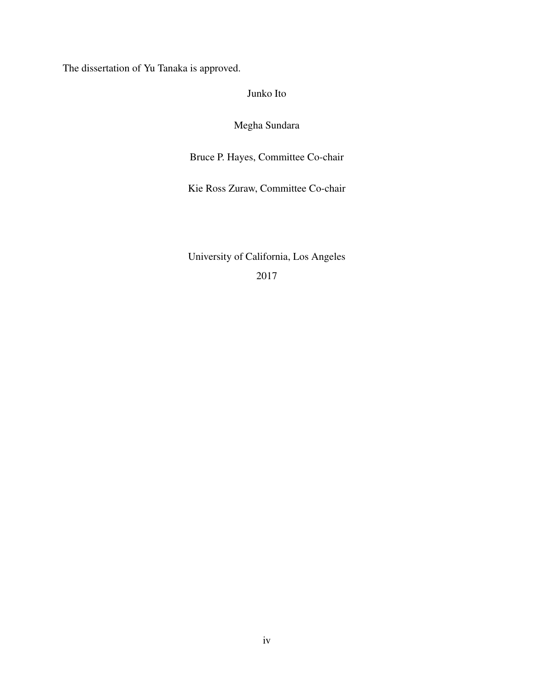The dissertation of Yu Tanaka is approved.

Junko Ito

Megha Sundara

Bruce P. Hayes, Committee Co-chair

Kie Ross Zuraw, Committee Co-chair

University of California, Los Angeles 2017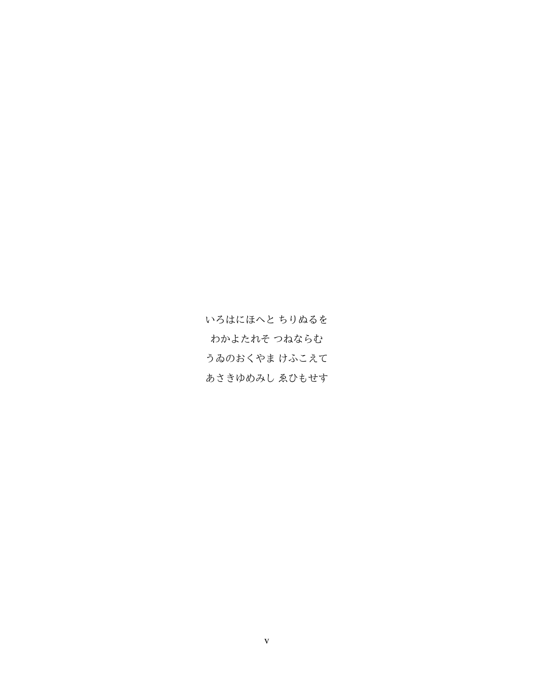いろはにほへと ちりぬるを わかよたれそ つねならむ うゐのおくやま けふこえて あさきゆめみし ゑひもせす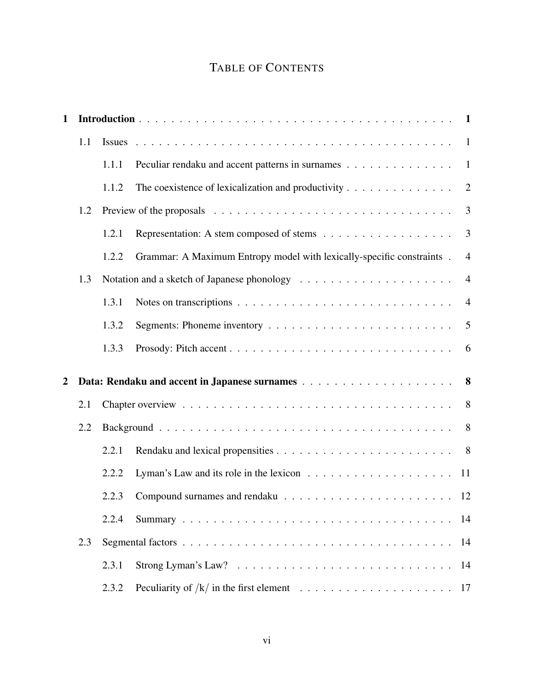## TABLE OF CONTENTS

| $\mathbf{1}$   |     |       |                                                                                                         |                |
|----------------|-----|-------|---------------------------------------------------------------------------------------------------------|----------------|
|                | 1.1 |       |                                                                                                         |                |
|                |     | 1.1.1 | Peculiar rendaku and accent patterns in surnames 1                                                      |                |
|                |     | 1.1.2 |                                                                                                         | $\overline{2}$ |
|                | 1.2 |       | Preview of the proposals $\ldots \ldots \ldots \ldots \ldots \ldots \ldots \ldots \ldots \ldots \ldots$ | 3              |
|                |     | 1.2.1 |                                                                                                         | $\mathfrak{Z}$ |
|                |     | 1.2.2 | Grammar: A Maximum Entropy model with lexically-specific constraints.                                   | $\overline{4}$ |
|                | 1.3 |       |                                                                                                         | $\overline{4}$ |
|                |     | 1.3.1 |                                                                                                         | $\overline{4}$ |
|                |     | 1.3.2 |                                                                                                         | $\overline{5}$ |
|                |     | 1.3.3 |                                                                                                         |                |
| $\overline{2}$ |     |       |                                                                                                         |                |
|                | 2.1 |       |                                                                                                         | 8              |
|                | 2.2 |       |                                                                                                         | 8              |
|                |     | 2.2.1 |                                                                                                         |                |
|                |     | 2.2.2 |                                                                                                         |                |
|                |     | 2.2.3 |                                                                                                         | 12             |
|                |     | 2.2.4 |                                                                                                         | 14             |
|                | 2.3 |       |                                                                                                         | 14             |
|                |     | 2.3.1 | Strong Lyman's Law? $\ldots \ldots \ldots \ldots \ldots \ldots \ldots \ldots \ldots$                    | 14             |
|                |     | 2.3.2 |                                                                                                         | 17             |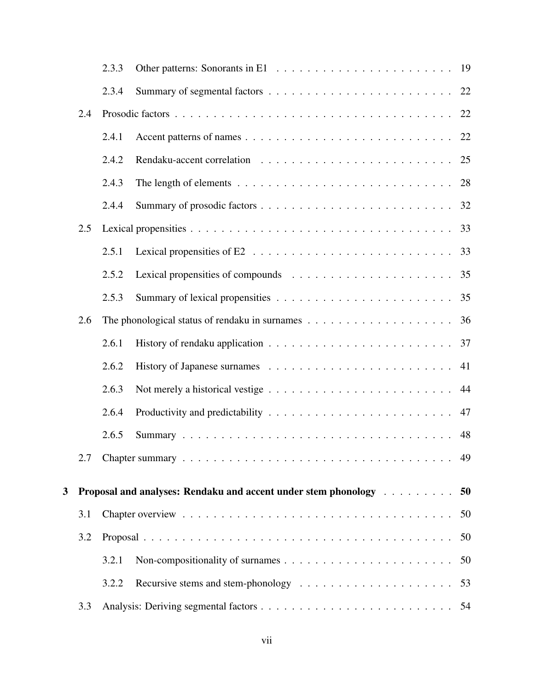|   |     | 2.3.3 |                                                                   |
|---|-----|-------|-------------------------------------------------------------------|
|   |     | 2.3.4 |                                                                   |
|   | 2.4 |       |                                                                   |
|   |     | 2.4.1 |                                                                   |
|   |     | 2.4.2 |                                                                   |
|   |     | 2.4.3 |                                                                   |
|   |     | 2.4.4 |                                                                   |
|   | 2.5 |       |                                                                   |
|   |     | 2.5.1 |                                                                   |
|   |     | 2.5.2 |                                                                   |
|   |     | 2.5.3 |                                                                   |
|   | 2.6 |       |                                                                   |
|   |     | 2.6.1 |                                                                   |
|   |     | 2.6.2 | 41                                                                |
|   |     | 2.6.3 |                                                                   |
|   |     | 2.6.4 |                                                                   |
|   |     | 2.6.5 | 48                                                                |
|   | 2.7 |       |                                                                   |
| 3 |     |       | Proposal and analyses: Rendaku and accent under stem phonology 50 |
|   | 3.1 |       | 50                                                                |
|   | 3.2 |       | 50                                                                |
|   |     |       |                                                                   |
|   |     | 3.2.1 | 50                                                                |
|   |     | 3.2.2 | 53                                                                |
|   | 3.3 |       |                                                                   |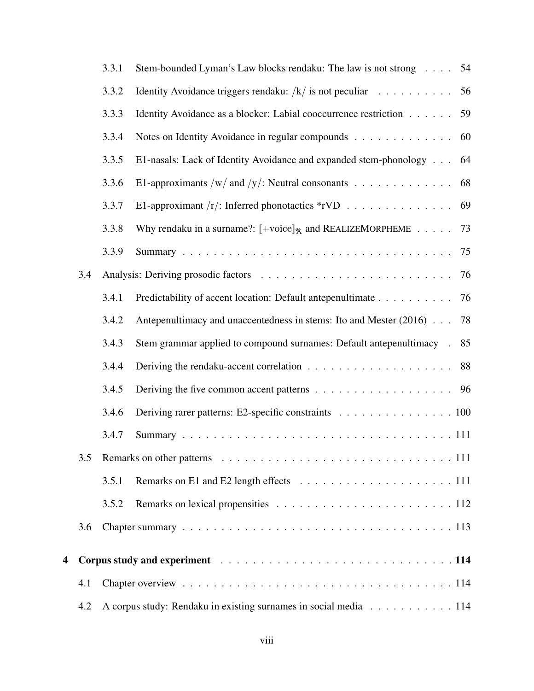|   |     | 3.3.1 | Stem-bounded Lyman's Law blocks rendaku: The law is not strong 54                                                        |  |  |  |  |  |  |
|---|-----|-------|--------------------------------------------------------------------------------------------------------------------------|--|--|--|--|--|--|
|   |     | 3.3.2 | Identity Avoidance triggers rendaku: $/k / i$ s not peculiar<br>56                                                       |  |  |  |  |  |  |
|   |     | 3.3.3 | Identity Avoidance as a blocker: Labial cooccurrence restriction 59                                                      |  |  |  |  |  |  |
|   |     | 3.3.4 | Notes on Identity Avoidance in regular compounds<br>60                                                                   |  |  |  |  |  |  |
|   |     | 3.3.5 | E1-nasals: Lack of Identity Avoidance and expanded stem-phonology<br>64                                                  |  |  |  |  |  |  |
|   |     | 3.3.6 | E1-approximants /w/ and /y/: Neutral consonants $\dots \dots \dots \dots \dots$<br>68                                    |  |  |  |  |  |  |
|   |     | 3.3.7 | E1-approximant $/r/$ : Inferred phonotactics *rVD<br>69                                                                  |  |  |  |  |  |  |
|   |     | 3.3.8 | Why rendaku in a surname?: $[+{\rm voice}]_{\mathcal{R}}$ and REALIZEMORPHEME 73                                         |  |  |  |  |  |  |
|   |     | 3.3.9 | 75                                                                                                                       |  |  |  |  |  |  |
|   | 3.4 |       | 76                                                                                                                       |  |  |  |  |  |  |
|   |     | 3.4.1 | Predictability of accent location: Default antepenultimate 76                                                            |  |  |  |  |  |  |
|   |     | 3.4.2 | Antepenultimacy and unaccentedness in stems: Ito and Mester (2016)<br>78                                                 |  |  |  |  |  |  |
|   |     | 3.4.3 | 85<br>Stem grammar applied to compound surnames: Default antepenultimacy .                                               |  |  |  |  |  |  |
|   |     | 3.4.4 |                                                                                                                          |  |  |  |  |  |  |
|   |     | 3.4.5 |                                                                                                                          |  |  |  |  |  |  |
|   |     | 3.4.6 | Deriving rarer patterns: E2-specific constraints 100                                                                     |  |  |  |  |  |  |
|   |     | 3.4.7 |                                                                                                                          |  |  |  |  |  |  |
|   | 3.5 |       |                                                                                                                          |  |  |  |  |  |  |
|   |     | 3.5.1 |                                                                                                                          |  |  |  |  |  |  |
|   |     | 3.5.2 |                                                                                                                          |  |  |  |  |  |  |
|   | 3.6 |       |                                                                                                                          |  |  |  |  |  |  |
| 4 |     |       | Corpus study and experiment resources and service contracts and the contracts of the contracts of the contracts of $114$ |  |  |  |  |  |  |
|   | 4.1 |       |                                                                                                                          |  |  |  |  |  |  |
|   | 4.2 |       | A corpus study: Rendaku in existing surnames in social media 114                                                         |  |  |  |  |  |  |
|   |     |       |                                                                                                                          |  |  |  |  |  |  |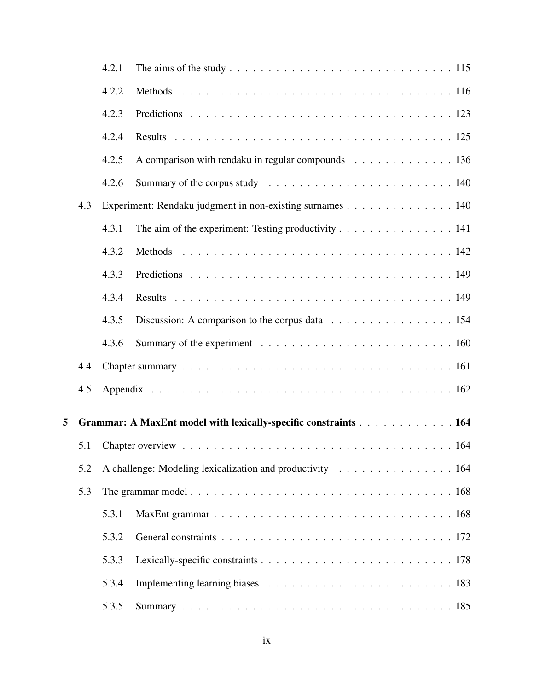|   |     | 4.2.1 |                                                                 |  |
|---|-----|-------|-----------------------------------------------------------------|--|
|   |     | 4.2.2 |                                                                 |  |
|   |     | 4.2.3 |                                                                 |  |
|   |     | 4.2.4 |                                                                 |  |
|   |     | 4.2.5 | A comparison with rendaku in regular compounds 136              |  |
|   |     | 4.2.6 |                                                                 |  |
|   | 4.3 |       | Experiment: Rendaku judgment in non-existing surnames 140       |  |
|   |     | 4.3.1 | The aim of the experiment: Testing productivity 141             |  |
|   |     | 4.3.2 |                                                                 |  |
|   |     | 4.3.3 |                                                                 |  |
|   |     | 4.3.4 |                                                                 |  |
|   |     | 4.3.5 | Discussion: A comparison to the corpus data 154                 |  |
|   |     | 4.3.6 |                                                                 |  |
|   | 4.4 |       |                                                                 |  |
|   | 4.5 |       |                                                                 |  |
| 5 |     |       | Grammar: A MaxEnt model with lexically-specific constraints 164 |  |
|   | 5.1 |       |                                                                 |  |
|   | 5.2 |       | A challenge: Modeling lexicalization and productivity 164       |  |
|   | 5.3 |       |                                                                 |  |
|   |     | 5.3.1 |                                                                 |  |
|   |     | 5.3.2 |                                                                 |  |
|   |     | 5.3.3 |                                                                 |  |
|   |     | 5.3.4 |                                                                 |  |
|   |     | 5.3.5 |                                                                 |  |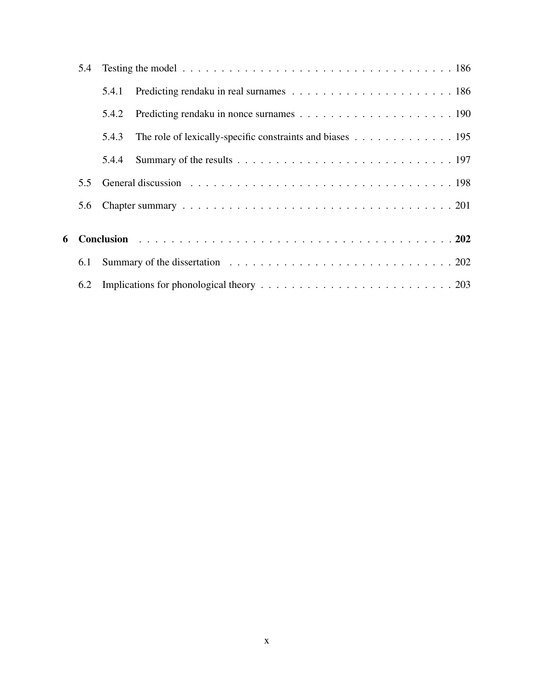| 5.4 |       |                                                           |
|-----|-------|-----------------------------------------------------------|
|     | 5.4.1 |                                                           |
|     | 5.4.2 |                                                           |
|     | 5.4.3 | The role of lexically-specific constraints and biases 195 |
|     | 5.4.4 |                                                           |
| 5.5 |       |                                                           |
| 5.6 |       |                                                           |
|     |       |                                                           |
| 6.1 |       |                                                           |
| 6.2 |       |                                                           |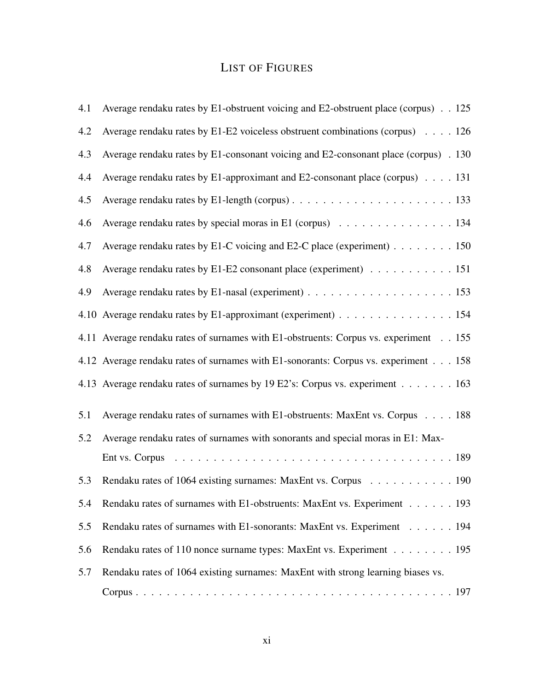# LIST OF FIGURES

| 4.1 | Average rendaku rates by E1-obstruent voicing and E2-obstruent place (corpus) 125       |
|-----|-----------------------------------------------------------------------------------------|
| 4.2 | Average rendaku rates by E1-E2 voiceless obstruent combinations (corpus) $\ldots$ . 126 |
| 4.3 | Average rendaku rates by E1-consonant voicing and E2-consonant place (corpus) . 130     |
| 4.4 | Average rendaku rates by E1-approximant and E2-consonant place (corpus) 131             |
| 4.5 |                                                                                         |
| 4.6 | Average rendaku rates by special moras in E1 (corpus) 134                               |
| 4.7 | Average rendaku rates by E1-C voicing and E2-C place (experiment) 150                   |
| 4.8 | Average rendaku rates by E1-E2 consonant place (experiment) 151                         |
| 4.9 |                                                                                         |
|     | 4.10 Average rendaku rates by E1-approximant (experiment) 154                           |
|     | 4.11 Average rendaku rates of surnames with E1-obstruents: Corpus vs. experiment 155    |
|     | 4.12 Average rendaku rates of surnames with E1-sonorants: Corpus vs. experiment 158     |
|     | 4.13 Average rendaku rates of surnames by 19 E2's: Corpus vs. experiment 163            |
| 5.1 | Average rendaku rates of surnames with E1-obstruents: MaxEnt vs. Corpus 188             |
| 5.2 | Average rendaku rates of surnames with sonorants and special moras in E1: Max-          |
|     | Ent vs. Corpus                                                                          |
| 5.3 | Rendaku rates of 1064 existing surnames: MaxEnt vs. Corpus 190                          |
| 5.4 | Rendaku rates of surnames with E1-obstruents: MaxEnt vs. Experiment 193                 |
| 5.5 | Rendaku rates of surnames with E1-sonorants: MaxEnt vs. Experiment 194                  |
| 5.6 | Rendaku rates of 110 nonce surname types: MaxEnt vs. Experiment 195                     |
| 5.7 | Rendaku rates of 1064 existing surnames: MaxEnt with strong learning biases vs.         |
|     |                                                                                         |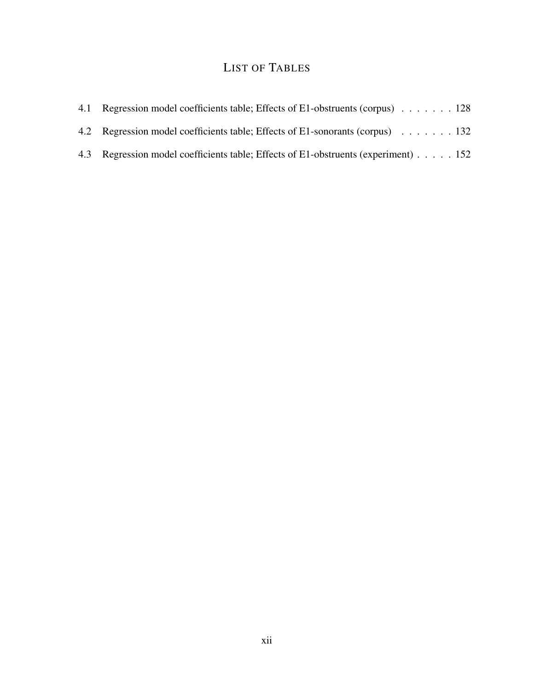# LIST OF TABLES

| 4.1 Regression model coefficients table; Effects of E1-obstruents (corpus) 128     |  |
|------------------------------------------------------------------------------------|--|
| 4.2 Regression model coefficients table; Effects of E1-sonorants (corpus) 132      |  |
| 4.3 Regression model coefficients table; Effects of E1-obstruents (experiment) 152 |  |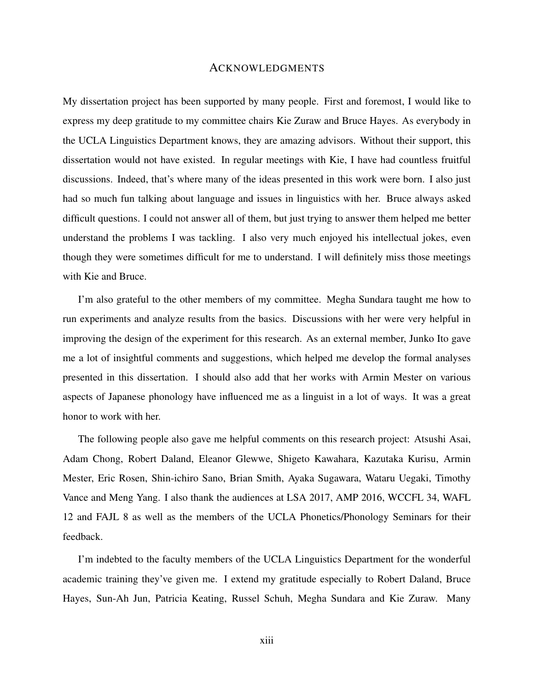#### ACKNOWLEDGMENTS

My dissertation project has been supported by many people. First and foremost, I would like to express my deep gratitude to my committee chairs Kie Zuraw and Bruce Hayes. As everybody in the UCLA Linguistics Department knows, they are amazing advisors. Without their support, this dissertation would not have existed. In regular meetings with Kie, I have had countless fruitful discussions. Indeed, that's where many of the ideas presented in this work were born. I also just had so much fun talking about language and issues in linguistics with her. Bruce always asked difficult questions. I could not answer all of them, but just trying to answer them helped me better understand the problems I was tackling. I also very much enjoyed his intellectual jokes, even though they were sometimes difficult for me to understand. I will definitely miss those meetings with Kie and Bruce.

I'm also grateful to the other members of my committee. Megha Sundara taught me how to run experiments and analyze results from the basics. Discussions with her were very helpful in improving the design of the experiment for this research. As an external member, Junko Ito gave me a lot of insightful comments and suggestions, which helped me develop the formal analyses presented in this dissertation. I should also add that her works with Armin Mester on various aspects of Japanese phonology have influenced me as a linguist in a lot of ways. It was a great honor to work with her.

The following people also gave me helpful comments on this research project: Atsushi Asai, Adam Chong, Robert Daland, Eleanor Glewwe, Shigeto Kawahara, Kazutaka Kurisu, Armin Mester, Eric Rosen, Shin-ichiro Sano, Brian Smith, Ayaka Sugawara, Wataru Uegaki, Timothy Vance and Meng Yang. I also thank the audiences at LSA 2017, AMP 2016, WCCFL 34, WAFL 12 and FAJL 8 as well as the members of the UCLA Phonetics/Phonology Seminars for their feedback.

I'm indebted to the faculty members of the UCLA Linguistics Department for the wonderful academic training they've given me. I extend my gratitude especially to Robert Daland, Bruce Hayes, Sun-Ah Jun, Patricia Keating, Russel Schuh, Megha Sundara and Kie Zuraw. Many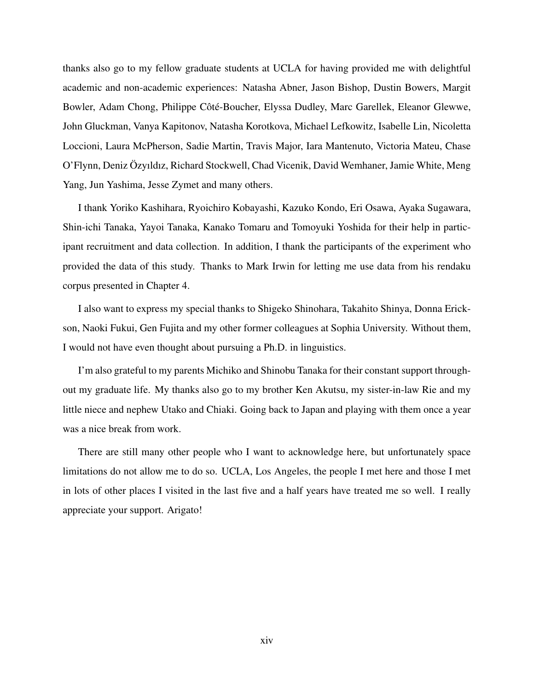thanks also go to my fellow graduate students at UCLA for having provided me with delightful academic and non-academic experiences: Natasha Abner, Jason Bishop, Dustin Bowers, Margit Bowler, Adam Chong, Philippe Côté-Boucher, Elyssa Dudley, Marc Garellek, Eleanor Glewwe, John Gluckman, Vanya Kapitonov, Natasha Korotkova, Michael Lefkowitz, Isabelle Lin, Nicoletta Loccioni, Laura McPherson, Sadie Martin, Travis Major, Iara Mantenuto, Victoria Mateu, Chase O'Flynn, Deniz Özyıldız, Richard Stockwell, Chad Vicenik, David Wemhaner, Jamie White, Meng Yang, Jun Yashima, Jesse Zymet and many others.

I thank Yoriko Kashihara, Ryoichiro Kobayashi, Kazuko Kondo, Eri Osawa, Ayaka Sugawara, Shin-ichi Tanaka, Yayoi Tanaka, Kanako Tomaru and Tomoyuki Yoshida for their help in participant recruitment and data collection. In addition, I thank the participants of the experiment who provided the data of this study. Thanks to Mark Irwin for letting me use data from his rendaku corpus presented in Chapter 4.

I also want to express my special thanks to Shigeko Shinohara, Takahito Shinya, Donna Erickson, Naoki Fukui, Gen Fujita and my other former colleagues at Sophia University. Without them, I would not have even thought about pursuing a Ph.D. in linguistics.

I'm also grateful to my parents Michiko and Shinobu Tanaka for their constant support throughout my graduate life. My thanks also go to my brother Ken Akutsu, my sister-in-law Rie and my little niece and nephew Utako and Chiaki. Going back to Japan and playing with them once a year was a nice break from work.

There are still many other people who I want to acknowledge here, but unfortunately space limitations do not allow me to do so. UCLA, Los Angeles, the people I met here and those I met in lots of other places I visited in the last five and a half years have treated me so well. I really appreciate your support. Arigato!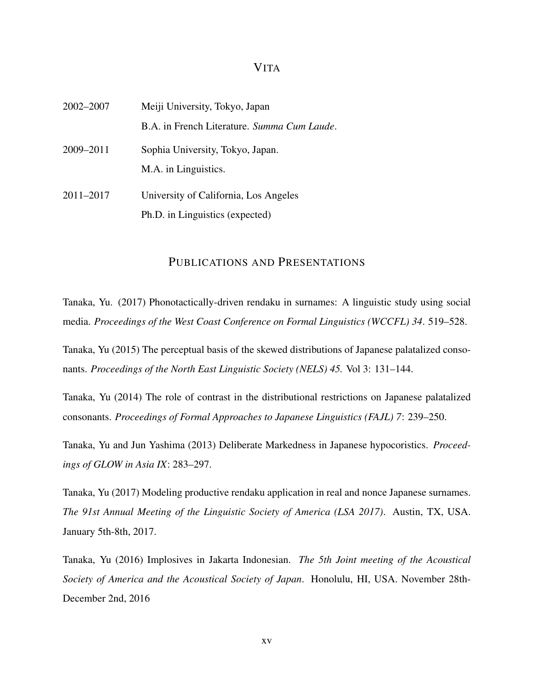#### VITA

| Meiji University, Tokyo, Japan                                           |  |  |  |  |
|--------------------------------------------------------------------------|--|--|--|--|
| B.A. in French Literature. Summa Cum Laude.                              |  |  |  |  |
| Sophia University, Tokyo, Japan.<br>M.A. in Linguistics.                 |  |  |  |  |
| University of California, Los Angeles<br>Ph.D. in Linguistics (expected) |  |  |  |  |
|                                                                          |  |  |  |  |

## PUBLICATIONS AND PRESENTATIONS

Tanaka, Yu. (2017) Phonotactically-driven rendaku in surnames: A linguistic study using social media. *Proceedings of the West Coast Conference on Formal Linguistics (WCCFL) 34*. 519–528.

Tanaka, Yu (2015) The perceptual basis of the skewed distributions of Japanese palatalized consonants. *Proceedings of the North East Linguistic Society (NELS) 45.* Vol 3: 131–144.

Tanaka, Yu (2014) The role of contrast in the distributional restrictions on Japanese palatalized consonants. *Proceedings of Formal Approaches to Japanese Linguistics (FAJL) 7*: 239–250.

Tanaka, Yu and Jun Yashima (2013) Deliberate Markedness in Japanese hypocoristics. *Proceedings of GLOW in Asia IX*: 283–297.

Tanaka, Yu (2017) Modeling productive rendaku application in real and nonce Japanese surnames. *The 91st Annual Meeting of the Linguistic Society of America (LSA 2017)*. Austin, TX, USA. January 5th-8th, 2017.

Tanaka, Yu (2016) Implosives in Jakarta Indonesian. *The 5th Joint meeting of the Acoustical Society of America and the Acoustical Society of Japan*. Honolulu, HI, USA. November 28th-December 2nd, 2016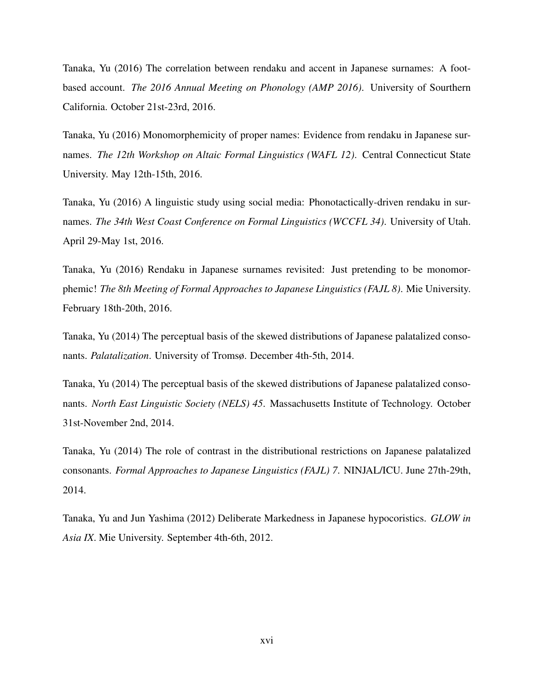Tanaka, Yu (2016) The correlation between rendaku and accent in Japanese surnames: A footbased account. *The 2016 Annual Meeting on Phonology (AMP 2016)*. University of Sourthern California. October 21st-23rd, 2016.

Tanaka, Yu (2016) Monomorphemicity of proper names: Evidence from rendaku in Japanese surnames. *The 12th Workshop on Altaic Formal Linguistics (WAFL 12)*. Central Connecticut State University. May 12th-15th, 2016.

Tanaka, Yu (2016) A linguistic study using social media: Phonotactically-driven rendaku in surnames. *The 34th West Coast Conference on Formal Linguistics (WCCFL 34)*. University of Utah. April 29-May 1st, 2016.

Tanaka, Yu (2016) Rendaku in Japanese surnames revisited: Just pretending to be monomorphemic! *The 8th Meeting of Formal Approaches to Japanese Linguistics (FAJL 8)*. Mie University. February 18th-20th, 2016.

Tanaka, Yu (2014) The perceptual basis of the skewed distributions of Japanese palatalized consonants. *Palatalization*. University of Tromsø. December 4th-5th, 2014.

Tanaka, Yu (2014) The perceptual basis of the skewed distributions of Japanese palatalized consonants. *North East Linguistic Society (NELS) 45*. Massachusetts Institute of Technology. October 31st-November 2nd, 2014.

Tanaka, Yu (2014) The role of contrast in the distributional restrictions on Japanese palatalized consonants. *Formal Approaches to Japanese Linguistics (FAJL) 7*. NINJAL/ICU. June 27th-29th, 2014.

Tanaka, Yu and Jun Yashima (2012) Deliberate Markedness in Japanese hypocoristics. *GLOW in Asia IX*. Mie University. September 4th-6th, 2012.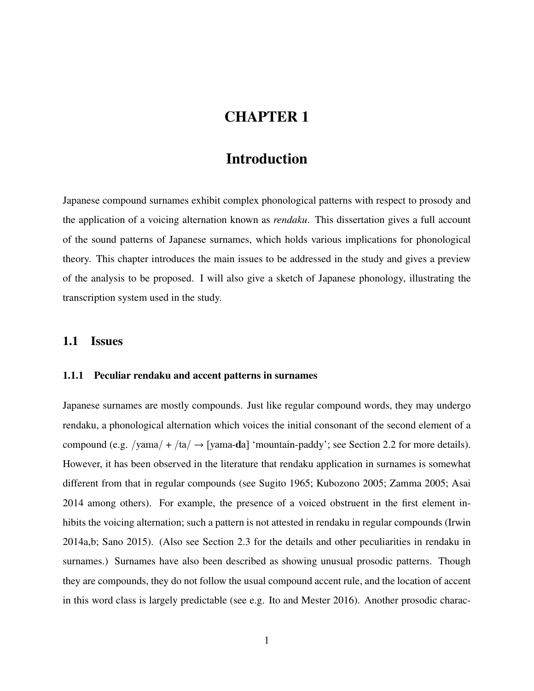# CHAPTER 1

## Introduction

Japanese compound surnames exhibit complex phonological patterns with respect to prosody and the application of a voicing alternation known as *rendaku*. This dissertation gives a full account of the sound patterns of Japanese surnames, which holds various implications for phonological theory. This chapter introduces the main issues to be addressed in the study and gives a preview of the analysis to be proposed. I will also give a sketch of Japanese phonology, illustrating the transcription system used in the study.

### 1.1 Issues

### 1.1.1 Peculiar rendaku and accent patterns in surnames

Japanese surnames are mostly compounds. Just like regular compound words, they may undergo rendaku, a phonological alternation which voices the initial consonant of the second element of a compound (e.g. /yama/ + /ta/  $\rightarrow$  [yama-da] 'mountain-paddy'; see Section 2.2 for more details). However, it has been observed in the literature that rendaku application in surnames is somewhat different from that in regular compounds (see Sugito 1965; Kubozono 2005; Zamma 2005; Asai 2014 among others). For example, the presence of a voiced obstruent in the first element inhibits the voicing alternation; such a pattern is not attested in rendaku in regular compounds (Irwin 2014a,b; Sano 2015). (Also see Section 2.3 for the details and other peculiarities in rendaku in surnames.) Surnames have also been described as showing unusual prosodic patterns. Though they are compounds, they do not follow the usual compound accent rule, and the location of accent in this word class is largely predictable (see e.g. Ito and Mester 2016). Another prosodic charac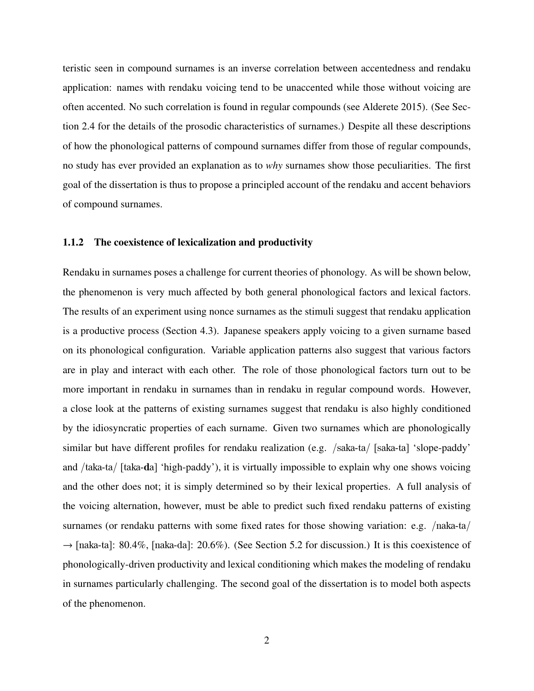teristic seen in compound surnames is an inverse correlation between accentedness and rendaku application: names with rendaku voicing tend to be unaccented while those without voicing are often accented. No such correlation is found in regular compounds (see Alderete 2015). (See Section 2.4 for the details of the prosodic characteristics of surnames.) Despite all these descriptions of how the phonological patterns of compound surnames differ from those of regular compounds, no study has ever provided an explanation as to *why* surnames show those peculiarities. The first goal of the dissertation is thus to propose a principled account of the rendaku and accent behaviors of compound surnames.

#### 1.1.2 The coexistence of lexicalization and productivity

Rendaku in surnames poses a challenge for current theories of phonology. As will be shown below, the phenomenon is very much affected by both general phonological factors and lexical factors. The results of an experiment using nonce surnames as the stimuli suggest that rendaku application is a productive process (Section 4.3). Japanese speakers apply voicing to a given surname based on its phonological configuration. Variable application patterns also suggest that various factors are in play and interact with each other. The role of those phonological factors turn out to be more important in rendaku in surnames than in rendaku in regular compound words. However, a close look at the patterns of existing surnames suggest that rendaku is also highly conditioned by the idiosyncratic properties of each surname. Given two surnames which are phonologically similar but have different profiles for rendaku realization (e.g. /saka-ta/ [saka-ta] 'slope-paddy' and /taka-ta/ [taka-da] 'high-paddy'), it is virtually impossible to explain why one shows voicing and the other does not; it is simply determined so by their lexical properties. A full analysis of the voicing alternation, however, must be able to predict such fixed rendaku patterns of existing surnames (or rendaku patterns with some fixed rates for those showing variation: e.g. /naka-ta/  $\rightarrow$  [naka-ta]: 80.4%, [naka-da]: 20.6%). (See Section 5.2 for discussion.) It is this coexistence of phonologically-driven productivity and lexical conditioning which makes the modeling of rendaku in surnames particularly challenging. The second goal of the dissertation is to model both aspects of the phenomenon.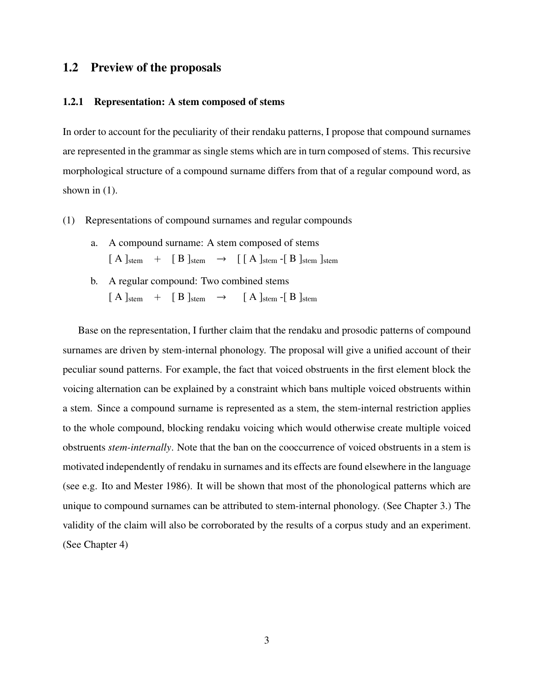## 1.2 Preview of the proposals

#### 1.2.1 Representation: A stem composed of stems

In order to account for the peculiarity of their rendaku patterns, I propose that compound surnames are represented in the grammar as single stems which are in turn composed of stems. This recursive morphological structure of a compound surname differs from that of a regular compound word, as shown in  $(1)$ .

- (1) Representations of compound surnames and regular compounds
	- a. A compound surname: A stem composed of stems  $[A]_{stem}$  +  $[B]_{stem}$   $\rightarrow$   $[\ [A]_{stem}$  -[B]<sub>stem</sub>]<sub>stem</sub>]
	- b. A regular compound: Two combined stems  $[A]_{stem}$  +  $[B]_{stem}$   $\rightarrow$   $[A]_{stem}$  -[B]<sub>stem</sub>

Base on the representation, I further claim that the rendaku and prosodic patterns of compound surnames are driven by stem-internal phonology. The proposal will give a unified account of their peculiar sound patterns. For example, the fact that voiced obstruents in the first element block the voicing alternation can be explained by a constraint which bans multiple voiced obstruents within a stem. Since a compound surname is represented as a stem, the stem-internal restriction applies to the whole compound, blocking rendaku voicing which would otherwise create multiple voiced obstruents *stem-internally*. Note that the ban on the cooccurrence of voiced obstruents in a stem is motivated independently of rendaku in surnames and its effects are found elsewhere in the language (see e.g. Ito and Mester 1986). It will be shown that most of the phonological patterns which are unique to compound surnames can be attributed to stem-internal phonology. (See Chapter 3.) The validity of the claim will also be corroborated by the results of a corpus study and an experiment. (See Chapter 4)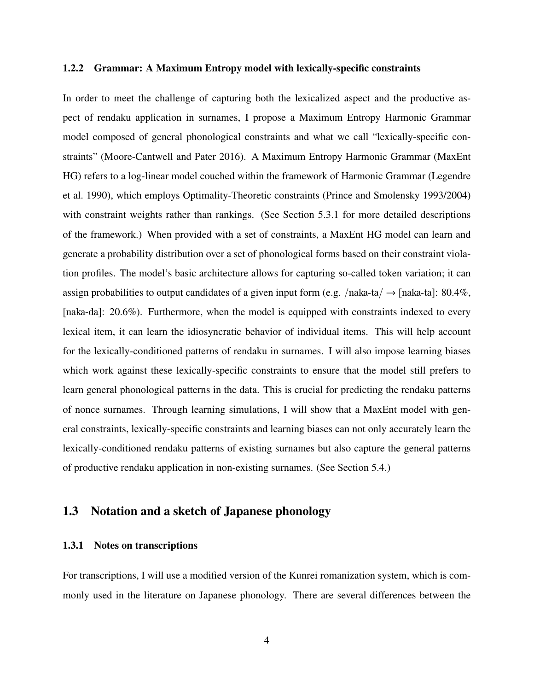#### 1.2.2 Grammar: A Maximum Entropy model with lexically-specific constraints

In order to meet the challenge of capturing both the lexicalized aspect and the productive aspect of rendaku application in surnames, I propose a Maximum Entropy Harmonic Grammar model composed of general phonological constraints and what we call "lexically-specific constraints" (Moore-Cantwell and Pater 2016). A Maximum Entropy Harmonic Grammar (MaxEnt HG) refers to a log-linear model couched within the framework of Harmonic Grammar (Legendre et al. 1990), which employs Optimality-Theoretic constraints (Prince and Smolensky 1993/2004) with constraint weights rather than rankings. (See Section 5.3.1 for more detailed descriptions of the framework.) When provided with a set of constraints, a MaxEnt HG model can learn and generate a probability distribution over a set of phonological forms based on their constraint violation profiles. The model's basic architecture allows for capturing so-called token variation; it can assign probabilities to output candidates of a given input form (e.g. /naka-ta/  $\rightarrow$  [naka-ta]: 80.4%, [naka-da]: 20.6%). Furthermore, when the model is equipped with constraints indexed to every lexical item, it can learn the idiosyncratic behavior of individual items. This will help account for the lexically-conditioned patterns of rendaku in surnames. I will also impose learning biases which work against these lexically-specific constraints to ensure that the model still prefers to learn general phonological patterns in the data. This is crucial for predicting the rendaku patterns of nonce surnames. Through learning simulations, I will show that a MaxEnt model with general constraints, lexically-specific constraints and learning biases can not only accurately learn the lexically-conditioned rendaku patterns of existing surnames but also capture the general patterns of productive rendaku application in non-existing surnames. (See Section 5.4.)

## 1.3 Notation and a sketch of Japanese phonology

#### 1.3.1 Notes on transcriptions

For transcriptions, I will use a modified version of the Kunrei romanization system, which is commonly used in the literature on Japanese phonology. There are several differences between the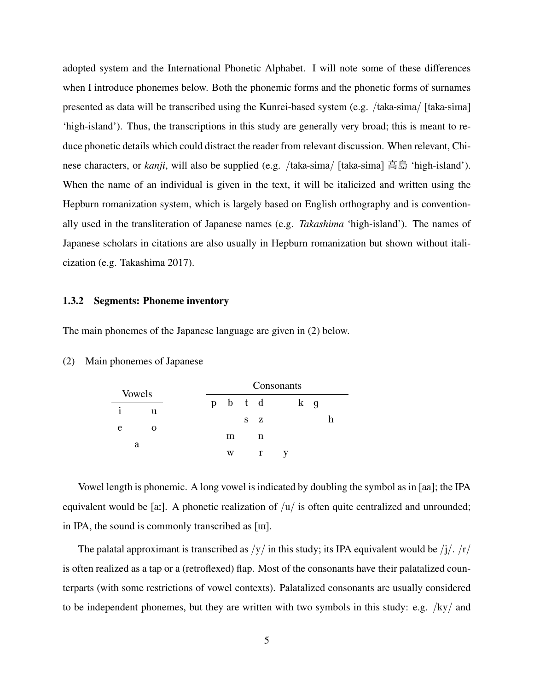adopted system and the International Phonetic Alphabet. I will note some of these differences when I introduce phonemes below. Both the phonemic forms and the phonetic forms of surnames presented as data will be transcribed using the Kunrei-based system (e.g. /taka-sima/ [taka-sima] 'high-island'). Thus, the transcriptions in this study are generally very broad; this is meant to reduce phonetic details which could distract the reader from relevant discussion. When relevant, Chinese characters, or *kanji*, will also be supplied (e.g. /taka-sima/ [taka-sima] 高島 'high-island'). When the name of an individual is given in the text, it will be italicized and written using the Hepburn romanization system, which is largely based on English orthography and is conventionally used in the transliteration of Japanese names (e.g. *Takashima* 'high-island'). The names of Japanese scholars in citations are also usually in Hepburn romanization but shown without italicization (e.g. Takashima 2017).

#### 1.3.2 Segments: Phoneme inventory

The main phonemes of the Japanese language are given in (2) below.

|   |               |  |         |     | Consonants |  |
|---|---------------|--|---------|-----|------------|--|
|   | <b>Vowels</b> |  | p b t d |     | k g        |  |
| 1 | u             |  |         |     |            |  |
| e |               |  |         | S Z |            |  |
|   |               |  | m       |     |            |  |

#### (2) Main phonemes of Japanese

Vowel length is phonemic. A long vowel is indicated by doubling the symbol as in [aa]; the IPA equivalent would be [a:]. A phonetic realization of  $|u|$  is often quite centralized and unrounded; in IPA, the sound is commonly transcribed as [W].

w r y

The palatal approximant is transcribed as  $/y/$  in this study; its IPA equivalent would be  $/j/$ .  $/r/$ is often realized as a tap or a (retroflexed) flap. Most of the consonants have their palatalized counterparts (with some restrictions of vowel contexts). Palatalized consonants are usually considered to be independent phonemes, but they are written with two symbols in this study: e.g.  $/ky/$  and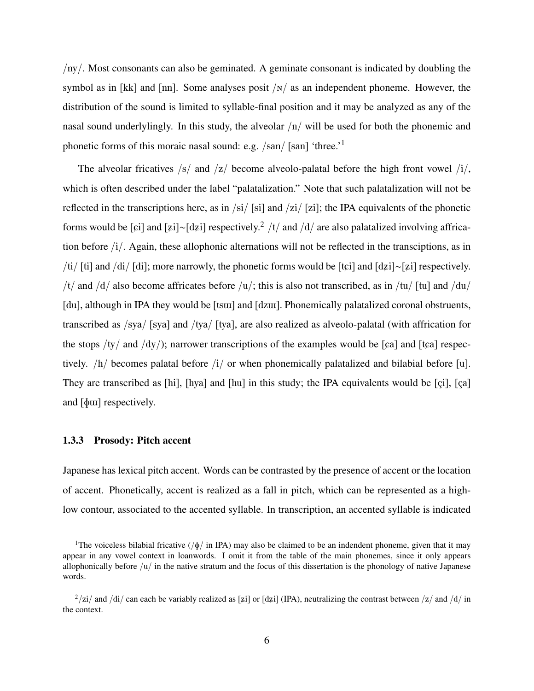/ny/. Most consonants can also be geminated. A geminate consonant is indicated by doubling the symbol as in [kk] and [nn]. Some analyses posit  $/N/$  as an independent phoneme. However, the distribution of the sound is limited to syllable-final position and it may be analyzed as any of the nasal sound underlylingly. In this study, the alveolar  $\langle n / \text{ will be used for both the phonemic and}$ phonetic forms of this moraic nasal sound: e.g. /san/ [san] 'three.'<sup>1</sup>

The alveolar fricatives  $\frac{s}{a}$  and  $\frac{s}{c}$  become alveolo-palatal before the high front vowel  $\frac{s}{a}$ , which is often described under the label "palatalization." Note that such palatalization will not be reflected in the transcriptions here, as in  $\frac{\sin{\pi i}}{\sin{\pi i}}$  and  $\frac{\sin{\pi i}}{\sin{\pi i}}$ ; the IPA equivalents of the phonetic forms would be [ $\pi$ i] and [ $\pi$ i]∼[d $\pi$ i] respectively.<sup>2</sup> /t/ and /d/ are also palatalized involving affrication before /i/. Again, these allophonic alternations will not be reflected in the transciptions, as in /ti/ [ti] and /di/ [di]; more narrowly, the phonetic forms would be [tci] and [dzi]∼[zi] respectively. /t/ and /d/ also become affricates before /u/; this is also not transcribed, as in /tu/ [tu] and /du/ [du], although in IPA they would be [tsw] and [dzw]. Phonemically palatalized coronal obstruents, transcribed as /sya/ [sya] and /tya/ [tya], are also realized as alveolo-palatal (with affrication for the stops /ty/ and /dy/); narrower transcriptions of the examples would be [ $\alpha$ ] and [t $\alpha$ ] respectively. /h/ becomes palatal before /i/ or when phonemically palatalized and bilabial before [u]. They are transcribed as [hi], [hya] and [hu] in this study; the IPA equivalents would be [çi], [ça] and  $\lceil \phi \text{uu} \rceil$  respectively.

#### 1.3.3 Prosody: Pitch accent

Japanese has lexical pitch accent. Words can be contrasted by the presence of accent or the location of accent. Phonetically, accent is realized as a fall in pitch, which can be represented as a highlow contour, associated to the accented syllable. In transcription, an accented syllable is indicated

<sup>&</sup>lt;sup>1</sup>The voiceless bilabial fricative ( $/\phi$  in IPA) may also be claimed to be an indendent phoneme, given that it may appear in any vowel context in loanwords. I omit it from the table of the main phonemes, since it only appears allophonically before /u/ in the native stratum and the focus of this dissertation is the phonology of native Japanese words.

 $^{2}/$ zi/ and /di/ can each be variably realized as [zi] or [dzi] (IPA), neutralizing the contrast between /z/ and /d/ in the context.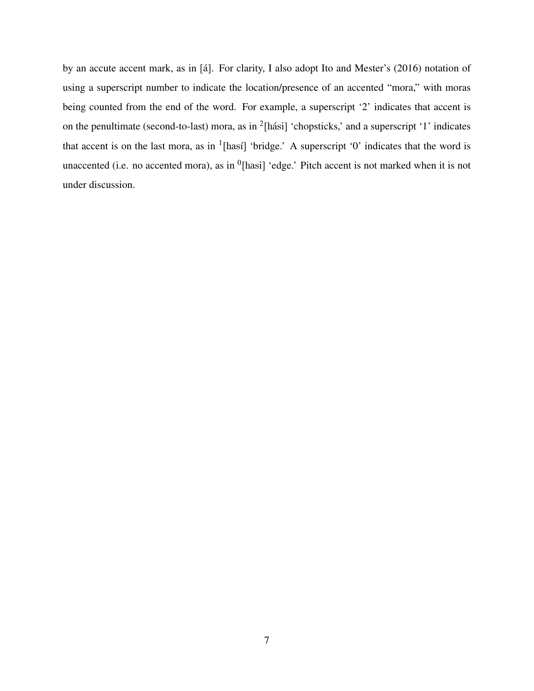by an accute accent mark, as in [á]. For clarity, I also adopt Ito and Mester's (2016) notation of using a superscript number to indicate the location/presence of an accented "mora," with moras being counted from the end of the word. For example, a superscript '2' indicates that accent is on the penultimate (second-to-last) mora, as in  $2$ [hási] 'chopsticks,' and a superscript '1' indicates that accent is on the last mora, as in  $\textsuperscript{1}[$  has<sup>1</sup>] 'bridge.' A superscript '0' indicates that the word is unaccented (i.e. no accented mora), as in  $<sup>0</sup>$ [hasi] 'edge.' Pitch accent is not marked when it is not</sup> under discussion.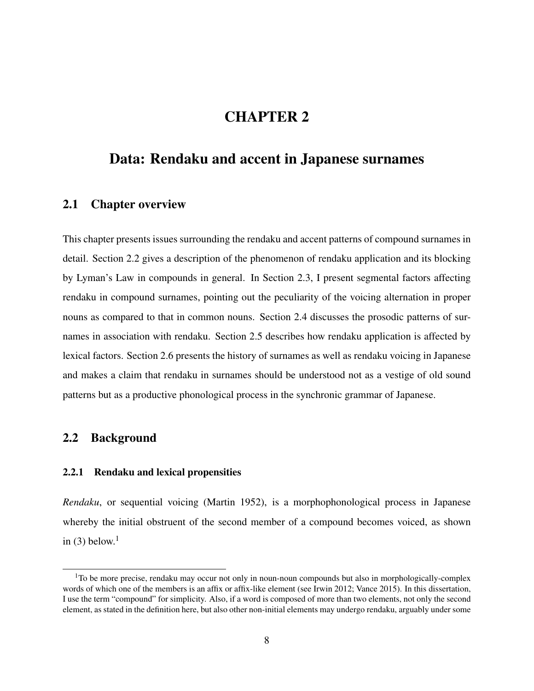# CHAPTER 2

## Data: Rendaku and accent in Japanese surnames

## 2.1 Chapter overview

This chapter presents issues surrounding the rendaku and accent patterns of compound surnames in detail. Section 2.2 gives a description of the phenomenon of rendaku application and its blocking by Lyman's Law in compounds in general. In Section 2.3, I present segmental factors affecting rendaku in compound surnames, pointing out the peculiarity of the voicing alternation in proper nouns as compared to that in common nouns. Section 2.4 discusses the prosodic patterns of surnames in association with rendaku. Section 2.5 describes how rendaku application is affected by lexical factors. Section 2.6 presents the history of surnames as well as rendaku voicing in Japanese and makes a claim that rendaku in surnames should be understood not as a vestige of old sound patterns but as a productive phonological process in the synchronic grammar of Japanese.

## 2.2 Background

#### 2.2.1 Rendaku and lexical propensities

*Rendaku*, or sequential voicing (Martin 1952), is a morphophonological process in Japanese whereby the initial obstruent of the second member of a compound becomes voiced, as shown in (3) below.<sup>1</sup>

 $1$ To be more precise, rendaku may occur not only in noun-noun compounds but also in morphologically-complex words of which one of the members is an affix or affix-like element (see Irwin 2012; Vance 2015). In this dissertation, I use the term "compound" for simplicity. Also, if a word is composed of more than two elements, not only the second element, as stated in the definition here, but also other non-initial elements may undergo rendaku, arguably under some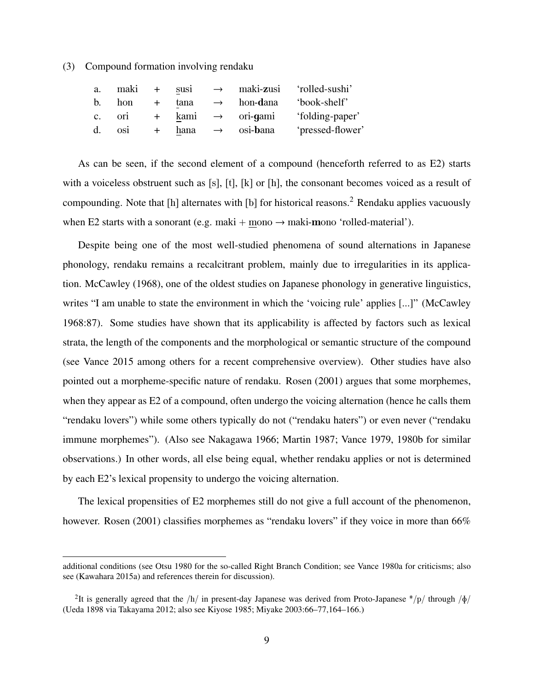(3) Compound formation involving rendaku

| a.             | maki + susi |        |                                 | $\rightarrow$ maki-zusi 'rolled-sushi' |
|----------------|-------------|--------|---------------------------------|----------------------------------------|
| $\mathbf{b}$ . | hon         | + tana |                                 | $\rightarrow$ hon-dana 'book-shelf'    |
|                | c. ori      |        | $+$ kami $\rightarrow$ ori-gami | 'folding-paper'                        |
|                | d. osi      |        | $+$ hana $\rightarrow$ osi-bana | 'pressed-flower'                       |

As can be seen, if the second element of a compound (henceforth referred to as E2) starts with a voiceless obstruent such as [s], [t], [k] or [h], the consonant becomes voiced as a result of compounding. Note that  $[h]$  alternates with  $[b]$  for historical reasons.<sup>2</sup> Rendaku applies vacuously when E2 starts with a sonorant (e.g. maki + mono  $\rightarrow$  maki-mono 'rolled-material').

Despite being one of the most well-studied phenomena of sound alternations in Japanese phonology, rendaku remains a recalcitrant problem, mainly due to irregularities in its application. McCawley (1968), one of the oldest studies on Japanese phonology in generative linguistics, writes "I am unable to state the environment in which the 'voicing rule' applies [...]" (McCawley 1968:87). Some studies have shown that its applicability is affected by factors such as lexical strata, the length of the components and the morphological or semantic structure of the compound (see Vance 2015 among others for a recent comprehensive overview). Other studies have also pointed out a morpheme-specific nature of rendaku. Rosen (2001) argues that some morphemes, when they appear as E2 of a compound, often undergo the voicing alternation (hence he calls them "rendaku lovers") while some others typically do not ("rendaku haters") or even never ("rendaku immune morphemes"). (Also see Nakagawa 1966; Martin 1987; Vance 1979, 1980b for similar observations.) In other words, all else being equal, whether rendaku applies or not is determined by each E2's lexical propensity to undergo the voicing alternation.

The lexical propensities of E2 morphemes still do not give a full account of the phenomenon, however. Rosen (2001) classifies morphemes as "rendaku lovers" if they voice in more than 66%

additional conditions (see Otsu 1980 for the so-called Right Branch Condition; see Vance 1980a for criticisms; also see (Kawahara 2015a) and references therein for discussion).

<sup>&</sup>lt;sup>2</sup>It is generally agreed that the /h/ in present-day Japanese was derived from Proto-Japanese \*/p/ through / $\oint$ / (Ueda 1898 via Takayama 2012; also see Kiyose 1985; Miyake 2003:66–77,164–166.)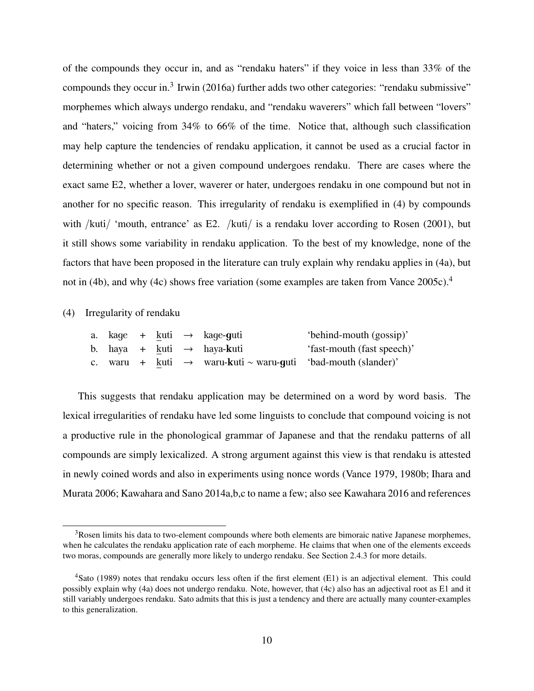of the compounds they occur in, and as "rendaku haters" if they voice in less than 33% of the compounds they occur in. $3$  Irwin (2016a) further adds two other categories: "rendaku submissive" morphemes which always undergo rendaku, and "rendaku waverers" which fall between "lovers" and "haters," voicing from 34% to 66% of the time. Notice that, although such classification may help capture the tendencies of rendaku application, it cannot be used as a crucial factor in determining whether or not a given compound undergoes rendaku. There are cases where the exact same E2, whether a lover, waverer or hater, undergoes rendaku in one compound but not in another for no specific reason. This irregularity of rendaku is exemplified in (4) by compounds with /kuti/ 'mouth, entrance' as E2. /kuti/ is a rendaku lover according to Rosen (2001), but it still shows some variability in rendaku application. To the best of my knowledge, none of the factors that have been proposed in the literature can truly explain why rendaku applies in (4a), but not in (4b), and why (4c) shows free variation (some examples are taken from Vance 2005c).<sup>4</sup>

#### (4) Irregularity of rendaku

|  |  | a. kaqe + kuti $\rightarrow$ kaqe-guti                                   | 'behind-mouth (gossip)'    |
|--|--|--------------------------------------------------------------------------|----------------------------|
|  |  | b. haya + kuti $\rightarrow$ haya-kuti                                   | 'fast-mouth (fast speech)' |
|  |  | c. waru + kuti $\rightarrow$ waru-kuti ~ waru-guti 'bad-mouth (slander)' |                            |

This suggests that rendaku application may be determined on a word by word basis. The lexical irregularities of rendaku have led some linguists to conclude that compound voicing is not a productive rule in the phonological grammar of Japanese and that the rendaku patterns of all compounds are simply lexicalized. A strong argument against this view is that rendaku is attested in newly coined words and also in experiments using nonce words (Vance 1979, 1980b; Ihara and Murata 2006; Kawahara and Sano 2014a,b,c to name a few; also see Kawahara 2016 and references

<sup>&</sup>lt;sup>3</sup>Rosen limits his data to two-element compounds where both elements are bimoraic native Japanese morphemes, when he calculates the rendaku application rate of each morpheme. He claims that when one of the elements exceeds two moras, compounds are generally more likely to undergo rendaku. See Section 2.4.3 for more details.

<sup>4</sup>Sato (1989) notes that rendaku occurs less often if the first element (E1) is an adjectival element. This could possibly explain why (4a) does not undergo rendaku. Note, however, that (4c) also has an adjectival root as E1 and it still variably undergoes rendaku. Sato admits that this is just a tendency and there are actually many counter-examples to this generalization.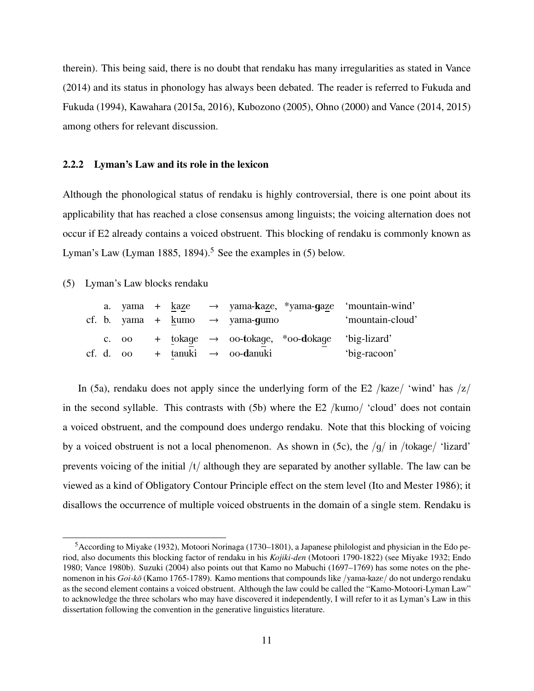therein). This being said, there is no doubt that rendaku has many irregularities as stated in Vance (2014) and its status in phonology has always been debated. The reader is referred to Fukuda and Fukuda (1994), Kawahara (2015a, 2016), Kubozono (2005), Ohno (2000) and Vance (2014, 2015) among others for relevant discussion.

#### 2.2.2 Lyman's Law and its role in the lexicon

Although the phonological status of rendaku is highly controversial, there is one point about its applicability that has reached a close consensus among linguists; the voicing alternation does not occur if E2 already contains a voiced obstruent. This blocking of rendaku is commonly known as Lyman's Law (Lyman 1885, 1894).<sup>5</sup> See the examples in  $(5)$  below.

(5) Lyman's Law blocks rendaku

|  |  |  | a. yama + kaze $\rightarrow$ yama-kaze, *yama-gaze 'mountain-wind' |                  |
|--|--|--|--------------------------------------------------------------------|------------------|
|  |  |  | cf. b. yama + kumo $\rightarrow$ yama-gumo                         | 'mountain-cloud' |
|  |  |  | c. oo + tokage $\rightarrow$ oo-tokage, *oo-dokage 'big-lizard'    |                  |
|  |  |  | cf. d. oo + tanuki $\rightarrow$ oo-danuki                         | 'big-racoon'     |

In (5a), rendaku does not apply since the underlying form of the E2 /kaze/ 'wind' has  $|z|$ in the second syllable. This contrasts with (5b) where the E2 /kumo/ 'cloud' does not contain a voiced obstruent, and the compound does undergo rendaku. Note that this blocking of voicing by a voiced obstruent is not a local phenomenon. As shown in (5c), the  $/g/\text{ in } / \text{to} \text{kage}/ \text{ 'lazard'}$ prevents voicing of the initial /t/ although they are separated by another syllable. The law can be viewed as a kind of Obligatory Contour Principle effect on the stem level (Ito and Mester 1986); it disallows the occurrence of multiple voiced obstruents in the domain of a single stem. Rendaku is

<sup>5</sup>According to Miyake (1932), Motoori Norinaga (1730–1801), a Japanese philologist and physician in the Edo period, also documents this blocking factor of rendaku in his *Kojiki-den* (Motoori 1790-1822) (see Miyake 1932; Endo 1980; Vance 1980b). Suzuki (2004) also points out that Kamo no Mabuchi (1697–1769) has some notes on the phenomenon in his *Goi-ko¯* (Kamo 1765-1789). Kamo mentions that compounds like /yama-kaze/ do not undergo rendaku as the second element contains a voiced obstruent. Although the law could be called the "Kamo-Motoori-Lyman Law" to acknowledge the three scholars who may have discovered it independently, I will refer to it as Lyman's Law in this dissertation following the convention in the generative linguistics literature.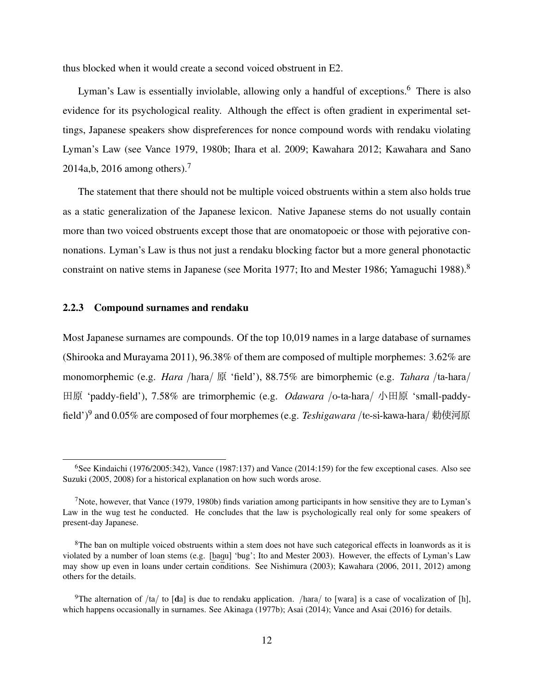thus blocked when it would create a second voiced obstruent in E2.

Lyman's Law is essentially inviolable, allowing only a handful of exceptions.<sup>6</sup> There is also evidence for its psychological reality. Although the effect is often gradient in experimental settings, Japanese speakers show dispreferences for nonce compound words with rendaku violating Lyman's Law (see Vance 1979, 1980b; Ihara et al. 2009; Kawahara 2012; Kawahara and Sano 2014a,b, 2016 among others).<sup>7</sup>

The statement that there should not be multiple voiced obstruents within a stem also holds true as a static generalization of the Japanese lexicon. Native Japanese stems do not usually contain more than two voiced obstruents except those that are onomatopoeic or those with pejorative connonations. Lyman's Law is thus not just a rendaku blocking factor but a more general phonotactic constraint on native stems in Japanese (see Morita 1977; Ito and Mester 1986; Yamaguchi 1988).<sup>8</sup>

#### 2.2.3 Compound surnames and rendaku

Most Japanese surnames are compounds. Of the top 10,019 names in a large database of surnames (Shirooka and Murayama 2011), 96.38% of them are composed of multiple morphemes: 3.62% are monomorphemic (e.g. *Hara* /hara/ 原 'field'), 88.75% are bimorphemic (e.g. *Tahara* /ta-hara/ 田原 'paddy-field'), 7.58% are trimorphemic (e.g. *Odawara* /o-ta-hara/ 小田原 'small-paddyfield')<sup>9</sup> and 0.05% are composed of four morphemes (e.g. *Teshigawara* /te-si-kawa-hara/ 勅使河原

 $6$ See Kindaichi (1976/2005:342), Vance (1987:137) and Vance (2014:159) for the few exceptional cases. Also see Suzuki (2005, 2008) for a historical explanation on how such words arose.

<sup>&</sup>lt;sup>7</sup>Note, however, that Vance (1979, 1980b) finds variation among participants in how sensitive they are to Lyman's Law in the wug test he conducted. He concludes that the law is psychologically real only for some speakers of present-day Japanese.

 ${}^{8}$ The ban on multiple voiced obstruents within a stem does not have such categorical effects in loanwords as it is violated by a number of loan stems (e.g. [bagu] 'bug'; Ito and Mester 2003). However, the effects of Lyman's Law may show up even in loans under certain conditions. See Nishimura (2003); Kawahara (2006, 2011, 2012) among others for the details.

<sup>&</sup>lt;sup>9</sup>The alternation of /ta/ to [da] is due to rendaku application. /hara/ to [wara] is a case of vocalization of [h], which happens occasionally in surnames. See Akinaga (1977b); Asai (2014); Vance and Asai (2016) for details.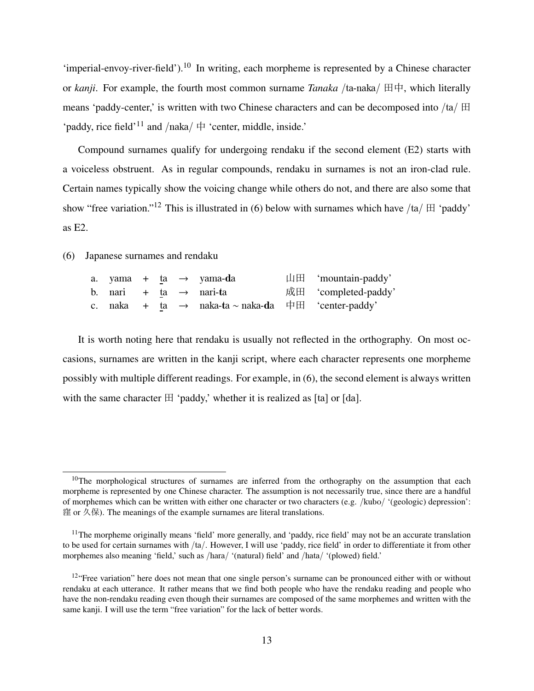'imperial-envoy-river-field').<sup>10</sup> In writing, each morpheme is represented by a Chinese character or *kanji*. For example, the fourth most common surname *Tanaka* /ta-naka/ 田中, which literally means 'paddy-center,' is written with two Chinese characters and can be decomposed into /ta/ 田 'paddy, rice field'<sup>11</sup> and /naka/ $\uparrow$  'center, middle, inside.'

Compound surnames qualify for undergoing rendaku if the second element (E2) starts with a voiceless obstruent. As in regular compounds, rendaku in surnames is not an iron-clad rule. Certain names typically show the voicing change while others do not, and there are also some that show "free variation."<sup>12</sup> This is illustrated in (6) below with surnames which have /ta/  $\boxplus$  'paddy' as E2.

(6) Japanese surnames and rendaku

|  |  | a. yama + ta → yama- <b>d</b> a                                     | $\Box \Box$ 'mountain-paddy' |
|--|--|---------------------------------------------------------------------|------------------------------|
|  |  | b. nari + ta $\rightarrow$ nari-ta                                  | 成田 'completed-paddy'         |
|  |  | c. naka + ta $\rightarrow$ naka-ta $\sim$ naka-da 中田 'center-paddy' |                              |

It is worth noting here that rendaku is usually not reflected in the orthography. On most occasions, surnames are written in the kanji script, where each character represents one morpheme possibly with multiple different readings. For example, in (6), the second element is always written with the same character  $\boxplus$  'paddy,' whether it is realized as [ta] or [da].

<sup>&</sup>lt;sup>10</sup>The morphological structures of surnames are inferred from the orthography on the assumption that each morpheme is represented by one Chinese character. The assumption is not necessarily true, since there are a handful of morphemes which can be written with either one character or two characters (e.g. /kubo/ '(geologic) depression': 窪 or 久保). The meanings of the example surnames are literal translations.

<sup>&</sup>lt;sup>11</sup>The morpheme originally means 'field' more generally, and 'paddy, rice field' may not be an accurate translation to be used for certain surnames with /ta/. However, I will use 'paddy, rice field' in order to differentiate it from other morphemes also meaning 'field,' such as /hara/ '(natural) field' and /hata/ '(plowed) field.'

 $12$ "Free variation" here does not mean that one single person's surname can be pronounced either with or without rendaku at each utterance. It rather means that we find both people who have the rendaku reading and people who have the non-rendaku reading even though their surnames are composed of the same morphemes and written with the same kanji. I will use the term "free variation" for the lack of better words.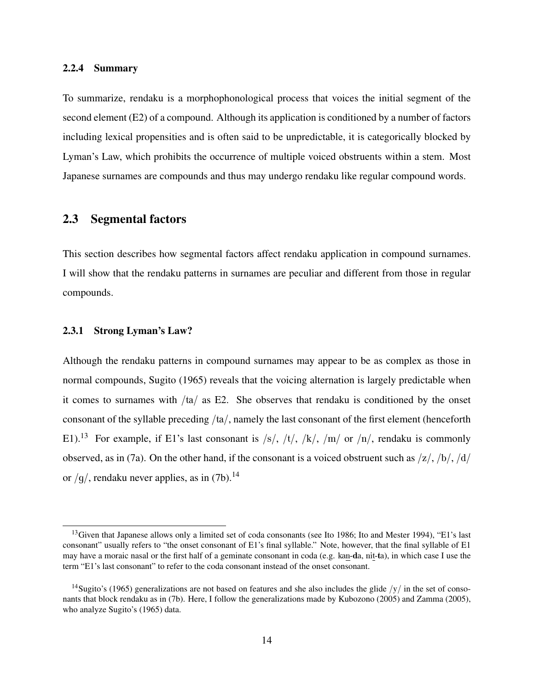#### 2.2.4 Summary

To summarize, rendaku is a morphophonological process that voices the initial segment of the second element (E2) of a compound. Although its application is conditioned by a number of factors including lexical propensities and is often said to be unpredictable, it is categorically blocked by Lyman's Law, which prohibits the occurrence of multiple voiced obstruents within a stem. Most Japanese surnames are compounds and thus may undergo rendaku like regular compound words.

### 2.3 Segmental factors

This section describes how segmental factors affect rendaku application in compound surnames. I will show that the rendaku patterns in surnames are peculiar and different from those in regular compounds.

#### 2.3.1 Strong Lyman's Law?

Although the rendaku patterns in compound surnames may appear to be as complex as those in normal compounds, Sugito (1965) reveals that the voicing alternation is largely predictable when it comes to surnames with /ta/ as E2. She observes that rendaku is conditioned by the onset consonant of the syllable preceding /ta/, namely the last consonant of the first element (henceforth E1).<sup>13</sup> For example, if E1's last consonant is /s/, /t/, /k/, /m/ or /n/, rendaku is commonly observed, as in (7a). On the other hand, if the consonant is a voiced obstruent such as  $\frac{z}{h}$ ,  $\frac{b}{h}$ ,  $\frac{d}{d\theta}$ or  $/g/$ , rendaku never applies, as in (7b).<sup>14</sup>

<sup>&</sup>lt;sup>13</sup>Given that Japanese allows only a limited set of coda consonants (see Ito 1986; Ito and Mester 1994), "E1's last consonant" usually refers to "the onset consonant of E1's final syllable." Note, however, that the final syllable of E1 may have a moraic nasal or the first half of a geminate consonant in coda (e.g. kan-da, nit-ta), in which case I use the term "E1's last consonant" to refer to the coda consonant instead of the onset consonant.

<sup>&</sup>lt;sup>14</sup>Sugito's (1965) generalizations are not based on features and she also includes the glide  $/y/$  in the set of consonants that block rendaku as in (7b). Here, I follow the generalizations made by Kubozono (2005) and Zamma (2005), who analyze Sugito's (1965) data.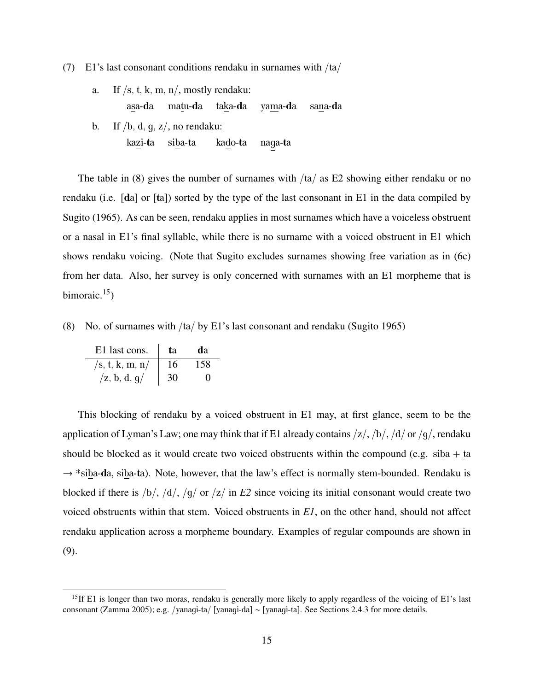(7) E1's last consonant conditions rendaku in surnames with /ta/

- a. If  $/s$ , t, k, m, n/, mostly rendaku: asa-da matu-da taka-da yama-da sana-da
- b. If  $/b$ , d, q, z/, no rendaku: kazi-ta siba-ta kado-ta naga-ta

The table in (8) gives the number of surnames with  $/ta$  as E2 showing either rendaku or no rendaku (i.e. [da] or [ta]) sorted by the type of the last consonant in E1 in the data compiled by Sugito (1965). As can be seen, rendaku applies in most surnames which have a voiceless obstruent or a nasal in E1's final syllable, while there is no surname with a voiced obstruent in E1 which shows rendaku voicing. (Note that Sugito excludes surnames showing free variation as in (6c) from her data. Also, her survey is only concerned with surnames with an E1 morpheme that is bimoraic. $15$ )

(8) No. of surnames with /ta/ by E1's last consonant and rendaku (Sugito 1965)

| E1 last cons.                   | <b>t</b> a | dа                |
|---------------------------------|------------|-------------------|
| /s, t, k, m, n/                 | 16         | 158               |
| $\sqrt{z}$ , b, d, g $\sqrt{z}$ | 30         | $\mathbf{\Omega}$ |

This blocking of rendaku by a voiced obstruent in E1 may, at first glance, seem to be the application of Lyman's Law; one may think that if E1 already contains  $\frac{z}{, \frac{b}{, \frac{d}{\sigma}}$  or  $\frac{g}{, \text{r}}$  rendaku should be blocked as it would create two voiced obstruents within the compound (e.g.  $siba + ta$ )  $\rightarrow$  \*siba-da, siba-ta). Note, however, that the law's effect is normally stem-bounded. Rendaku is blocked if there is /b/, /d/, /g/ or /z/ in *E2* since voicing its initial consonant would create two voiced obstruents within that stem. Voiced obstruents in *E1*, on the other hand, should not affect rendaku application across a morpheme boundary. Examples of regular compounds are shown in (9).

<sup>&</sup>lt;sup>15</sup>If E1 is longer than two moras, rendaku is generally more likely to apply regardless of the voicing of E1's last consonant (Zamma 2005); e.g. /yanagi-ta/ [yanagi-da] ∼ [yanagi-ta]. See Sections 2.4.3 for more details.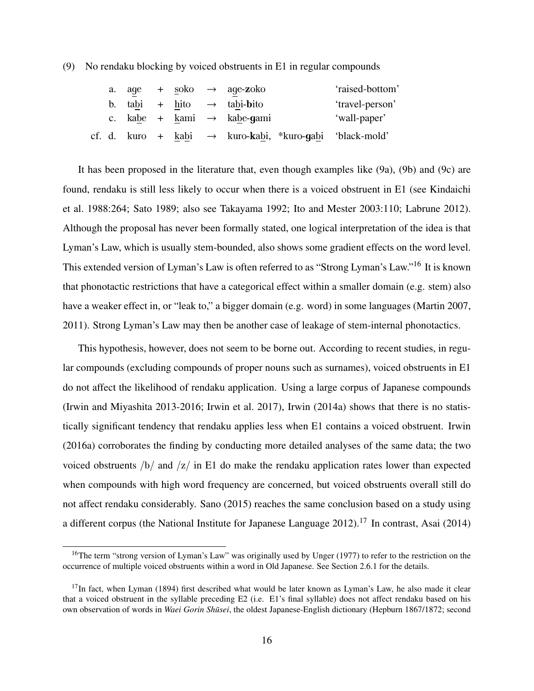(9) No rendaku blocking by voiced obstruents in E1 in regular compounds

|  |  |  | a. age + $\underset{\sim}{\text{soko}}$ $\rightarrow$ age-zoko      | 'raised-bottom' |
|--|--|--|---------------------------------------------------------------------|-----------------|
|  |  |  | b. tabi + hito $\rightarrow$ tabi-bito                              | 'travel-person' |
|  |  |  | c. kabe + kami $\rightarrow$ kabe-qami                              | 'wall-paper'    |
|  |  |  | cf. d. kuro + kabi $\rightarrow$ kuro-kabi, *kuro-gabi 'black-mold' |                 |

It has been proposed in the literature that, even though examples like (9a), (9b) and (9c) are found, rendaku is still less likely to occur when there is a voiced obstruent in E1 (see Kindaichi et al. 1988:264; Sato 1989; also see Takayama 1992; Ito and Mester 2003:110; Labrune 2012). Although the proposal has never been formally stated, one logical interpretation of the idea is that Lyman's Law, which is usually stem-bounded, also shows some gradient effects on the word level. This extended version of Lyman's Law is often referred to as "Strong Lyman's Law."<sup>16</sup> It is known that phonotactic restrictions that have a categorical effect within a smaller domain (e.g. stem) also have a weaker effect in, or "leak to," a bigger domain (e.g. word) in some languages (Martin 2007, 2011). Strong Lyman's Law may then be another case of leakage of stem-internal phonotactics.

This hypothesis, however, does not seem to be borne out. According to recent studies, in regular compounds (excluding compounds of proper nouns such as surnames), voiced obstruents in E1 do not affect the likelihood of rendaku application. Using a large corpus of Japanese compounds (Irwin and Miyashita 2013-2016; Irwin et al. 2017), Irwin (2014a) shows that there is no statistically significant tendency that rendaku applies less when E1 contains a voiced obstruent. Irwin (2016a) corroborates the finding by conducting more detailed analyses of the same data; the two voiced obstruents  $\frac{b}{\tan 2}$  in E1 do make the rendaku application rates lower than expected when compounds with high word frequency are concerned, but voiced obstruents overall still do not affect rendaku considerably. Sano (2015) reaches the same conclusion based on a study using a different corpus (the National Institute for Japanese Language 2012).<sup>17</sup> In contrast, Asai (2014)

<sup>&</sup>lt;sup>16</sup>The term "strong version of Lyman's Law" was originally used by Unger (1977) to refer to the restriction on the occurrence of multiple voiced obstruents within a word in Old Japanese. See Section 2.6.1 for the details.

<sup>&</sup>lt;sup>17</sup>In fact, when Lyman (1894) first described what would be later known as Lyman's Law, he also made it clear that a voiced obstruent in the syllable preceding E2 (i.e. E1's final syllable) does not affect rendaku based on his own observation of words in *Waei Gorin Shūsei*, the oldest Japanese-English dictionary (Hepburn 1867/1872; second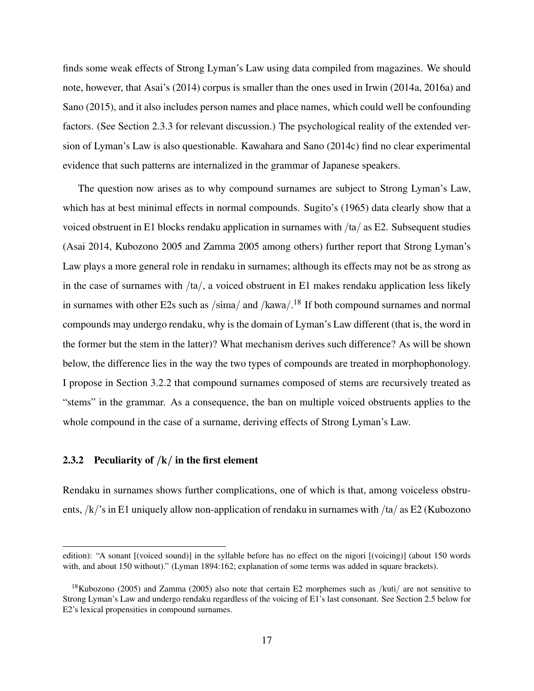finds some weak effects of Strong Lyman's Law using data compiled from magazines. We should note, however, that Asai's (2014) corpus is smaller than the ones used in Irwin (2014a, 2016a) and Sano (2015), and it also includes person names and place names, which could well be confounding factors. (See Section 2.3.3 for relevant discussion.) The psychological reality of the extended version of Lyman's Law is also questionable. Kawahara and Sano (2014c) find no clear experimental evidence that such patterns are internalized in the grammar of Japanese speakers.

The question now arises as to why compound surnames are subject to Strong Lyman's Law, which has at best minimal effects in normal compounds. Sugito's (1965) data clearly show that a voiced obstruent in E1 blocks rendaku application in surnames with  $/ta$  as E2. Subsequent studies (Asai 2014, Kubozono 2005 and Zamma 2005 among others) further report that Strong Lyman's Law plays a more general role in rendaku in surnames; although its effects may not be as strong as in the case of surnames with  $/ta$ , a voiced obstruent in E1 makes rendaku application less likely in surnames with other E2s such as  $/\text{sim}$  and  $/\text{kawa}/\text{.}^{18}$  If both compound surnames and normal compounds may undergo rendaku, why is the domain of Lyman's Law different (that is, the word in the former but the stem in the latter)? What mechanism derives such difference? As will be shown below, the difference lies in the way the two types of compounds are treated in morphophonology. I propose in Section 3.2.2 that compound surnames composed of stems are recursively treated as "stems" in the grammar. As a consequence, the ban on multiple voiced obstruents applies to the whole compound in the case of a surname, deriving effects of Strong Lyman's Law.

#### 2.3.2 Peculiarity of  $/k/$  in the first element

Rendaku in surnames shows further complications, one of which is that, among voiceless obstruents, /k/'s in E1 uniquely allow non-application of rendaku in surnames with /ta/ as E2 (Kubozono

edition): "A sonant [(voiced sound)] in the syllable before has no effect on the nigori [(voicing)] (about 150 words with, and about 150 without)." (Lyman 1894:162; explanation of some terms was added in square brackets).

<sup>&</sup>lt;sup>18</sup>Kubozono (2005) and Zamma (2005) also note that certain E2 morphemes such as /kuti/ are not sensitive to Strong Lyman's Law and undergo rendaku regardless of the voicing of E1's last consonant. See Section 2.5 below for E2's lexical propensities in compound surnames.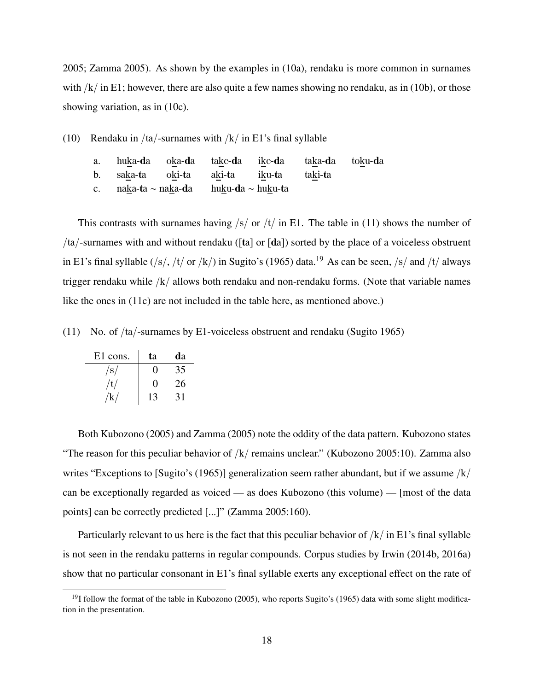2005; Zamma 2005). As shown by the examples in (10a), rendaku is more common in surnames with  $/k/$  in E1; however, there are also quite a few names showing no rendaku, as in (10b), or those showing variation, as in (10c).

(10) Rendaku in /ta/-surnames with  $/k/$  in E1's final syllable

| a. huka-da oka-da take-da ike-da taka-da toku-da |  |  |  |  |
|--------------------------------------------------|--|--|--|--|
| b. saka-ta oki-ta aki-ta iku-ta taki-ta          |  |  |  |  |
| c. naka-ta ~ naka-da huku-da ~ huku-ta           |  |  |  |  |

This contrasts with surnames having  $\frac{s}{r}$  or  $\frac{t}{i}$  in E1. The table in (11) shows the number of /ta/-surnames with and without rendaku ( $\lceil \text{ta} \rceil$  or  $\lceil \text{da} \rceil$ ) sorted by the place of a voiceless obstruent in E1's final syllable (/s/, /t/ or /k/) in Sugito's (1965) data.<sup>19</sup> As can be seen, /s/ and /t/ always trigger rendaku while /k/ allows both rendaku and non-rendaku forms. (Note that variable names like the ones in (11c) are not included in the table here, as mentioned above.)

(11) No. of /ta/-surnames by E1-voiceless obstruent and rendaku (Sugito 1965)

| E1 cons.       | ta                | da |
|----------------|-------------------|----|
| /s/            | 0                 | 35 |
| /t/            | $\mathbf{\Omega}$ | 26 |
| $/\mathrm{k}/$ | 13                | 31 |

Both Kubozono (2005) and Zamma (2005) note the oddity of the data pattern. Kubozono states "The reason for this peculiar behavior of  $/k/$  remains unclear." (Kubozono 2005:10). Zamma also writes "Exceptions to [Sugito's (1965)] generalization seem rather abundant, but if we assume  $/k/$ can be exceptionally regarded as voiced — as does Kubozono (this volume) — [most of the data points] can be correctly predicted [...]" (Zamma 2005:160).

Particularly relevant to us here is the fact that this peculiar behavior of  $/k/$  in E1's final syllable is not seen in the rendaku patterns in regular compounds. Corpus studies by Irwin (2014b, 2016a) show that no particular consonant in E1's final syllable exerts any exceptional effect on the rate of

 $19$ I follow the format of the table in Kubozono (2005), who reports Sugito's (1965) data with some slight modification in the presentation.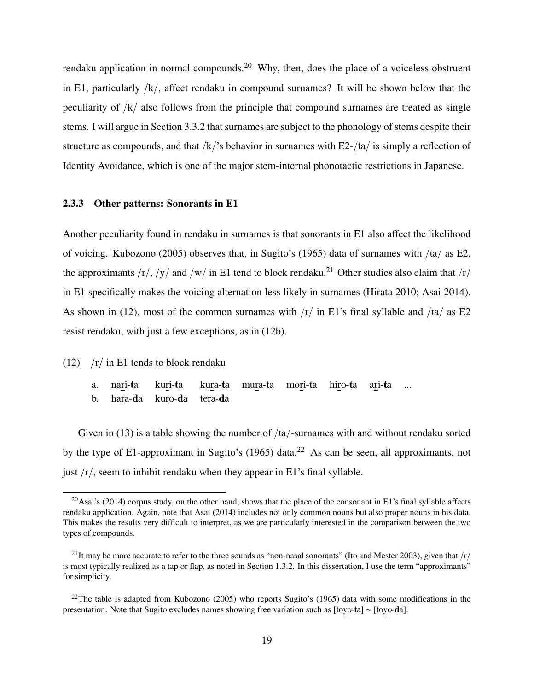rendaku application in normal compounds.<sup>20</sup> Why, then, does the place of a voiceless obstruent in E1, particularly /k/, affect rendaku in compound surnames? It will be shown below that the peculiarity of  $/k/$  also follows from the principle that compound surnames are treated as single stems. I will argue in Section 3.3.2 that surnames are subject to the phonology of stems despite their structure as compounds, and that  $/k/$ 's behavior in surnames with E2-/ta/ is simply a reflection of Identity Avoidance, which is one of the major stem-internal phonotactic restrictions in Japanese.

#### 2.3.3 Other patterns: Sonorants in E1

Another peculiarity found in rendaku in surnames is that sonorants in E1 also affect the likelihood of voicing. Kubozono (2005) observes that, in Sugito's (1965) data of surnames with /ta/ as E2, the approximants  $\frac{r}{y}$  /y/ and  $\frac{w}{n}$  in E1 tend to block rendaku.<sup>21</sup> Other studies also claim that  $\frac{r}{y}$ in E1 specifically makes the voicing alternation less likely in surnames (Hirata 2010; Asai 2014). As shown in (12), most of the common surnames with  $\frac{r}{\pi}$  in E1's final syllable and  $\frac{t}{\pi}$  as E2 resist rendaku, with just a few exceptions, as in (12b).

(12)  $/r /$  in E1 tends to block rendaku

- a. nari-ta kuri-ta kura-ta mura-ta mori-ta hiro-ta ari-ta ...
- b. hara-da kuro-da tera-da

Given in (13) is a table showing the number of  $/ta$ -surnames with and without rendaku sorted by the type of E1-approximant in Sugito's (1965) data.<sup>22</sup> As can be seen, all approximants, not just  $/r/$ , seem to inhibit rendaku when they appear in E1's final syllable.

<sup>&</sup>lt;sup>20</sup>Asai's (2014) corpus study, on the other hand, shows that the place of the consonant in E1's final syllable affects rendaku application. Again, note that Asai (2014) includes not only common nouns but also proper nouns in his data. This makes the results very difficult to interpret, as we are particularly interested in the comparison between the two types of compounds.

<sup>&</sup>lt;sup>21</sup>It may be more accurate to refer to the three sounds as "non-nasal sonorants" (Ito and Mester 2003), given that  $/r/$ is most typically realized as a tap or flap, as noted in Section 1.3.2. In this dissertation, I use the term "approximants" for simplicity.

 $22$ The table is adapted from Kubozono (2005) who reports Sugito's (1965) data with some modifications in the presentation. Note that Sugito excludes names showing free variation such as [toyo-ta] ∼ [toyo-da].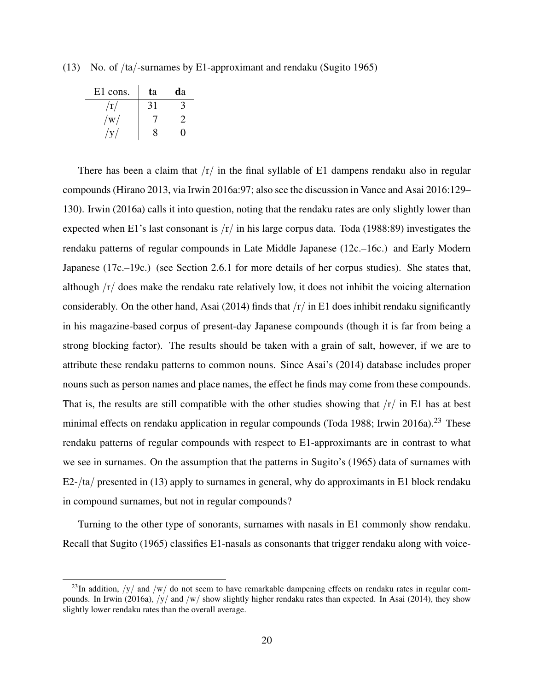(13) No. of /ta/-surnames by E1-approximant and rendaku (Sugito 1965)

| E1 cons.                | ta | da |
|-------------------------|----|----|
| $\rm \langle r \rangle$ | 31 | 3  |
| $\rm/w/$                |    |    |
|                         | x  | 0  |

There has been a claim that  $/r/$  in the final syllable of E1 dampens rendaku also in regular compounds (Hirano 2013, via Irwin 2016a:97; also see the discussion in Vance and Asai 2016:129– 130). Irwin (2016a) calls it into question, noting that the rendaku rates are only slightly lower than expected when E1's last consonant is  $\frac{r}{\pi}$  in his large corpus data. Toda (1988:89) investigates the rendaku patterns of regular compounds in Late Middle Japanese (12c.–16c.) and Early Modern Japanese (17c.–19c.) (see Section 2.6.1 for more details of her corpus studies). She states that, although /r/ does make the rendaku rate relatively low, it does not inhibit the voicing alternation considerably. On the other hand, Asai (2014) finds that  $\frac{r}{\pi}$  in E1 does inhibit rendaku significantly in his magazine-based corpus of present-day Japanese compounds (though it is far from being a strong blocking factor). The results should be taken with a grain of salt, however, if we are to attribute these rendaku patterns to common nouns. Since Asai's (2014) database includes proper nouns such as person names and place names, the effect he finds may come from these compounds. That is, the results are still compatible with the other studies showing that  $\frac{r}{\pi}$  in E1 has at best minimal effects on rendaku application in regular compounds (Toda 1988; Irwin 2016a).<sup>23</sup> These rendaku patterns of regular compounds with respect to E1-approximants are in contrast to what we see in surnames. On the assumption that the patterns in Sugito's (1965) data of surnames with  $E2- $\frac{1}{4}$  presented in (13) apply to surnames in general, why do approximants in E1 block rendaku$ in compound surnames, but not in regular compounds?

Turning to the other type of sonorants, surnames with nasals in E1 commonly show rendaku. Recall that Sugito (1965) classifies E1-nasals as consonants that trigger rendaku along with voice-

<sup>&</sup>lt;sup>23</sup>In addition,  $/y/$  and  $/w/$  do not seem to have remarkable dampening effects on rendaku rates in regular compounds. In Irwin (2016a),  $/y/$  and  $/w/$  show slightly higher rendaku rates than expected. In Asai (2014), they show slightly lower rendaku rates than the overall average.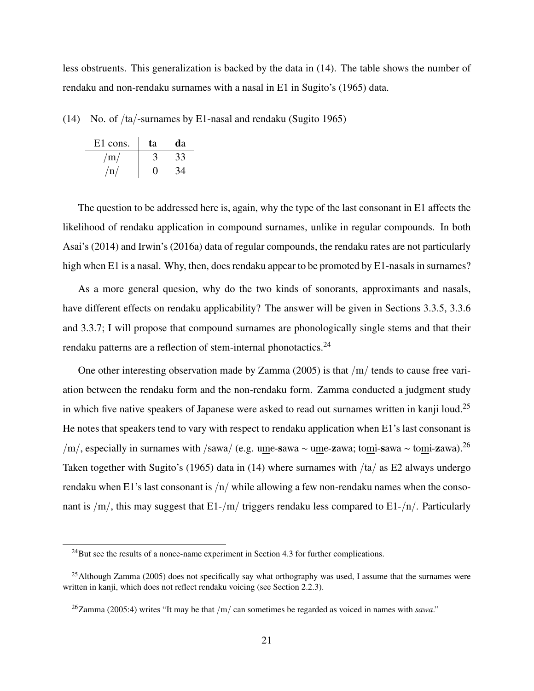less obstruents. This generalization is backed by the data in (14). The table shows the number of rendaku and non-rendaku surnames with a nasal in E1 in Sugito's (1965) data.

(14) No. of /ta/-surnames by E1-nasal and rendaku (Sugito 1965)

| E1 cons. | ta | da |
|----------|----|----|
| /m/      |    | 33 |
| /n/      | 0  |    |

The question to be addressed here is, again, why the type of the last consonant in E1 affects the likelihood of rendaku application in compound surnames, unlike in regular compounds. In both Asai's (2014) and Irwin's (2016a) data of regular compounds, the rendaku rates are not particularly high when E1 is a nasal. Why, then, does rendaku appear to be promoted by E1-nasals in surnames?

As a more general quesion, why do the two kinds of sonorants, approximants and nasals, have different effects on rendaku applicability? The answer will be given in Sections 3.3.5, 3.3.6 and 3.3.7; I will propose that compound surnames are phonologically single stems and that their rendaku patterns are a reflection of stem-internal phonotactics.<sup>24</sup>

One other interesting observation made by Zamma (2005) is that /m/ tends to cause free variation between the rendaku form and the non-rendaku form. Zamma conducted a judgment study in which five native speakers of Japanese were asked to read out surnames written in kanji loud.<sup>25</sup> He notes that speakers tend to vary with respect to rendaku application when E1's last consonant is /m/, especially in surnames with /sawa/ (e.g. ume-sawa ∼ ume-zawa; tomi-sawa ∼ tomi-zawa).<sup>26</sup> Taken together with Sugito's (1965) data in (14) where surnames with  $/a/a$  as E2 always undergo rendaku when E1's last consonant is  $/n/$  while allowing a few non-rendaku names when the consonant is  $/m/$ , this may suggest that E1-/m/ triggers rendaku less compared to E1-/n/. Particularly

 $^{24}$ But see the results of a nonce-name experiment in Section 4.3 for further complications.

 $^{25}$ Although Zamma (2005) does not specifically say what orthography was used, I assume that the surnames were written in kanji, which does not reflect rendaku voicing (see Section 2.2.3).

 $^{26}$ Zamma (2005:4) writes "It may be that /m/ can sometimes be regarded as voiced in names with *sawa*."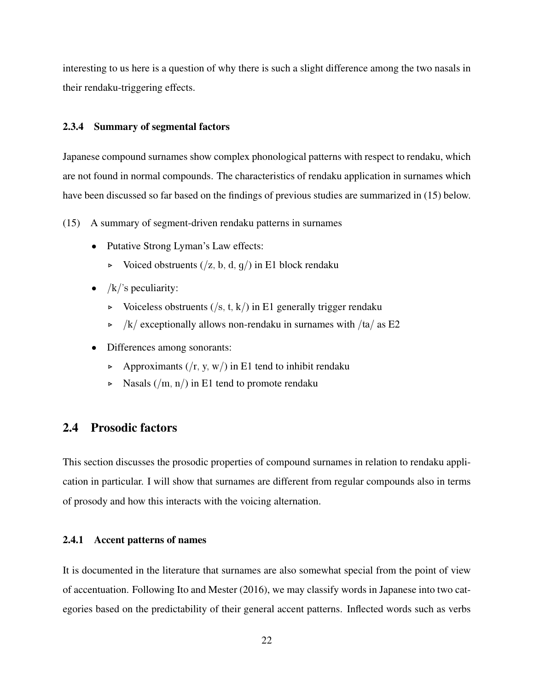interesting to us here is a question of why there is such a slight difference among the two nasals in their rendaku-triggering effects.

#### 2.3.4 Summary of segmental factors

Japanese compound surnames show complex phonological patterns with respect to rendaku, which are not found in normal compounds. The characteristics of rendaku application in surnames which have been discussed so far based on the findings of previous studies are summarized in (15) below.

- (15) A summary of segment-driven rendaku patterns in surnames
	- Putative Strong Lyman's Law effects:
		- $\triangleright$  Voiced obstruents (/z, b, d, g/) in E1 block rendaku
	- $/k$ 's peculiarity:
		- $\triangleright$  Voiceless obstruents (/s, t, k/) in E1 generally trigger rendaku
		- $\triangleright$  /k/ exceptionally allows non-rendaku in surnames with /ta/ as E2
	- Differences among sonorants:
		- $\triangleright$  Approximants (/r, y, w/) in E1 tend to inhibit rendaku
		- $\triangleright$  Nasals (/m, n/) in E1 tend to promote rendaku

# 2.4 Prosodic factors

This section discusses the prosodic properties of compound surnames in relation to rendaku application in particular. I will show that surnames are different from regular compounds also in terms of prosody and how this interacts with the voicing alternation.

#### 2.4.1 Accent patterns of names

It is documented in the literature that surnames are also somewhat special from the point of view of accentuation. Following Ito and Mester (2016), we may classify words in Japanese into two categories based on the predictability of their general accent patterns. Inflected words such as verbs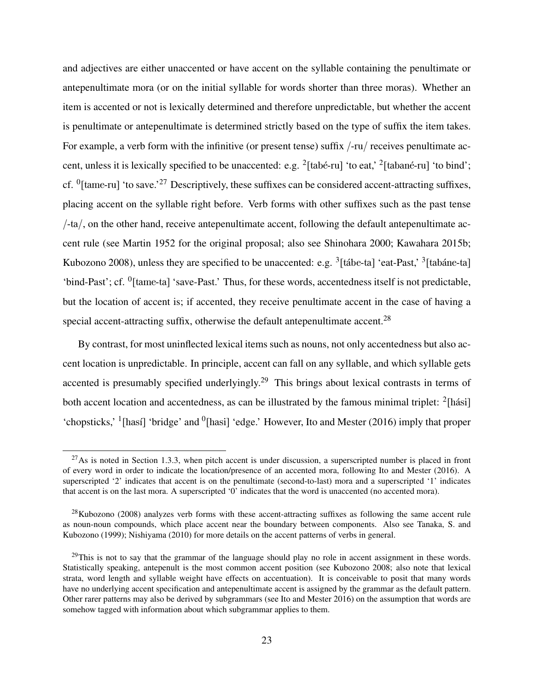and adjectives are either unaccented or have accent on the syllable containing the penultimate or antepenultimate mora (or on the initial syllable for words shorter than three moras). Whether an item is accented or not is lexically determined and therefore unpredictable, but whether the accent is penultimate or antepenultimate is determined strictly based on the type of suffix the item takes. For example, a verb form with the infinitive (or present tense) suffix /-ru/ receives penultimate accent, unless it is lexically specified to be unaccented: e.g.  $^{2}$ [tabé-ru] 'to eat,'  $^{2}$ [tabané-ru] 'to bind'; cf. <sup>0</sup>[tame-ru] 'to save.<sup>'27</sup> Descriptively, these suffixes can be considered accent-attracting suffixes, placing accent on the syllable right before. Verb forms with other suffixes such as the past tense  $/\text{-ta}$ , on the other hand, receive antepenultimate accent, following the default antepenultimate accent rule (see Martin 1952 for the original proposal; also see Shinohara 2000; Kawahara 2015b; Kubozono 2008), unless they are specified to be unaccented: e.g. <sup>3</sup>[tábe-ta] 'eat-Past,' <sup>3</sup>[tabáne-ta] 'bind-Past'; cf. <sup>0</sup>[tame-ta] 'save-Past.' Thus, for these words, accentedness itself is not predictable, but the location of accent is; if accented, they receive penultimate accent in the case of having a special accent-attracting suffix, otherwise the default antepenultimate accent.<sup>28</sup>

By contrast, for most uninflected lexical items such as nouns, not only accentedness but also accent location is unpredictable. In principle, accent can fall on any syllable, and which syllable gets accented is presumably specified underlyingly.<sup>29</sup> This brings about lexical contrasts in terms of both accent location and accentedness, as can be illustrated by the famous minimal triplet: <sup>2</sup>[hási] 'chopsticks,' <sup>1</sup>[hasí] 'bridge' and <sup>0</sup>[hasi] 'edge.' However, Ito and Mester (2016) imply that proper

 $^{27}$ As is noted in Section 1.3.3, when pitch accent is under discussion, a superscripted number is placed in front of every word in order to indicate the location/presence of an accented mora, following Ito and Mester (2016). A superscripted '2' indicates that accent is on the penultimate (second-to-last) mora and a superscripted '1' indicates that accent is on the last mora. A superscripted '0' indicates that the word is unaccented (no accented mora).

 $28$ Kubozono (2008) analyzes verb forms with these accent-attracting suffixes as following the same accent rule as noun-noun compounds, which place accent near the boundary between components. Also see Tanaka, S. and Kubozono (1999); Nishiyama (2010) for more details on the accent patterns of verbs in general.

 $^{29}$ This is not to say that the grammar of the language should play no role in accent assignment in these words. Statistically speaking, antepenult is the most common accent position (see Kubozono 2008; also note that lexical strata, word length and syllable weight have effects on accentuation). It is conceivable to posit that many words have no underlying accent specification and antepenultimate accent is assigned by the grammar as the default pattern. Other rarer patterns may also be derived by subgrammars (see Ito and Mester 2016) on the assumption that words are somehow tagged with information about which subgrammar applies to them.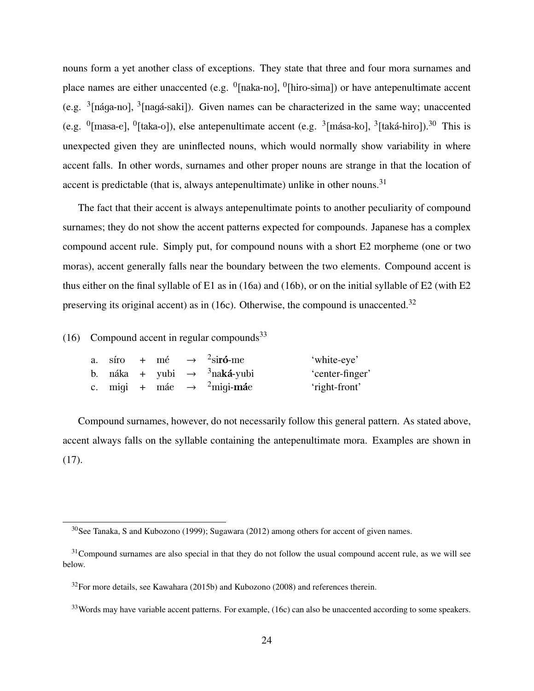nouns form a yet another class of exceptions. They state that three and four mora surnames and place names are either unaccented (e.g.  $\frac{0}{n}$  [naka-no],  $\frac{0}{n}$ [hiro-sima]) or have antepenultimate accent (e.g.  $\frac{3}{2}$ [nága-no],  $\frac{3}{2}$ [nagá-saki]). Given names can be characterized in the same way; unaccented (e.g.  $^{0}$ [masa-e],  $^{0}$ [taka-o]), else antepenultimate accent (e.g.  $^{3}$ [mása-ko],  $^{3}$ [taká-hiro]).<sup>30</sup> This is unexpected given they are uninflected nouns, which would normally show variability in where accent falls. In other words, surnames and other proper nouns are strange in that the location of accent is predictable (that is, always antepenultimate) unlike in other nouns.<sup>31</sup>

The fact that their accent is always antepenultimate points to another peculiarity of compound surnames; they do not show the accent patterns expected for compounds. Japanese has a complex compound accent rule. Simply put, for compound nouns with a short E2 morpheme (one or two moras), accent generally falls near the boundary between the two elements. Compound accent is thus either on the final syllable of E1 as in (16a) and (16b), or on the initial syllable of E2 (with E2 preserving its original accent) as in (16c). Otherwise, the compound is unaccented.<sup>32</sup>

(16) Compound accent in regular compounds<sup>33</sup>

|  |  | a. síro + mé $\rightarrow$ <sup>2</sup> sir <b>ó</b> -me   | 'white-eye'     |
|--|--|------------------------------------------------------------|-----------------|
|  |  | b. náka + yubi $\rightarrow$ <sup>3</sup> naká-yubi        | 'center-finger' |
|  |  | c. miqi + máe $\rightarrow$ <sup>2</sup> miqi- <b>má</b> e | 'right-front'   |

Compound surnames, however, do not necessarily follow this general pattern. As stated above, accent always falls on the syllable containing the antepenultimate mora. Examples are shown in (17).

<sup>30</sup>See Tanaka, S and Kubozono (1999); Sugawara (2012) among others for accent of given names.

 $31$ Compound surnames are also special in that they do not follow the usual compound accent rule, as we will see below.

 $32$ For more details, see Kawahara (2015b) and Kubozono (2008) and references therein.

<sup>&</sup>lt;sup>33</sup>Words may have variable accent patterns. For example, (16c) can also be unaccented according to some speakers.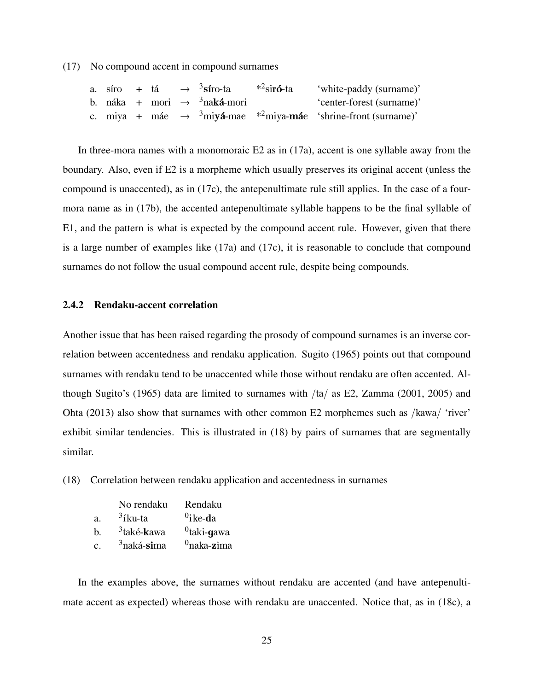(17) No compound accent in compound surnames

|  |  | a. síro + tá $\rightarrow$ <sup>3</sup> síro-ta * <sup>2</sup> sir <b>ó</b> -ta | 'white-paddy (surname)'                                                                                              |
|--|--|---------------------------------------------------------------------------------|----------------------------------------------------------------------------------------------------------------------|
|  |  | b. náka + mori $\rightarrow$ <sup>3</sup> naká-mori                             | 'center-forest (surname)'                                                                                            |
|  |  |                                                                                 | c. miya + máe $\rightarrow$ <sup>3</sup> miy <b>á</b> -mae * <sup>2</sup> miya- <b>má</b> e 'shrine-front (surname)' |

In three-mora names with a monomoraic  $E2$  as in (17a), accent is one syllable away from the boundary. Also, even if E2 is a morpheme which usually preserves its original accent (unless the compound is unaccented), as in (17c), the antepenultimate rule still applies. In the case of a fourmora name as in (17b), the accented antepenultimate syllable happens to be the final syllable of E1, and the pattern is what is expected by the compound accent rule. However, given that there is a large number of examples like (17a) and (17c), it is reasonable to conclude that compound surnames do not follow the usual compound accent rule, despite being compounds.

#### 2.4.2 Rendaku-accent correlation

Another issue that has been raised regarding the prosody of compound surnames is an inverse correlation between accentedness and rendaku application. Sugito (1965) points out that compound surnames with rendaku tend to be unaccented while those without rendaku are often accented. Although Sugito's (1965) data are limited to surnames with /ta/ as E2, Zamma (2001, 2005) and Ohta (2013) also show that surnames with other common E2 morphemes such as /kawa/ 'river' exhibit similar tendencies. This is illustrated in (18) by pairs of surnames that are segmentally similar.

(18) Correlation between rendaku application and accentedness in surnames

|    | No rendaku                      | Rendaku          |
|----|---------------------------------|------------------|
| a. | $3$ íku-ta                      | $^{0}$ ike-da    |
| h. | <sup>3</sup> také- <b>k</b> awa | $^{0}$ taki-gawa |
| C. | <sup>3</sup> naká-sima          | $^{0}$ naka-zima |

In the examples above, the surnames without rendaku are accented (and have antepenultimate accent as expected) whereas those with rendaku are unaccented. Notice that, as in (18c), a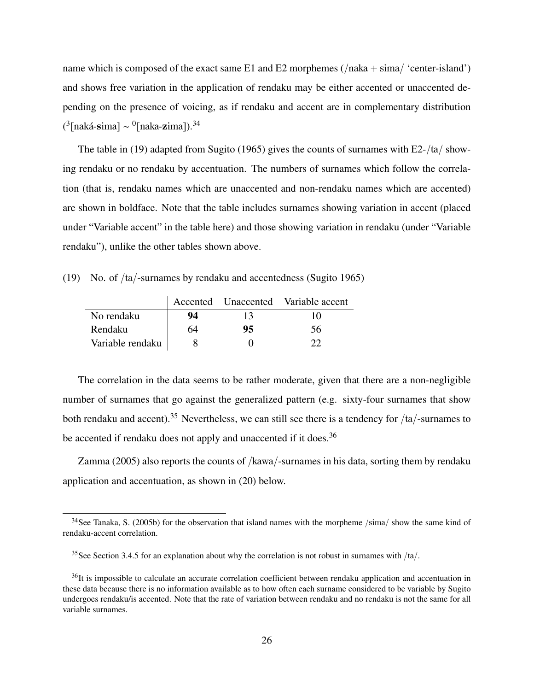name which is composed of the exact same E1 and E2 morphemes  $($ /naka + sima/ 'center-island') and shows free variation in the application of rendaku may be either accented or unaccented depending on the presence of voicing, as if rendaku and accent are in complementary distribution (<sup>3</sup>[naká-**s**ima] ∼ <sup>0</sup>[naka-**z**ima]).<sup>34</sup>

The table in (19) adapted from Sugito (1965) gives the counts of surnames with E2-/ta/ showing rendaku or no rendaku by accentuation. The numbers of surnames which follow the correlation (that is, rendaku names which are unaccented and non-rendaku names which are accented) are shown in boldface. Note that the table includes surnames showing variation in accent (placed under "Variable accent" in the table here) and those showing variation in rendaku (under "Variable rendaku"), unlike the other tables shown above.

(19) No. of /ta/-surnames by rendaku and accentedness (Sugito 1965)

|                  |    |    | Accented Unaccented Variable accent |
|------------------|----|----|-------------------------------------|
| No rendaku       | 94 | 13 | 10                                  |
| Rendaku          | 64 | 95 | 56                                  |
| Variable rendaku |    |    |                                     |

The correlation in the data seems to be rather moderate, given that there are a non-negligible number of surnames that go against the generalized pattern (e.g. sixty-four surnames that show both rendaku and accent).<sup>35</sup> Nevertheless, we can still see there is a tendency for /ta/-surnames to be accented if rendaku does not apply and unaccented if it does.<sup>36</sup>

Zamma (2005) also reports the counts of /kawa/-surnames in his data, sorting them by rendaku application and accentuation, as shown in (20) below.

 $34$ See Tanaka, S. (2005b) for the observation that island names with the morpheme /sima/ show the same kind of rendaku-accent correlation.

<sup>&</sup>lt;sup>35</sup>See Section 3.4.5 for an explanation about why the correlation is not robust in surnames with  $/ta/$ .

<sup>&</sup>lt;sup>36</sup>It is impossible to calculate an accurate correlation coefficient between rendaku application and accentuation in these data because there is no information available as to how often each surname considered to be variable by Sugito undergoes rendaku/is accented. Note that the rate of variation between rendaku and no rendaku is not the same for all variable surnames.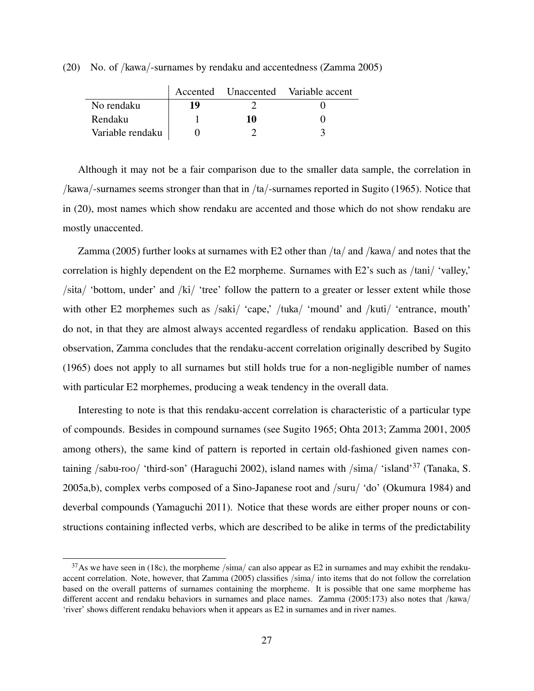(20) No. of /kawa/-surnames by rendaku and accentedness (Zamma 2005)

|                  |    |    | Accented Unaccented Variable accent |
|------------------|----|----|-------------------------------------|
| No rendaku       | 19 |    |                                     |
| Rendaku          |    | 10 |                                     |
| Variable rendaku |    |    |                                     |

Although it may not be a fair comparison due to the smaller data sample, the correlation in /kawa/-surnames seems stronger than that in /ta/-surnames reported in Sugito (1965). Notice that in (20), most names which show rendaku are accented and those which do not show rendaku are mostly unaccented.

Zamma (2005) further looks at surnames with E2 other than  $/ta/$  and  $/kawa/$  and notes that the correlation is highly dependent on the E2 morpheme. Surnames with E2's such as /tani/ 'valley,' /sita/ 'bottom, under' and /ki/ 'tree' follow the pattern to a greater or lesser extent while those with other E2 morphemes such as /saki/ 'cape,' /tuka/ 'mound' and /kuti/ 'entrance, mouth' do not, in that they are almost always accented regardless of rendaku application. Based on this observation, Zamma concludes that the rendaku-accent correlation originally described by Sugito (1965) does not apply to all surnames but still holds true for a non-negligible number of names with particular E2 morphemes, producing a weak tendency in the overall data.

Interesting to note is that this rendaku-accent correlation is characteristic of a particular type of compounds. Besides in compound surnames (see Sugito 1965; Ohta 2013; Zamma 2001, 2005 among others), the same kind of pattern is reported in certain old-fashioned given names containing /sabu-roo/ 'third-son' (Haraguchi 2002), island names with /sima/ 'island'<sup>37</sup> (Tanaka, S. 2005a,b), complex verbs composed of a Sino-Japanese root and /suru/ 'do' (Okumura 1984) and deverbal compounds (Yamaguchi 2011). Notice that these words are either proper nouns or constructions containing inflected verbs, which are described to be alike in terms of the predictability

 $37$ As we have seen in (18c), the morpheme /sima/ can also appear as E2 in surnames and may exhibit the rendakuaccent correlation. Note, however, that Zamma (2005) classifies /sima/ into items that do not follow the correlation based on the overall patterns of surnames containing the morpheme. It is possible that one same morpheme has different accent and rendaku behaviors in surnames and place names. Zamma (2005:173) also notes that /kawa/ 'river' shows different rendaku behaviors when it appears as E2 in surnames and in river names.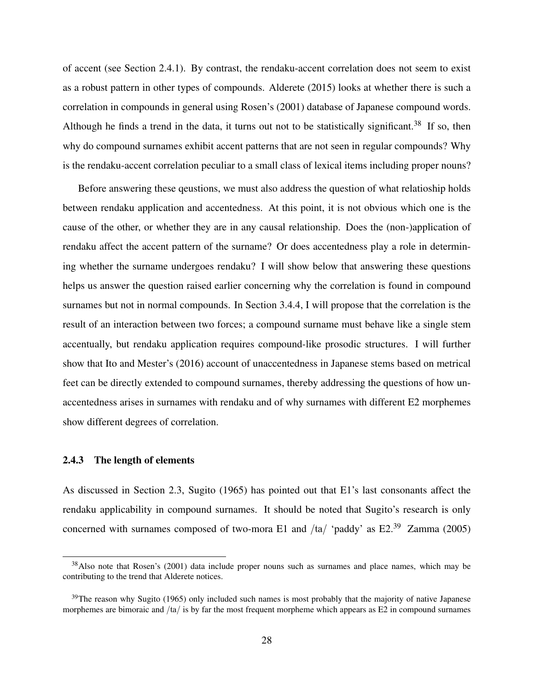of accent (see Section 2.4.1). By contrast, the rendaku-accent correlation does not seem to exist as a robust pattern in other types of compounds. Alderete (2015) looks at whether there is such a correlation in compounds in general using Rosen's (2001) database of Japanese compound words. Although he finds a trend in the data, it turns out not to be statistically significant.<sup>38</sup> If so, then why do compound surnames exhibit accent patterns that are not seen in regular compounds? Why is the rendaku-accent correlation peculiar to a small class of lexical items including proper nouns?

Before answering these qeustions, we must also address the question of what relatioship holds between rendaku application and accentedness. At this point, it is not obvious which one is the cause of the other, or whether they are in any causal relationship. Does the (non-)application of rendaku affect the accent pattern of the surname? Or does accentedness play a role in determining whether the surname undergoes rendaku? I will show below that answering these questions helps us answer the question raised earlier concerning why the correlation is found in compound surnames but not in normal compounds. In Section 3.4.4, I will propose that the correlation is the result of an interaction between two forces; a compound surname must behave like a single stem accentually, but rendaku application requires compound-like prosodic structures. I will further show that Ito and Mester's (2016) account of unaccentedness in Japanese stems based on metrical feet can be directly extended to compound surnames, thereby addressing the questions of how unaccentedness arises in surnames with rendaku and of why surnames with different E2 morphemes show different degrees of correlation.

#### 2.4.3 The length of elements

As discussed in Section 2.3, Sugito (1965) has pointed out that E1's last consonants affect the rendaku applicability in compound surnames. It should be noted that Sugito's research is only concerned with surnames composed of two-mora E1 and  $/ta/$  'paddy' as E2.<sup>39</sup> Zamma (2005)

<sup>&</sup>lt;sup>38</sup>Also note that Rosen's (2001) data include proper nouns such as surnames and place names, which may be contributing to the trend that Alderete notices.

 $39$ The reason why Sugito (1965) only included such names is most probably that the majority of native Japanese morphemes are bimoraic and /ta/ is by far the most frequent morpheme which appears as E2 in compound surnames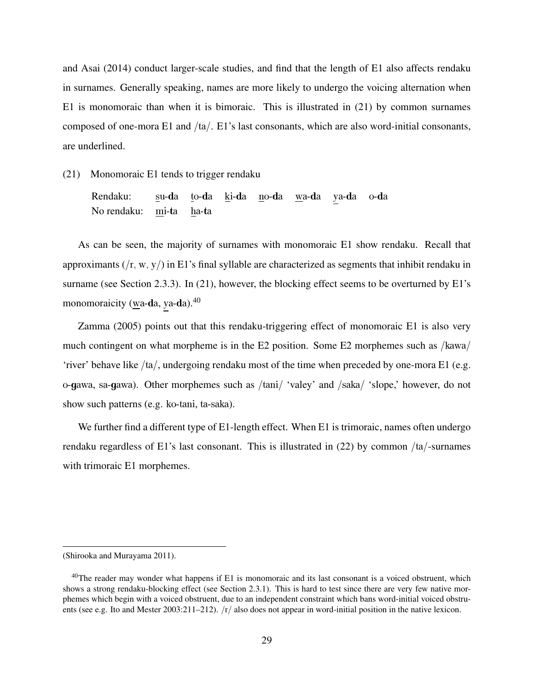and Asai (2014) conduct larger-scale studies, and find that the length of E1 also affects rendaku in surnames. Generally speaking, names are more likely to undergo the voicing alternation when E1 is monomoraic than when it is bimoraic. This is illustrated in (21) by common surnames composed of one-mora E1 and /ta/. E1's last consonants, which are also word-initial consonants, are underlined.

(21) Monomoraic E1 tends to trigger rendaku

Rendaku: su-da to-da ki-da no-da wa-da ya-da o-da No rendaku: mi-ta ha-ta

As can be seen, the majority of surnames with monomoraic E1 show rendaku. Recall that approximants  $(f, w, y)$  in E1's final syllable are characterized as segments that inhibit rendaku in surname (see Section 2.3.3). In (21), however, the blocking effect seems to be overturned by E1's monomoraicity (wa-da, ya-da).<sup>40</sup>

Zamma (2005) points out that this rendaku-triggering effect of monomoraic E1 is also very much contingent on what morpheme is in the E2 position. Some E2 morphemes such as /kawa/ 'river' behave like /ta/, undergoing rendaku most of the time when preceded by one-mora E1 (e.g. o-gawa, sa-gawa). Other morphemes such as /tani/ 'valey' and /saka/ 'slope,' however, do not show such patterns (e.g. ko-tani, ta-saka).

We further find a different type of E1-length effect. When E1 is trimoraic, names often undergo rendaku regardless of E1's last consonant. This is illustrated in (22) by common /ta/-surnames with trimoraic E1 morphemes.

<sup>(</sup>Shirooka and Murayama 2011).

 $40$ The reader may wonder what happens if E1 is monomoraic and its last consonant is a voiced obstruent, which shows a strong rendaku-blocking effect (see Section 2.3.1). This is hard to test since there are very few native morphemes which begin with a voiced obstruent, due to an independent constraint which bans word-initial voiced obstruents (see e.g. Ito and Mester 2003:211–212).  $/r/$  also does not appear in word-initial position in the native lexicon.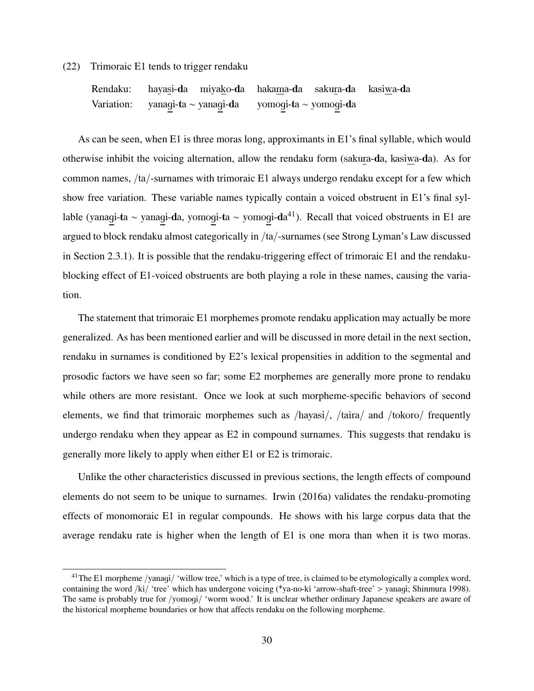#### (22) Trimoraic E1 tends to trigger rendaku

Rendaku: hayasi-da miyako-da hakama-da sakura-da kasiwa-da Variation: yanagi-ta ∼ yanagi-da yomogi-ta ∼ yomogi-da

As can be seen, when E1 is three moras long, approximants in E1's final syllable, which would otherwise inhibit the voicing alternation, allow the rendaku form (sakura-da, kasiwa-da). As for common names, /ta/-surnames with trimoraic E1 always undergo rendaku except for a few which show free variation. These variable names typically contain a voiced obstruent in E1's final syllable (yanagi-ta ~ yanagi-da, yomogi-ta ~ yomogi-da<sup>41</sup>). Recall that voiced obstruents in E1 are argued to block rendaku almost categorically in /ta/-surnames (see Strong Lyman's Law discussed in Section 2.3.1). It is possible that the rendaku-triggering effect of trimoraic E1 and the rendakublocking effect of E1-voiced obstruents are both playing a role in these names, causing the variation.

The statement that trimoraic E1 morphemes promote rendaku application may actually be more generalized. As has been mentioned earlier and will be discussed in more detail in the next section, rendaku in surnames is conditioned by E2's lexical propensities in addition to the segmental and prosodic factors we have seen so far; some E2 morphemes are generally more prone to rendaku while others are more resistant. Once we look at such morpheme-specific behaviors of second elements, we find that trimoraic morphemes such as /hayasi/, /taira/ and /tokoro/ frequently undergo rendaku when they appear as E2 in compound surnames. This suggests that rendaku is generally more likely to apply when either E1 or E2 is trimoraic.

Unlike the other characteristics discussed in previous sections, the length effects of compound elements do not seem to be unique to surnames. Irwin (2016a) validates the rendaku-promoting effects of monomoraic E1 in regular compounds. He shows with his large corpus data that the average rendaku rate is higher when the length of E1 is one mora than when it is two moras.

<sup>&</sup>lt;sup>41</sup>The E1 morpheme /yanagi/ 'willow tree,' which is a type of tree, is claimed to be etymologically a complex word, containing the word /ki/ 'tree' which has undergone voicing (\*ya-no-ki 'arrow-shaft-tree' > yanagi; Shinmura 1998). The same is probably true for /yomogi/ 'worm wood.' It is unclear whether ordinary Japanese speakers are aware of the historical morpheme boundaries or how that affects rendaku on the following morpheme.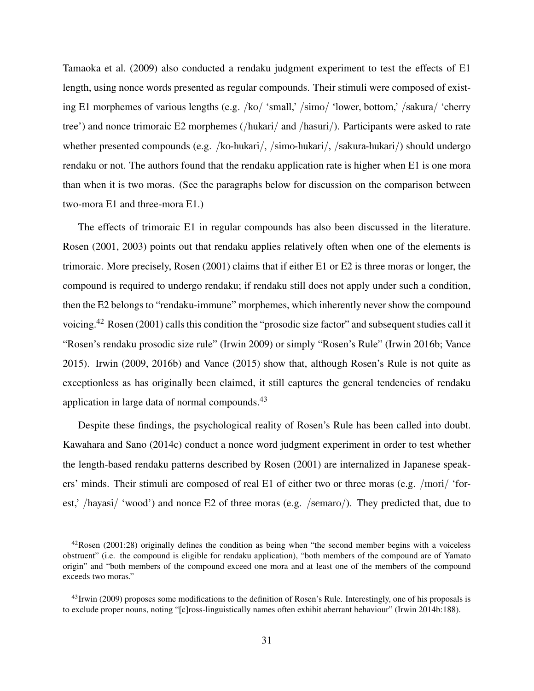Tamaoka et al. (2009) also conducted a rendaku judgment experiment to test the effects of E1 length, using nonce words presented as regular compounds. Their stimuli were composed of existing E1 morphemes of various lengths (e.g. /ko/ 'small,' /simo/ 'lower, bottom,' /sakura/ 'cherry tree') and nonce trimoraic E2 morphemes (/hukari/ and /hasuri/). Participants were asked to rate whether presented compounds (e.g. /ko-hukari/, /simo-hukari/, /sakura-hukari/) should undergo rendaku or not. The authors found that the rendaku application rate is higher when E1 is one mora than when it is two moras. (See the paragraphs below for discussion on the comparison between two-mora E1 and three-mora E1.)

The effects of trimoraic E1 in regular compounds has also been discussed in the literature. Rosen (2001, 2003) points out that rendaku applies relatively often when one of the elements is trimoraic. More precisely, Rosen (2001) claims that if either E1 or E2 is three moras or longer, the compound is required to undergo rendaku; if rendaku still does not apply under such a condition, then the E2 belongs to "rendaku-immune" morphemes, which inherently never show the compound voicing.<sup>42</sup> Rosen (2001) calls this condition the "prosodic size factor" and subsequent studies call it "Rosen's rendaku prosodic size rule" (Irwin 2009) or simply "Rosen's Rule" (Irwin 2016b; Vance 2015). Irwin (2009, 2016b) and Vance (2015) show that, although Rosen's Rule is not quite as exceptionless as has originally been claimed, it still captures the general tendencies of rendaku application in large data of normal compounds.<sup>43</sup>

Despite these findings, the psychological reality of Rosen's Rule has been called into doubt. Kawahara and Sano (2014c) conduct a nonce word judgment experiment in order to test whether the length-based rendaku patterns described by Rosen (2001) are internalized in Japanese speakers' minds. Their stimuli are composed of real E1 of either two or three moras (e.g. /mori/ 'forest,' /hayasi/ 'wood') and nonce E2 of three moras (e.g. /semaro/). They predicted that, due to

 $42$ Rosen (2001:28) originally defines the condition as being when "the second member begins with a voiceless obstruent" (i.e. the compound is eligible for rendaku application), "both members of the compound are of Yamato origin" and "both members of the compound exceed one mora and at least one of the members of the compound exceeds two moras."

 $^{43}$ Irwin (2009) proposes some modifications to the definition of Rosen's Rule. Interestingly, one of his proposals is to exclude proper nouns, noting "[c]ross-linguistically names often exhibit aberrant behaviour" (Irwin 2014b:188).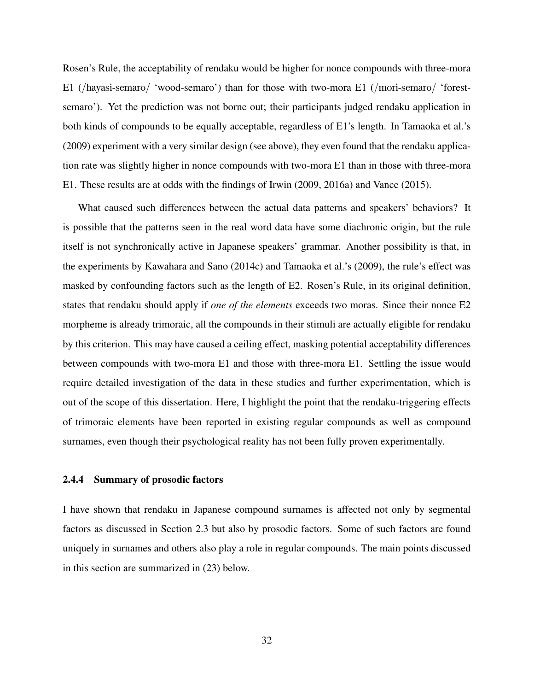Rosen's Rule, the acceptability of rendaku would be higher for nonce compounds with three-mora E1 (/hayasi-semaro/ 'wood-semaro') than for those with two-mora E1 (/mori-semaro/ 'forestsemaro'). Yet the prediction was not borne out; their participants judged rendaku application in both kinds of compounds to be equally acceptable, regardless of E1's length. In Tamaoka et al.'s (2009) experiment with a very similar design (see above), they even found that the rendaku application rate was slightly higher in nonce compounds with two-mora E1 than in those with three-mora E1. These results are at odds with the findings of Irwin (2009, 2016a) and Vance (2015).

What caused such differences between the actual data patterns and speakers' behaviors? It is possible that the patterns seen in the real word data have some diachronic origin, but the rule itself is not synchronically active in Japanese speakers' grammar. Another possibility is that, in the experiments by Kawahara and Sano (2014c) and Tamaoka et al.'s (2009), the rule's effect was masked by confounding factors such as the length of E2. Rosen's Rule, in its original definition, states that rendaku should apply if *one of the elements* exceeds two moras. Since their nonce E2 morpheme is already trimoraic, all the compounds in their stimuli are actually eligible for rendaku by this criterion. This may have caused a ceiling effect, masking potential acceptability differences between compounds with two-mora E1 and those with three-mora E1. Settling the issue would require detailed investigation of the data in these studies and further experimentation, which is out of the scope of this dissertation. Here, I highlight the point that the rendaku-triggering effects of trimoraic elements have been reported in existing regular compounds as well as compound surnames, even though their psychological reality has not been fully proven experimentally.

#### 2.4.4 Summary of prosodic factors

I have shown that rendaku in Japanese compound surnames is affected not only by segmental factors as discussed in Section 2.3 but also by prosodic factors. Some of such factors are found uniquely in surnames and others also play a role in regular compounds. The main points discussed in this section are summarized in (23) below.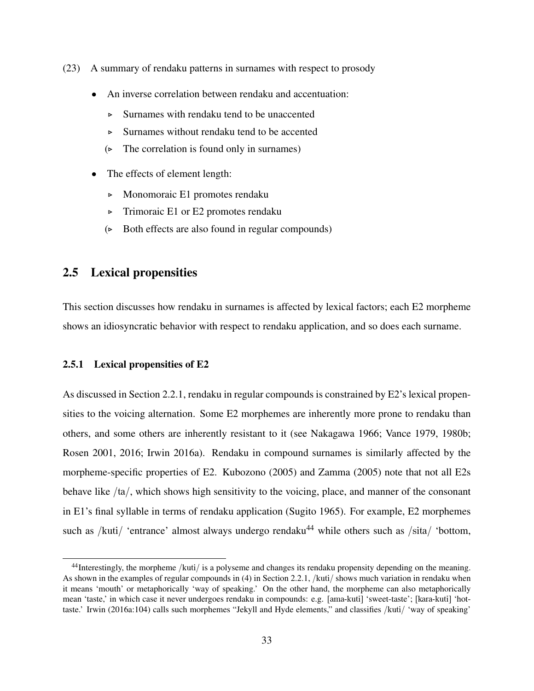- (23) A summary of rendaku patterns in surnames with respect to prosody
	- An inverse correlation between rendaku and accentuation:
		- ▷ Surnames with rendaku tend to be unaccented
		- ▷ Surnames without rendaku tend to be accented
		- $(\triangleright$  The correlation is found only in surnames)
	- The effects of element length:
		- ▷ Monomoraic E1 promotes rendaku
		- ▷ Trimoraic E1 or E2 promotes rendaku
		- (▷ Both effects are also found in regular compounds)

## 2.5 Lexical propensities

This section discusses how rendaku in surnames is affected by lexical factors; each E2 morpheme shows an idiosyncratic behavior with respect to rendaku application, and so does each surname.

#### 2.5.1 Lexical propensities of E2

As discussed in Section 2.2.1, rendaku in regular compounds is constrained by E2's lexical propensities to the voicing alternation. Some E2 morphemes are inherently more prone to rendaku than others, and some others are inherently resistant to it (see Nakagawa 1966; Vance 1979, 1980b; Rosen 2001, 2016; Irwin 2016a). Rendaku in compound surnames is similarly affected by the morpheme-specific properties of E2. Kubozono (2005) and Zamma (2005) note that not all E2s behave like /ta/, which shows high sensitivity to the voicing, place, and manner of the consonant in E1's final syllable in terms of rendaku application (Sugito 1965). For example, E2 morphemes such as /kuti/ 'entrance' almost always undergo rendaku<sup>44</sup> while others such as /sita/ 'bottom,

<sup>&</sup>lt;sup>44</sup>Interestingly, the morpheme /kuti/ is a polyseme and changes its rendaku propensity depending on the meaning. As shown in the examples of regular compounds in (4) in Section 2.2.1, /kuti/ shows much variation in rendaku when it means 'mouth' or metaphorically 'way of speaking.' On the other hand, the morpheme can also metaphorically mean 'taste,' in which case it never undergoes rendaku in compounds: e.g. [ama-kuti] 'sweet-taste'; [kara-kuti] 'hottaste.' Irwin (2016a:104) calls such morphemes "Jekyll and Hyde elements," and classifies /kuti/ 'way of speaking'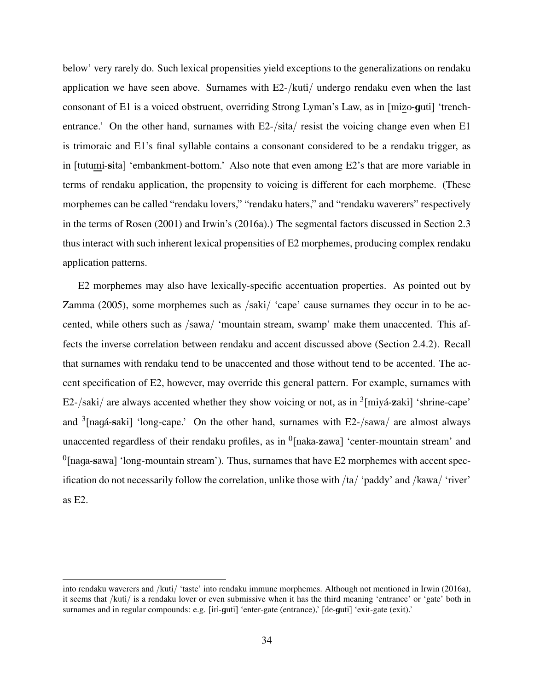below' very rarely do. Such lexical propensities yield exceptions to the generalizations on rendaku application we have seen above. Surnames with E2-/kuti/ undergo rendaku even when the last consonant of E1 is a voiced obstruent, overriding Strong Lyman's Law, as in [mizo-guti] 'trenchentrance.' On the other hand, surnames with E2-/sita/ resist the voicing change even when E1 is trimoraic and E1's final syllable contains a consonant considered to be a rendaku trigger, as in [tutumi-sita] 'embankment-bottom.' Also note that even among E2's that are more variable in terms of rendaku application, the propensity to voicing is different for each morpheme. (These morphemes can be called "rendaku lovers," "rendaku haters," and "rendaku waverers" respectively in the terms of Rosen (2001) and Irwin's (2016a).) The segmental factors discussed in Section 2.3 thus interact with such inherent lexical propensities of E2 morphemes, producing complex rendaku application patterns.

E2 morphemes may also have lexically-specific accentuation properties. As pointed out by Zamma (2005), some morphemes such as /saki/ 'cape' cause surnames they occur in to be accented, while others such as /sawa/ 'mountain stream, swamp' make them unaccented. This affects the inverse correlation between rendaku and accent discussed above (Section 2.4.2). Recall that surnames with rendaku tend to be unaccented and those without tend to be accented. The accent specification of E2, however, may override this general pattern. For example, surnames with E2-/saki/ are always accented whether they show voicing or not, as in  $\frac{3}{2}$ [miyá-zaki] 'shrine-cape' and  $3$ [nagá-saki] 'long-cape.' On the other hand, surnames with E2-/sawa/ are almost always unaccented regardless of their rendaku profiles, as in  $\textsuperscript{0}$  [naka-zawa] 'center-mountain stream' and  $<sup>0</sup>$ [naga-sawa] 'long-mountain stream'). Thus, surnames that have E2 morphemes with accent spec-</sup> ification do not necessarily follow the correlation, unlike those with  $/ta/$  'paddy' and  $/kawa/$  'river' as E2.

into rendaku waverers and /kuti/ 'taste' into rendaku immune morphemes. Although not mentioned in Irwin (2016a), it seems that /kuti/ is a rendaku lover or even submissive when it has the third meaning 'entrance' or 'gate' both in surnames and in regular compounds: e.g. [iri-guti] 'enter-gate (entrance),' [de-guti] 'exit-gate (exit).'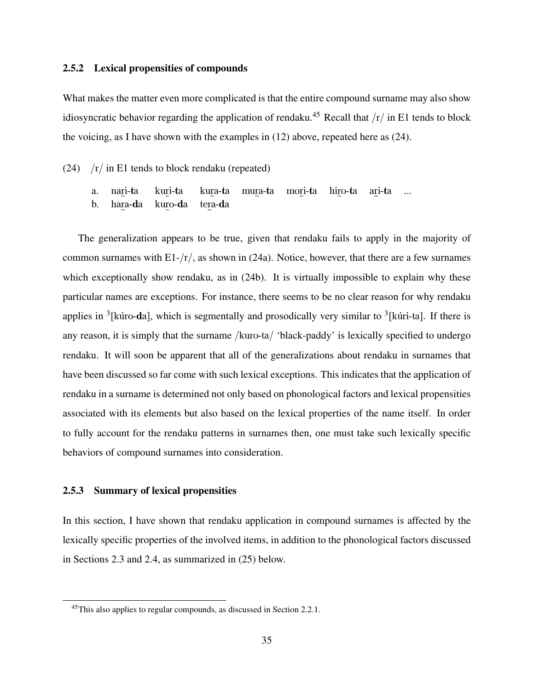#### 2.5.2 Lexical propensities of compounds

What makes the matter even more complicated is that the entire compound surname may also show idiosyncratic behavior regarding the application of rendaku.<sup>45</sup> Recall that  $/r/$  in E1 tends to block the voicing, as I have shown with the examples in (12) above, repeated here as (24).

- (24)  $/r / \text{ in } E1$  tends to block rendaku (repeated)
	- a. nari-ta kuri-ta kura-ta mura-ta mori-ta hiro-ta ari-ta ...
	- b. hara-da kuro-da tera-da

The generalization appears to be true, given that rendaku fails to apply in the majority of common surnames with  $E1 - \frac{r}{}$ , as shown in (24a). Notice, however, that there are a few surnames which exceptionally show rendaku, as in  $(24b)$ . It is virtually impossible to explain why these particular names are exceptions. For instance, there seems to be no clear reason for why rendaku applies in  $3$ [kúro-da], which is segmentally and prosodically very similar to  $3$ [kúri-ta]. If there is any reason, it is simply that the surname /kuro-ta/ 'black-paddy' is lexically specified to undergo rendaku. It will soon be apparent that all of the generalizations about rendaku in surnames that have been discussed so far come with such lexical exceptions. This indicates that the application of rendaku in a surname is determined not only based on phonological factors and lexical propensities associated with its elements but also based on the lexical properties of the name itself. In order to fully account for the rendaku patterns in surnames then, one must take such lexically specific behaviors of compound surnames into consideration.

#### 2.5.3 Summary of lexical propensities

In this section, I have shown that rendaku application in compound surnames is affected by the lexically specific properties of the involved items, in addition to the phonological factors discussed in Sections 2.3 and 2.4, as summarized in (25) below.

<sup>45</sup>This also applies to regular compounds, as discussed in Section 2.2.1.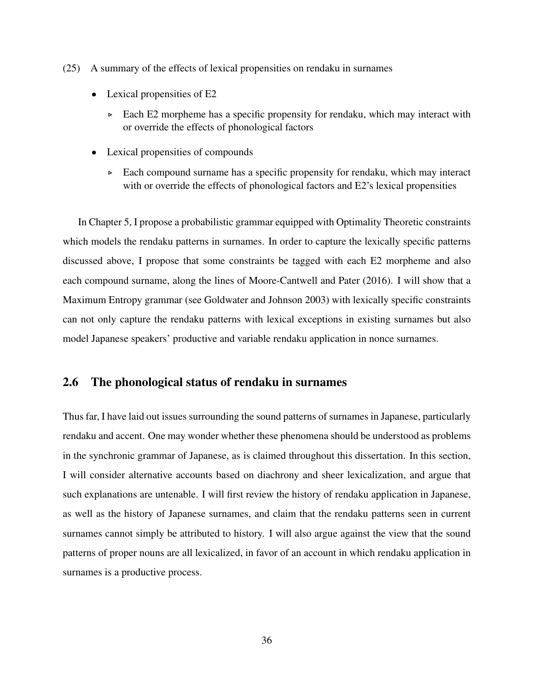- (25) A summary of the effects of lexical propensities on rendaku in surnames
	- Lexical propensities of E2
		- ▷ Each E2 morpheme has a specific propensity for rendaku, which may interact with or override the effects of phonological factors
	- Lexical propensities of compounds
		- ▷ Each compound surname has a specific propensity for rendaku, which may interact with or override the effects of phonological factors and E2's lexical propensities

In Chapter 5, I propose a probabilistic grammar equipped with Optimality Theoretic constraints which models the rendaku patterns in surnames. In order to capture the lexically specific patterns discussed above, I propose that some constraints be tagged with each E2 morpheme and also each compound surname, along the lines of Moore-Cantwell and Pater (2016). I will show that a Maximum Entropy grammar (see Goldwater and Johnson 2003) with lexically specific constraints can not only capture the rendaku patterns with lexical exceptions in existing surnames but also model Japanese speakers' productive and variable rendaku application in nonce surnames.

# 2.6 The phonological status of rendaku in surnames

Thus far, I have laid out issues surrounding the sound patterns of surnames in Japanese, particularly rendaku and accent. One may wonder whether these phenomena should be understood as problems in the synchronic grammar of Japanese, as is claimed throughout this dissertation. In this section, I will consider alternative accounts based on diachrony and sheer lexicalization, and argue that such explanations are untenable. I will first review the history of rendaku application in Japanese, as well as the history of Japanese surnames, and claim that the rendaku patterns seen in current surnames cannot simply be attributed to history. I will also argue against the view that the sound patterns of proper nouns are all lexicalized, in favor of an account in which rendaku application in surnames is a productive process.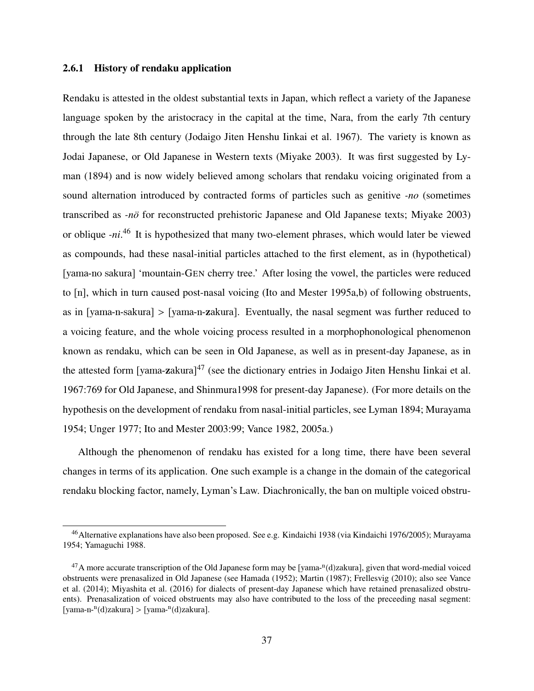#### 2.6.1 History of rendaku application

Rendaku is attested in the oldest substantial texts in Japan, which reflect a variety of the Japanese language spoken by the aristocracy in the capital at the time, Nara, from the early 7th century through the late 8th century (Jodaigo Jiten Henshu Iinkai et al. 1967). The variety is known as Jodai Japanese, or Old Japanese in Western texts (Miyake 2003). It was first suggested by Lyman (1894) and is now widely believed among scholars that rendaku voicing originated from a sound alternation introduced by contracted forms of particles such as genitive *-no* (sometimes transcribed as *-nö* for reconstructed prehistoric Japanese and Old Japanese texts; Miyake 2003) or oblique *-ni*. <sup>46</sup> It is hypothesized that many two-element phrases, which would later be viewed as compounds, had these nasal-initial particles attached to the first element, as in (hypothetical) [yama-no sakura] 'mountain-GEN cherry tree.' After losing the vowel, the particles were reduced to [n], which in turn caused post-nasal voicing (Ito and Mester 1995a,b) of following obstruents, as in [yama-n-sakura] > [yama-n-zakura]. Eventually, the nasal segment was further reduced to a voicing feature, and the whole voicing process resulted in a morphophonological phenomenon known as rendaku, which can be seen in Old Japanese, as well as in present-day Japanese, as in the attested form [vama-zakura]<sup>47</sup> (see the dictionary entries in Jodaigo Jiten Henshu Iinkai et al. 1967:769 for Old Japanese, and Shinmura1998 for present-day Japanese). (For more details on the hypothesis on the development of rendaku from nasal-initial particles, see Lyman 1894; Murayama 1954; Unger 1977; Ito and Mester 2003:99; Vance 1982, 2005a.)

Although the phenomenon of rendaku has existed for a long time, there have been several changes in terms of its application. One such example is a change in the domain of the categorical rendaku blocking factor, namely, Lyman's Law. Diachronically, the ban on multiple voiced obstru-

<sup>46</sup>Alternative explanations have also been proposed. See e.g. Kindaichi 1938 (via Kindaichi 1976/2005); Murayama 1954; Yamaguchi 1988.

 $^{47}$ A more accurate transcription of the Old Japanese form may be [yama- $n(d)$ zakura], given that word-medial voiced obstruents were prenasalized in Old Japanese (see Hamada (1952); Martin (1987); Frellesvig (2010); also see Vance et al. (2014); Miyashita et al. (2016) for dialects of present-day Japanese which have retained prenasalized obstruents). Prenasalization of voiced obstruents may also have contributed to the loss of the preceeding nasal segment: [yama-n-<sup>n</sup>(d)zakura] > [yama-<sup>n</sup>(d)zakura].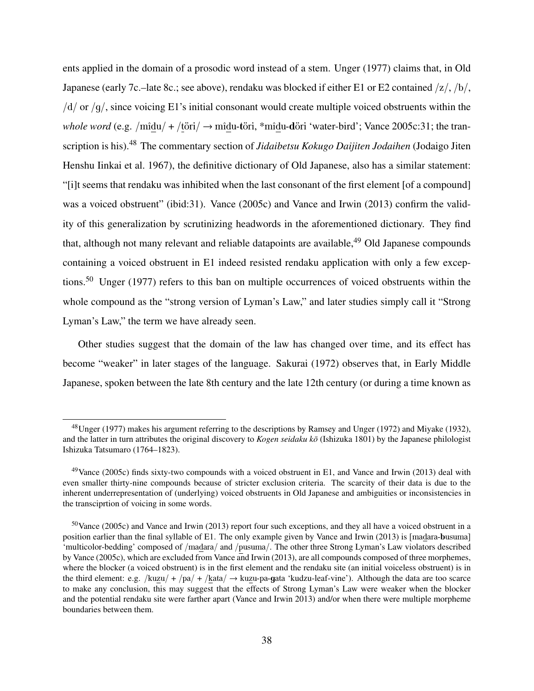ents applied in the domain of a prosodic word instead of a stem. Unger (1977) claims that, in Old Japanese (early 7c.–late 8c.; see above), rendaku was blocked if either E1 or E2 contained  $\frac{z}{\sqrt{b}}$ ,  $/d/$  or  $/q/$ , since voicing E1's initial consonant would create multiple voiced obstruents within the *whole word* (e.g. /mîdu/ + /töri/  $\rightarrow$  mîdu-töri, \*mîdu-döri 'water-bird'; Vance 2005c:31; the transcription is his).<sup>48</sup> The commentary section of *Jidaibetsu Kokugo Daijiten Jodaihen* (Jodaigo Jiten Henshu Iinkai et al. 1967), the definitive dictionary of Old Japanese, also has a similar statement: "[i]t seems that rendaku was inhibited when the last consonant of the first element [of a compound] was a voiced obstruent" (ibid:31). Vance (2005c) and Vance and Irwin (2013) confirm the validity of this generalization by scrutinizing headwords in the aforementioned dictionary. They find that, although not many relevant and reliable datapoints are available,  $49$  Old Japanese compounds containing a voiced obstruent in E1 indeed resisted rendaku application with only a few exceptions.<sup>50</sup> Unger (1977) refers to this ban on multiple occurrences of voiced obstruents within the whole compound as the "strong version of Lyman's Law," and later studies simply call it "Strong Lyman's Law," the term we have already seen.

Other studies suggest that the domain of the law has changed over time, and its effect has become "weaker" in later stages of the language. Sakurai (1972) observes that, in Early Middle Japanese, spoken between the late 8th century and the late 12th century (or during a time known as

<sup>&</sup>lt;sup>48</sup>Unger (1977) makes his argument referring to the descriptions by Ramsey and Unger (1972) and Miyake (1932), and the latter in turn attributes the original discovery to *Kogen seidaku kō* (Ishizuka 1801) by the Japanese philologist Ishizuka Tatsumaro (1764–1823).

 $49$ Vance (2005c) finds sixty-two compounds with a voiced obstruent in E1, and Vance and Irwin (2013) deal with even smaller thirty-nine compounds because of stricter exclusion criteria. The scarcity of their data is due to the inherent underrepresentation of (underlying) voiced obstruents in Old Japanese and ambiguities or inconsistencies in the transciprtion of voicing in some words.

 $50$ Vance (2005c) and Vance and Irwin (2013) report four such exceptions, and they all have a voiced obstruent in a position earlier than the final syllable of E1. The only example given by Vance and Irwin (2013) is [madara-busuma] 'multicolor-bedding' composed of /madara/ and /pusuma/. The other three Strong Lyman's Law violators described by Vance (2005c), which are excluded from Vance and Irwin (2013), are all compounds composed of three morphemes, where the blocker (a voiced obstruent) is in the first element and the rendaku site (an initial voiceless obstruent) is in the third element: e.g. /kuzu/ + /pa/ + /kata/  $\rightarrow$  kuzu-pa-gata 'kudzu-leaf-vine'). Although the data are too scarce to make any conclusion, this may suggest that the effects of Strong Lyman's Law were weaker when the blocker and the potential rendaku site were farther apart (Vance and Irwin 2013) and/or when there were multiple morpheme boundaries between them.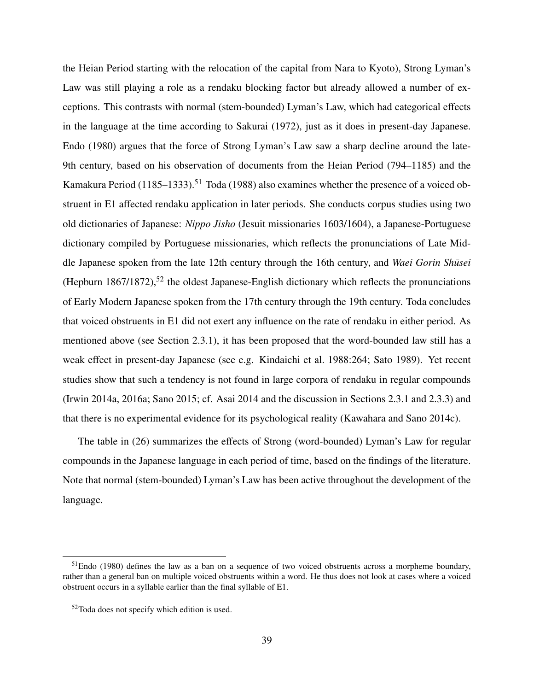the Heian Period starting with the relocation of the capital from Nara to Kyoto), Strong Lyman's Law was still playing a role as a rendaku blocking factor but already allowed a number of exceptions. This contrasts with normal (stem-bounded) Lyman's Law, which had categorical effects in the language at the time according to Sakurai (1972), just as it does in present-day Japanese. Endo (1980) argues that the force of Strong Lyman's Law saw a sharp decline around the late-9th century, based on his observation of documents from the Heian Period (794–1185) and the Kamakura Period  $(1185-1333)$ <sup>51</sup> Toda (1988) also examines whether the presence of a voiced obstruent in E1 affected rendaku application in later periods. She conducts corpus studies using two old dictionaries of Japanese: *Nippo Jisho* (Jesuit missionaries 1603/1604), a Japanese-Portuguese dictionary compiled by Portuguese missionaries, which reflects the pronunciations of Late Middle Japanese spoken from the late 12th century through the 16th century, and *Waei Gorin Shusei ¯* (Hepburn 1867/1872),<sup>52</sup> the oldest Japanese-English dictionary which reflects the pronunciations of Early Modern Japanese spoken from the 17th century through the 19th century. Toda concludes that voiced obstruents in E1 did not exert any influence on the rate of rendaku in either period. As mentioned above (see Section 2.3.1), it has been proposed that the word-bounded law still has a weak effect in present-day Japanese (see e.g. Kindaichi et al. 1988:264; Sato 1989). Yet recent studies show that such a tendency is not found in large corpora of rendaku in regular compounds (Irwin 2014a, 2016a; Sano 2015; cf. Asai 2014 and the discussion in Sections 2.3.1 and 2.3.3) and that there is no experimental evidence for its psychological reality (Kawahara and Sano 2014c).

The table in (26) summarizes the effects of Strong (word-bounded) Lyman's Law for regular compounds in the Japanese language in each period of time, based on the findings of the literature. Note that normal (stem-bounded) Lyman's Law has been active throughout the development of the language.

<sup>51</sup>Endo (1980) defines the law as a ban on a sequence of two voiced obstruents across a morpheme boundary, rather than a general ban on multiple voiced obstruents within a word. He thus does not look at cases where a voiced obstruent occurs in a syllable earlier than the final syllable of E1.

<sup>52</sup>Toda does not specify which edition is used.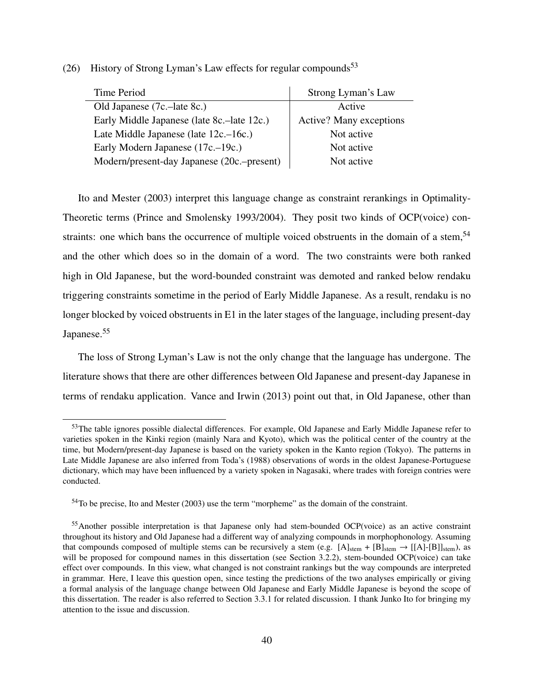(26) History of Strong Lyman's Law effects for regular compounds<sup>53</sup>

| Time Period                                | Strong Lyman's Law             |
|--------------------------------------------|--------------------------------|
| Old Japanese (7c.-late 8c.)                | Active                         |
| Early Middle Japanese (late 8c.–late 12c.) | <b>Active?</b> Many exceptions |
| Late Middle Japanese (late 12c.–16c.)      | Not active                     |
| Early Modern Japanese (17c.–19c.)          | Not active                     |
| Modern/present-day Japanese (20c.-present) | Not active                     |

Ito and Mester (2003) interpret this language change as constraint rerankings in Optimality-Theoretic terms (Prince and Smolensky 1993/2004). They posit two kinds of OCP(voice) constraints: one which bans the occurrence of multiple voiced obstruents in the domain of a stem,<sup>54</sup> and the other which does so in the domain of a word. The two constraints were both ranked high in Old Japanese, but the word-bounded constraint was demoted and ranked below rendaku triggering constraints sometime in the period of Early Middle Japanese. As a result, rendaku is no longer blocked by voiced obstruents in E1 in the later stages of the language, including present-day Japanese.<sup>55</sup>

The loss of Strong Lyman's Law is not the only change that the language has undergone. The literature shows that there are other differences between Old Japanese and present-day Japanese in terms of rendaku application. Vance and Irwin (2013) point out that, in Old Japanese, other than

<sup>&</sup>lt;sup>53</sup>The table ignores possible dialectal differences. For example, Old Japanese and Early Middle Japanese refer to varieties spoken in the Kinki region (mainly Nara and Kyoto), which was the political center of the country at the time, but Modern/present-day Japanese is based on the variety spoken in the Kanto region (Tokyo). The patterns in Late Middle Japanese are also inferred from Toda's (1988) observations of words in the oldest Japanese-Portuguese dictionary, which may have been influenced by a variety spoken in Nagasaki, where trades with foreign contries were conducted.

<sup>54</sup>To be precise, Ito and Mester (2003) use the term "morpheme" as the domain of the constraint.

<sup>&</sup>lt;sup>55</sup>Another possible interpretation is that Japanese only had stem-bounded OCP(voice) as an active constraint throughout its history and Old Japanese had a different way of analyzing compounds in morphophonology. Assuming that compounds composed of multiple stems can be recursively a stem (e.g.  $[A]_{stem} + [B]_{stem} \rightarrow [[A]-[B]]_{stem}$ ), as will be proposed for compound names in this dissertation (see Section 3.2.2), stem-bounded OCP(voice) can take effect over compounds. In this view, what changed is not constraint rankings but the way compounds are interpreted in grammar. Here, I leave this question open, since testing the predictions of the two analyses empirically or giving a formal analysis of the language change between Old Japanese and Early Middle Japanese is beyond the scope of this dissertation. The reader is also referred to Section 3.3.1 for related discussion. I thank Junko Ito for bringing my attention to the issue and discussion.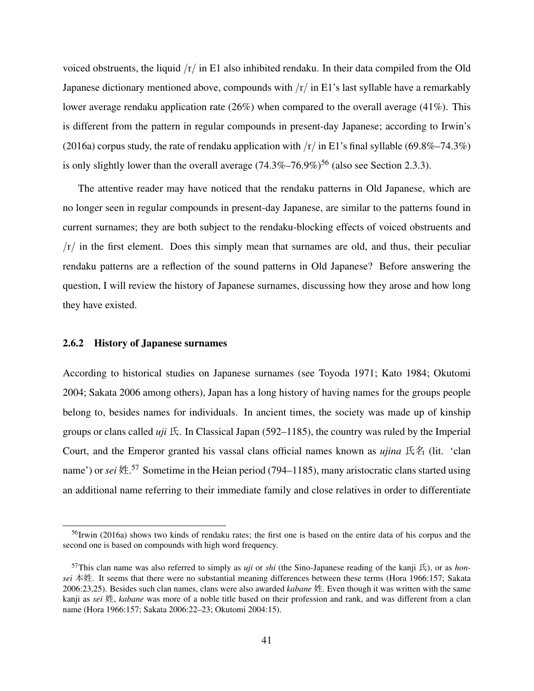voiced obstruents, the liquid  $/r/$  in E1 also inhibited rendaku. In their data compiled from the Old Japanese dictionary mentioned above, compounds with  $/r/$  in E1's last syllable have a remarkably lower average rendaku application rate (26%) when compared to the overall average (41%). This is different from the pattern in regular compounds in present-day Japanese; according to Irwin's (2016a) corpus study, the rate of rendaku application with  $\frac{r}{\pi}$  in E1's final syllable (69.8%–74.3%) is only slightly lower than the overall average  $(74.3\% - 76.9\%)$ <sup>56</sup> (also see Section 2.3.3).

The attentive reader may have noticed that the rendaku patterns in Old Japanese, which are no longer seen in regular compounds in present-day Japanese, are similar to the patterns found in current surnames; they are both subject to the rendaku-blocking effects of voiced obstruents and  $/r/$  in the first element. Does this simply mean that surnames are old, and thus, their peculiar rendaku patterns are a reflection of the sound patterns in Old Japanese? Before answering the question, I will review the history of Japanese surnames, discussing how they arose and how long they have existed.

#### 2.6.2 History of Japanese surnames

According to historical studies on Japanese surnames (see Toyoda 1971; Kato 1984; Okutomi 2004; Sakata 2006 among others), Japan has a long history of having names for the groups people belong to, besides names for individuals. In ancient times, the society was made up of kinship groups or clans called *uji* 氏. In Classical Japan (592–1185), the country was ruled by the Imperial Court, and the Emperor granted his vassal clans official names known as *ujina* 氏名 (lit. 'clan name') or *sei* 姓. <sup>57</sup> Sometime in the Heian period (794–1185), many aristocratic clans started using an additional name referring to their immediate family and close relatives in order to differentiate

<sup>&</sup>lt;sup>56</sup>Irwin (2016a) shows two kinds of rendaku rates; the first one is based on the entire data of his corpus and the second one is based on compounds with high word frequency.

<sup>&</sup>lt;sup>57</sup>This clan name was also referred to simply as *uji* or *shi* (the Sino-Japanese reading of the kanji  $E$ ), or as *honsei* 本姓. It seems that there were no substantial meaning differences between these terms (Hora 1966:157; Sakata 2006:23,25). Besides such clan names, clans were also awarded *kabane* 姓. Even though it was written with the same kanji as *sei* 姓, *kabane* was more of a noble title based on their profession and rank, and was different from a clan name (Hora 1966:157; Sakata 2006:22–23; Okutomi 2004:15).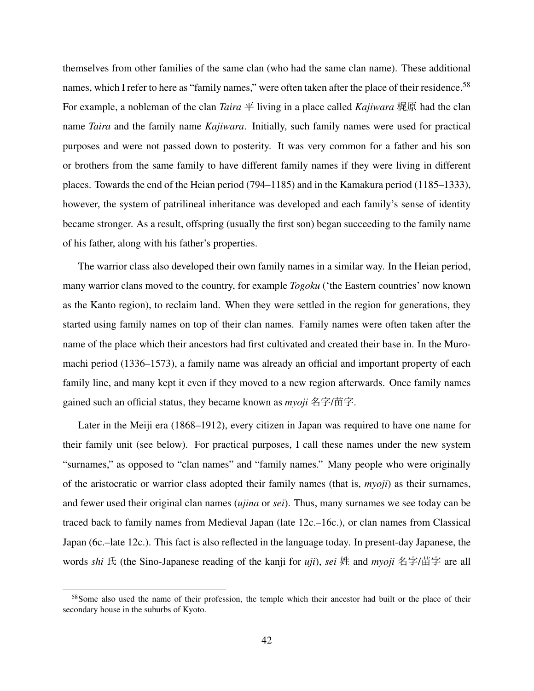themselves from other families of the same clan (who had the same clan name). These additional names, which I refer to here as "family names," were often taken after the place of their residence.<sup>58</sup> For example, a nobleman of the clan *Taira*  $\Psi$  living in a place called *Kajiwara* 梶原 had the clan name *Taira* and the family name *Kajiwara*. Initially, such family names were used for practical purposes and were not passed down to posterity. It was very common for a father and his son or brothers from the same family to have different family names if they were living in different places. Towards the end of the Heian period (794–1185) and in the Kamakura period (1185–1333), however, the system of patrilineal inheritance was developed and each family's sense of identity became stronger. As a result, offspring (usually the first son) began succeeding to the family name of his father, along with his father's properties.

The warrior class also developed their own family names in a similar way. In the Heian period, many warrior clans moved to the country, for example *Togoku* ('the Eastern countries' now known as the Kanto region), to reclaim land. When they were settled in the region for generations, they started using family names on top of their clan names. Family names were often taken after the name of the place which their ancestors had first cultivated and created their base in. In the Muromachi period (1336–1573), a family name was already an official and important property of each family line, and many kept it even if they moved to a new region afterwards. Once family names gained such an official status, they became known as *myoji* 名字/苗字.

Later in the Meiji era (1868–1912), every citizen in Japan was required to have one name for their family unit (see below). For practical purposes, I call these names under the new system "surnames," as opposed to "clan names" and "family names." Many people who were originally of the aristocratic or warrior class adopted their family names (that is, *myoji*) as their surnames, and fewer used their original clan names (*ujina* or *sei*). Thus, many surnames we see today can be traced back to family names from Medieval Japan (late 12c.–16c.), or clan names from Classical Japan (6c.–late 12c.). This fact is also reflected in the language today. In present-day Japanese, the words *shi* 氏 (the Sino-Japanese reading of the kanji for *uji*), *sei* 姓 and *myoji* 名字/苗字 are all

<sup>&</sup>lt;sup>58</sup>Some also used the name of their profession, the temple which their ancestor had built or the place of their secondary house in the suburbs of Kyoto.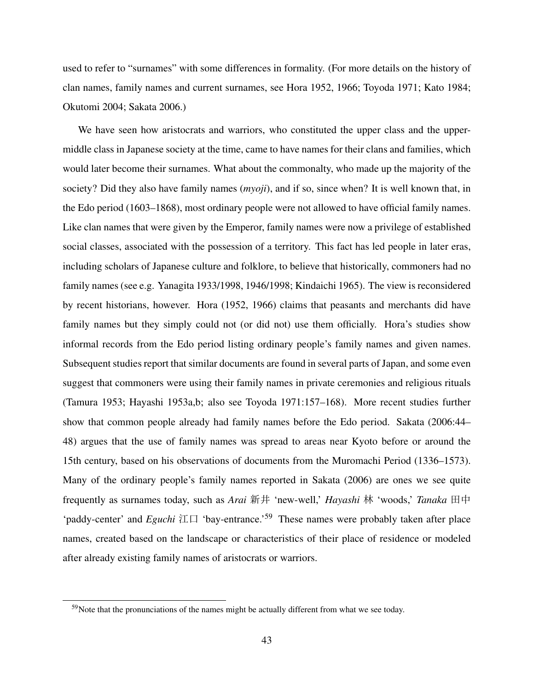used to refer to "surnames" with some differences in formality. (For more details on the history of clan names, family names and current surnames, see Hora 1952, 1966; Toyoda 1971; Kato 1984; Okutomi 2004; Sakata 2006.)

We have seen how aristocrats and warriors, who constituted the upper class and the uppermiddle class in Japanese society at the time, came to have names for their clans and families, which would later become their surnames. What about the commonalty, who made up the majority of the society? Did they also have family names (*myoji*), and if so, since when? It is well known that, in the Edo period (1603–1868), most ordinary people were not allowed to have official family names. Like clan names that were given by the Emperor, family names were now a privilege of established social classes, associated with the possession of a territory. This fact has led people in later eras, including scholars of Japanese culture and folklore, to believe that historically, commoners had no family names (see e.g. Yanagita 1933/1998, 1946/1998; Kindaichi 1965). The view is reconsidered by recent historians, however. Hora (1952, 1966) claims that peasants and merchants did have family names but they simply could not (or did not) use them officially. Hora's studies show informal records from the Edo period listing ordinary people's family names and given names. Subsequent studies report that similar documents are found in several parts of Japan, and some even suggest that commoners were using their family names in private ceremonies and religious rituals (Tamura 1953; Hayashi 1953a,b; also see Toyoda 1971:157–168). More recent studies further show that common people already had family names before the Edo period. Sakata (2006:44– 48) argues that the use of family names was spread to areas near Kyoto before or around the 15th century, based on his observations of documents from the Muromachi Period (1336–1573). Many of the ordinary people's family names reported in Sakata (2006) are ones we see quite frequently as surnames today, such as *Arai* 新井 'new-well,' *Hayashi* 林 'woods,' *Tanaka* 田中 'paddy-center' and *Eguchi* 江口 'bay-entrance.'<sup>59</sup> These names were probably taken after place names, created based on the landscape or characteristics of their place of residence or modeled after already existing family names of aristocrats or warriors.

 $59$ Note that the pronunciations of the names might be actually different from what we see today.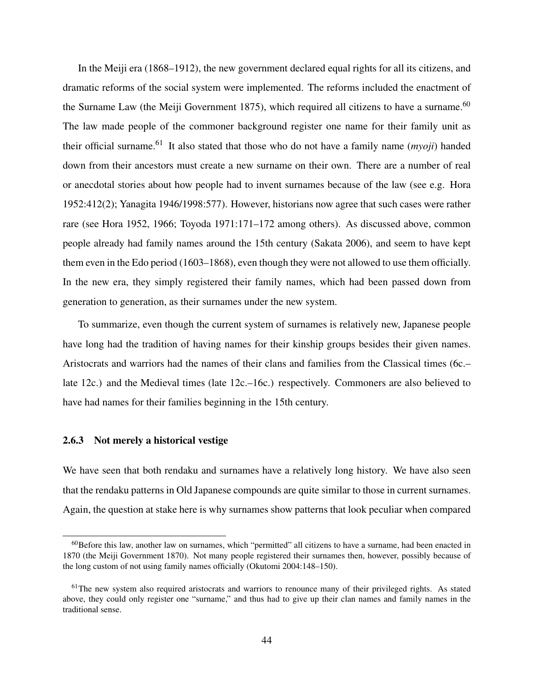In the Meiji era (1868–1912), the new government declared equal rights for all its citizens, and dramatic reforms of the social system were implemented. The reforms included the enactment of the Surname Law (the Meiji Government 1875), which required all citizens to have a surname.<sup>60</sup> The law made people of the commoner background register one name for their family unit as their official surname.<sup>61</sup> It also stated that those who do not have a family name (*myoji*) handed down from their ancestors must create a new surname on their own. There are a number of real or anecdotal stories about how people had to invent surnames because of the law (see e.g. Hora 1952:412(2); Yanagita 1946/1998:577). However, historians now agree that such cases were rather rare (see Hora 1952, 1966; Toyoda 1971:171–172 among others). As discussed above, common people already had family names around the 15th century (Sakata 2006), and seem to have kept them even in the Edo period (1603–1868), even though they were not allowed to use them officially. In the new era, they simply registered their family names, which had been passed down from generation to generation, as their surnames under the new system.

To summarize, even though the current system of surnames is relatively new, Japanese people have long had the tradition of having names for their kinship groups besides their given names. Aristocrats and warriors had the names of their clans and families from the Classical times (6c.– late 12c.) and the Medieval times (late 12c.–16c.) respectively. Commoners are also believed to have had names for their families beginning in the 15th century.

#### 2.6.3 Not merely a historical vestige

We have seen that both rendaku and surnames have a relatively long history. We have also seen that the rendaku patterns in Old Japanese compounds are quite similar to those in current surnames. Again, the question at stake here is why surnames show patterns that look peculiar when compared

<sup>60</sup>Before this law, another law on surnames, which "permitted" all citizens to have a surname, had been enacted in 1870 (the Meiji Government 1870). Not many people registered their surnames then, however, possibly because of the long custom of not using family names officially (Okutomi 2004:148–150).

<sup>&</sup>lt;sup>61</sup>The new system also required aristocrats and warriors to renounce many of their privileged rights. As stated above, they could only register one "surname," and thus had to give up their clan names and family names in the traditional sense.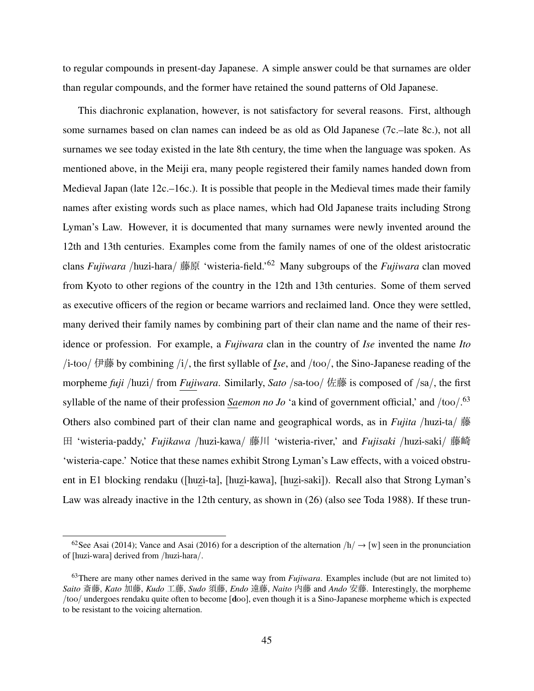to regular compounds in present-day Japanese. A simple answer could be that surnames are older than regular compounds, and the former have retained the sound patterns of Old Japanese.

This diachronic explanation, however, is not satisfactory for several reasons. First, although some surnames based on clan names can indeed be as old as Old Japanese (7c.–late 8c.), not all surnames we see today existed in the late 8th century, the time when the language was spoken. As mentioned above, in the Meiji era, many people registered their family names handed down from Medieval Japan (late 12c.–16c.). It is possible that people in the Medieval times made their family names after existing words such as place names, which had Old Japanese traits including Strong Lyman's Law. However, it is documented that many surnames were newly invented around the 12th and 13th centuries. Examples come from the family names of one of the oldest aristocratic clans *Fujiwara* /huzi-hara/ 藤原 'wisteria-field.'<sup>62</sup> Many subgroups of the *Fujiwara* clan moved from Kyoto to other regions of the country in the 12th and 13th centuries. Some of them served as executive officers of the region or became warriors and reclaimed land. Once they were settled, many derived their family names by combining part of their clan name and the name of their residence or profession. For example, a *Fujiwara* clan in the country of *Ise* invented the name *Ito* /i-too/ 伊藤 by combining /i/, the first syllable of *Ise*, and /too/, the Sino-Japanese reading of the morpheme *fuji* /huzi/ from *Fujiwara*. Similarly, *Sato* /sa-too/ 佐藤 is composed of /sa/, the first syllable of the name of their profession *Saemon no Jo* 'a kind of government official,' and /too/.<sup>63</sup> Others also combined part of their clan name and geographical words, as in *Fujita* /huzi-ta/ 藤 田 'wisteria-paddy,' *Fujikawa* /huzi-kawa/ 藤川 'wisteria-river,' and *Fujisaki* /huzi-saki/ 藤崎 'wisteria-cape.' Notice that these names exhibit Strong Lyman's Law effects, with a voiced obstruent in E1 blocking rendaku ([huzi-ta], [huzi-kawa], [huzi-saki]). Recall also that Strong Lyman's Law was already inactive in the 12th century, as shown in (26) (also see Toda 1988). If these trun-

<sup>&</sup>lt;sup>62</sup>See Asai (2014); Vance and Asai (2016) for a description of the alternation  $/h/ \rightarrow [w]$  seen in the pronunciation of [huzi-wara] derived from /huzi-hara/.

<sup>63</sup>There are many other names derived in the same way from *Fujiwara*. Examples include (but are not limited to) *Saito* 斎藤, *Kato* 加藤, *Kudo* 工藤, *Sudo* 須藤, *Endo* 遠藤, *Naito* 内藤 and *Ando* 安藤. Interestingly, the morpheme /too/ undergoes rendaku quite often to become [doo], even though it is a Sino-Japanese morpheme which is expected to be resistant to the voicing alternation.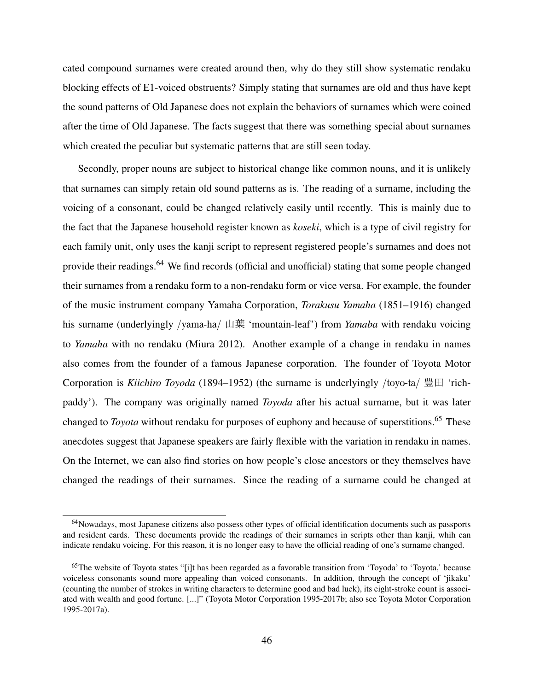cated compound surnames were created around then, why do they still show systematic rendaku blocking effects of E1-voiced obstruents? Simply stating that surnames are old and thus have kept the sound patterns of Old Japanese does not explain the behaviors of surnames which were coined after the time of Old Japanese. The facts suggest that there was something special about surnames which created the peculiar but systematic patterns that are still seen today.

Secondly, proper nouns are subject to historical change like common nouns, and it is unlikely that surnames can simply retain old sound patterns as is. The reading of a surname, including the voicing of a consonant, could be changed relatively easily until recently. This is mainly due to the fact that the Japanese household register known as *koseki*, which is a type of civil registry for each family unit, only uses the kanji script to represent registered people's surnames and does not provide their readings.<sup>64</sup> We find records (official and unofficial) stating that some people changed their surnames from a rendaku form to a non-rendaku form or vice versa. For example, the founder of the music instrument company Yamaha Corporation, *Torakusu Yamaha* (1851–1916) changed his surname (underlyingly /yama-ha/ 山葉 'mountain-leaf') from *Yamaba* with rendaku voicing to *Yamaha* with no rendaku (Miura 2012). Another example of a change in rendaku in names also comes from the founder of a famous Japanese corporation. The founder of Toyota Motor Corporation is *Kiichiro Toyoda* (1894–1952) (the surname is underlyingly /toyo-ta/ 豊田 'richpaddy'). The company was originally named *Toyoda* after his actual surname, but it was later changed to *Toyota* without rendaku for purposes of euphony and because of superstitions.<sup>65</sup> These anecdotes suggest that Japanese speakers are fairly flexible with the variation in rendaku in names. On the Internet, we can also find stories on how people's close ancestors or they themselves have changed the readings of their surnames. Since the reading of a surname could be changed at

<sup>&</sup>lt;sup>64</sup>Nowadays, most Japanese citizens also possess other types of official identification documents such as passports and resident cards. These documents provide the readings of their surnames in scripts other than kanji, whih can indicate rendaku voicing. For this reason, it is no longer easy to have the official reading of one's surname changed.

<sup>&</sup>lt;sup>65</sup>The website of Toyota states "[i]t has been regarded as a favorable transition from 'Toyoda' to 'Toyota,' because voiceless consonants sound more appealing than voiced consonants. In addition, through the concept of 'jikaku' (counting the number of strokes in writing characters to determine good and bad luck), its eight-stroke count is associated with wealth and good fortune. [...]" (Toyota Motor Corporation 1995-2017b; also see Toyota Motor Corporation 1995-2017a).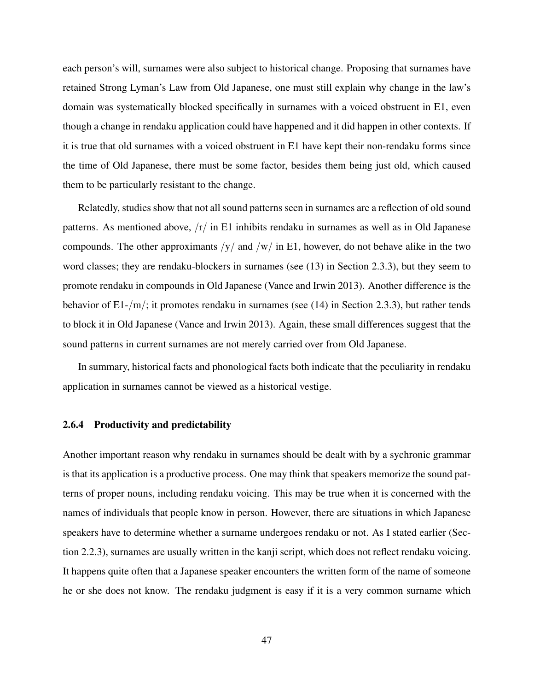each person's will, surnames were also subject to historical change. Proposing that surnames have retained Strong Lyman's Law from Old Japanese, one must still explain why change in the law's domain was systematically blocked specifically in surnames with a voiced obstruent in E1, even though a change in rendaku application could have happened and it did happen in other contexts. If it is true that old surnames with a voiced obstruent in E1 have kept their non-rendaku forms since the time of Old Japanese, there must be some factor, besides them being just old, which caused them to be particularly resistant to the change.

Relatedly, studies show that not all sound patterns seen in surnames are a reflection of old sound patterns. As mentioned above,  $\langle r \rangle$  in E1 inhibits rendaku in surnames as well as in Old Japanese compounds. The other approximants  $/y/$  and  $/w/$  in E1, however, do not behave alike in the two word classes; they are rendaku-blockers in surnames (see (13) in Section 2.3.3), but they seem to promote rendaku in compounds in Old Japanese (Vance and Irwin 2013). Another difference is the behavior of  $E1-<sub>1</sub>/m/$ ; it promotes rendaku in surnames (see (14) in Section 2.3.3), but rather tends to block it in Old Japanese (Vance and Irwin 2013). Again, these small differences suggest that the sound patterns in current surnames are not merely carried over from Old Japanese.

In summary, historical facts and phonological facts both indicate that the peculiarity in rendaku application in surnames cannot be viewed as a historical vestige.

#### 2.6.4 Productivity and predictability

Another important reason why rendaku in surnames should be dealt with by a sychronic grammar is that its application is a productive process. One may think that speakers memorize the sound patterns of proper nouns, including rendaku voicing. This may be true when it is concerned with the names of individuals that people know in person. However, there are situations in which Japanese speakers have to determine whether a surname undergoes rendaku or not. As I stated earlier (Section 2.2.3), surnames are usually written in the kanji script, which does not reflect rendaku voicing. It happens quite often that a Japanese speaker encounters the written form of the name of someone he or she does not know. The rendaku judgment is easy if it is a very common surname which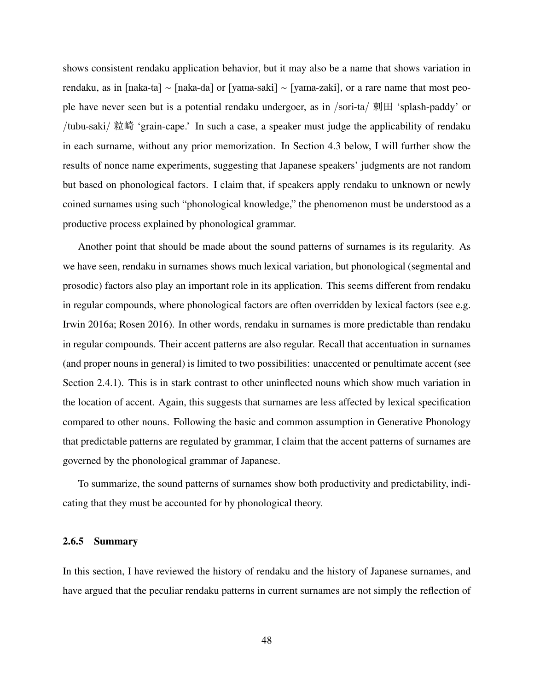shows consistent rendaku application behavior, but it may also be a name that shows variation in rendaku, as in [naka-ta] ∼ [naka-da] or [yama-saki] ∼ [yama-zaki], or a rare name that most people have never seen but is a potential rendaku undergoer, as in /sori-ta/ 剌田 'splash-paddy' or /tubu-saki/ 粒崎 'grain-cape.' In such a case, a speaker must judge the applicability of rendaku in each surname, without any prior memorization. In Section 4.3 below, I will further show the results of nonce name experiments, suggesting that Japanese speakers' judgments are not random but based on phonological factors. I claim that, if speakers apply rendaku to unknown or newly coined surnames using such "phonological knowledge," the phenomenon must be understood as a productive process explained by phonological grammar.

Another point that should be made about the sound patterns of surnames is its regularity. As we have seen, rendaku in surnames shows much lexical variation, but phonological (segmental and prosodic) factors also play an important role in its application. This seems different from rendaku in regular compounds, where phonological factors are often overridden by lexical factors (see e.g. Irwin 2016a; Rosen 2016). In other words, rendaku in surnames is more predictable than rendaku in regular compounds. Their accent patterns are also regular. Recall that accentuation in surnames (and proper nouns in general) is limited to two possibilities: unaccented or penultimate accent (see Section 2.4.1). This is in stark contrast to other uninflected nouns which show much variation in the location of accent. Again, this suggests that surnames are less affected by lexical specification compared to other nouns. Following the basic and common assumption in Generative Phonology that predictable patterns are regulated by grammar, I claim that the accent patterns of surnames are governed by the phonological grammar of Japanese.

To summarize, the sound patterns of surnames show both productivity and predictability, indicating that they must be accounted for by phonological theory.

#### 2.6.5 Summary

In this section, I have reviewed the history of rendaku and the history of Japanese surnames, and have argued that the peculiar rendaku patterns in current surnames are not simply the reflection of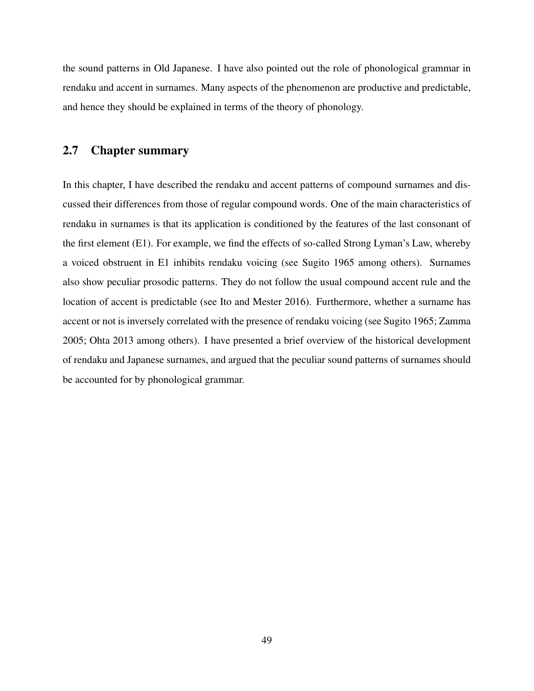the sound patterns in Old Japanese. I have also pointed out the role of phonological grammar in rendaku and accent in surnames. Many aspects of the phenomenon are productive and predictable, and hence they should be explained in terms of the theory of phonology.

# 2.7 Chapter summary

In this chapter, I have described the rendaku and accent patterns of compound surnames and discussed their differences from those of regular compound words. One of the main characteristics of rendaku in surnames is that its application is conditioned by the features of the last consonant of the first element (E1). For example, we find the effects of so-called Strong Lyman's Law, whereby a voiced obstruent in E1 inhibits rendaku voicing (see Sugito 1965 among others). Surnames also show peculiar prosodic patterns. They do not follow the usual compound accent rule and the location of accent is predictable (see Ito and Mester 2016). Furthermore, whether a surname has accent or not is inversely correlated with the presence of rendaku voicing (see Sugito 1965; Zamma 2005; Ohta 2013 among others). I have presented a brief overview of the historical development of rendaku and Japanese surnames, and argued that the peculiar sound patterns of surnames should be accounted for by phonological grammar.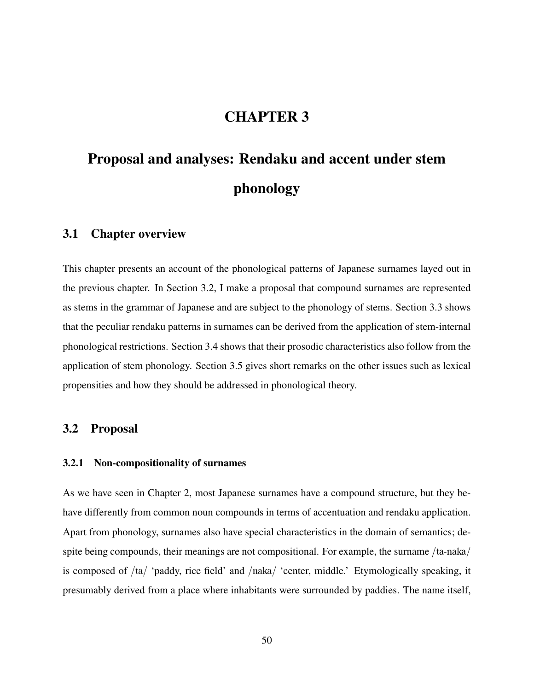# CHAPTER 3

# Proposal and analyses: Rendaku and accent under stem phonology

#### 3.1 Chapter overview

This chapter presents an account of the phonological patterns of Japanese surnames layed out in the previous chapter. In Section 3.2, I make a proposal that compound surnames are represented as stems in the grammar of Japanese and are subject to the phonology of stems. Section 3.3 shows that the peculiar rendaku patterns in surnames can be derived from the application of stem-internal phonological restrictions. Section 3.4 shows that their prosodic characteristics also follow from the application of stem phonology. Section 3.5 gives short remarks on the other issues such as lexical propensities and how they should be addressed in phonological theory.

# 3.2 Proposal

#### 3.2.1 Non-compositionality of surnames

As we have seen in Chapter 2, most Japanese surnames have a compound structure, but they behave differently from common noun compounds in terms of accentuation and rendaku application. Apart from phonology, surnames also have special characteristics in the domain of semantics; despite being compounds, their meanings are not compositional. For example, the surname /ta-naka/ is composed of /ta/ 'paddy, rice field' and /naka/ 'center, middle.' Etymologically speaking, it presumably derived from a place where inhabitants were surrounded by paddies. The name itself,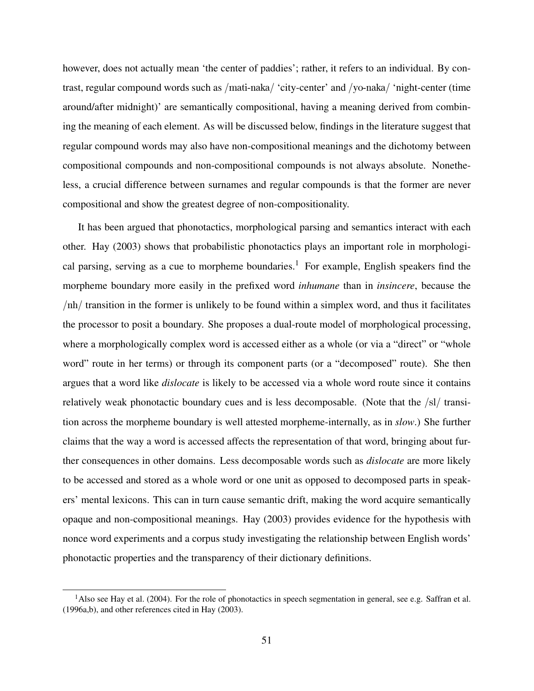however, does not actually mean 'the center of paddies'; rather, it refers to an individual. By contrast, regular compound words such as /mati-naka/ 'city-center' and /yo-naka/ 'night-center (time around/after midnight)' are semantically compositional, having a meaning derived from combining the meaning of each element. As will be discussed below, findings in the literature suggest that regular compound words may also have non-compositional meanings and the dichotomy between compositional compounds and non-compositional compounds is not always absolute. Nonetheless, a crucial difference between surnames and regular compounds is that the former are never compositional and show the greatest degree of non-compositionality.

It has been argued that phonotactics, morphological parsing and semantics interact with each other. Hay (2003) shows that probabilistic phonotactics plays an important role in morphological parsing, serving as a cue to morpheme boundaries.<sup>1</sup> For example, English speakers find the morpheme boundary more easily in the prefixed word *inhumane* than in *insincere*, because the /nh/ transition in the former is unlikely to be found within a simplex word, and thus it facilitates the processor to posit a boundary. She proposes a dual-route model of morphological processing, where a morphologically complex word is accessed either as a whole (or via a "direct" or "whole word" route in her terms) or through its component parts (or a "decomposed" route). She then argues that a word like *dislocate* is likely to be accessed via a whole word route since it contains relatively weak phonotactic boundary cues and is less decomposable. (Note that the /sl/ transition across the morpheme boundary is well attested morpheme-internally, as in *slow*.) She further claims that the way a word is accessed affects the representation of that word, bringing about further consequences in other domains. Less decomposable words such as *dislocate* are more likely to be accessed and stored as a whole word or one unit as opposed to decomposed parts in speakers' mental lexicons. This can in turn cause semantic drift, making the word acquire semantically opaque and non-compositional meanings. Hay (2003) provides evidence for the hypothesis with nonce word experiments and a corpus study investigating the relationship between English words' phonotactic properties and the transparency of their dictionary definitions.

 $<sup>1</sup>$ Also see Hay et al. (2004). For the role of phonotactics in speech segmentation in general, see e.g. Saffran et al.</sup> (1996a,b), and other references cited in Hay (2003).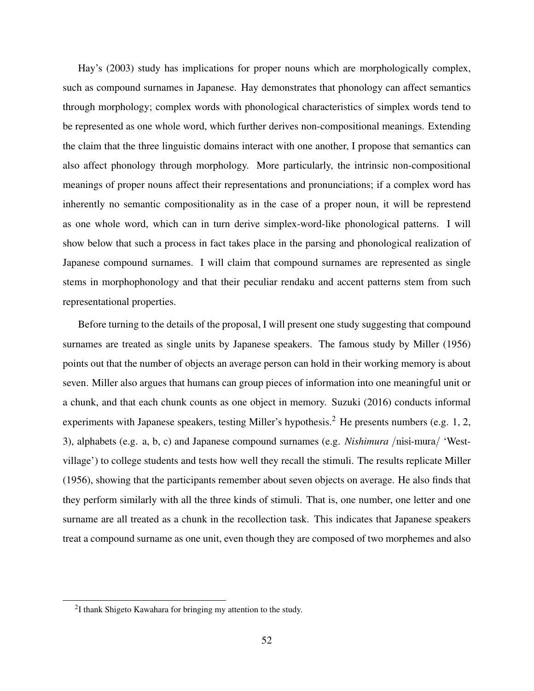Hay's (2003) study has implications for proper nouns which are morphologically complex, such as compound surnames in Japanese. Hay demonstrates that phonology can affect semantics through morphology; complex words with phonological characteristics of simplex words tend to be represented as one whole word, which further derives non-compositional meanings. Extending the claim that the three linguistic domains interact with one another, I propose that semantics can also affect phonology through morphology. More particularly, the intrinsic non-compositional meanings of proper nouns affect their representations and pronunciations; if a complex word has inherently no semantic compositionality as in the case of a proper noun, it will be represtend as one whole word, which can in turn derive simplex-word-like phonological patterns. I will show below that such a process in fact takes place in the parsing and phonological realization of Japanese compound surnames. I will claim that compound surnames are represented as single stems in morphophonology and that their peculiar rendaku and accent patterns stem from such representational properties.

Before turning to the details of the proposal, I will present one study suggesting that compound surnames are treated as single units by Japanese speakers. The famous study by Miller (1956) points out that the number of objects an average person can hold in their working memory is about seven. Miller also argues that humans can group pieces of information into one meaningful unit or a chunk, and that each chunk counts as one object in memory. Suzuki (2016) conducts informal experiments with Japanese speakers, testing Miller's hypothesis.<sup>2</sup> He presents numbers (e.g. 1, 2, 3), alphabets (e.g. a, b, c) and Japanese compound surnames (e.g. *Nishimura* /nisi-mura/ 'Westvillage') to college students and tests how well they recall the stimuli. The results replicate Miller (1956), showing that the participants remember about seven objects on average. He also finds that they perform similarly with all the three kinds of stimuli. That is, one number, one letter and one surname are all treated as a chunk in the recollection task. This indicates that Japanese speakers treat a compound surname as one unit, even though they are composed of two morphemes and also

 $2I$  thank Shigeto Kawahara for bringing my attention to the study.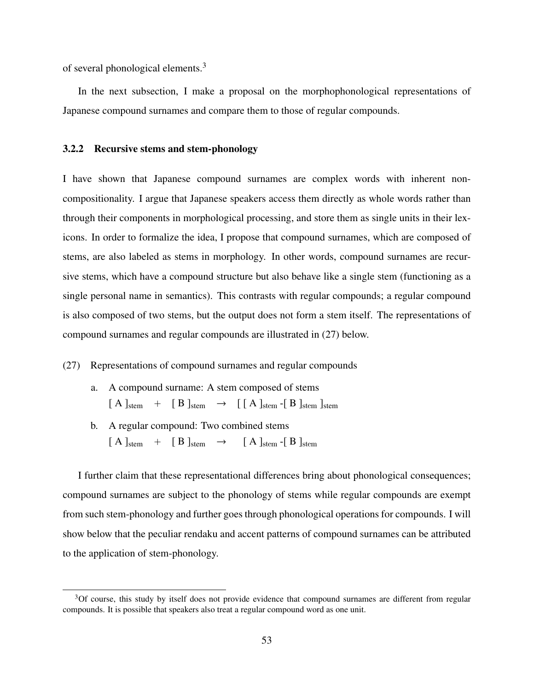of several phonological elements.<sup>3</sup>

In the next subsection, I make a proposal on the morphophonological representations of Japanese compound surnames and compare them to those of regular compounds.

#### 3.2.2 Recursive stems and stem-phonology

I have shown that Japanese compound surnames are complex words with inherent noncompositionality. I argue that Japanese speakers access them directly as whole words rather than through their components in morphological processing, and store them as single units in their lexicons. In order to formalize the idea, I propose that compound surnames, which are composed of stems, are also labeled as stems in morphology. In other words, compound surnames are recursive stems, which have a compound structure but also behave like a single stem (functioning as a single personal name in semantics). This contrasts with regular compounds; a regular compound is also composed of two stems, but the output does not form a stem itself. The representations of compound surnames and regular compounds are illustrated in (27) below.

#### (27) Representations of compound surnames and regular compounds

- a. A compound surname: A stem composed of stems  $[A]_{stem}$  +  $[B]_{stem}$   $\rightarrow$   $[A]_{stem}$  -[B]<sub>stem</sub> ]<sub>stem</sub> ]<sub>stem</sub>
- b. A regular compound: Two combined stems  $[A]_{stem}$  +  $[B]_{stem}$   $\rightarrow$   $[A]_{stem}$  -[B]<sub>stem</sub>

I further claim that these representational differences bring about phonological consequences; compound surnames are subject to the phonology of stems while regular compounds are exempt from such stem-phonology and further goes through phonological operations for compounds. I will show below that the peculiar rendaku and accent patterns of compound surnames can be attributed to the application of stem-phonology.

<sup>&</sup>lt;sup>3</sup>Of course, this study by itself does not provide evidence that compound surnames are different from regular compounds. It is possible that speakers also treat a regular compound word as one unit.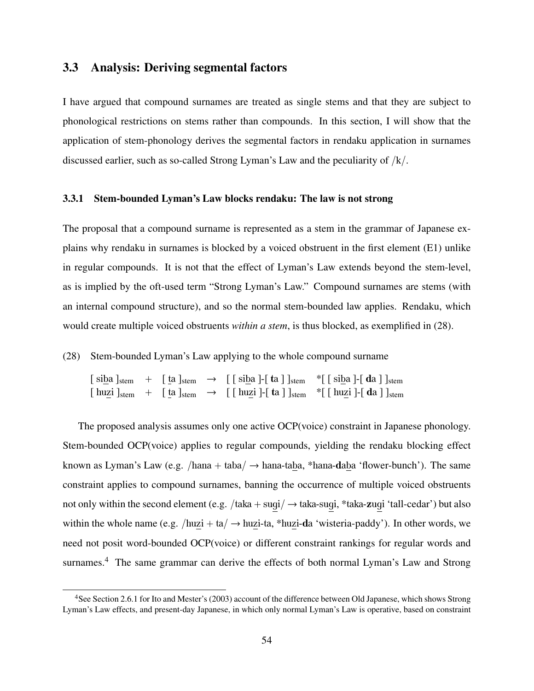## 3.3 Analysis: Deriving segmental factors

I have argued that compound surnames are treated as single stems and that they are subject to phonological restrictions on stems rather than compounds. In this section, I will show that the application of stem-phonology derives the segmental factors in rendaku application in surnames discussed earlier, such as so-called Strong Lyman's Law and the peculiarity of /k/.

#### 3.3.1 Stem-bounded Lyman's Law blocks rendaku: The law is not strong

The proposal that a compound surname is represented as a stem in the grammar of Japanese explains why rendaku in surnames is blocked by a voiced obstruent in the first element (E1) unlike in regular compounds. It is not that the effect of Lyman's Law extends beyond the stem-level, as is implied by the oft-used term "Strong Lyman's Law." Compound surnames are stems (with an internal compound structure), and so the normal stem-bounded law applies. Rendaku, which would create multiple voiced obstruents *within a stem*, is thus blocked, as exemplified in (28).

(28) Stem-bounded Lyman's Law applying to the whole compound surname

 $[siba]_{stem} + [ta]_{stem} \rightarrow [[siba] - [ta]]_{stem} *[[siba] - [da]]_{stem}$  $\lceil$  huzi  $\vert_{\text{stem}}$  +  $\lceil$  ta  $\vert_{\text{stem}}$   $\rightarrow$   $\lceil$   $\lceil$  huzi  $\rceil$ - $\lceil$  ta  $\rceil$   $\vert_{\text{stem}}$  \* $\lceil$  huzi  $\rceil$ - $\lceil$  da  $\rceil$   $\vert_{\text{stem}}$ 

The proposed analysis assumes only one active OCP(voice) constraint in Japanese phonology. Stem-bounded OCP(voice) applies to regular compounds, yielding the rendaku blocking effect known as Lyman's Law (e.g. /hana + taba/  $\rightarrow$  hana-taba, \*hana-daba 'flower-bunch'). The same constraint applies to compound surnames, banning the occurrence of multiple voiced obstruents not only within the second element (e.g. /taka + sugi/ → taka-sugi, \*taka-zugi 'tall-cedar') but also within the whole name (e.g. /huzi + ta/  $\rightarrow$  huzi-ta, \*huzi-da 'wisteria-paddy'). In other words, we need not posit word-bounded OCP(voice) or different constraint rankings for regular words and surnames.<sup>4</sup> The same grammar can derive the effects of both normal Lyman's Law and Strong

<sup>&</sup>lt;sup>4</sup>See Section 2.6.1 for Ito and Mester's (2003) account of the difference between Old Japanese, which shows Strong Lyman's Law effects, and present-day Japanese, in which only normal Lyman's Law is operative, based on constraint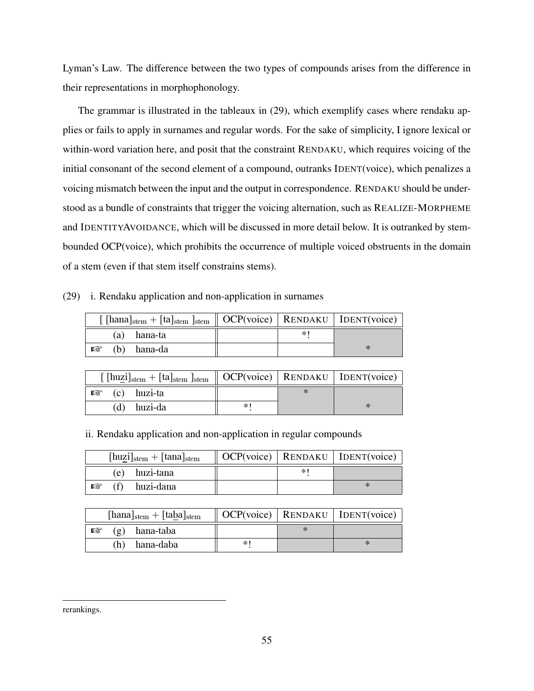Lyman's Law. The difference between the two types of compounds arises from the difference in their representations in morphophonology.

The grammar is illustrated in the tableaux in (29), which exemplify cases where rendaku applies or fails to apply in surnames and regular words. For the sake of simplicity, I ignore lexical or within-word variation here, and posit that the constraint RENDAKU, which requires voicing of the initial consonant of the second element of a compound, outranks IDENT(voice), which penalizes a voicing mismatch between the input and the output in correspondence. RENDAKU should be understood as a bundle of constraints that trigger the voicing alternation, such as REALIZE-MORPHEME and IDENTITYAVOIDANCE, which will be discussed in more detail below. It is outranked by stembounded OCP(voice), which prohibits the occurrence of multiple voiced obstruents in the domain of a stem (even if that stem itself constrains stems).

(29) i. Rendaku application and non-application in surnames

| $\left[ \text{[hana]}_{stem} + \text{[ta]}_{stem} \text{]}_{stem} \right]$ OCP(voice)   RENDAKU   IDENT(voice) |  |  |
|----------------------------------------------------------------------------------------------------------------|--|--|
| (a) hana-ta                                                                                                    |  |  |
| $\mathbb{R}$ (b) hana-da                                                                                       |  |  |

| $\left[$ [huzi] <sub>stem</sub> + [ta] <sub>stem</sub> ] <sub>stem</sub>    OCP(voice)   RENDAKU   IDENT(voice) |    |  |
|-----------------------------------------------------------------------------------------------------------------|----|--|
| $\mathbb{R}$ (c) huzi-ta                                                                                        |    |  |
| $(d)$ huzi-da                                                                                                   | ∗∣ |  |

ii. Rendaku application and non-application in regular compounds

| $[\text{huzi}]_{\text{stem}} + [\text{tana}]_{\text{stem}}$ |    | $OCP(voice)$ RENDAKU   IDENT(voice) |
|-------------------------------------------------------------|----|-------------------------------------|
| (e) huzi-tana                                               | *' |                                     |
| $\mathbb{R}$ (f) huzi-dana                                  |    | ∗                                   |

| $[\text{hana}]_{\text{stem}} + [\text{taba}]_{\text{stem}}$ |    | $OCP(voice)$ RENDAKU   IDENT(voice) |
|-------------------------------------------------------------|----|-------------------------------------|
| (g) hana-taba<br>隐                                          |    |                                     |
| hana-daba<br>(h)                                            | *∣ |                                     |

rerankings.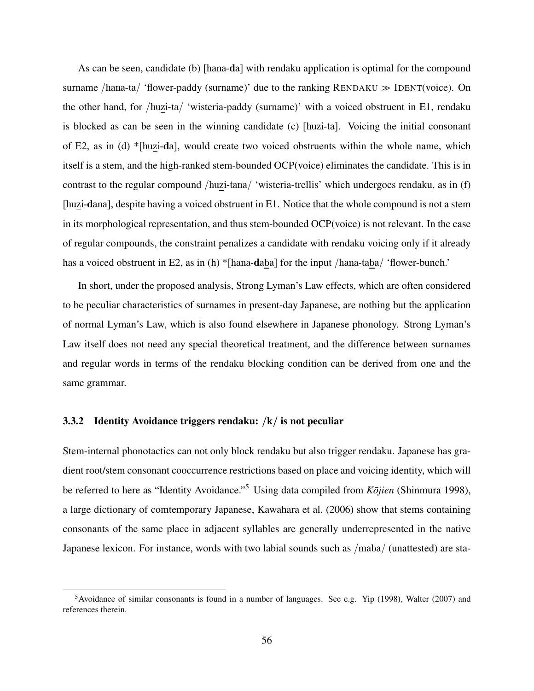As can be seen, candidate (b) [hana-da] with rendaku application is optimal for the compound surname /hana-ta/ 'flower-paddy (surname)' due to the ranking  $RENDAKU \gg IDENT$  [DENT(voice). On the other hand, for /huzi-ta/ 'wisteria-paddy (surname)' with a voiced obstruent in E1, rendaku is blocked as can be seen in the winning candidate (c) [huzi-ta]. Voicing the initial consonant of E2, as in (d) \*[huzi-da], would create two voiced obstruents within the whole name, which itself is a stem, and the high-ranked stem-bounded OCP(voice) eliminates the candidate. This is in contrast to the regular compound /huzi-tana/ 'wisteria-trellis' which undergoes rendaku, as in (f) [huzi-dana], despite having a voiced obstruent in E1. Notice that the whole compound is not a stem in its morphological representation, and thus stem-bounded OCP(voice) is not relevant. In the case of regular compounds, the constraint penalizes a candidate with rendaku voicing only if it already has a voiced obstruent in E2, as in (h) \*[hana-daba] for the input /hana-taba/ 'flower-bunch.'

In short, under the proposed analysis, Strong Lyman's Law effects, which are often considered to be peculiar characteristics of surnames in present-day Japanese, are nothing but the application of normal Lyman's Law, which is also found elsewhere in Japanese phonology. Strong Lyman's Law itself does not need any special theoretical treatment, and the difference between surnames and regular words in terms of the rendaku blocking condition can be derived from one and the same grammar.

### 3.3.2 Identity Avoidance triggers rendaku:  $/k /$  is not peculiar

Stem-internal phonotactics can not only block rendaku but also trigger rendaku. Japanese has gradient root/stem consonant cooccurrence restrictions based on place and voicing identity, which will be referred to here as "Identity Avoidance."<sup>5</sup> Using data compiled from *Kojien (Shinmura 1998)*, a large dictionary of comtemporary Japanese, Kawahara et al. (2006) show that stems containing consonants of the same place in adjacent syllables are generally underrepresented in the native Japanese lexicon. For instance, words with two labial sounds such as /maba/ (unattested) are sta-

<sup>&</sup>lt;sup>5</sup>Avoidance of similar consonants is found in a number of languages. See e.g. Yip (1998), Walter (2007) and references therein.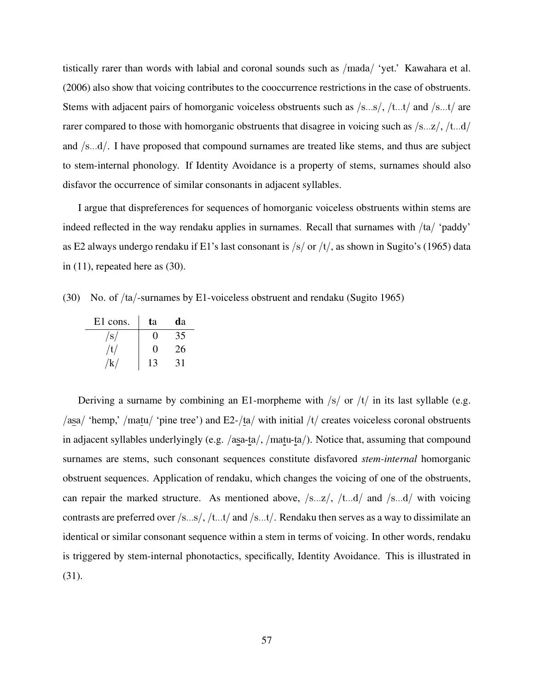tistically rarer than words with labial and coronal sounds such as /mada/ 'yet.' Kawahara et al. (2006) also show that voicing contributes to the cooccurrence restrictions in the case of obstruents. Stems with adjacent pairs of homorganic voiceless obstruents such as /s...s/, /t...t/ and /s...t/ are rarer compared to those with homorganic obstruents that disagree in voicing such as  $\sqrt{s...z}$ ,  $\sqrt{t...d}$ and /s...d/. I have proposed that compound surnames are treated like stems, and thus are subject to stem-internal phonology. If Identity Avoidance is a property of stems, surnames should also disfavor the occurrence of similar consonants in adjacent syllables.

I argue that dispreferences for sequences of homorganic voiceless obstruents within stems are indeed reflected in the way rendaku applies in surnames. Recall that surnames with /ta/ 'paddy' as E2 always undergo rendaku if E1's last consonant is  $\frac{s}{r}$  or  $\frac{t}{t}$ , as shown in Sugito's (1965) data in  $(11)$ , repeated here as  $(30)$ .

(30) No. of /ta/-surnames by E1-voiceless obstruent and rendaku (Sugito 1965)

| E1 cons. | ta                | da |
|----------|-------------------|----|
| /s/      | 0                 | 35 |
| /t/      | $\mathbf{\Omega}$ | 26 |
| k/       | 13                | 31 |

Deriving a surname by combining an E1-morpheme with  $/s/$  or  $/t/$  in its last syllable (e.g. /asa/ 'hemp,' /matu/ 'pine tree') and  $E2$ -/ta/ with initial /t/ creates voiceless coronal obstruents in adjacent syllables underlyingly (e.g. /asa-ta/, /matu-ta/). Notice that, assuming that compound surnames are stems, such consonant sequences constitute disfavored *stem-internal* homorganic obstruent sequences. Application of rendaku, which changes the voicing of one of the obstruents, can repair the marked structure. As mentioned above, /s...z/, /t...d/ and /s...d/ with voicing contrasts are preferred over /s...s/, /t...t/ and /s...t/. Rendaku then serves as a way to dissimilate an identical or similar consonant sequence within a stem in terms of voicing. In other words, rendaku is triggered by stem-internal phonotactics, specifically, Identity Avoidance. This is illustrated in (31).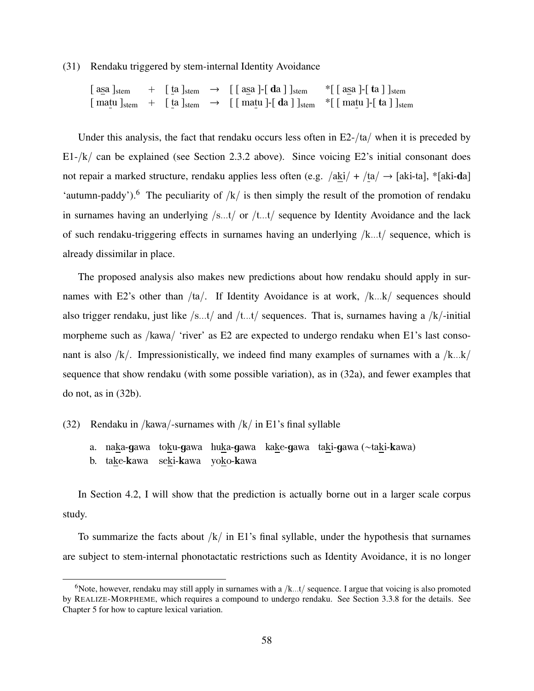(31) Rendaku triggered by stem-internal Identity Avoidance

 $[a \le a]_{stem}$  +  $[\underline{t}a]_{stem}$   $\rightarrow$   $[\underline{a} \le a]$ - $[\underline{d}a]$ <sub>stem</sub> \* $[\underline{a} \le a]$ - $[\underline{t}a]$ <sub>stem</sub>  $\lceil \text{matu} \rceil_{\text{stem}} \rceil$   $+ \lceil \text{ta} \rceil_{\text{stem}} \rceil$   $\rightarrow \lceil \lceil \text{matu} \rceil \rceil_{\text{star}}$   $\lceil \text{matu} \rceil \rceil_{\text{star}}$ 

Under this analysis, the fact that rendaku occurs less often in  $E2 - \frac{1}{a}$  when it is preceded by  $E1-[k]$  can be explained (see Section 2.3.2 above). Since voicing E2's initial consonant does not repair a marked structure, rendaku applies less often (e.g. /aki/ + /ta/  $\rightarrow$  [aki-ta], \*[aki-da] 'autumn-paddy').<sup>6</sup> The peculiarity of  $/k/$  is then simply the result of the promotion of rendaku in surnames having an underlying  $/s...t/$  or  $/t...t/$  sequence by Identity Avoidance and the lack of such rendaku-triggering effects in surnames having an underlying /k...t/ sequence, which is already dissimilar in place.

The proposed analysis also makes new predictions about how rendaku should apply in surnames with E2's other than  $/ta/$ . If Identity Avoidance is at work,  $/k...k/$  sequences should also trigger rendaku, just like  $/s...t/$  and  $/t...t/$  sequences. That is, surnames having a  $/k/$ -initial morpheme such as /kawa/ 'river' as E2 are expected to undergo rendaku when E1's last consonant is also  $/k$ . Impressionistically, we indeed find many examples of surnames with a  $/k...k/$ sequence that show rendaku (with some possible variation), as in (32a), and fewer examples that do not, as in (32b).

### (32) Rendaku in /kawa/-surnames with  $/k/$  in E1's final syllable

- a. naka-gawa toku-gawa huka-gawa kake-gawa taki-gawa (∼taki-kawa)
- b. take-kawa seki-kawa yoko-kawa

In Section 4.2, I will show that the prediction is actually borne out in a larger scale corpus study.

To summarize the facts about  $/k/$  in E1's final syllable, under the hypothesis that surnames are subject to stem-internal phonotactatic restrictions such as Identity Avoidance, it is no longer

<sup>&</sup>lt;sup>6</sup>Note, however, rendaku may still apply in surnames with a  $/k...t/$  sequence. I argue that voicing is also promoted by REALIZE-MORPHEME, which requires a compound to undergo rendaku. See Section 3.3.8 for the details. See Chapter 5 for how to capture lexical variation.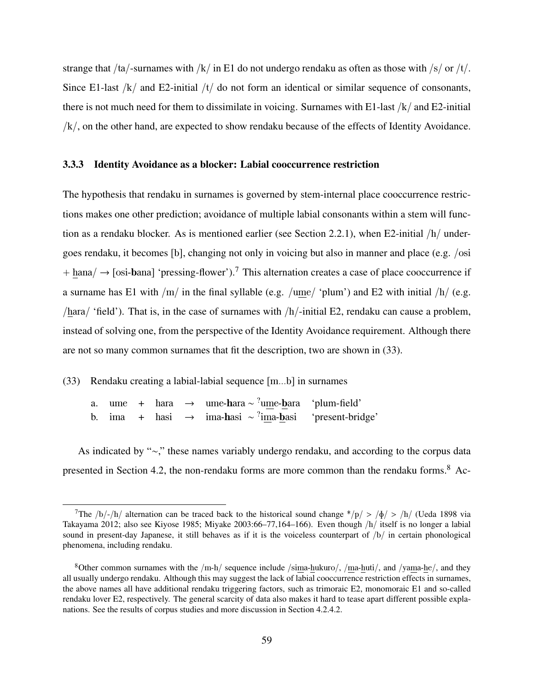strange that /ta/-surnames with /k/ in E1 do not undergo rendaku as often as those with /s/ or /t/. Since E1-last  $/k/$  and E2-initial  $/t/$  do not form an identical or similar sequence of consonants, there is not much need for them to dissimilate in voicing. Surnames with E1-last  $/k/$  and E2-initial /k/, on the other hand, are expected to show rendaku because of the effects of Identity Avoidance.

### 3.3.3 Identity Avoidance as a blocker: Labial cooccurrence restriction

The hypothesis that rendaku in surnames is governed by stem-internal place cooccurrence restrictions makes one other prediction; avoidance of multiple labial consonants within a stem will function as a rendaku blocker. As is mentioned earlier (see Section 2.2.1), when E2-initial /h/ undergoes rendaku, it becomes [b], changing not only in voicing but also in manner and place (e.g. /osi  $+$  hana/  $\rightarrow$  [osi-bana] 'pressing-flower').<sup>7</sup> This alternation creates a case of place cooccurrence if a surname has E1 with  $/m/$  in the final syllable (e.g. /ume/ 'plum') and E2 with initial  $/h/$  (e.g. /hara/ 'field'). That is, in the case of surnames with  $/h$ -initial E2, rendaku can cause a problem, instead of solving one, from the perspective of the Identity Avoidance requirement. Although there are not so many common surnames that fit the description, two are shown in (33).

### (33) Rendaku creating a labial-labial sequence [m...b] in surnames

a. ume + hara → ume-hara  $\sim$  <sup>?</sup>ume-bara 'plum-field' b. ima + hasi → ima-hasi  $\sim$ <sup>?</sup> 'present-bridge'

As indicated by "∼," these names variably undergo rendaku, and according to the corpus data presented in Section 4.2, the non-rendaku forms are more common than the rendaku forms.<sup>8</sup> Ac-

<sup>&</sup>lt;sup>7</sup>The /b/-/h/ alternation can be traced back to the historical sound change \*/p/ > / $\phi$ / > /h/ (Ueda 1898 via Takayama 2012; also see Kiyose 1985; Miyake 2003:66–77,164–166). Even though /h/ itself is no longer a labial sound in present-day Japanese, it still behaves as if it is the voiceless counterpart of /b/ in certain phonological phenomena, including rendaku.

<sup>&</sup>lt;sup>8</sup>Other common surnames with the /m-h/ sequence include /sima-hukuro/, /ma-huti/, and /yama-he/, and they all usually undergo rendaku. Although this may suggest the lack of labial cooccurrence restriction effects in surnames, the above names all have additional rendaku triggering factors, such as trimoraic E2, monomoraic E1 and so-called rendaku lover E2, respectively. The general scarcity of data also makes it hard to tease apart different possible explanations. See the results of corpus studies and more discussion in Section 4.2.4.2.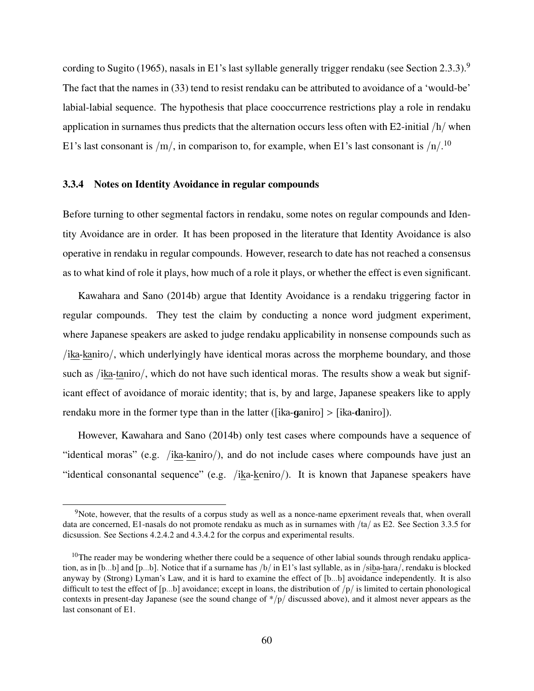cording to Sugito (1965), nasals in E1's last syllable generally trigger rendaku (see Section 2.3.3).<sup>9</sup> The fact that the names in (33) tend to resist rendaku can be attributed to avoidance of a 'would-be' labial-labial sequence. The hypothesis that place cooccurrence restrictions play a role in rendaku application in surnames thus predicts that the alternation occurs less often with E2-initial /h/ when E1's last consonant is  $/m/$ , in comparison to, for example, when E1's last consonant is  $/n/$ .<sup>10</sup>

### 3.3.4 Notes on Identity Avoidance in regular compounds

Before turning to other segmental factors in rendaku, some notes on regular compounds and Identity Avoidance are in order. It has been proposed in the literature that Identity Avoidance is also operative in rendaku in regular compounds. However, research to date has not reached a consensus as to what kind of role it plays, how much of a role it plays, or whether the effect is even significant.

Kawahara and Sano (2014b) argue that Identity Avoidance is a rendaku triggering factor in regular compounds. They test the claim by conducting a nonce word judgment experiment, where Japanese speakers are asked to judge rendaku applicability in nonsense compounds such as /ika-kaniro/, which underlyingly have identical moras across the morpheme boundary, and those such as /ika-taniro/, which do not have such identical moras. The results show a weak but significant effect of avoidance of moraic identity; that is, by and large, Japanese speakers like to apply rendaku more in the former type than in the latter ([ika-ganiro] > [ika-daniro]).

However, Kawahara and Sano (2014b) only test cases where compounds have a sequence of "identical moras" (e.g. /ika-kaniro/), and do not include cases where compounds have just an "identical consonantal sequence" (e.g. /ika-keniro/). It is known that Japanese speakers have

<sup>&</sup>lt;sup>9</sup>Note, however, that the results of a corpus study as well as a nonce-name epxeriment reveals that, when overall data are concerned, E1-nasals do not promote rendaku as much as in surnames with /ta/ as E2. See Section 3.3.5 for dicsussion. See Sections 4.2.4.2 and 4.3.4.2 for the corpus and experimental results.

 $10$ The reader may be wondering whether there could be a sequence of other labial sounds through rendaku application, as in [b...b] and [p...b]. Notice that if a surname has /b/ in E1's last syllable, as in /siba-hara/, rendaku is blocked anyway by (Strong) Lyman's Law, and it is hard to examine the effect of [b...b] avoidance independently. It is also difficult to test the effect of  $[p...b]$  avoidance; except in loans, the distribution of  $/p/$  is limited to certain phonological contexts in present-day Japanese (see the sound change of \*/p/ discussed above), and it almost never appears as the last consonant of E1.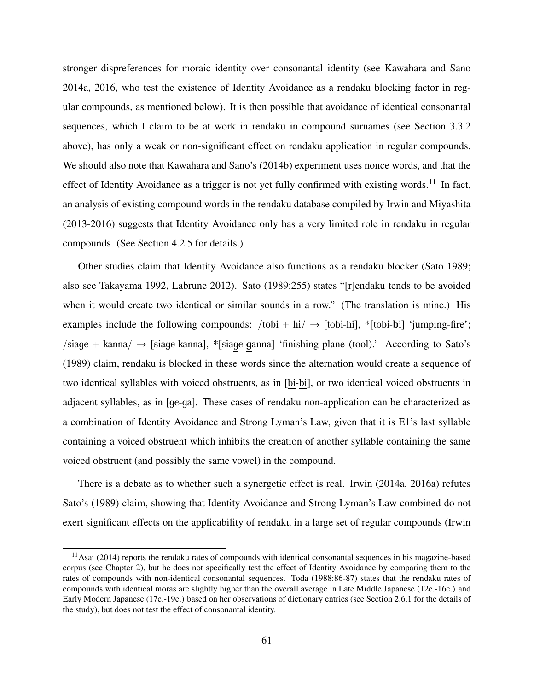stronger dispreferences for moraic identity over consonantal identity (see Kawahara and Sano 2014a, 2016, who test the existence of Identity Avoidance as a rendaku blocking factor in regular compounds, as mentioned below). It is then possible that avoidance of identical consonantal sequences, which I claim to be at work in rendaku in compound surnames (see Section 3.3.2 above), has only a weak or non-significant effect on rendaku application in regular compounds. We should also note that Kawahara and Sano's (2014b) experiment uses nonce words, and that the effect of Identity Avoidance as a trigger is not yet fully confirmed with existing words.<sup>11</sup> In fact, an analysis of existing compound words in the rendaku database compiled by Irwin and Miyashita (2013-2016) suggests that Identity Avoidance only has a very limited role in rendaku in regular compounds. (See Section 4.2.5 for details.)

Other studies claim that Identity Avoidance also functions as a rendaku blocker (Sato 1989; also see Takayama 1992, Labrune 2012). Sato (1989:255) states "[r]endaku tends to be avoided when it would create two identical or similar sounds in a row." (The translation is mine.) His examples include the following compounds:  $/$ tobi + hi $/$   $\rightarrow$  [tobi-hi], \*[tobi-bi] 'jumping-fire';  $\sin(\theta)$  + kanna $\sin(\theta)$  + [siage-kanna], \*[siage-ganna] 'finishing-plane (tool).' According to Sato's (1989) claim, rendaku is blocked in these words since the alternation would create a sequence of two identical syllables with voiced obstruents, as in [bi-bi], or two identical voiced obstruents in adjacent syllables, as in [ge-ga]. These cases of rendaku non-application can be characterized as a combination of Identity Avoidance and Strong Lyman's Law, given that it is E1's last syllable containing a voiced obstruent which inhibits the creation of another syllable containing the same voiced obstruent (and possibly the same vowel) in the compound.

There is a debate as to whether such a synergetic effect is real. Irwin (2014a, 2016a) refutes Sato's (1989) claim, showing that Identity Avoidance and Strong Lyman's Law combined do not exert significant effects on the applicability of rendaku in a large set of regular compounds (Irwin

 $11$ Asai (2014) reports the rendaku rates of compounds with identical consonantal sequences in his magazine-based corpus (see Chapter 2), but he does not specifically test the effect of Identity Avoidance by comparing them to the rates of compounds with non-identical consonantal sequences. Toda (1988:86-87) states that the rendaku rates of compounds with identical moras are slightly higher than the overall average in Late Middle Japanese (12c.-16c.) and Early Modern Japanese (17c.-19c.) based on her observations of dictionary entries (see Section 2.6.1 for the details of the study), but does not test the effect of consonantal identity.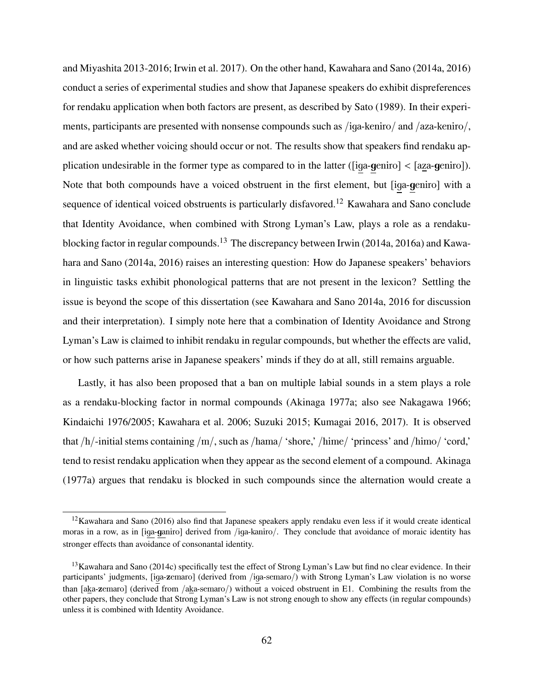and Miyashita 2013-2016; Irwin et al. 2017). On the other hand, Kawahara and Sano (2014a, 2016) conduct a series of experimental studies and show that Japanese speakers do exhibit dispreferences for rendaku application when both factors are present, as described by Sato (1989). In their experiments, participants are presented with nonsense compounds such as /iga-keniro/ and /aza-keniro/, and are asked whether voicing should occur or not. The results show that speakers find rendaku application undesirable in the former type as compared to in the latter ([iga-geniro] < [aza-geniro]). Note that both compounds have a voiced obstruent in the first element, but [iga-geniro] with a sequence of identical voiced obstruents is particularly disfavored.<sup>12</sup> Kawahara and Sano conclude that Identity Avoidance, when combined with Strong Lyman's Law, plays a role as a rendakublocking factor in regular compounds.<sup>13</sup> The discrepancy between Irwin (2014a, 2016a) and Kawahara and Sano (2014a, 2016) raises an interesting question: How do Japanese speakers' behaviors in linguistic tasks exhibit phonological patterns that are not present in the lexicon? Settling the issue is beyond the scope of this dissertation (see Kawahara and Sano 2014a, 2016 for discussion and their interpretation). I simply note here that a combination of Identity Avoidance and Strong Lyman's Law is claimed to inhibit rendaku in regular compounds, but whether the effects are valid, or how such patterns arise in Japanese speakers' minds if they do at all, still remains arguable.

Lastly, it has also been proposed that a ban on multiple labial sounds in a stem plays a role as a rendaku-blocking factor in normal compounds (Akinaga 1977a; also see Nakagawa 1966; Kindaichi 1976/2005; Kawahara et al. 2006; Suzuki 2015; Kumagai 2016, 2017). It is observed that /h/-initial stems containing /m/, such as /hama/ 'shore,' /hime/ 'princess' and /himo/ 'cord,' tend to resist rendaku application when they appear as the second element of a compound. Akinaga (1977a) argues that rendaku is blocked in such compounds since the alternation would create a

<sup>&</sup>lt;sup>12</sup>Kawahara and Sano (2016) also find that Japanese speakers apply rendaku even less if it would create identical moras in a row, as in [iga-ganiro] derived from /iga-kaniro/. They conclude that avoidance of moraic identity has stronger effects than avoidance of consonantal identity.

<sup>&</sup>lt;sup>13</sup>Kawahara and Sano (2014c) specifically test the effect of Strong Lyman's Law but find no clear evidence. In their participants' judgments, [iga-zemaro] (derived from /iga-semaro/) with Strong Lyman's Law violation is no worse than [aka-zemaro] (derived from /aka-semaro/) without a voiced obstruent in E1. Combining the results from the other papers, they conclude that Strong Lyman's Law is not strong enough to show any effects (in regular compounds) unless it is combined with Identity Avoidance.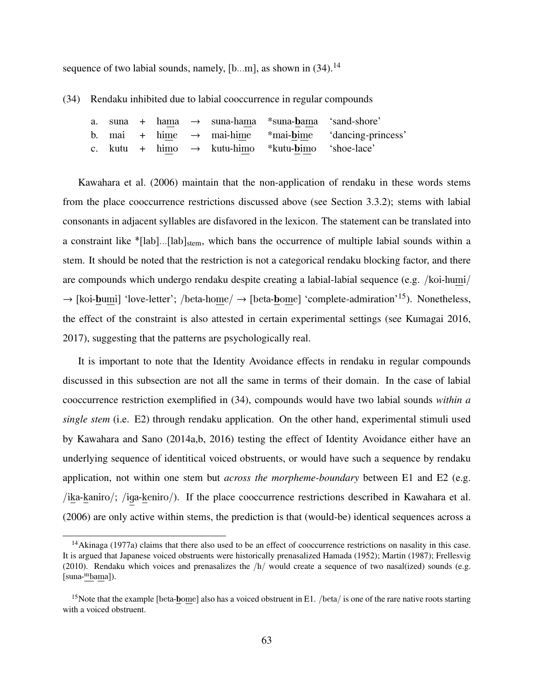sequence of two labial sounds, namely,  $[b...m]$ , as shown in  $(34)$ .<sup>14</sup>

(34) Rendaku inhibited due to labial cooccurrence in regular compounds

|  |  |  | a. suna + hama $\rightarrow$ suna-hama *suna-bama 'sand-shore' |                                                                   |
|--|--|--|----------------------------------------------------------------|-------------------------------------------------------------------|
|  |  |  |                                                                | b. mai + hime $\rightarrow$ mai-hime *mai-bime 'dancing-princess' |
|  |  |  | c. kutu + himo $\rightarrow$ kutu-himo *kutu-bimo 'shoe-lace'  |                                                                   |

Kawahara et al. (2006) maintain that the non-application of rendaku in these words stems from the place cooccurrence restrictions discussed above (see Section 3.3.2); stems with labial consonants in adjacent syllables are disfavored in the lexicon. The statement can be translated into a constraint like \*[lab]...[lab]<sub>stem</sub>, which bans the occurrence of multiple labial sounds within a stem. It should be noted that the restriction is not a categorical rendaku blocking factor, and there are compounds which undergo rendaku despite creating a labial-labial sequence (e.g. /koi-humi/  $\rightarrow$  [koi-bumi] 'love-letter'; /beta-home/  $\rightarrow$  [beta-bome] 'complete-admiration'<sup>15</sup>). Nonetheless, the effect of the constraint is also attested in certain experimental settings (see Kumagai 2016, 2017), suggesting that the patterns are psychologically real.

It is important to note that the Identity Avoidance effects in rendaku in regular compounds discussed in this subsection are not all the same in terms of their domain. In the case of labial cooccurrence restriction exemplified in (34), compounds would have two labial sounds *within a single stem* (i.e. E2) through rendaku application. On the other hand, experimental stimuli used by Kawahara and Sano (2014a,b, 2016) testing the effect of Identity Avoidance either have an underlying sequence of identitical voiced obstruents, or would have such a sequence by rendaku application, not within one stem but *across the morpheme-boundary* between E1 and E2 (e.g. /ika-kaniro/; /iga-keniro/). If the place cooccurrence restrictions described in Kawahara et al. (2006) are only active within stems, the prediction is that (would-be) identical sequences across a

<sup>14</sup>Akinaga (1977a) claims that there also used to be an effect of cooccurrence restrictions on nasality in this case. It is argued that Japanese voiced obstruents were historically prenasalized Hamada (1952); Martin (1987); Frellesvig (2010). Rendaku which voices and prenasalizes the  $/h/$  would create a sequence of two nasal(ized) sounds (e.g. [suna-mbama]).

<sup>&</sup>lt;sup>15</sup>Note that the example [beta-bome] also has a voiced obstruent in E1. /beta/ is one of the rare native roots starting with a voiced obstruent.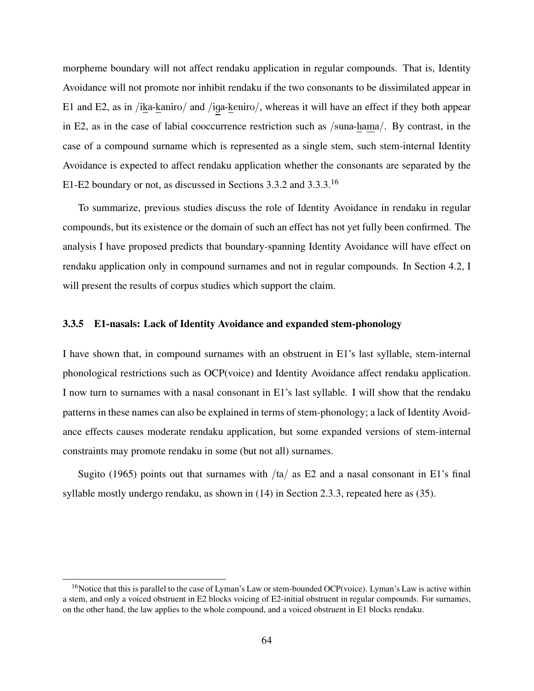morpheme boundary will not affect rendaku application in regular compounds. That is, Identity Avoidance will not promote nor inhibit rendaku if the two consonants to be dissimilated appear in E1 and E2, as in /ika-kaniro/ and /iga-keniro/, whereas it will have an effect if they both appear in E2, as in the case of labial cooccurrence restriction such as /suna-hama/. By contrast, in the case of a compound surname which is represented as a single stem, such stem-internal Identity Avoidance is expected to affect rendaku application whether the consonants are separated by the E1-E2 boundary or not, as discussed in Sections 3.3.2 and 3.3.3.<sup>16</sup>

To summarize, previous studies discuss the role of Identity Avoidance in rendaku in regular compounds, but its existence or the domain of such an effect has not yet fully been confirmed. The analysis I have proposed predicts that boundary-spanning Identity Avoidance will have effect on rendaku application only in compound surnames and not in regular compounds. In Section 4.2, I will present the results of corpus studies which support the claim.

### 3.3.5 E1-nasals: Lack of Identity Avoidance and expanded stem-phonology

I have shown that, in compound surnames with an obstruent in E1's last syllable, stem-internal phonological restrictions such as OCP(voice) and Identity Avoidance affect rendaku application. I now turn to surnames with a nasal consonant in E1's last syllable. I will show that the rendaku patterns in these names can also be explained in terms of stem-phonology; a lack of Identity Avoidance effects causes moderate rendaku application, but some expanded versions of stem-internal constraints may promote rendaku in some (but not all) surnames.

Sugito (1965) points out that surnames with  $/ta/$  as E2 and a nasal consonant in E1's final syllable mostly undergo rendaku, as shown in (14) in Section 2.3.3, repeated here as (35).

<sup>&</sup>lt;sup>16</sup>Notice that this is parallel to the case of Lyman's Law or stem-bounded OCP(voice). Lyman's Law is active within a stem, and only a voiced obstruent in E2 blocks voicing of E2-initial obstruent in regular compounds. For surnames, on the other hand, the law applies to the whole compound, and a voiced obstruent in E1 blocks rendaku.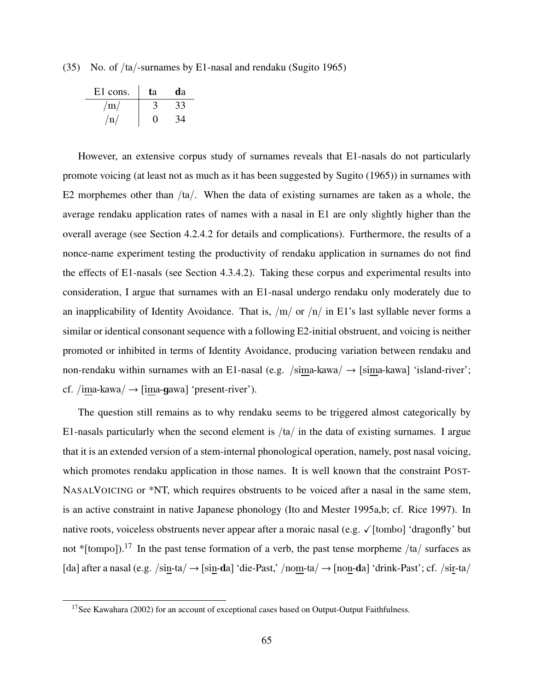(35) No. of /ta/-surnames by E1-nasal and rendaku (Sugito 1965)

| E1 cons. | tа | da |
|----------|----|----|
| /m/      |    | 33 |
| /n/      | 0  |    |

However, an extensive corpus study of surnames reveals that E1-nasals do not particularly promote voicing (at least not as much as it has been suggested by Sugito (1965)) in surnames with E2 morphemes other than  $/ta/$ . When the data of existing surnames are taken as a whole, the average rendaku application rates of names with a nasal in E1 are only slightly higher than the overall average (see Section 4.2.4.2 for details and complications). Furthermore, the results of a nonce-name experiment testing the productivity of rendaku application in surnames do not find the effects of E1-nasals (see Section 4.3.4.2). Taking these corpus and experimental results into consideration, I argue that surnames with an E1-nasal undergo rendaku only moderately due to an inapplicability of Identity Avoidance. That is,  $/m/$  or  $/n/$  in E1's last syllable never forms a similar or identical consonant sequence with a following E2-initial obstruent, and voicing is neither promoted or inhibited in terms of Identity Avoidance, producing variation between rendaku and non-rendaku within surnames with an E1-nasal (e.g. /sima-kawa/  $\rightarrow$  [sima-kawa] 'island-river'; cf. /ima-kawa/  $\rightarrow$  [ima-gawa] 'present-river').

The question still remains as to why rendaku seems to be triggered almost categorically by E1-nasals particularly when the second element is  $/ta/$  in the data of existing surnames. I argue that it is an extended version of a stem-internal phonological operation, namely, post nasal voicing, which promotes rendaku application in those names. It is well known that the constraint POST-NASALVOICING or \*NT, which requires obstruents to be voiced after a nasal in the same stem, is an active constraint in native Japanese phonology (Ito and Mester 1995a,b; cf. Rice 1997). In native roots, voiceless obstruents never appear after a moraic nasal (e.g. ✓[tombo] 'dragonfly' but not \*[tompo]).<sup>17</sup> In the past tense formation of a verb, the past tense morpheme /ta/ surfaces as [da] after a nasal (e.g. /sin-ta/  $\rightarrow$  [sin-da] 'die-Past,' /nom-ta/  $\rightarrow$  [non-da] 'drink-Past'; cf. /sir-ta/

<sup>&</sup>lt;sup>17</sup>See Kawahara (2002) for an account of exceptional cases based on Output-Output Faithfulness.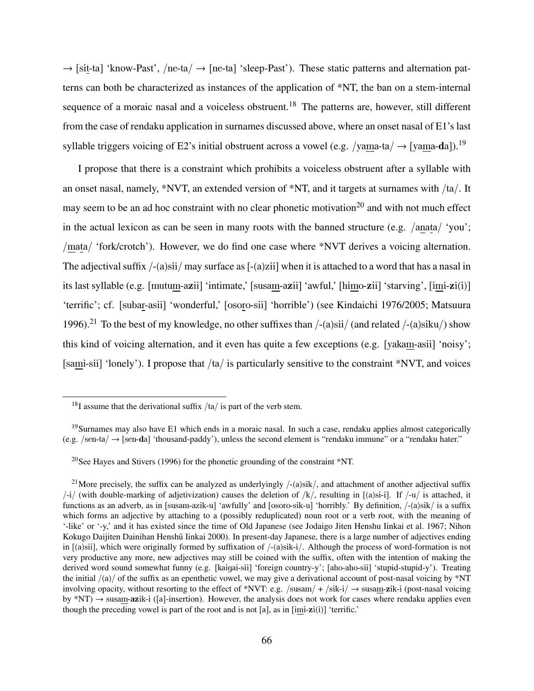$\rightarrow$  [sit-ta] 'know-Past', /ne-ta/  $\rightarrow$  [ne-ta] 'sleep-Past'). These static patterns and alternation patterns can both be characterized as instances of the application of \*NT, the ban on a stem-internal sequence of a moraic nasal and a voiceless obstruent.<sup>18</sup> The patterns are, however, still different from the case of rendaku application in surnames discussed above, where an onset nasal of E1's last syllable triggers voicing of E2's initial obstruent across a vowel (e.g. /yama-ta/  $\rightarrow$  [yama-da]).<sup>19</sup>

I propose that there is a constraint which prohibits a voiceless obstruent after a syllable with an onset nasal, namely, \*NVT, an extended version of \*NT, and it targets at surnames with /ta/. It may seem to be an ad hoc constraint with no clear phonetic motivation<sup>20</sup> and with not much effect in the actual lexicon as can be seen in many roots with the banned structure (e.g. /anata/ 'you'; /mata/ 'fork/crotch'). However, we do find one case where \*NVT derives a voicing alternation. The adjectival suffix  $/-(a)\sin/$  may surface as  $[-(a)zii]$  when it is attached to a word that has a nasal in its last syllable (e.g. [mutum-azii] 'intimate,' [susam-azii] 'awful,' [himo-zii] 'starving', [imi-zi(i)] 'terrific'; cf. [subar-asii] 'wonderful,' [osoro-sii] 'horrible') (see Kindaichi 1976/2005; Matsuura 1996).<sup>21</sup> To the best of my knowledge, no other suffixes than  $/-(a)\sin^2(a)$  (and related  $/-(a)\sin^2(a)$ ) show this kind of voicing alternation, and it even has quite a few exceptions (e.g. [yakam-asii] 'noisy'; [sami-sii] 'lonely'). I propose that /ta/ is particularly sensitive to the constraint \*NVT, and voices

<sup>20</sup>See Hayes and Stivers (1996) for the phonetic grounding of the constraint  $N$ T.

<sup>&</sup>lt;sup>18</sup>I assume that the derivational suffix  $/ta/$  is part of the verb stem.

<sup>&</sup>lt;sup>19</sup>Surnames may also have E1 which ends in a moraic nasal. In such a case, rendaku applies almost categorically (e.g. /sen-ta/ → [sen-da] 'thousand-paddy'), unless the second element is "rendaku immune" or a "rendaku hater."

<sup>&</sup>lt;sup>21</sup>More precisely, the suffix can be analyzed as underlyingly  $/-(a)$ sik $/$ , and attachment of another adjectival suffix  $/$ -i/ (with double-marking of adjetivization) causes the deletion of  $/k/$ , resulting in [(a)si-i]. If  $/$ -u/ is attached, it functions as an adverb, as in [susam-azik-u] 'awfully' and [osoro-sik-u] 'horribly.' By definition, /-(a)sik/ is a suffix which forms an adjective by attaching to a (possibly reduplicated) noun root or a verb root, with the meaning of '-like' or '-y,' and it has existed since the time of Old Japanese (see Jodaigo Jiten Henshu Iinkai et al. 1967; Nihon Kokugo Daijiten Dainihan Henshū Iinkai 2000). In present-day Japanese, there is a large number of adjectives ending in [(a)sii], which were originally formed by suffixation of /-(a)sik-i/. Although the process of word-formation is not very productive any more, new adjectives may still be coined with the suffix, often with the intention of making the derived word sound somewhat funny (e.g. [kaigai-sii] 'foreign country-y'; [aho-aho-sii] 'stupid-stupid-y'). Treating the initial  $/(a)$  of the suffix as an epenthetic vowel, we may give a derivational account of post-nasal voicing by \*NT involving opacity, without resorting to the effect of \*NVT: e.g. /susam/ + /sik-i/  $\rightarrow$  susam-zik-i (post-nasal voicing by  $*NT$ )  $\rightarrow$  susam-**az**ik-i ([a]-insertion). However, the analysis does not work for cases where rendaku applies even though the preceding vowel is part of the root and is not [a], as in [imi-zi(i)] 'terrific.'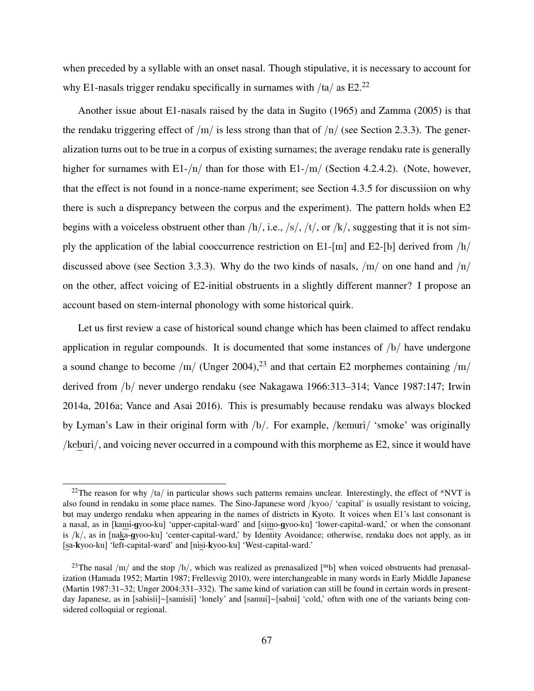when preceded by a syllable with an onset nasal. Though stipulative, it is necessary to account for why E1-nasals trigger rendaku specifically in surnames with  $/ta/$  as E2.<sup>22</sup>

Another issue about E1-nasals raised by the data in Sugito (1965) and Zamma (2005) is that the rendaku triggering effect of  $/m/$  is less strong than that of  $/n/$  (see Section 2.3.3). The generalization turns out to be true in a corpus of existing surnames; the average rendaku rate is generally higher for surnames with E1-/n/ than for those with E1-/m/ (Section 4.2.4.2). (Note, however, that the effect is not found in a nonce-name experiment; see Section 4.3.5 for discussiion on why there is such a disprepancy between the corpus and the experiment). The pattern holds when E2 begins with a voiceless obstruent other than  $/h/$ , i.e.,  $/s/$ ,  $/t/$ , or  $/k/$ , suggesting that it is not simply the application of the labial cooccurrence restriction on E1-[m] and E2-[b] derived from  $/h/$ discussed above (see Section 3.3.3). Why do the two kinds of nasals,  $/m/$  on one hand and  $/n/$ on the other, affect voicing of E2-initial obstruents in a slightly different manner? I propose an account based on stem-internal phonology with some historical quirk.

Let us first review a case of historical sound change which has been claimed to affect rendaku application in regular compounds. It is documented that some instances of /b/ have undergone a sound change to become /m/ (Unger 2004),<sup>23</sup> and that certain E2 morphemes containing /m/ derived from /b/ never undergo rendaku (see Nakagawa 1966:313–314; Vance 1987:147; Irwin 2014a, 2016a; Vance and Asai 2016). This is presumably because rendaku was always blocked by Lyman's Law in their original form with /b/. For example, /kemuri/ 'smoke' was originally /keburi/, and voicing never occurred in a compound with this morpheme as E2, since it would have

<sup>&</sup>lt;sup>22</sup>The reason for why /ta/ in particular shows such patterns remains unclear. Interestingly, the effect of \*NVT is also found in rendaku in some place names. The Sino-Japanese word /kyoo/ 'capital' is usually resistant to voicing, but may undergo rendaku when appearing in the names of districts in Kyoto. It voices when E1's last consonant is a nasal, as in [kami-gyoo-ku] 'upper-capital-ward' and [simo-gyoo-ku] 'lower-capital-ward,' or when the consonant is /k/, as in [naka-gyoo-ku] 'center-capital-ward,' by Identity Avoidance; otherwise, rendaku does not apply, as in [sa-kyoo-ku] 'left-capital-ward' and [nisi-kyoo-ku] 'West-capital-ward.'

<sup>&</sup>lt;sup>23</sup>The nasal  $/m/$  and the stop  $/b/$ , which was realized as prenasalized [<sup>m</sup>b] when voiced obstruents had prenasalization (Hamada 1952; Martin 1987; Frellesvig 2010), were interchangeable in many words in Early Middle Japanese (Martin 1987:31–32; Unger 2004:331–332). The same kind of variation can still be found in certain words in presentday Japanese, as in [sabisii]∼[samisii] 'lonely' and [samui]∼[sabui] 'cold,' often with one of the variants being considered colloquial or regional.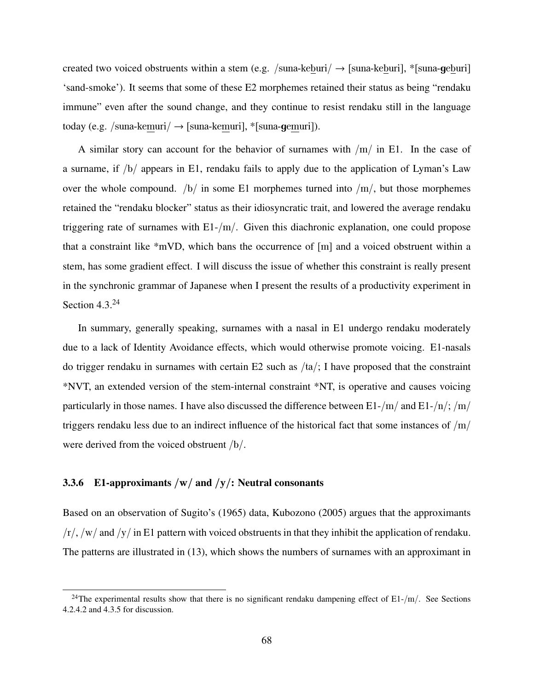created two voiced obstruents within a stem (e.g. /suna-keburi/  $\rightarrow$  [suna-keburi], \*[suna-geburi] 'sand-smoke'). It seems that some of these E2 morphemes retained their status as being "rendaku immune" even after the sound change, and they continue to resist rendaku still in the language today (e.g. /suna-kemuri/  $\rightarrow$  [suna-kemuri], \*[suna-gemuri]).

A similar story can account for the behavior of surnames with  $/m/$  in E1. In the case of a surname, if /b/ appears in E1, rendaku fails to apply due to the application of Lyman's Law over the whole compound.  $/b/$  in some E1 morphemes turned into  $/m/$ , but those morphemes retained the "rendaku blocker" status as their idiosyncratic trait, and lowered the average rendaku triggering rate of surnames with  $E1/(m)$ . Given this diachronic explanation, one could propose that a constraint like \*mVD, which bans the occurrence of [m] and a voiced obstruent within a stem, has some gradient effect. I will discuss the issue of whether this constraint is really present in the synchronic grammar of Japanese when I present the results of a productivity experiment in Section  $4.3^{24}$ 

In summary, generally speaking, surnames with a nasal in E1 undergo rendaku moderately due to a lack of Identity Avoidance effects, which would otherwise promote voicing. E1-nasals do trigger rendaku in surnames with certain E2 such as /ta/; I have proposed that the constraint \*NVT, an extended version of the stem-internal constraint \*NT, is operative and causes voicing particularly in those names. I have also discussed the difference between E1-/m/ and E1-/n/; /m/ triggers rendaku less due to an indirect influence of the historical fact that some instances of  $/m/$ were derived from the voiced obstruent /b/.

### 3.3.6 E1-approximants  $/w/$  and  $/y/$ : Neutral consonants

Based on an observation of Sugito's (1965) data, Kubozono (2005) argues that the approximants  $/r/$ ,  $/w/$  and  $/y/$  in E1 pattern with voiced obstruents in that they inhibit the application of rendaku. The patterns are illustrated in (13), which shows the numbers of surnames with an approximant in

<sup>&</sup>lt;sup>24</sup>The experimental results show that there is no significant rendaku dampening effect of E1-/m/. See Sections 4.2.4.2 and 4.3.5 for discussion.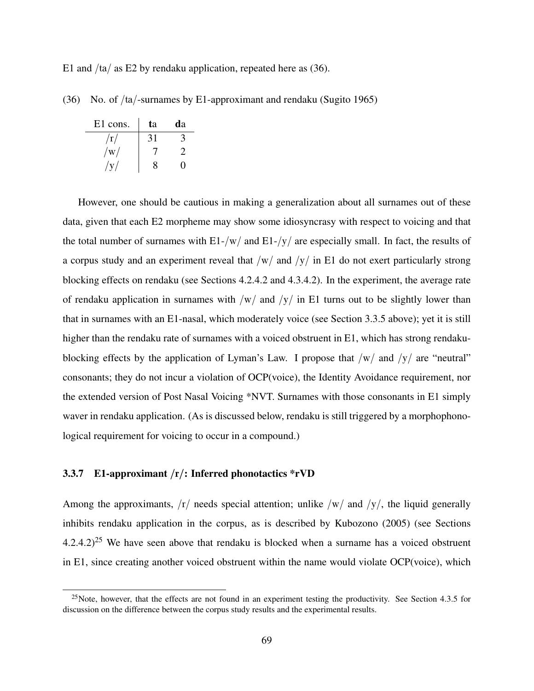E1 and  $/ta/$  as E2 by rendaku application, repeated here as (36).

(36) No. of /ta/-surnames by E1-approximant and rendaku (Sugito 1965)

| E1 cons.                | ta | da |
|-------------------------|----|----|
| $\rm \langle r \rangle$ | 31 |    |
| $/{\rm w}/$             |    |    |
| $/\mathrm{v}$           | 8  |    |

However, one should be cautious in making a generalization about all surnames out of these data, given that each E2 morpheme may show some idiosyncrasy with respect to voicing and that the total number of surnames with  $E1-|w|$  and  $E1-|y|$  are especially small. In fact, the results of a corpus study and an experiment reveal that  $/w/$  and  $/y/$  in E1 do not exert particularly strong blocking effects on rendaku (see Sections 4.2.4.2 and 4.3.4.2). In the experiment, the average rate of rendaku application in surnames with  $/w/$  and  $/y/$  in E1 turns out to be slightly lower than that in surnames with an E1-nasal, which moderately voice (see Section 3.3.5 above); yet it is still higher than the rendaku rate of surnames with a voiced obstruent in E1, which has strong rendakublocking effects by the application of Lyman's Law. I propose that  $/w/$  and  $/y/$  are "neutral" consonants; they do not incur a violation of OCP(voice), the Identity Avoidance requirement, nor the extended version of Post Nasal Voicing \*NVT. Surnames with those consonants in E1 simply waver in rendaku application. (As is discussed below, rendaku is still triggered by a morphophonological requirement for voicing to occur in a compound.)

### 3.3.7 E1-approximant  $/r/$ : Inferred phonotactics \*rVD

Among the approximants,  $\langle r \rangle$  needs special attention; unlike  $\langle w \rangle$  and  $\langle y \rangle$ , the liquid generally inhibits rendaku application in the corpus, as is described by Kubozono (2005) (see Sections  $4.2.4.2$ <sup>25</sup> We have seen above that rendaku is blocked when a surname has a voiced obstruent in E1, since creating another voiced obstruent within the name would violate OCP(voice), which

 $25$ Note, however, that the effects are not found in an experiment testing the productivity. See Section 4.3.5 for discussion on the difference between the corpus study results and the experimental results.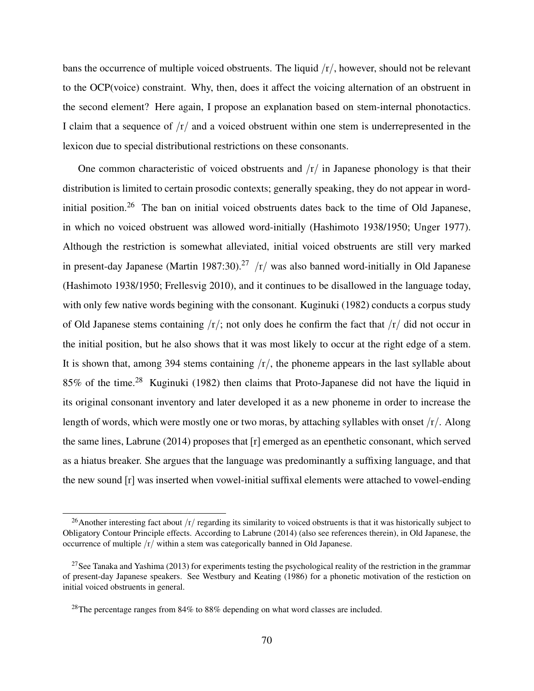bans the occurrence of multiple voiced obstruents. The liquid  $/r/$ , however, should not be relevant to the OCP(voice) constraint. Why, then, does it affect the voicing alternation of an obstruent in the second element? Here again, I propose an explanation based on stem-internal phonotactics. I claim that a sequence of  $\frac{r}{r}$  and a voiced obstruent within one stem is underrepresented in the lexicon due to special distributional restrictions on these consonants.

One common characteristic of voiced obstruents and  $\Gamma/\Gamma$  in Japanese phonology is that their distribution is limited to certain prosodic contexts; generally speaking, they do not appear in wordinitial position.<sup>26</sup> The ban on initial voiced obstruents dates back to the time of Old Japanese, in which no voiced obstruent was allowed word-initially (Hashimoto 1938/1950; Unger 1977). Although the restriction is somewhat alleviated, initial voiced obstruents are still very marked in present-day Japanese (Martin 1987:30).<sup>27</sup> /r/ was also banned word-initially in Old Japanese (Hashimoto 1938/1950; Frellesvig 2010), and it continues to be disallowed in the language today, with only few native words begining with the consonant. Kuginuki (1982) conducts a corpus study of Old Japanese stems containing  $\frac{r}{r}$ ; not only does he confirm the fact that  $\frac{r}{dr}$  did not occur in the initial position, but he also shows that it was most likely to occur at the right edge of a stem. It is shown that, among 394 stems containing  $\langle r \rangle$ , the phoneme appears in the last syllable about 85% of the time.<sup>28</sup> Kuginuki (1982) then claims that Proto-Japanese did not have the liquid in its original consonant inventory and later developed it as a new phoneme in order to increase the length of words, which were mostly one or two moras, by attaching syllables with onset /r/. Along the same lines, Labrune (2014) proposes that [r] emerged as an epenthetic consonant, which served as a hiatus breaker. She argues that the language was predominantly a suffixing language, and that the new sound [r] was inserted when vowel-initial suffixal elements were attached to vowel-ending

<sup>&</sup>lt;sup>26</sup>Another interesting fact about  $/r/r$  regarding its similarity to voiced obstruents is that it was historically subject to Obligatory Contour Principle effects. According to Labrune (2014) (also see references therein), in Old Japanese, the occurrence of multiple /r/ within a stem was categorically banned in Old Japanese.

<sup>&</sup>lt;sup>27</sup>See Tanaka and Yashima (2013) for experiments testing the psychological reality of the restriction in the grammar of present-day Japanese speakers. See Westbury and Keating (1986) for a phonetic motivation of the restiction on initial voiced obstruents in general.

<sup>&</sup>lt;sup>28</sup>The percentage ranges from  $84\%$  to  $88\%$  depending on what word classes are included.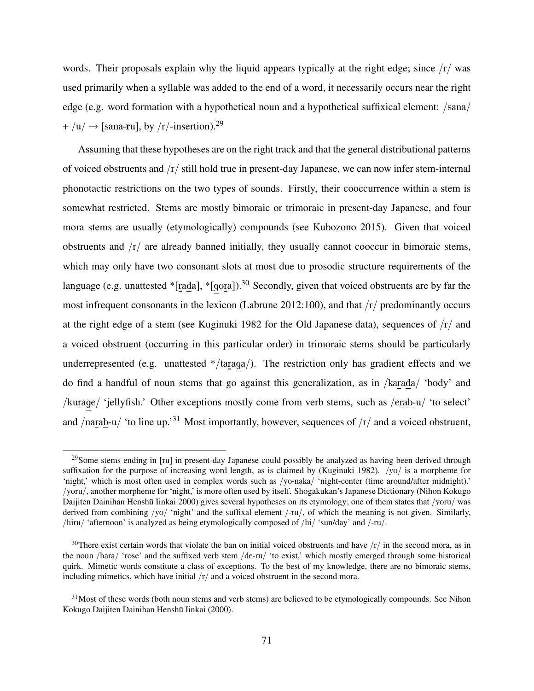words. Their proposals explain why the liquid appears typically at the right edge; since  $\frac{r}{x}$  was used primarily when a syllable was added to the end of a word, it necessarily occurs near the right edge (e.g. word formation with a hypothetical noun and a hypothetical suffixical element: /sana/  $+$ /u/  $\rightarrow$  [sana-ru], by /r/-insertion).<sup>29</sup>

Assuming that these hypotheses are on the right track and that the general distributional patterns of voiced obstruents and /r/ still hold true in present-day Japanese, we can now infer stem-internal phonotactic restrictions on the two types of sounds. Firstly, their cooccurrence within a stem is somewhat restricted. Stems are mostly bimoraic or trimoraic in present-day Japanese, and four mora stems are usually (etymologically) compounds (see Kubozono 2015). Given that voiced obstruents and  $\langle r \rangle$  are already banned initially, they usually cannot cooccur in bimoraic stems, which may only have two consonant slots at most due to prosodic structure requirements of the language (e.g. unattested \*[rada], \*[gora]).<sup>30</sup> Secondly, given that voiced obstruents are by far the most infrequent consonants in the lexicon (Labrune 2012:100), and that /r/ predominantly occurs at the right edge of a stem (see Kuginuki 1982 for the Old Japanese data), sequences of  $\frac{r}{r}$  and a voiced obstruent (occurring in this particular order) in trimoraic stems should be particularly underrepresented (e.g. unattested \*/taraga/). The restriction only has gradient effects and we do find a handful of noun stems that go against this generalization, as in /karada/ 'body' and /kurage/ 'jellyfish.' Other exceptions mostly come from verb stems, such as /erab-u/ 'to select' and /narab-u/ 'to line up.<sup>31</sup> Most importantly, however, sequences of  $\frac{r}{n}$  and a voiced obstruent,

<sup>&</sup>lt;sup>29</sup>Some stems ending in [ru] in present-day Japanese could possibly be analyzed as having been derived through suffixation for the purpose of increasing word length, as is claimed by (Kuginuki 1982). /yo/ is a morpheme for 'night,' which is most often used in complex words such as /yo-naka/ 'night-center (time around/after midnight).' /yoru/, another morpheme for 'night,' is more often used by itself. Shogakukan's Japanese Dictionary (Nihon Kokugo Daijiten Dainihan Henshū Iinkai 2000) gives several hypotheses on its etymology; one of them states that /yoru/ was derived from combining /yo/ 'night' and the suffixal element /-ru/, of which the meaning is not given. Similarly, /hiru/ 'afternoon' is analyzed as being etymologically composed of /hi/ 'sun/day' and /-ru/.

<sup>&</sup>lt;sup>30</sup>There exist certain words that violate the ban on initial voiced obstruents and have  $/r/$  in the second mora, as in the noun /bara/ 'rose' and the suffixed verb stem /de-ru/ 'to exist,' which mostly emerged through some historical quirk. Mimetic words constitute a class of exceptions. To the best of my knowledge, there are no bimoraic stems, including mimetics, which have initial  $\frac{r}{\pi}$  and a voiced obstruent in the second mora.

 $31$ Most of these words (both noun stems and verb stems) are believed to be etymologically compounds. See Nihon Kokugo Daijiten Dainihan Henshū Iinkai (2000).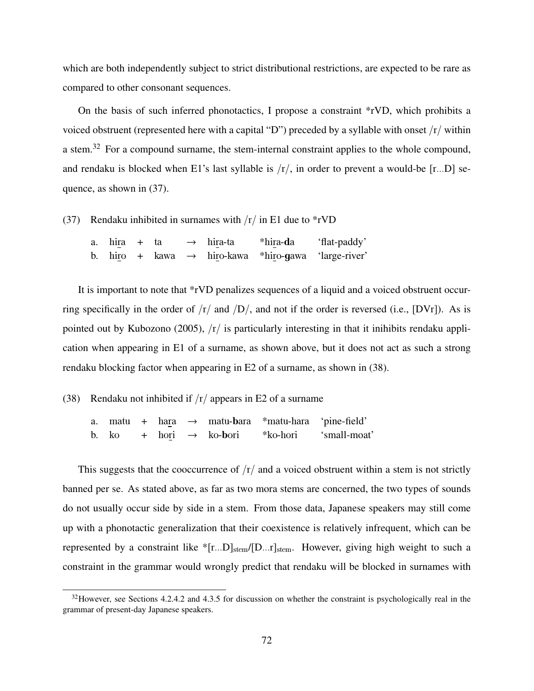which are both independently subject to strict distributional restrictions, are expected to be rare as compared to other consonant sequences.

On the basis of such inferred phonotactics, I propose a constraint \*rVD, which prohibits a voiced obstruent (represented here with a capital "D") preceded by a syllable with onset /r/ within a stem.<sup>32</sup> For a compound surname, the stem-internal constraint applies to the whole compound, and rendaku is blocked when E1's last syllable is  $/r/$ , in order to prevent a would-be  $[r...D]$  sequence, as shown in (37).

(37) Rendaku inhibited in surnames with  $\frac{r}{\pi}$  in E1 due to \*rVD

| a. $hira + ta$ |  | $\rightarrow$ hira-ta | *hira-da                                                        | 'flat-paddy' |
|----------------|--|-----------------------|-----------------------------------------------------------------|--------------|
|                |  |                       | b. hiro + kawa $\rightarrow$ hiro-kawa *hiro-gawa 'large-river' |              |

It is important to note that \*rVD penalizes sequences of a liquid and a voiced obstruent occurring specifically in the order of  $\frac{r}{\text{d}}$  and  $\frac{D}{\text{d}}$ , and not if the order is reversed (i.e., [DVr]). As is pointed out by Kubozono (2005), /r/ is particularly interesting in that it inihibits rendaku application when appearing in E1 of a surname, as shown above, but it does not act as such a strong rendaku blocking factor when appearing in E2 of a surname, as shown in (38).

### (38) Rendaku not inhibited if  $\frac{r}{\pi}$  appears in E2 of a surname

|  |  |                                    | a. matu + hara $\rightarrow$ matu-bara *matu-hara 'pine-field' |              |
|--|--|------------------------------------|----------------------------------------------------------------|--------------|
|  |  | b. ko + hori $\rightarrow$ ko-bori | *ko-hori                                                       | 'small-moat' |

This suggests that the cooccurrence of  $\frac{r}{a}$  and a voiced obstruent within a stem is not strictly banned per se. As stated above, as far as two mora stems are concerned, the two types of sounds do not usually occur side by side in a stem. From those data, Japanese speakers may still come up with a phonotactic generalization that their coexistence is relatively infrequent, which can be represented by a constraint like  $\{r...D\}_{stem}/[D...r]_{stem}$ . However, giving high weight to such a constraint in the grammar would wrongly predict that rendaku will be blocked in surnames with

 $32$ However, see Sections 4.2.4.2 and 4.3.5 for discussion on whether the constraint is psychologically real in the grammar of present-day Japanese speakers.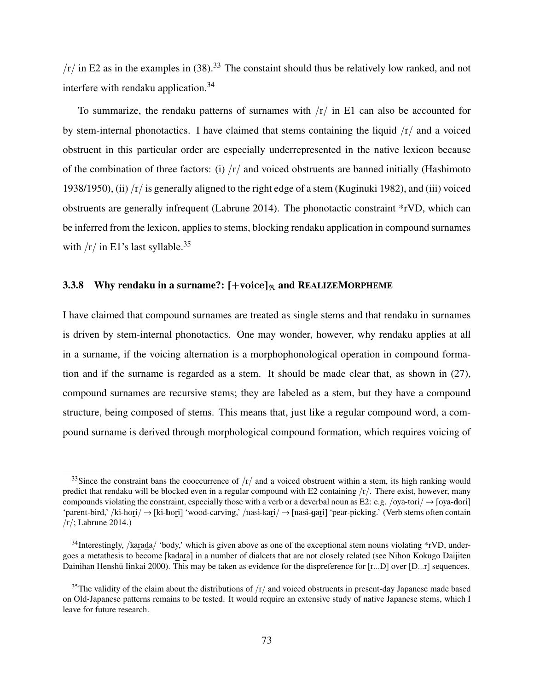$/r /$  in E2 as in the examples in (38).<sup>33</sup> The constaint should thus be relatively low ranked, and not interfere with rendaku application.<sup>34</sup>

To summarize, the rendaku patterns of surnames with  $\frac{r}{\pi}$  in E1 can also be accounted for by stem-internal phonotactics. I have claimed that stems containing the liquid  $\frac{1}{r}$  and a voiced obstruent in this particular order are especially underrepresented in the native lexicon because of the combination of three factors: (i)  $\frac{r}{x}$  and voiced obstruents are banned initially (Hashimoto 1938/1950), (ii)  $\langle r \rangle$  is generally aligned to the right edge of a stem (Kuginuki 1982), and (iii) voiced obstruents are generally infrequent (Labrune 2014). The phonotactic constraint \*rVD, which can be inferred from the lexicon, applies to stems, blocking rendaku application in compound surnames with  $/r /$  in E1's last syllable.<sup>35</sup>

### 3.3.8 Why rendaku in a surname?:  $[+voice]_{\mathcal{R}}$  and REALIZEMORPHEME

I have claimed that compound surnames are treated as single stems and that rendaku in surnames is driven by stem-internal phonotactics. One may wonder, however, why rendaku applies at all in a surname, if the voicing alternation is a morphophonological operation in compound formation and if the surname is regarded as a stem. It should be made clear that, as shown in (27), compound surnames are recursive stems; they are labeled as a stem, but they have a compound structure, being composed of stems. This means that, just like a regular compound word, a compound surname is derived through morphological compound formation, which requires voicing of

<sup>&</sup>lt;sup>33</sup>Since the constraint bans the cooccurrence of  $/r/$  and a voiced obstruent within a stem, its high ranking would predict that rendaku will be blocked even in a regular compound with E2 containing  $\langle r \rangle$ . There exist, however, many compounds violating the constraint, especially those with a verb or a deverbal noun as E2: e.g. /oya-tori/  $\rightarrow$  [oya-dori] 'parent-bird,' /ki-hori/ → [ki-bori] 'wood-carving,' /nasi-kari/ → [nasi-gari] 'pear-picking.' (Verb stems often contain /r/; Labrune 2014.)

 $34$ Interestingly, /karada/ 'body,' which is given above as one of the exceptional stem nouns violating \*rVD, undergoes a metathesis to become [kadara] in a number of dialcets that are not closely related (see Nihon Kokugo Daijiten Dainihan Henshū Iinkai 2000). This may be taken as evidence for the dispreference for [r...D] over [D...r] sequences.

<sup>&</sup>lt;sup>35</sup>The validity of the claim about the distributions of  $/r/$  and voiced obstruents in present-day Japanese made based on Old-Japanese patterns remains to be tested. It would require an extensive study of native Japanese stems, which I leave for future research.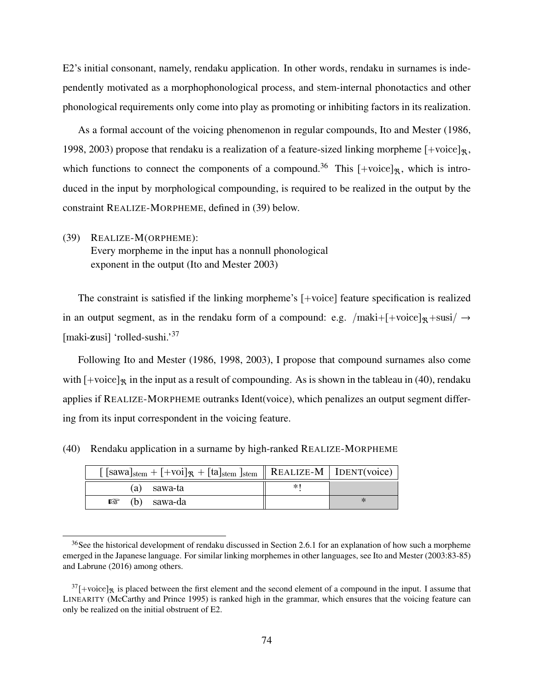E2's initial consonant, namely, rendaku application. In other words, rendaku in surnames is independently motivated as a morphophonological process, and stem-internal phonotactics and other phonological requirements only come into play as promoting or inhibiting factors in its realization.

As a formal account of the voicing phenomenon in regular compounds, Ito and Mester (1986, 1998, 2003) propose that rendaku is a realization of a feature-sized linking morpheme  $[+{\rm voice}]_{\mathcal{R}},$ which functions to connect the components of a compound.<sup>36</sup> This  $[+{\rm voice}]_{\mathcal{R}}$ , which is introduced in the input by morphological compounding, is required to be realized in the output by the constraint REALIZE-MORPHEME, defined in (39) below.

(39) REALIZE-M(ORPHEME): Every morpheme in the input has a nonnull phonological exponent in the output (Ito and Mester 2003)

The constraint is satisfied if the linking morpheme's [+voice] feature specification is realized in an output segment, as in the rendaku form of a compound: e.g. /maki+[+voice]<sub>R</sub>+susi/  $\rightarrow$ [maki-zusi] 'rolled-sushi.'<sup>37</sup>

Following Ito and Mester (1986, 1998, 2003), I propose that compound surnames also come with  $[+$ voice]<sub> $\%$ </sub> in the input as a result of compounding. As is shown in the tableau in (40), rendaku applies if REALIZE-MORPHEME outranks Ident(voice), which penalizes an output segment differing from its input correspondent in the voicing feature.

| $\left[ \text{ [sawa]}_{stem} + \left[ +\text{voi} \right]_{\mathcal{R}} + \left[ \text{ta} \right]_{stem} \right]_{stem} \parallel$ REALIZE-M   IDENT(voice) |  |
|---------------------------------------------------------------------------------------------------------------------------------------------------------------|--|
| (a) sawa-ta                                                                                                                                                   |  |
| $\mathbb{R}$ (b) sawa-da                                                                                                                                      |  |

(40) Rendaku application in a surname by high-ranked REALIZE-MORPHEME

<sup>&</sup>lt;sup>36</sup>See the historical development of rendaku discussed in Section 2.6.1 for an explanation of how such a morpheme emerged in the Japanese language. For similar linking morphemes in other languages, see Ito and Mester (2003:83-85) and Labrune (2016) among others.

 $37$ [+voice]<sub>R</sub> is placed between the first element and the second element of a compound in the input. I assume that LINEARITY (McCarthy and Prince 1995) is ranked high in the grammar, which ensures that the voicing feature can only be realized on the initial obstruent of E2.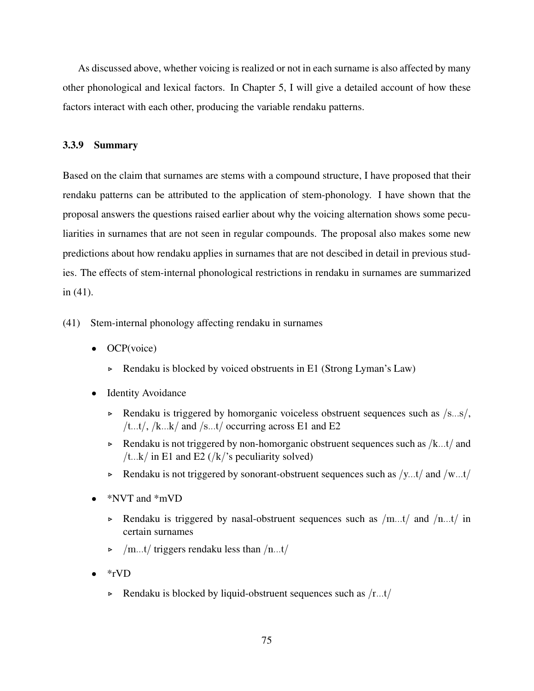As discussed above, whether voicing is realized or not in each surname is also affected by many other phonological and lexical factors. In Chapter 5, I will give a detailed account of how these factors interact with each other, producing the variable rendaku patterns.

### 3.3.9 Summary

Based on the claim that surnames are stems with a compound structure, I have proposed that their rendaku patterns can be attributed to the application of stem-phonology. I have shown that the proposal answers the questions raised earlier about why the voicing alternation shows some peculiarities in surnames that are not seen in regular compounds. The proposal also makes some new predictions about how rendaku applies in surnames that are not descibed in detail in previous studies. The effects of stem-internal phonological restrictions in rendaku in surnames are summarized in (41).

- (41) Stem-internal phonology affecting rendaku in surnames
	- OCP(voice)
		- ▷ Rendaku is blocked by voiced obstruents in E1 (Strong Lyman's Law)
	- **Identity Avoidance** 
		- ▷ Rendaku is triggered by homorganic voiceless obstruent sequences such as /s...s/, /t...t/, /k...k/ and /s...t/ occurring across E1 and E2
		- $\triangleright$  Rendaku is not triggered by non-homorganic obstruent sequences such as /k...t/ and /t...k/ in E1 and E2 (/k/'s peculiarity solved)
		- $\triangleright$  Rendaku is not triggered by sonorant-obstruent sequences such as /y...t/ and /w...t/
	- \*NVT and \*mVD
		- $\triangleright$  Rendaku is triggered by nasal-obstruent sequences such as /m...t/ and /n...t/ in certain surnames
		- $\rho$  /m...t/ triggers rendaku less than /n...t/
	- \*rVD
		- $\triangleright$  Rendaku is blocked by liquid-obstruent sequences such as  $/r...t/$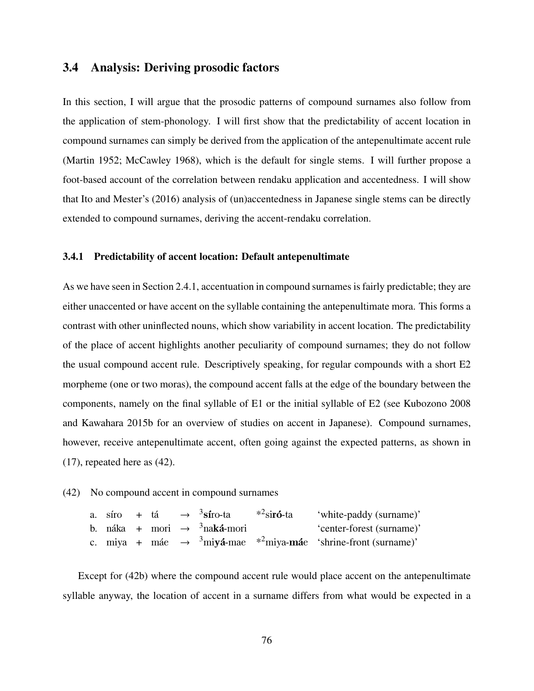## 3.4 Analysis: Deriving prosodic factors

In this section, I will argue that the prosodic patterns of compound surnames also follow from the application of stem-phonology. I will first show that the predictability of accent location in compound surnames can simply be derived from the application of the antepenultimate accent rule (Martin 1952; McCawley 1968), which is the default for single stems. I will further propose a foot-based account of the correlation between rendaku application and accentedness. I will show that Ito and Mester's (2016) analysis of (un)accentedness in Japanese single stems can be directly extended to compound surnames, deriving the accent-rendaku correlation.

#### 3.4.1 Predictability of accent location: Default antepenultimate

As we have seen in Section 2.4.1, accentuation in compound surnames is fairly predictable; they are either unaccented or have accent on the syllable containing the antepenultimate mora. This forms a contrast with other uninflected nouns, which show variability in accent location. The predictability of the place of accent highlights another peculiarity of compound surnames; they do not follow the usual compound accent rule. Descriptively speaking, for regular compounds with a short E2 morpheme (one or two moras), the compound accent falls at the edge of the boundary between the components, namely on the final syllable of E1 or the initial syllable of E2 (see Kubozono 2008 and Kawahara 2015b for an overview of studies on accent in Japanese). Compound surnames, however, receive antepenultimate accent, often going against the expected patterns, as shown in (17), repeated here as (42).

### (42) No compound accent in compound surnames

|  |  | a. síro + tá $\rightarrow$ <sup>3</sup> síro-ta * <sup>2</sup> sir <b>ó</b> -ta | 'white-paddy (surname)'                                                                            |
|--|--|---------------------------------------------------------------------------------|----------------------------------------------------------------------------------------------------|
|  |  | b. náka + mori $\rightarrow$ <sup>3</sup> naká-mori                             | 'center-forest (surname)'                                                                          |
|  |  |                                                                                 | c. miya + máe $\rightarrow$ <sup>3</sup> miyá-mae * <sup>2</sup> miya-máe 'shrine-front (surname)' |

Except for (42b) where the compound accent rule would place accent on the antepenultimate syllable anyway, the location of accent in a surname differs from what would be expected in a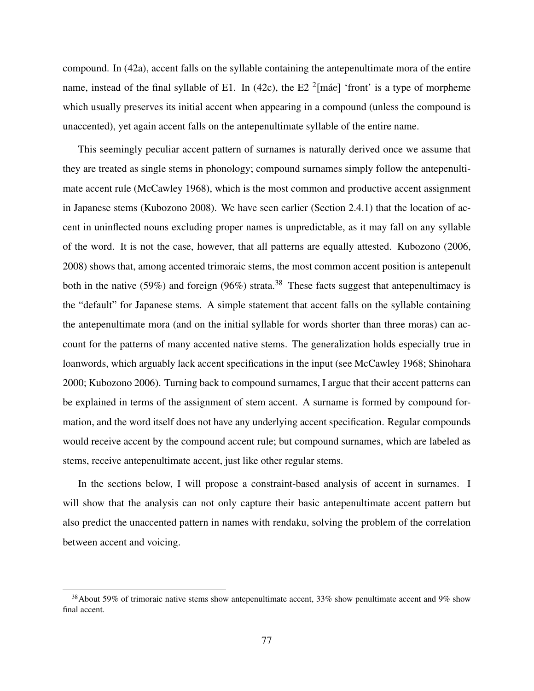compound. In (42a), accent falls on the syllable containing the antepenultimate mora of the entire name, instead of the final syllable of E1. In (42c), the E2  $^2$ [máe] 'front' is a type of morpheme which usually preserves its initial accent when appearing in a compound (unless the compound is unaccented), yet again accent falls on the antepenultimate syllable of the entire name.

This seemingly peculiar accent pattern of surnames is naturally derived once we assume that they are treated as single stems in phonology; compound surnames simply follow the antepenultimate accent rule (McCawley 1968), which is the most common and productive accent assignment in Japanese stems (Kubozono 2008). We have seen earlier (Section 2.4.1) that the location of accent in uninflected nouns excluding proper names is unpredictable, as it may fall on any syllable of the word. It is not the case, however, that all patterns are equally attested. Kubozono (2006, 2008) shows that, among accented trimoraic stems, the most common accent position is antepenult both in the native (59%) and foreign (96%) strata.<sup>38</sup> These facts suggest that antepenultimacy is the "default" for Japanese stems. A simple statement that accent falls on the syllable containing the antepenultimate mora (and on the initial syllable for words shorter than three moras) can account for the patterns of many accented native stems. The generalization holds especially true in loanwords, which arguably lack accent specifications in the input (see McCawley 1968; Shinohara 2000; Kubozono 2006). Turning back to compound surnames, I argue that their accent patterns can be explained in terms of the assignment of stem accent. A surname is formed by compound formation, and the word itself does not have any underlying accent specification. Regular compounds would receive accent by the compound accent rule; but compound surnames, which are labeled as stems, receive antepenultimate accent, just like other regular stems.

In the sections below, I will propose a constraint-based analysis of accent in surnames. I will show that the analysis can not only capture their basic antepenultimate accent pattern but also predict the unaccented pattern in names with rendaku, solving the problem of the correlation between accent and voicing.

<sup>&</sup>lt;sup>38</sup>About 59% of trimoraic native stems show antepenultimate accent, 33% show penultimate accent and 9% show final accent.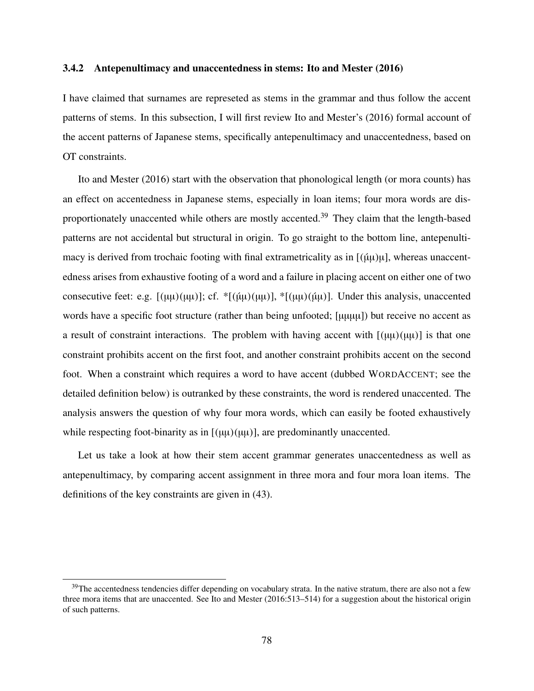### 3.4.2 Antepenultimacy and unaccentedness in stems: Ito and Mester (2016)

I have claimed that surnames are represeted as stems in the grammar and thus follow the accent patterns of stems. In this subsection, I will first review Ito and Mester's (2016) formal account of the accent patterns of Japanese stems, specifically antepenultimacy and unaccentedness, based on OT constraints.

Ito and Mester (2016) start with the observation that phonological length (or mora counts) has an effect on accentedness in Japanese stems, especially in loan items; four mora words are disproportionately unaccented while others are mostly accented.<sup>39</sup> They claim that the length-based patterns are not accidental but structural in origin. To go straight to the bottom line, antepenultimacy is derived from trochaic footing with final extrametricality as in  $[(\hat{\mu}\mu)\mu]$ , whereas unaccentedness arises from exhaustive footing of a word and a failure in placing accent on either one of two consecutive feet: e.g.  $[(\mu\mu)(\mu\mu)]$ ; cf.  $*[(\mu\mu)(\mu\mu)]$ ,  $*[(\mu\mu)(\mu\mu)]$ . Under this analysis, unaccented words have a specific foot structure (rather than being unfooted; [µµµµ]) but receive no accent as a result of constraint interactions. The problem with having accent with  $[(\mu\mu)(\mu\mu)]$  is that one constraint prohibits accent on the first foot, and another constraint prohibits accent on the second foot. When a constraint which requires a word to have accent (dubbed WORDACCENT; see the detailed definition below) is outranked by these constraints, the word is rendered unaccented. The analysis answers the question of why four mora words, which can easily be footed exhaustively while respecting foot-binarity as in  $[(\mu\mu)(\mu\mu)]$ , are predominantly unaccented.

Let us take a look at how their stem accent grammar generates unaccentedness as well as antepenultimacy, by comparing accent assignment in three mora and four mora loan items. The definitions of the key constraints are given in (43).

 $39$ The accentedness tendencies differ depending on vocabulary strata. In the native stratum, there are also not a few three mora items that are unaccented. See Ito and Mester (2016:513–514) for a suggestion about the historical origin of such patterns.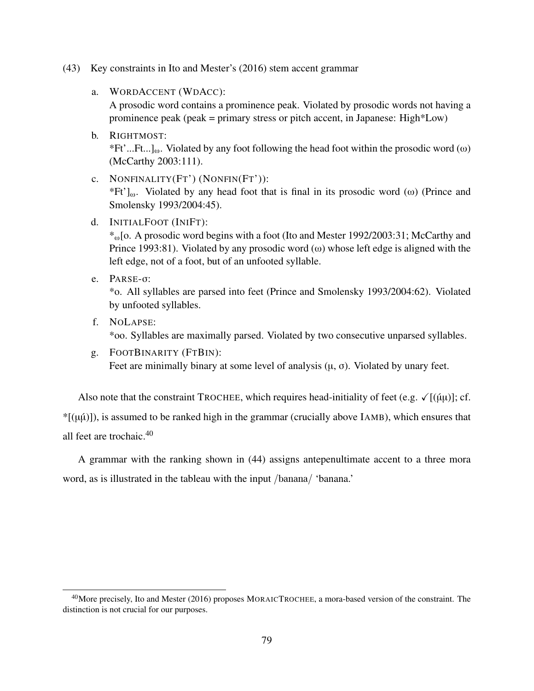- (43) Key constraints in Ito and Mester's (2016) stem accent grammar
	- a. WORDACCENT (WDACC):

A prosodic word contains a prominence peak. Violated by prosodic words not having a prominence peak (peak = primary stress or pitch accent, in Japanese: High\*Low)

- b. RIGHTMOST: \*Ft'...Ft...]<sub>ω</sub>. Violated by any foot following the head foot within the prosodic word (ω) (McCarthy 2003:111).
- c. NONFINALITY(FT') (NONFIN(FT')):  $*Ft'$ ]<sub>ω</sub>. Violated by any head foot that is final in its prosodic word (ω) (Prince and Smolensky 1993/2004:45).
- d. INITIALFOOT (INIFT):

\*ω[o. A prosodic word begins with a foot (Ito and Mester 1992/2003:31; McCarthy and Prince 1993:81). Violated by any prosodic word (ω) whose left edge is aligned with the left edge, not of a foot, but of an unfooted syllable.

e. PARSE-σ:

\*o. All syllables are parsed into feet (Prince and Smolensky 1993/2004:62). Violated by unfooted syllables.

- f. NOLAPSE: \*oo. Syllables are maximally parsed. Violated by two consecutive unparsed syllables.
- g. FOOTBINARITY (FTBIN): Feet are minimally binary at some level of analysis  $(\mu, \sigma)$ . Violated by unary feet.

Also note that the constraint TROCHEE, which requires head-initiality of feet (e.g.  $\sqrt{[(\mu\mu)]}$ ; cf.  $*(\mu\mu))$ , is assumed to be ranked high in the grammar (crucially above IAMB), which ensures that all feet are trochaic.<sup>40</sup>

A grammar with the ranking shown in (44) assigns antepenultimate accent to a three mora word, as is illustrated in the tableau with the input /banana/ 'banana.'

<sup>&</sup>lt;sup>40</sup>More precisely, Ito and Mester (2016) proposes MORAICTROCHEE, a mora-based version of the constraint. The distinction is not crucial for our purposes.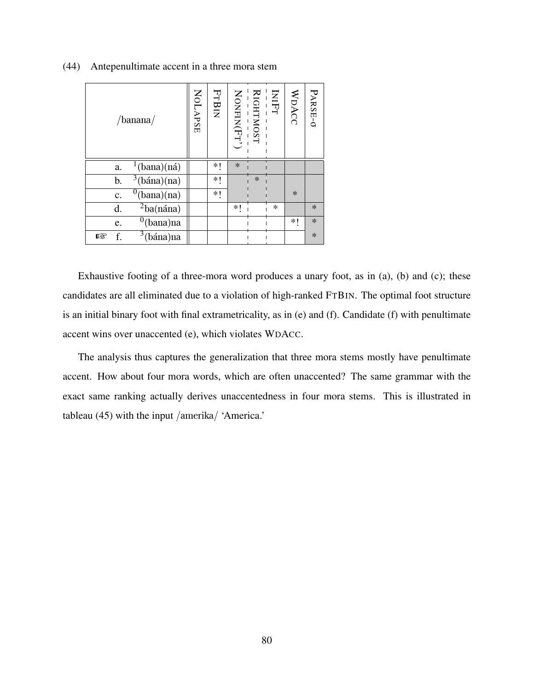| /banana/                            | NOLAPSE | FTBIN | RIGHTMOST<br>---------------<br>NONFIN(FT') |        | INIFT  | WDACC  | PARSE-0 |
|-------------------------------------|---------|-------|---------------------------------------------|--------|--------|--------|---------|
| $\frac{1}{2}$ (bana)(ná)<br>a.      |         | ∗∣    | $\ast$                                      |        |        |        |         |
| 3(bána)(na)<br>b.                   |         | *1    |                                             | $\ast$ |        |        |         |
| $^{0}$ (bana)(na)<br>$\mathbf{c}$ . |         | *1    |                                             |        |        | $\ast$ |         |
| $^{2}$ ba(nána)<br>d.               |         |       | ∗∣                                          |        | $\ast$ |        | $\ast$  |
| $^{0}$ (bana)na<br>e.               |         |       |                                             |        |        | *1     | $\ast$  |
| $3$ (bána)na<br>f.<br>rð.           |         |       |                                             |        |        |        | $\ast$  |

(44) Antepenultimate accent in a three mora stem

Exhaustive footing of a three-mora word produces a unary foot, as in (a), (b) and (c); these candidates are all eliminated due to a violation of high-ranked FTBIN. The optimal foot structure is an initial binary foot with final extrametricality, as in (e) and (f). Candidate (f) with penultimate accent wins over unaccented (e), which violates WDACC.

The analysis thus captures the generalization that three mora stems mostly have penultimate accent. How about four mora words, which are often unaccented? The same grammar with the exact same ranking actually derives unaccentedness in four mora stems. This is illustrated in tableau (45) with the input /amerika/ 'America.'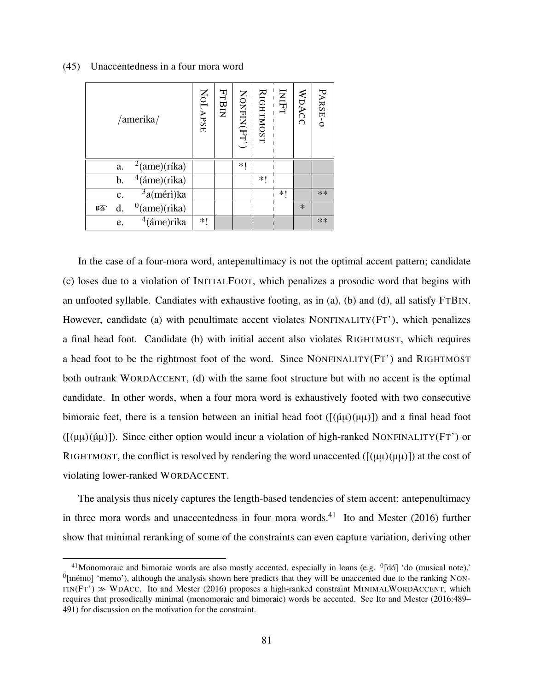| /amerika/                     | NOLAPSE | FTBIN |    | ------------<br>RIGHTMOST<br>NONFIN(Fr') | INFT | WDACC  | PARSE-0 |
|-------------------------------|---------|-------|----|------------------------------------------|------|--------|---------|
| $^{2}$ (ame)(ríka)<br>a.      |         |       | *1 |                                          |      |        |         |
| $4$ (áme)(rika)<br>b.         |         |       |    | ∗∣                                       |      |        |         |
| $3a$ (méri)ka<br>c.           |         |       |    |                                          | *1   |        | **      |
| $^{0}$ (ame)(rika)<br>d.<br>隐 |         |       |    |                                          |      | $\ast$ |         |
| $4$ (áme)rika<br>e.           | *1      |       |    |                                          |      |        | **      |

### (45) Unaccentedness in a four mora word

In the case of a four-mora word, antepenultimacy is not the optimal accent pattern; candidate (c) loses due to a violation of INITIALFOOT, which penalizes a prosodic word that begins with an unfooted syllable. Candiates with exhaustive footing, as in (a), (b) and (d), all satisfy FTBIN. However, candidate (a) with penultimate accent violates NONFINALITY( $FT'$ ), which penalizes a final head foot. Candidate (b) with initial accent also violates RIGHTMOST, which requires a head foot to be the rightmost foot of the word. Since NONFINALITY(FT') and RIGHTMOST both outrank WORDACCENT, (d) with the same foot structure but with no accent is the optimal candidate. In other words, when a four mora word is exhaustively footed with two consecutive bimoraic feet, there is a tension between an initial head foot  $([(\mu\mu)(\mu\mu)])$  and a final head foot  $(\lceil(\mu\mu)(\mu\mu)\rceil)$ . Since either option would incur a violation of high-ranked NONFINALITY(FT') or RIGHTMOST, the conflict is resolved by rendering the word unaccented  $([(\mu\mu)(\mu\mu)])$  at the cost of violating lower-ranked WORDACCENT.

The analysis thus nicely captures the length-based tendencies of stem accent: antepenultimacy in three mora words and unaccentedness in four mora words. $41$  Ito and Mester (2016) further show that minimal reranking of some of the constraints can even capture variation, deriving other

<sup>&</sup>lt;sup>41</sup>Monomoraic and bimoraic words are also mostly accented, especially in loans (e.g.  $\frac{0}{1}$  do (musical note),'  $^0$ [mémo] 'memo'), although the analysis shown here predicts that they will be unaccented due to the ranking NON- $FIN(FT') \gg WDACC$ . Ito and Mester (2016) proposes a high-ranked constraint MINIMALWORDACCENT, which requires that prosodically minimal (monomoraic and bimoraic) words be accented. See Ito and Mester (2016:489– 491) for discussion on the motivation for the constraint.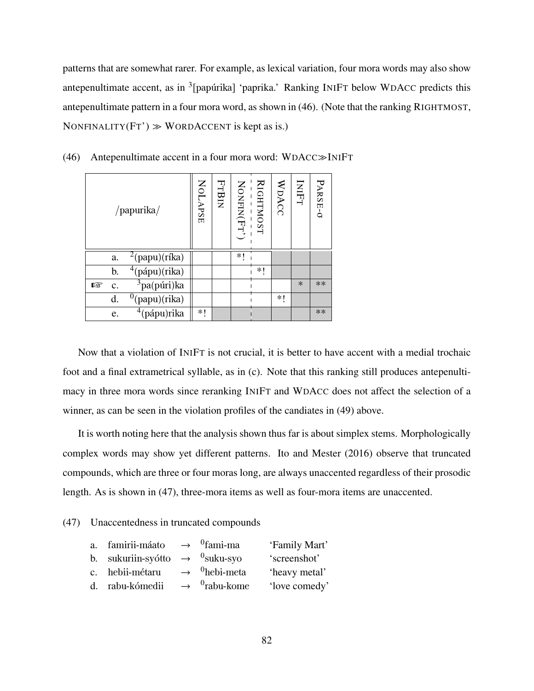patterns that are somewhat rarer. For example, as lexical variation, four mora words may also show antepenultimate accent, as in <sup>3</sup>[papúrika] 'paprika.' Ranking INIFT below WDACC predicts this antepenultimate pattern in a four mora word, as shown in (46). (Note that the ranking RIGHTMOST, NONFINALITY( $FT'$ )  $\gg$  WORDACCENT is kept as is.)

|   |    | /papurika/              | NOLAPSE | FTBIN |      | RIGHTMOST | WDACC | INIFT  | PARSE-0 |
|---|----|-------------------------|---------|-------|------|-----------|-------|--------|---------|
|   | a. | $^{2}$ (papu)(ríka)     |         |       | $*1$ |           |       |        |         |
|   | b. | $4$ (pápu)(rika)        |         |       |      | *!        |       |        |         |
| 隐 | c. | <sup>3</sup> pa(púri)ka |         |       |      |           |       | $\ast$ | **      |
|   | d. | (papu)(rika)            |         |       |      |           | *1    |        |         |
|   | e. | $4$ (pápu)rika          | ∗∣      |       |      |           |       |        | **      |

(46) Antepenultimate accent in a four mora word: WDACC≫INIFT

Now that a violation of INIFT is not crucial, it is better to have accent with a medial trochaic foot and a final extrametrical syllable, as in (c). Note that this ranking still produces antepenultimacy in three mora words since reranking INIFT and WDACC does not affect the selection of a winner, as can be seen in the violation profiles of the candiates in (49) above.

It is worth noting here that the analysis shown thus far is about simplex stems. Morphologically complex words may show yet different patterns. Ito and Mester (2016) observe that truncated compounds, which are three or four moras long, are always unaccented regardless of their prosodic length. As is shown in (47), three-mora items as well as four-mora items are unaccented.

### (47) Unaccentedness in truncated compounds

| a. famirii-máato $\rightarrow$ <sup>0</sup> fami-ma    |                                      | 'Family Mart' |
|--------------------------------------------------------|--------------------------------------|---------------|
| b. sukuriin-syótto $\rightarrow$ <sup>0</sup> suku-syo |                                      | 'screenshot'  |
| c. hebii-métaru                                        | $\rightarrow$ <sup>0</sup> hebi-meta | 'heavy metal' |
| d. rabu-kómedii                                        | $\rightarrow$ <sup>0</sup> rabu-kome | 'love comedy' |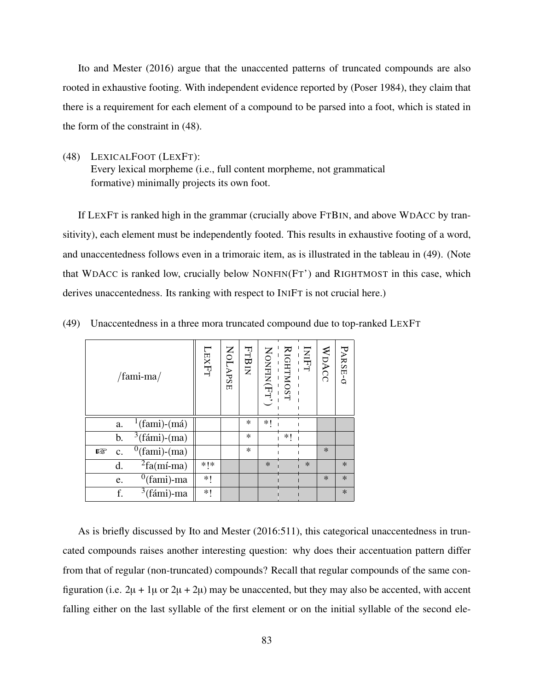Ito and Mester (2016) argue that the unaccented patterns of truncated compounds are also rooted in exhaustive footing. With independent evidence reported by (Poser 1984), they claim that there is a requirement for each element of a compound to be parsed into a foot, which is stated in the form of the constraint in (48).

(48) LEXICALFOOT (LEXFT): Every lexical morpheme (i.e., full content morpheme, not grammatical formative) minimally projects its own foot.

If LEXFT is ranked high in the grammar (crucially above FTBIN, and above WDACC by transitivity), each element must be independently footed. This results in exhaustive footing of a word, and unaccentedness follows even in a trimoraic item, as is illustrated in the tableau in (49). (Note that WDACC is ranked low, crucially below NONFIN(FT') and RIGHTMOST in this case, which derives unaccentedness. Its ranking with respect to INIFT is not crucial here.)

|     |    | /fami-ma/                           | LAFT. | NOLAPSE | <b>FTBIN</b> | RIGHTMOST<br>---------<br>NONFIN(FT') |    | INIFT  | WDACC  | PARSE-O |
|-----|----|-------------------------------------|-------|---------|--------------|---------------------------------------|----|--------|--------|---------|
|     | a. | $\frac{1}{\text{fami}}$ (fami)-(má) |       |         | $\ast$       | *1                                    |    |        |        |         |
|     | b. | $3$ (fámi)-(ma)                     |       |         | $\ast$       |                                       | *1 |        |        |         |
| rð. | c. | $^{0}$ (fami)-(ma)                  |       |         | *.           |                                       |    |        | $\ast$ |         |
|     | d. | ${}^{2}$ fa(mí-ma)                  | $*!*$ |         |              | $\ast$                                |    | $\ast$ |        | $\ast$  |
|     | e. | $^{0}$ (fami)-ma                    | *1    |         |              |                                       |    |        | $\ast$ | $\ast$  |
|     | f. | $3$ (fámi)-ma                       | *!    |         |              |                                       |    |        |        | $\ast$  |

(49) Unaccentedness in a three mora truncated compound due to top-ranked LEXFT

As is briefly discussed by Ito and Mester (2016:511), this categorical unaccentedness in truncated compounds raises another interesting question: why does their accentuation pattern differ from that of regular (non-truncated) compounds? Recall that regular compounds of the same configuration (i.e.  $2\mu + 1\mu$  or  $2\mu + 2\mu$ ) may be unaccented, but they may also be accented, with accent falling either on the last syllable of the first element or on the initial syllable of the second ele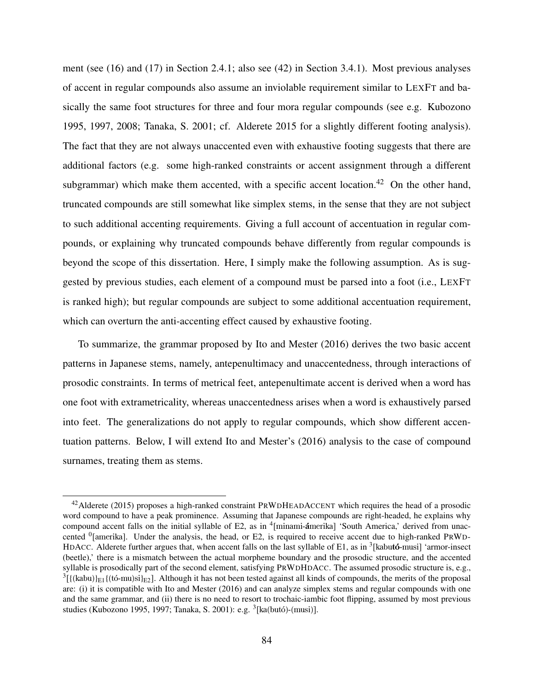ment (see (16) and (17) in Section 2.4.1; also see (42) in Section 3.4.1). Most previous analyses of accent in regular compounds also assume an inviolable requirement similar to LEXFT and basically the same foot structures for three and four mora regular compounds (see e.g. Kubozono 1995, 1997, 2008; Tanaka, S. 2001; cf. Alderete 2015 for a slightly different footing analysis). The fact that they are not always unaccented even with exhaustive footing suggests that there are additional factors (e.g. some high-ranked constraints or accent assignment through a different subgrammar) which make them accented, with a specific accent location.<sup>42</sup> On the other hand, truncated compounds are still somewhat like simplex stems, in the sense that they are not subject to such additional accenting requirements. Giving a full account of accentuation in regular compounds, or explaining why truncated compounds behave differently from regular compounds is beyond the scope of this dissertation. Here, I simply make the following assumption. As is suggested by previous studies, each element of a compound must be parsed into a foot (i.e., LEXFT is ranked high); but regular compounds are subject to some additional accentuation requirement, which can overturn the anti-accenting effect caused by exhaustive footing.

To summarize, the grammar proposed by Ito and Mester (2016) derives the two basic accent patterns in Japanese stems, namely, antepenultimacy and unaccentedness, through interactions of prosodic constraints. In terms of metrical feet, antepenultimate accent is derived when a word has one foot with extrametricality, whereas unaccentedness arises when a word is exhaustively parsed into feet. The generalizations do not apply to regular compounds, which show different accentuation patterns. Below, I will extend Ito and Mester's (2016) analysis to the case of compound surnames, treating them as stems.

 $42$ Alderete (2015) proposes a high-ranked constraint PRWDHEADACCENT which requires the head of a prosodic word compound to have a peak prominence. Assuming that Japanese compounds are right-headed, he explains why compound accent falls on the initial syllable of E2, as in <sup>4</sup>[minami-ámerika] 'South America,' derived from unaccented <sup>0</sup>[amerika]. Under the analysis, the head, or E2, is required to receive accent due to high-ranked PRWD-HDACC. Alderete further argues that, when accent falls on the last syllable of E1, as in <sup>3</sup>[kabutó-musi] 'armor-insect (beetle),' there is a mismatch between the actual morpheme boundary and the prosodic structure, and the accented syllable is prosodically part of the second element, satisfying PRWDHDACC. The assumed prosodic structure is, e.g.,  ${}^{3}$ [{(kabu)}<sub>E1</sub>{(tó-mu)si}<sub>E2</sub>]. Although it has not been tested against all kinds of compounds, the merits of the proposal are: (i) it is compatible with Ito and Mester (2016) and can analyze simplex stems and regular compounds with one and the same grammar, and (ii) there is no need to resort to trochaic-iambic foot flipping, assumed by most previous studies (Kubozono 1995, 1997; Tanaka, S. 2001): e.g. <sup>3</sup>[ka(butó)-(musi)].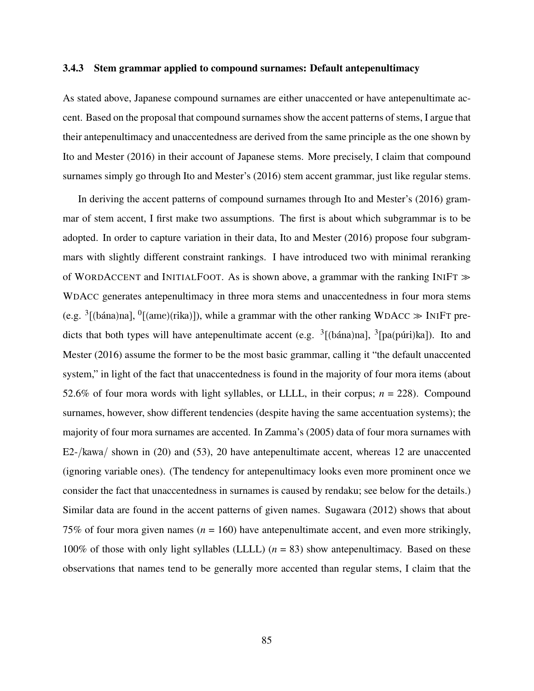### 3.4.3 Stem grammar applied to compound surnames: Default antepenultimacy

As stated above, Japanese compound surnames are either unaccented or have antepenultimate accent. Based on the proposal that compound surnames show the accent patterns of stems, I argue that their antepenultimacy and unaccentedness are derived from the same principle as the one shown by Ito and Mester (2016) in their account of Japanese stems. More precisely, I claim that compound surnames simply go through Ito and Mester's (2016) stem accent grammar, just like regular stems.

In deriving the accent patterns of compound surnames through Ito and Mester's (2016) grammar of stem accent, I first make two assumptions. The first is about which subgrammar is to be adopted. In order to capture variation in their data, Ito and Mester (2016) propose four subgrammars with slightly different constraint rankings. I have introduced two with minimal reranking of WORDACCENT and INITIALFOOT. As is shown above, a grammar with the ranking INIFT  $\gg$ WDACC generates antepenultimacy in three mora stems and unaccentedness in four mora stems (e.g.  $\frac{3}{3}$ [(bána)na], <sup>0</sup>[(ame)(rika)]), while a grammar with the other ranking WDACC  $\gg$  INIFT predicts that both types will have antepenultimate accent (e.g.  $\frac{3}{1}$ [(bána)na],  $\frac{3}{1}$ [pa(púri)ka]). Ito and Mester (2016) assume the former to be the most basic grammar, calling it "the default unaccented system," in light of the fact that unaccentedness is found in the majority of four mora items (about 52.6% of four mora words with light syllables, or LLLL, in their corpus; *n* = 228). Compound surnames, however, show different tendencies (despite having the same accentuation systems); the majority of four mora surnames are accented. In Zamma's (2005) data of four mora surnames with E2-/kawa/ shown in (20) and (53), 20 have antepenultimate accent, whereas 12 are unaccented (ignoring variable ones). (The tendency for antepenultimacy looks even more prominent once we consider the fact that unaccentedness in surnames is caused by rendaku; see below for the details.) Similar data are found in the accent patterns of given names. Sugawara (2012) shows that about 75% of four mora given names  $(n = 160)$  have antepenultimate accent, and even more strikingly, 100% of those with only light syllables (LLLL)  $(n = 83)$  show antepenultimacy. Based on these observations that names tend to be generally more accented than regular stems, I claim that the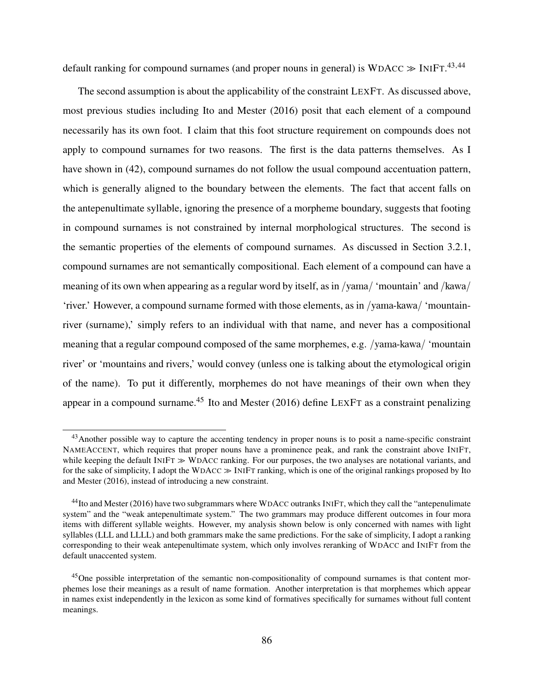default ranking for compound surnames (and proper nouns in general) is  $WDACC \gg INIFT.$ <sup>43,44</sup>

The second assumption is about the applicability of the constraint LEXFT. As discussed above, most previous studies including Ito and Mester (2016) posit that each element of a compound necessarily has its own foot. I claim that this foot structure requirement on compounds does not apply to compound surnames for two reasons. The first is the data patterns themselves. As I have shown in (42), compound surnames do not follow the usual compound accentuation pattern, which is generally aligned to the boundary between the elements. The fact that accent falls on the antepenultimate syllable, ignoring the presence of a morpheme boundary, suggests that footing in compound surnames is not constrained by internal morphological structures. The second is the semantic properties of the elements of compound surnames. As discussed in Section 3.2.1, compound surnames are not semantically compositional. Each element of a compound can have a meaning of its own when appearing as a regular word by itself, as in /yama/ 'mountain' and /kawa/ 'river.' However, a compound surname formed with those elements, as in /yama-kawa/ 'mountainriver (surname),' simply refers to an individual with that name, and never has a compositional meaning that a regular compound composed of the same morphemes, e.g. /yama-kawa/ 'mountain river' or 'mountains and rivers,' would convey (unless one is talking about the etymological origin of the name). To put it differently, morphemes do not have meanings of their own when they appear in a compound surname.<sup>45</sup> Ito and Mester (2016) define LEXFT as a constraint penalizing

<sup>&</sup>lt;sup>43</sup> Another possible way to capture the accenting tendency in proper nouns is to posit a name-specific constraint NAMEACCENT, which requires that proper nouns have a prominence peak, and rank the constraint above INIFT, while keeping the default INIFT ≫ WDACC ranking. For our purposes, the two analyses are notational variants, and for the sake of simplicity, I adopt the WDACC ≫ INIFT ranking, which is one of the original rankings proposed by Ito and Mester (2016), instead of introducing a new constraint.

<sup>&</sup>lt;sup>44</sup>Ito and Mester (2016) have two subgrammars where WDACC outranks INIFT, which they call the "antepenulimate system" and the "weak antepenultimate system." The two grammars may produce different outcomes in four mora items with different syllable weights. However, my analysis shown below is only concerned with names with light syllables (LLL and LLLL) and both grammars make the same predictions. For the sake of simplicity, I adopt a ranking corresponding to their weak antepenultimate system, which only involves reranking of WDACC and INIFT from the default unaccented system.

<sup>&</sup>lt;sup>45</sup>One possible interpretation of the semantic non-compositionality of compound surnames is that content morphemes lose their meanings as a result of name formation. Another interpretation is that morphemes which appear in names exist independently in the lexicon as some kind of formatives specifically for surnames without full content meanings.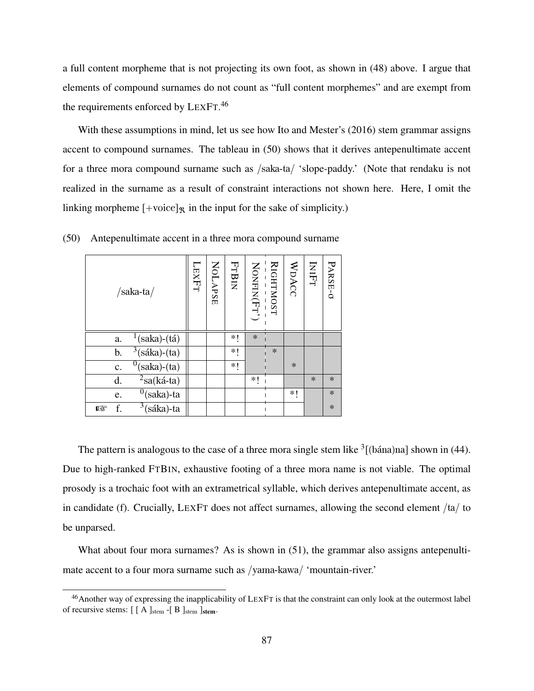a full content morpheme that is not projecting its own foot, as shown in (48) above. I argue that elements of compound surnames do not count as "full content morphemes" and are exempt from the requirements enforced by LEXFT.<sup>46</sup>

With these assumptions in mind, let us see how Ito and Mester's (2016) stem grammar assigns accent to compound surnames. The tableau in (50) shows that it derives antepenultimate accent for a three mora compound surname such as /saka-ta/ 'slope-paddy.' (Note that rendaku is not realized in the surname as a result of constraint interactions not shown here. Here, I omit the linking morpheme  $[+{\rm voice}]_{\mathcal{R}}$  in the input for the sake of simplicity.)

| $/saka-ta/$                           | LIXET | <b>NOLAPSE</b> | <b>FTBIN</b> | $\text{NONFIN}(\text{FT}^\prime)$ | RIGHTMOST | WDACC  | INIFT  | PARSE-0 |
|---------------------------------------|-------|----------------|--------------|-----------------------------------|-----------|--------|--------|---------|
| $\frac{1}{(saka)-(tá)}$<br>a.         |       |                | *1           | $\ast$                            |           |        |        |         |
| $\sqrt[3]{s^3}$ (sáka)-(ta)<br>b.     |       |                | $*1$         |                                   | $\ast$    |        |        |         |
| $^{0}$ (saka)-(ta)<br>$\mathbf{c}$ .  |       |                | $*!$         |                                   |           | $\ast$ |        |         |
| $2$ sa(ká-ta)<br>d.                   |       |                |              | *1                                |           |        | $\ast$ | $\ast$  |
| $^{0}$ (saka)-ta<br>e.                |       |                |              |                                   |           | *1     |        | $\ast$  |
| $\overline{3}$ (sáka)-ta<br>f.<br>rð. |       |                |              |                                   |           |        |        | $\ast$  |

(50) Antepenultimate accent in a three mora compound surname

The pattern is analogous to the case of a three mora single stem like  $\frac{3}{2}$  (bána)na] shown in (44). Due to high-ranked FTBIN, exhaustive footing of a three mora name is not viable. The optimal prosody is a trochaic foot with an extrametrical syllable, which derives antepenultimate accent, as in candidate (f). Crucially, LEXFT does not affect surnames, allowing the second element /ta/ to be unparsed.

What about four mora surnames? As is shown in (51), the grammar also assigns antepenultimate accent to a four mora surname such as /yama-kawa/ 'mountain-river.'

<sup>&</sup>lt;sup>46</sup>Another way of expressing the inapplicability of LEXFT is that the constraint can only look at the outermost label of recursive stems:  $\lceil \int A \rceil_{stem} -\lceil B \rceil_{stem} \rceil_{stem}$ .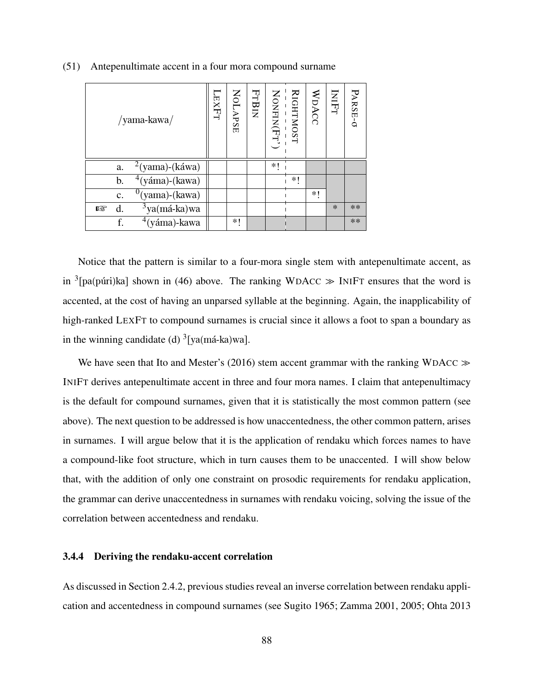| /yama-kawa/                | <b>LEXFT</b> | NOLAPSE | <b>FTBIN</b> | NONFIN(Fr') | RIGHTMOST | WDACC | INIFT  | PARSE-0 |
|----------------------------|--------------|---------|--------------|-------------|-----------|-------|--------|---------|
| $^{2}$ (yama)-(káwa)<br>a. |              |         |              | *1          |           |       |        |         |
| $4$ (yáma)-(kawa)<br>b.    |              |         |              |             | *1        |       |        |         |
| $^{0}$ (yama)-(kawa)<br>c. |              |         |              |             |           | *1    |        |         |
| $3$ ya(má-ka)wa<br>d.<br>隐 |              |         |              |             |           |       | $\ast$ | **      |
| $4$ (yáma)-kawa<br>f.      |              | *1      |              |             |           |       |        | $**$    |

(51) Antepenultimate accent in a four mora compound surname

Notice that the pattern is similar to a four-mora single stem with antepenultimate accent, as in <sup>3</sup>[pa(púri)ka] shown in (46) above. The ranking WDACC  $\gg$  INIFT ensures that the word is accented, at the cost of having an unparsed syllable at the beginning. Again, the inapplicability of high-ranked LEXFT to compound surnames is crucial since it allows a foot to span a boundary as in the winning candidate (d)  $\frac{3}{2}$ [ya(má-ka)wa].

We have seen that Ito and Mester's (2016) stem accent grammar with the ranking WDACC  $\gg$ INIFT derives antepenultimate accent in three and four mora names. I claim that antepenultimacy is the default for compound surnames, given that it is statistically the most common pattern (see above). The next question to be addressed is how unaccentedness, the other common pattern, arises in surnames. I will argue below that it is the application of rendaku which forces names to have a compound-like foot structure, which in turn causes them to be unaccented. I will show below that, with the addition of only one constraint on prosodic requirements for rendaku application, the grammar can derive unaccentedness in surnames with rendaku voicing, solving the issue of the correlation between accentedness and rendaku.

### 3.4.4 Deriving the rendaku-accent correlation

As discussed in Section 2.4.2, previous studies reveal an inverse correlation between rendaku application and accentedness in compound surnames (see Sugito 1965; Zamma 2001, 2005; Ohta 2013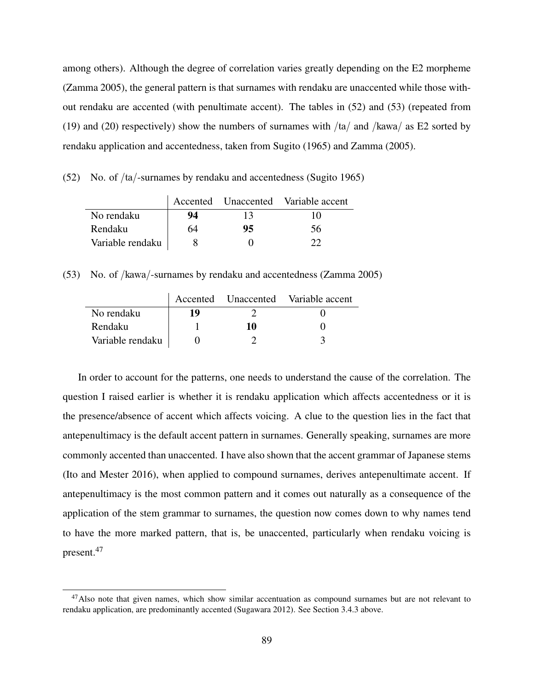among others). Although the degree of correlation varies greatly depending on the E2 morpheme (Zamma 2005), the general pattern is that surnames with rendaku are unaccented while those without rendaku are accented (with penultimate accent). The tables in (52) and (53) (repeated from (19) and (20) respectively) show the numbers of surnames with  $/ta/$  and  $/kawa/$  as E2 sorted by rendaku application and accentedness, taken from Sugito (1965) and Zamma (2005).

(52) No. of /ta/-surnames by rendaku and accentedness (Sugito 1965)

|                  |    |    | Accented Unaccented Variable accent |
|------------------|----|----|-------------------------------------|
| No rendaku       | 94 | 13 | 10                                  |
| Rendaku          | 64 | 95 | 56                                  |
| Variable rendaku |    |    |                                     |

(53) No. of /kawa/-surnames by rendaku and accentedness (Zamma 2005)

|                  |    |    | Accented Unaccented Variable accent |
|------------------|----|----|-------------------------------------|
| No rendaku       | 19 |    |                                     |
| Rendaku          |    | 10 |                                     |
| Variable rendaku |    |    |                                     |

In order to account for the patterns, one needs to understand the cause of the correlation. The question I raised earlier is whether it is rendaku application which affects accentedness or it is the presence/absence of accent which affects voicing. A clue to the question lies in the fact that antepenultimacy is the default accent pattern in surnames. Generally speaking, surnames are more commonly accented than unaccented. I have also shown that the accent grammar of Japanese stems (Ito and Mester 2016), when applied to compound surnames, derives antepenultimate accent. If antepenultimacy is the most common pattern and it comes out naturally as a consequence of the application of the stem grammar to surnames, the question now comes down to why names tend to have the more marked pattern, that is, be unaccented, particularly when rendaku voicing is present.<sup>47</sup>

 $47$ Also note that given names, which show similar accentuation as compound surnames but are not relevant to rendaku application, are predominantly accented (Sugawara 2012). See Section 3.4.3 above.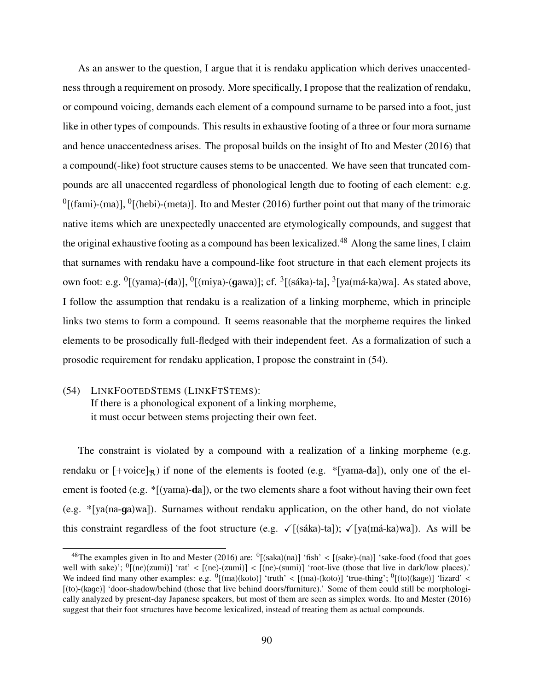As an answer to the question, I argue that it is rendaku application which derives unaccentedness through a requirement on prosody. More specifically, I propose that the realization of rendaku, or compound voicing, demands each element of a compound surname to be parsed into a foot, just like in other types of compounds. This results in exhaustive footing of a three or four mora surname and hence unaccentedness arises. The proposal builds on the insight of Ito and Mester (2016) that a compound(-like) foot structure causes stems to be unaccented. We have seen that truncated compounds are all unaccented regardless of phonological length due to footing of each element: e.g.  ${}^{0}$ [(fami)-(ma)],  ${}^{0}$ [(hebi)-(meta)]. Ito and Mester (2016) further point out that many of the trimoraic native items which are unexpectedly unaccented are etymologically compounds, and suggest that the original exhaustive footing as a compound has been lexicalized.<sup>48</sup> Along the same lines, I claim that surnames with rendaku have a compound-like foot structure in that each element projects its own foot: e.g.  $\rm ^0[(yama)-(da)],$   $\rm ^0[(miya)-(gawa)];$  cf.  $\rm ^3[(sáka)-ta],$   $\rm ^3[ya(má-ka)wa].$  As stated above, I follow the assumption that rendaku is a realization of a linking morpheme, which in principle links two stems to form a compound. It seems reasonable that the morpheme requires the linked elements to be prosodically full-fledged with their independent feet. As a formalization of such a prosodic requirement for rendaku application, I propose the constraint in (54).

# (54) LINKFOOTEDSTEMS (LINKFTSTEMS): If there is a phonological exponent of a linking morpheme,

it must occur between stems projecting their own feet.

The constraint is violated by a compound with a realization of a linking morpheme (e.g. rendaku or  $[+$ voice]<sub> $\mathcal{R}$ </sub>) if none of the elements is footed (e.g. \*[yama-da]), only one of the element is footed (e.g.  $\sqrt{\frac{2}{1-\epsilon}}$  (yama)-da]), or the two elements share a foot without having their own feet (e.g. \*[ya(na-ga)wa]). Surnames without rendaku application, on the other hand, do not violate this constraint regardless of the foot structure (e.g.  $\sqrt{(sáka)}$ -ta]);  $\sqrt{(ya(má-ka)wa)}$ . As will be

<sup>&</sup>lt;sup>48</sup>The examples given in Ito and Mester (2016) are: <sup>0</sup>[(saka)(na)] 'fish' < [(sake)-(na)] 'sake-food (food that goes well with sake)';  $^{0}$ [(ne)(zumi)] 'rat' < [(ne)-(zumi)] < [(ne)-(sumi)] 'root-live (those that live in dark/low places).' We indeed find many other examples: e.g.  $\frac{0}{(\text{ma})(\text{koto})}$  'truth' <  $[(\text{ma})-(\text{koto})]$  'true-thing';  $\frac{0}{(\text{to})(\text{kage})}$  'lizard' < [(to)-(kage)] 'door-shadow/behind (those that live behind doors/furniture).' Some of them could still be morphologically analyzed by present-day Japanese speakers, but most of them are seen as simplex words. Ito and Mester (2016) suggest that their foot structures have become lexicalized, instead of treating them as actual compounds.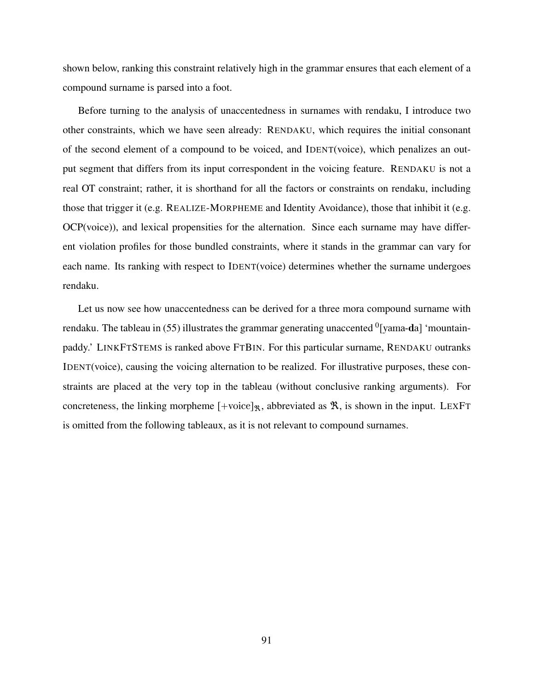shown below, ranking this constraint relatively high in the grammar ensures that each element of a compound surname is parsed into a foot.

Before turning to the analysis of unaccentedness in surnames with rendaku, I introduce two other constraints, which we have seen already: RENDAKU, which requires the initial consonant of the second element of a compound to be voiced, and IDENT(voice), which penalizes an output segment that differs from its input correspondent in the voicing feature. RENDAKU is not a real OT constraint; rather, it is shorthand for all the factors or constraints on rendaku, including those that trigger it (e.g. REALIZE-MORPHEME and Identity Avoidance), those that inhibit it (e.g. OCP(voice)), and lexical propensities for the alternation. Since each surname may have different violation profiles for those bundled constraints, where it stands in the grammar can vary for each name. Its ranking with respect to IDENT(voice) determines whether the surname undergoes rendaku.

Let us now see how unaccentedness can be derived for a three mora compound surname with rendaku. The tableau in (55) illustrates the grammar generating unaccented  $^0$  [yama-**d**a] 'mountainpaddy.' LINKFTSTEMS is ranked above FTBIN. For this particular surname, RENDAKU outranks IDENT(voice), causing the voicing alternation to be realized. For illustrative purposes, these constraints are placed at the very top in the tableau (without conclusive ranking arguments). For concreteness, the linking morpheme  $[+{\rm voice}]_{\Re}$ , abbreviated as  $\Re$ , is shown in the input. LEXFT is omitted from the following tableaux, as it is not relevant to compound surnames.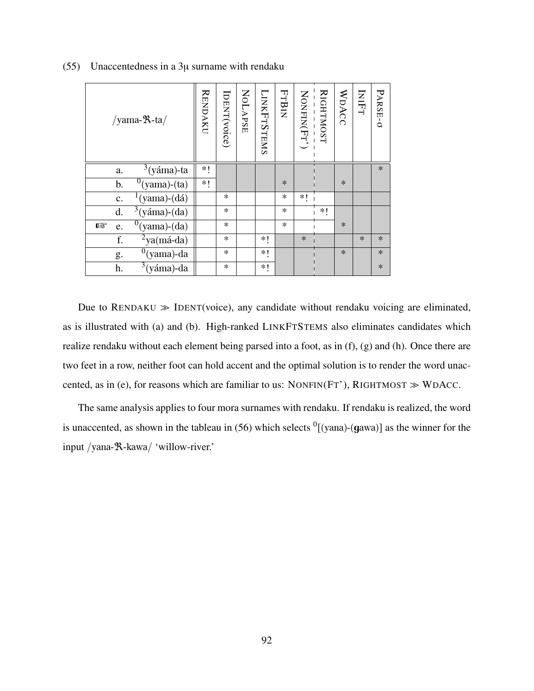| /yama- $\mathcal{R}$ -ta/                   | <b>RENDAKU</b> | IDENT(voice) | <b>NOLAPSE</b> | LINKFTSTEMS | FTBIN  | NONFIN(Fr') | <b>RIGHTMOST</b> | WDACC  | INIFT  | PARSE-0 |
|---------------------------------------------|----------------|--------------|----------------|-------------|--------|-------------|------------------|--------|--------|---------|
| $3$ (yáma)-ta<br>a.                         | ∗!             |              |                |             |        |             |                  |        |        | $\ast$  |
| $^{0}$ (yama)-(ta)<br>b.                    | $*!$           |              |                |             | $\ast$ |             |                  | $\ast$ |        |         |
| $\frac{1}{2}$ (yama)-(dá)<br>$\mathbf{c}$ . |                | $\ast$       |                |             | $\ast$ | *1          |                  |        |        |         |
| $\sqrt[3]{3}$ (yáma)-(da)<br>d.             |                | $\ast$       |                |             | $\ast$ |             | *!               |        |        |         |
| $\sqrt[0]{\text{(yama)-(da)}}$<br>昣<br>e.   |                | $\ast$       |                |             | $\ast$ |             |                  | $\ast$ |        |         |
| $2$ ya(má-da)<br>f.                         |                | $\ast$       |                | *!          |        | $\ast$      |                  |        | $\ast$ | $\ast$  |
| $^{0}$ (yama)-da<br>g.                      |                | $\ast$       |                | $*!$        |        |             |                  | $\ast$ |        | $\ast$  |
| $\sqrt[3]{3(yáma)}$ -da<br>h.               |                | $\ast$       |                | *1          |        |             |                  |        |        | $\ast$  |

(55) Unaccentedness in a 3µ surname with rendaku

Due to  $RENDAKU \gg IDENT(voice)$ , any candidate without rendaku voicing are eliminated, as is illustrated with (a) and (b). High-ranked LINKFTSTEMS also eliminates candidates which realize rendaku without each element being parsed into a foot, as in (f), (g) and (h). Once there are two feet in a row, neither foot can hold accent and the optimal solution is to render the word unaccented, as in (e), for reasons which are familiar to us: NONFIN(FT'), RIGHTMOST  $\gg$  WDACC.

The same analysis applies to four mora surnames with rendaku. If rendaku is realized, the word is unaccented, as shown in the tableau in (56) which selects  $\frac{0}{y}$  (yana)-(gawa) as the winner for the input /yana-ℜ-kawa/ 'willow-river.'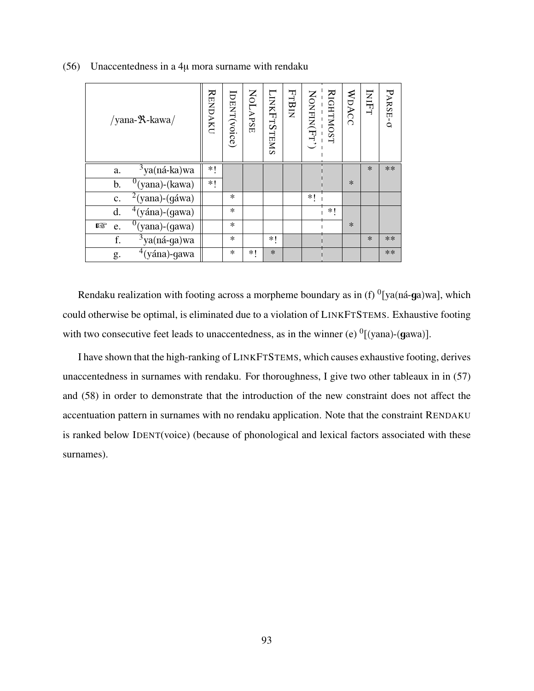| /yana- $\mathcal{R}$ -kawa/                  | <b>RENDAKU</b> | IDENT(voice) | NOLAPSE | <b>LINKFTSTEMS</b> | FTBIN | NONFIN(Fr') | <b>RIGHTMOST</b> | WDACC  | INIFT  | PARSE-0 |
|----------------------------------------------|----------------|--------------|---------|--------------------|-------|-------------|------------------|--------|--------|---------|
| $3$ ya(ná-ka)wa<br>a.                        | *1             |              |         |                    |       |             |                  |        | $\ast$ | **      |
| $0$ (yana)-(kawa)<br>b.                      | *1             |              |         |                    |       |             |                  | $\ast$ |        |         |
| $\sqrt[2]{2}$ (yana)-(gáwa)<br>c.            |                | $\ast$       |         |                    |       | *1          |                  |        |        |         |
| $\sqrt[4]{(\sin a)}$ -(gawa)<br>d.           |                | $\ast$       |         |                    |       |             | *1               |        |        |         |
| $\sqrt[0]{\text{(yana)}}$ -(gawa)<br>隐<br>e. |                | $\ast$       |         |                    |       |             |                  | $\ast$ |        |         |
| $\frac{3}{3}$ ya(ná-ga)wa<br>f.              |                | $\ast$       |         | *1                 |       |             |                  |        | $\ast$ | **      |
| $\frac{4}{3}$ (yána)-gawa<br>g.              |                | $\ast$       | *1      | $\ast$             |       |             |                  |        |        | **      |

(56) Unaccentedness in a 4µ mora surname with rendaku

Rendaku realization with footing across a morpheme boundary as in (f)  ${}^{0}$ [ya(ná-ga)wa], which could otherwise be optimal, is eliminated due to a violation of LINKFTSTEMS. Exhaustive footing with two consecutive feet leads to unaccentedness, as in the winner (e)  $\frac{0}{v}$ [(yana)-(gawa)].

I have shown that the high-ranking of LINKFTSTEMS, which causes exhaustive footing, derives unaccentedness in surnames with rendaku. For thoroughness, I give two other tableaux in in (57) and (58) in order to demonstrate that the introduction of the new constraint does not affect the accentuation pattern in surnames with no rendaku application. Note that the constraint RENDAKU is ranked below IDENT(voice) (because of phonological and lexical factors associated with these surnames).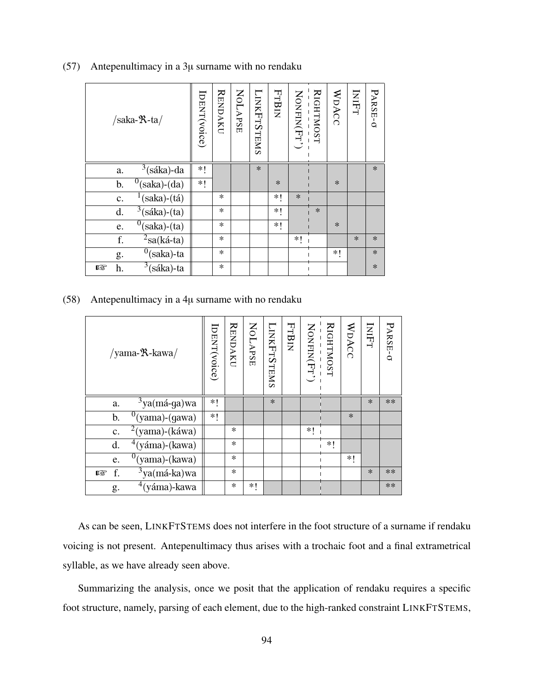| $/saka-R-ta/$                    | IDENT(voice) | <b>RENDAKU</b> | <b>NOLAPSE</b> | <b>LINKFTSTEMS</b> | FTBIN  | NONFIN(Fr') | RIGHTMOST | WDACC  | INIFT  | PARSE-O |
|----------------------------------|--------------|----------------|----------------|--------------------|--------|-------------|-----------|--------|--------|---------|
| $3$ (sáka)-da<br>a.              | *!           |                |                | $\ast$             |        |             |           |        |        | $\ast$  |
| $0$ (saka)-(da)<br>$\mathbf b$ . | $*!$         |                |                |                    | $\ast$ |             |           | $\ast$ |        |         |
| $(saka)-(tá)$<br>c.              |              | $\ast$         |                |                    | *1     | $\ast$      |           |        |        |         |
| $\sqrt[3]{3}$ (sáka)-(ta)<br>d.  |              | $\ast$         |                |                    | *1     |             | $\ast$    |        |        |         |
| $\overline{0}$ (saka)-(ta)<br>e. |              | $\ast$         |                |                    | ∗!     |             |           | $\ast$ |        |         |
| $\overline{^2}$ sa(ká-ta)<br>f.  |              | $\ast$         |                |                    |        | *!          |           |        | $\ast$ | $\ast$  |
| $\overline{0}$ (saka)-ta<br>g.   |              | $\ast$         |                |                    |        |             |           | *1     |        | $\ast$  |
| $3$ (sáka)-ta<br>h.<br>rð.       |              | $\ast$         |                |                    |        |             |           |        |        | $*$     |

(57) Antepenultimacy in a 3µ surname with no rendaku

(58) Antepenultimacy in a 4µ surname with no rendaku

| /yama- <sup>9</sup> X-kawa/ | [DENT(voice) | <b>RENDAKU</b> | NOLAPSE | <b>LINKFTSTEMS</b> | FTBIN | NONFIN(Fr') | <b>RIGHTMOST</b> | WDACC  | INIFT  | PARSE-0 |
|-----------------------------|--------------|----------------|---------|--------------------|-------|-------------|------------------|--------|--------|---------|
| $3$ ya(má-ga)wa<br>a.       | *1           |                |         | $\ast$             |       |             |                  |        | $\ast$ | $**$    |
| $^{0}$ (yama)-(gawa)<br>b.  | $*1$         |                |         |                    |       |             |                  | $\ast$ |        |         |
| $2$ (yama)-(káwa)<br>c.     |              | $\ast$         |         |                    |       | *1          |                  |        |        |         |
| $4(yáma)-(kawa)$<br>d.      |              | $\ast$         |         |                    |       |             | $*$              |        |        |         |
| $^{0}$ (yama)-(kawa)<br>e.  |              | $\ast$         |         |                    |       |             |                  | *1     |        |         |
| $3$ ya(má-ka)wa<br>f.<br>隐  |              | $\ast$         |         |                    |       |             |                  |        | $\ast$ | $**$    |
| $4$ (yáma)-kawa<br>g.       |              | $\ast$         | *1      |                    |       |             |                  |        |        | $**$    |

As can be seen, LINKFTSTEMS does not interfere in the foot structure of a surname if rendaku voicing is not present. Antepenultimacy thus arises with a trochaic foot and a final extrametrical syllable, as we have already seen above.

Summarizing the analysis, once we posit that the application of rendaku requires a specific foot structure, namely, parsing of each element, due to the high-ranked constraint LINKFTSTEMS,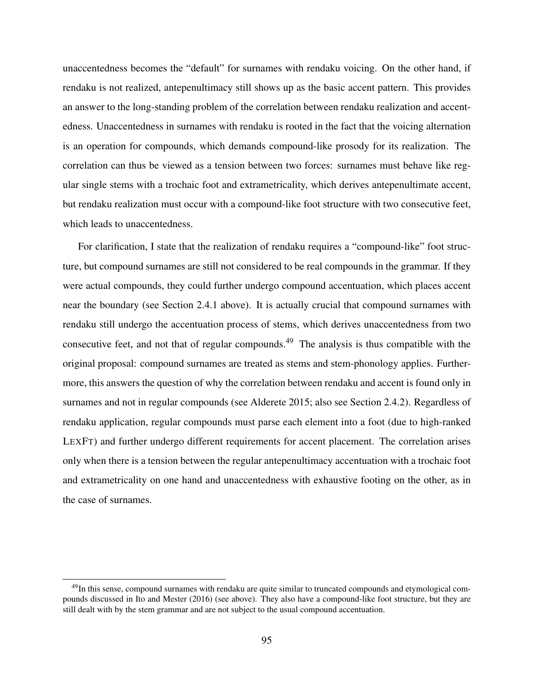unaccentedness becomes the "default" for surnames with rendaku voicing. On the other hand, if rendaku is not realized, antepenultimacy still shows up as the basic accent pattern. This provides an answer to the long-standing problem of the correlation between rendaku realization and accentedness. Unaccentedness in surnames with rendaku is rooted in the fact that the voicing alternation is an operation for compounds, which demands compound-like prosody for its realization. The correlation can thus be viewed as a tension between two forces: surnames must behave like regular single stems with a trochaic foot and extrametricality, which derives antepenultimate accent, but rendaku realization must occur with a compound-like foot structure with two consecutive feet, which leads to unaccentedness.

For clarification, I state that the realization of rendaku requires a "compound-like" foot structure, but compound surnames are still not considered to be real compounds in the grammar. If they were actual compounds, they could further undergo compound accentuation, which places accent near the boundary (see Section 2.4.1 above). It is actually crucial that compound surnames with rendaku still undergo the accentuation process of stems, which derives unaccentedness from two consecutive feet, and not that of regular compounds.<sup>49</sup> The analysis is thus compatible with the original proposal: compound surnames are treated as stems and stem-phonology applies. Furthermore, this answers the question of why the correlation between rendaku and accent is found only in surnames and not in regular compounds (see Alderete 2015; also see Section 2.4.2). Regardless of rendaku application, regular compounds must parse each element into a foot (due to high-ranked LEXFT) and further undergo different requirements for accent placement. The correlation arises only when there is a tension between the regular antepenultimacy accentuation with a trochaic foot and extrametricality on one hand and unaccentedness with exhaustive footing on the other, as in the case of surnames.

<sup>&</sup>lt;sup>49</sup>In this sense, compound surnames with rendaku are quite similar to truncated compounds and etymological compounds discussed in Ito and Mester (2016) (see above). They also have a compound-like foot structure, but they are still dealt with by the stem grammar and are not subject to the usual compound accentuation.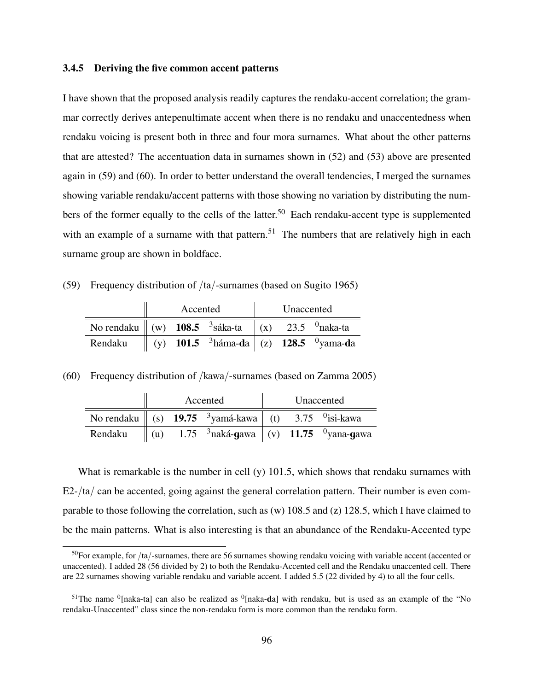### 3.4.5 Deriving the five common accent patterns

I have shown that the proposed analysis readily captures the rendaku-accent correlation; the grammar correctly derives antepenultimate accent when there is no rendaku and unaccentedness when rendaku voicing is present both in three and four mora surnames. What about the other patterns that are attested? The accentuation data in surnames shown in (52) and (53) above are presented again in (59) and (60). In order to better understand the overall tendencies, I merged the surnames showing variable rendaku/accent patterns with those showing no variation by distributing the numbers of the former equally to the cells of the latter.<sup>50</sup> Each rendaku-accent type is supplemented with an example of a surname with that pattern.<sup>51</sup> The numbers that are relatively high in each surname group are shown in boldface.

(59) Frequency distribution of /ta/-surnames (based on Sugito 1965)

|                                                                                   | Accented |                                                                                 | Unaccented |  |
|-----------------------------------------------------------------------------------|----------|---------------------------------------------------------------------------------|------------|--|
| No rendaku $\ $ (w) 108.5 <sup>3</sup> sáka-ta $\ $ (x) 23.5 <sup>0</sup> naka-ta |          |                                                                                 |            |  |
| Rendaku                                                                           |          | (y) 101.5 $\frac{3 \text{háma-da}}{2}$   (z) 128.5 $\frac{0 \text{yama-da}}{2}$ |            |  |

(60) Frequency distribution of /kawa/-surnames (based on Zamma 2005)

|         |  | Accented                                                                                           |  | Unaccented |
|---------|--|----------------------------------------------------------------------------------------------------|--|------------|
|         |  | No rendaku $\parallel$ (s) 19.75 <sup>3</sup> yamá-kawa $\parallel$ (t) 3.75 <sup>0</sup> isi-kawa |  |            |
| Rendaku |  | $\parallel$ (u) 1.75 $\,$ <sup>3</sup> naká-gawa $\mid$ (v) 11.75 $\,$ <sup>0</sup> yana-gawa      |  |            |

What is remarkable is the number in cell  $(y)$  101.5, which shows that rendaku surnames with  $E2- $\frac{1}{a}$  can be accepted, going against the general correlation pattern. Their number is even com$ parable to those following the correlation, such as (w) 108.5 and (z) 128.5, which I have claimed to be the main patterns. What is also interesting is that an abundance of the Rendaku-Accented type

 $50$ For example, for /ta/-surnames, there are 56 surnames showing rendaku voicing with variable accent (accented or unaccented). I added 28 (56 divided by 2) to both the Rendaku-Accented cell and the Rendaku unaccented cell. There are 22 surnames showing variable rendaku and variable accent. I added 5.5 (22 divided by 4) to all the four cells.

<sup>&</sup>lt;sup>51</sup>The name  $^0$ [naka-ta] can also be realized as  $^0$ [naka-da] with rendaku, but is used as an example of the "No rendaku-Unaccented" class since the non-rendaku form is more common than the rendaku form.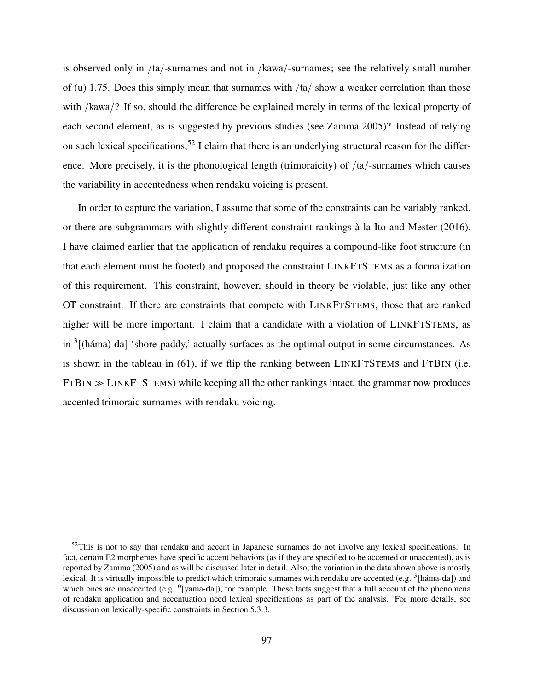is observed only in /ta/-surnames and not in /kawa/-surnames; see the relatively small number of (u) 1.75. Does this simply mean that surnames with  $/ta/$  show a weaker correlation than those with /kawa/? If so, should the difference be explained merely in terms of the lexical property of each second element, as is suggested by previous studies (see Zamma 2005)? Instead of relying on such lexical specifications,<sup>52</sup> I claim that there is an underlying structural reason for the difference. More precisely, it is the phonological length (trimoraicity) of /ta/-surnames which causes the variability in accentedness when rendaku voicing is present.

In order to capture the variation, I assume that some of the constraints can be variably ranked, or there are subgrammars with slightly different constraint rankings à la Ito and Mester (2016). I have claimed earlier that the application of rendaku requires a compound-like foot structure (in that each element must be footed) and proposed the constraint LINKFTSTEMS as a formalization of this requirement. This constraint, however, should in theory be violable, just like any other OT constraint. If there are constraints that compete with LINKFTSTEMS, those that are ranked higher will be more important. I claim that a candidate with a violation of LINKFTSTEMS, as in  $3$ [(háma)-da] 'shore-paddy,' actually surfaces as the optimal output in some circumstances. As is shown in the tableau in (61), if we flip the ranking between LINKFTSTEMS and FTBIN (i.e.  $FTBIN \gg LINKFTSTEMS)$  while keeping all the other rankings intact, the grammar now produces accented trimoraic surnames with rendaku voicing.

 $52$ This is not to say that rendaku and accent in Japanese surnames do not involve any lexical specifications. In fact, certain E2 morphemes have specific accent behaviors (as if they are specified to be accented or unaccented), as is reported by Zamma (2005) and as will be discussed later in detail. Also, the variation in the data shown above is mostly lexical. It is virtually impossible to predict which trimoraic surnames with rendaku are accented (e.g. <sup>3</sup>[háma-da]) and which ones are unaccented (e.g. <sup>0</sup>[yama-da]), for example. These facts suggest that a full account of the phenomena of rendaku application and accentuation need lexical specifications as part of the analysis. For more details, see discussion on lexically-specific constraints in Section 5.3.3.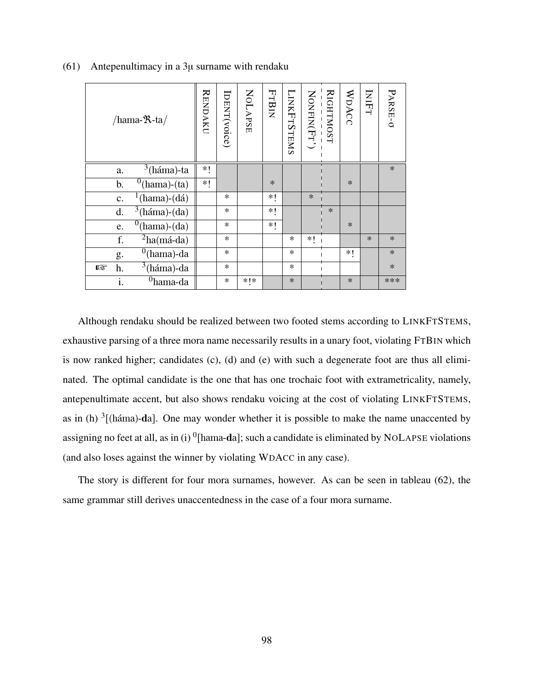| /hama- $\mathcal{R}$ -ta/               | <b>RENDAKU</b> | IDENT(voice) | <b>NOLAPSE</b> | <b>FTBIN</b> | <b>LINKFTSTEMS</b> | - - - - - - - - - - - -<br>Nonfin(Fr') | RIGHTMOST | WDACC  | INIFT  | PARSE-O |
|-----------------------------------------|----------------|--------------|----------------|--------------|--------------------|----------------------------------------|-----------|--------|--------|---------|
| $3$ (háma)-ta<br>a.                     | *!             |              |                |              |                    |                                        |           |        |        | $\ast$  |
| $^0$ (hama)-(ta)<br>b.                  | ∗!             |              |                | $\ast$       |                    |                                        |           | $\ast$ |        |         |
| $(hama)-(d\acute{a})$<br>$\mathbf{c}$ . |                | $\ast$       |                | *!           |                    | $\ast$                                 |           |        |        |         |
| $\sqrt[3]{\text{háma}}$ -(da)<br>d.     |                | $\ast$       |                | *!           |                    |                                        | $\ast$    |        |        |         |
| $^{0}$ (hama)-(da)<br>e.                |                | $\ast$       |                | *!           |                    |                                        |           | $\ast$ |        |         |
| $^{2}$ ha(má-da)<br>f.                  |                | $\ast$       |                |              | $\ast$             | *∣                                     |           |        | $\ast$ | $\ast$  |
| $^{0}$ (hama)-da<br>g.                  |                | $\ast$       |                |              | $\ast$             |                                        |           | *!     |        | $\ast$  |
| $3(háma)$ -da<br>h.<br>隐                |                | $\ast$       |                |              | $\ast$             |                                        |           |        |        | $\ast$  |
| i.<br>$0$ hama-da                       |                | $\ast$       | * *            |              | $\ast$             |                                        |           | $\ast$ |        | ***     |

(61) Antepenultimacy in a  $3\mu$  surname with rendaku

Although rendaku should be realized between two footed stems according to LINKFTSTEMS, exhaustive parsing of a three mora name necessarily results in a unary foot, violating FTBIN which is now ranked higher; candidates (c), (d) and (e) with such a degenerate foot are thus all eliminated. The optimal candidate is the one that has one trochaic foot with extrametricality, namely, antepenultimate accent, but also shows rendaku voicing at the cost of violating LINKFTSTEMS, as in (h)  $3$ [(háma)-da]. One may wonder whether it is possible to make the name unaccented by assigning no feet at all, as in (i)  $^0$ [hama-da]; such a candidate is eliminated by NOLAPSE violations (and also loses against the winner by violating WDACC in any case).

The story is different for four mora surnames, however. As can be seen in tableau (62), the same grammar still derives unaccentedness in the case of a four mora surname.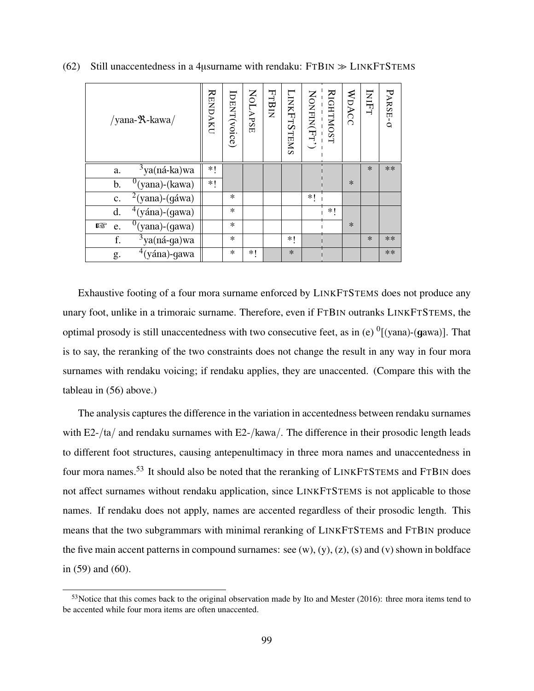| /yana- $\mathcal{R}$ -kawa/             | <b>RENDAKU</b> | IDENT(voice) | <b>NOLAPSE</b> | <b>FTBIN</b> | LINKFTSTEMS | NONFIN(Fr') | <b>RIGHTMOST</b> | WDACC  | INIFT  | PARSE-0 |
|-----------------------------------------|----------------|--------------|----------------|--------------|-------------|-------------|------------------|--------|--------|---------|
| $3$ ya(ná-ka)wa<br>a.                   | ∗!             |              |                |              |             |             |                  |        | $\ast$ | **      |
| $0$ (yana)-(kawa)<br>b.                 | *1             |              |                |              |             |             |                  | $\ast$ |        |         |
| $2$ (yana)-(gáwa)<br>$\mathbf{c}.$      |                | $\ast$       |                |              |             | *1          |                  |        |        |         |
| $\sqrt[4]{3}$ (yána)-(gawa)<br>d.       |                | $\ast$       |                |              |             |             | *1               |        |        |         |
| $\overline{0}$ (yana)-(gawa)<br>隐<br>e. |                | $\ast$       |                |              |             |             |                  | $\ast$ |        |         |
| $\frac{3}{3}$ ya(ná-ga)wa<br>f.         |                | $\ast$       |                |              | ∗∣          |             |                  |        | $\ast$ | $**$    |
| $4(yána)$ -gawa<br>g.                   |                | $\ast$       | *1             |              | $\ast$      |             |                  |        |        | **      |

(62) Still unaccentedness in a 4 $\mu$ surname with rendaku: FTBIN  $\gg$  LINKFTSTEMS

Exhaustive footing of a four mora surname enforced by LINKFTSTEMS does not produce any unary foot, unlike in a trimoraic surname. Therefore, even if FTBIN outranks LINKFTSTEMS, the optimal prosody is still unaccentedness with two consecutive feet, as in (e)  $\frac{0}{v}$  [(yana)-(gawa)]. That is to say, the reranking of the two constraints does not change the result in any way in four mora surnames with rendaku voicing; if rendaku applies, they are unaccented. (Compare this with the tableau in (56) above.)

The analysis captures the difference in the variation in accentedness between rendaku surnames with  $E2-/(ta)$  and rendaku surnames with  $E2-/(kawa)$ . The difference in their prosodic length leads to different foot structures, causing antepenultimacy in three mora names and unaccentedness in four mora names.<sup>53</sup> It should also be noted that the reranking of LINKFTSTEMS and FTBIN does not affect surnames without rendaku application, since LINKFTSTEMS is not applicable to those names. If rendaku does not apply, names are accented regardless of their prosodic length. This means that the two subgrammars with minimal reranking of LINKFTSTEMS and FTBIN produce the five main accent patterns in compound surnames: see  $(w)$ ,  $(y)$ ,  $(z)$ ,  $(s)$  and  $(v)$  shown in boldface in (59) and (60).

 $53$ Notice that this comes back to the original observation made by Ito and Mester (2016): three mora items tend to be accented while four mora items are often unaccented.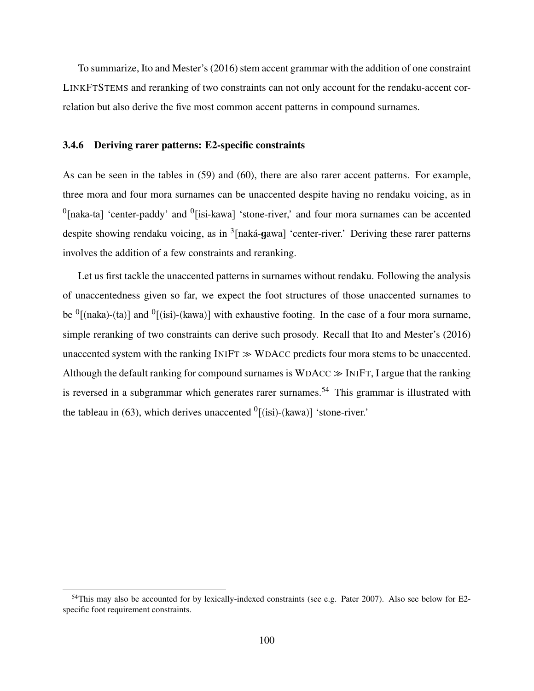To summarize, Ito and Mester's (2016) stem accent grammar with the addition of one constraint LINKFTSTEMS and reranking of two constraints can not only account for the rendaku-accent correlation but also derive the five most common accent patterns in compound surnames.

### 3.4.6 Deriving rarer patterns: E2-specific constraints

As can be seen in the tables in (59) and (60), there are also rarer accent patterns. For example, three mora and four mora surnames can be unaccented despite having no rendaku voicing, as in  $<sup>0</sup>$ [naka-ta] 'center-paddy' and  $<sup>0</sup>$ [isi-kawa] 'stone-river,' and four mora surnames can be accented</sup></sup> despite showing rendaku voicing, as in <sup>3</sup>[naká-gawa] 'center-river.' Deriving these rarer patterns involves the addition of a few constraints and reranking.

Let us first tackle the unaccented patterns in surnames without rendaku. Following the analysis of unaccentedness given so far, we expect the foot structures of those unaccented surnames to be  ${}^{0}$ [(naka)-(ta)] and  ${}^{0}$ [(isi)-(kawa)] with exhaustive footing. In the case of a four mora surname, simple reranking of two constraints can derive such prosody. Recall that Ito and Mester's (2016) unaccented system with the ranking  $INIFT \gg WDACC$  predicts four mora stems to be unaccented. Although the default ranking for compound surnames is  $WDACC \gg INIFT$ , I argue that the ranking is reversed in a subgrammar which generates rarer surnames.<sup>54</sup> This grammar is illustrated with the tableau in (63), which derives unaccented  $\frac{0}{\text{[}}\text{(isi)-(kawa)}\text{]}$  'stone-river.'

<sup>&</sup>lt;sup>54</sup>This may also be accounted for by lexically-indexed constraints (see e.g. Pater 2007). Also see below for E2specific foot requirement constraints.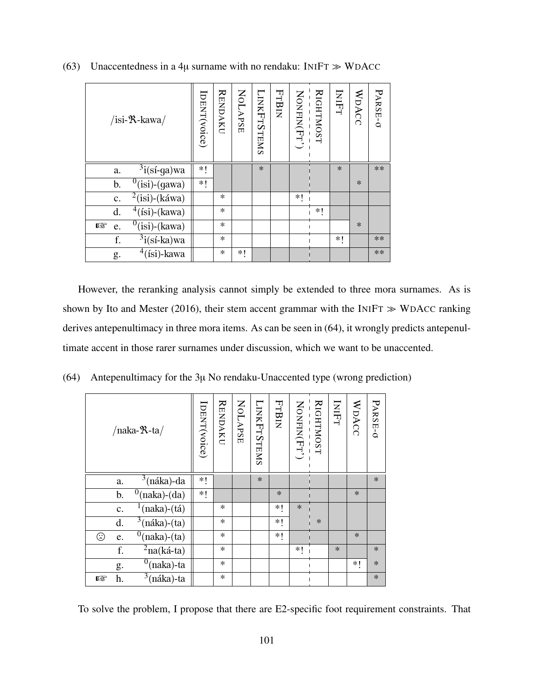| /isi- $\mathcal{R}$ -kawa/         | [DENT(voice) | <b>RENDAKU</b> | <b>NOLAPSE</b> | LINKFTSTEMS | <b>FTBIN</b> | NONFIN(Fr) | <b>RIGHTMOST</b> | INIFT  | WDACC  | PARSE-0 |
|------------------------------------|--------------|----------------|----------------|-------------|--------------|------------|------------------|--------|--------|---------|
| $3i$ (sí-ga)wa<br>a.               | *!           |                |                | $\ast$      |              |            |                  | $\ast$ |        | **      |
| $0$ (isi)-(gawa)<br>b.             | *!           |                |                |             |              |            |                  |        | $\ast$ |         |
| $2$ (isi)-(káwa)<br>$\mathbf{c}$ . |              | $\ast$         |                |             |              | *1         |                  |        |        |         |
| $4$ (isi)-(kawa)<br>d.             |              | $\ast$         |                |             |              |            | *1               |        |        |         |
| $0$ (isi)-(kawa)<br>rg.<br>e.      |              | $\ast$         |                |             |              |            |                  |        | $\ast$ |         |
| $3$ i(sí-ka)wa<br>f.               |              | $\ast$         |                |             |              |            |                  | *1     |        | **      |
| $4$ (isi)-kawa<br>g.               |              | $\ast$         | *1             |             |              |            |                  |        |        | **      |

(63) Unaccentedness in a 4 $\mu$  surname with no rendaku: INIFT  $\gg$  WDACC

However, the reranking analysis cannot simply be extended to three mora surnames. As is shown by Ito and Mester (2016), their stem accent grammar with the INIFT  $\gg$  WDACC ranking derives antepenultimacy in three mora items. As can be seen in (64), it wrongly predicts antepenultimate accent in those rarer surnames under discussion, which we want to be unaccented.

(64) Antepenultimacy for the 3µ No rendaku-Unaccented type (wrong prediction)

| /naka- $\mathcal{R}$ -ta/                        | [DENT(voice) | <b>RENDAKU</b> | NOLAPSE | <b>LINKFTSTEMS</b> | FTBIN  | NONFIN(Fr') | <b>RIGHTMOST</b> | INIFT  | WDACC  | PARSE-0 |
|--------------------------------------------------|--------------|----------------|---------|--------------------|--------|-------------|------------------|--------|--------|---------|
| $3$ (náka)-da<br>a.                              | $*!$         |                |         | $\ast$             |        |             |                  |        |        | $\ast$  |
| $\overline{0}$ (naka)-(da)<br>b.                 | $*!$         |                |         |                    | $\ast$ |             |                  |        | $\ast$ |         |
| $\frac{1}{\text{(naka)-(tá)}}$<br>$\mathbf{C}$ . |              | *              |         |                    | *1     | $\ast$      |                  |        |        |         |
| $\sqrt[3]{\text{náka}}$ -(ta)<br>d.              |              | $\ast$         |         |                    | $*!$   |             | $\ast$           |        |        |         |
| $\sqrt[0]{\text{naka}}$ -(ta)<br>☺<br>e.         |              | *              |         |                    | $*!$   |             |                  |        | $\ast$ |         |
| $^{2}$ na(ká-ta)<br>f.                           |              | $\ast$         |         |                    |        | $*1$        |                  | $\ast$ |        | $\ast$  |
| $^{0}$ (naka)-ta<br>g.                           |              | $\ast$         |         |                    |        |             |                  |        | *!     | $\ast$  |
| $\overline{\frac{3}{3}}$ (náka)-ta<br>rð.<br>h.  |              | $\ast$         |         |                    |        |             |                  |        |        | $\ast$  |

To solve the problem, I propose that there are E2-specific foot requirement constraints. That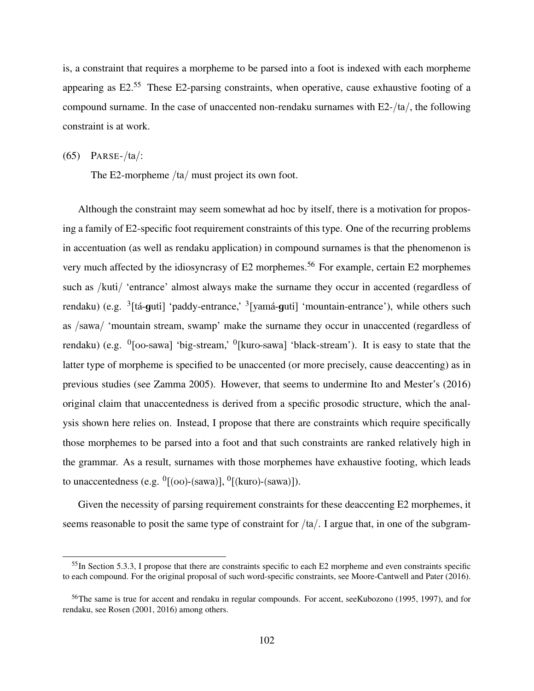is, a constraint that requires a morpheme to be parsed into a foot is indexed with each morpheme appearing as  $E2<sup>55</sup>$  These E2-parsing constraints, when operative, cause exhaustive footing of a compound surname. In the case of unaccented non-rendaku surnames with E2-/ta/, the following constraint is at work.

(65) PARSE-/ta/:

The E2-morpheme /ta/ must project its own foot.

Although the constraint may seem somewhat ad hoc by itself, there is a motivation for proposing a family of E2-specific foot requirement constraints of this type. One of the recurring problems in accentuation (as well as rendaku application) in compound surnames is that the phenomenon is very much affected by the idiosyncrasy of  $E2$  morphemes.<sup>56</sup> For example, certain  $E2$  morphemes such as /kuti/ 'entrance' almost always make the surname they occur in accented (regardless of rendaku) (e.g. <sup>3</sup>[tá-guti] 'paddy-entrance,' <sup>3</sup>[yamá-guti] 'mountain-entrance'), while others such as /sawa/ 'mountain stream, swamp' make the surname they occur in unaccented (regardless of rendaku) (e.g.  $\left[0.0\right]$ -sawa] 'big-stream,'  $\left[0.0\right]$  'black-stream'). It is easy to state that the latter type of morpheme is specified to be unaccented (or more precisely, cause deaccenting) as in previous studies (see Zamma 2005). However, that seems to undermine Ito and Mester's (2016) original claim that unaccentedness is derived from a specific prosodic structure, which the analysis shown here relies on. Instead, I propose that there are constraints which require specifically those morphemes to be parsed into a foot and that such constraints are ranked relatively high in the grammar. As a result, surnames with those morphemes have exhaustive footing, which leads to unaccentedness (e.g.  $\rm ^{0}[(oo)$ -(sawa)],  $\rm ^{0}[(kuro)$ -(sawa)]).

Given the necessity of parsing requirement constraints for these deaccenting E2 morphemes, it seems reasonable to posit the same type of constraint for /ta/. I argue that, in one of the subgram-

<sup>&</sup>lt;sup>55</sup>In Section 5.3.3, I propose that there are constraints specific to each E2 morpheme and even constraints specific to each compound. For the original proposal of such word-specific constraints, see Moore-Cantwell and Pater (2016).

<sup>&</sup>lt;sup>56</sup>The same is true for accent and rendaku in regular compounds. For accent, seeKubozono (1995, 1997), and for rendaku, see Rosen (2001, 2016) among others.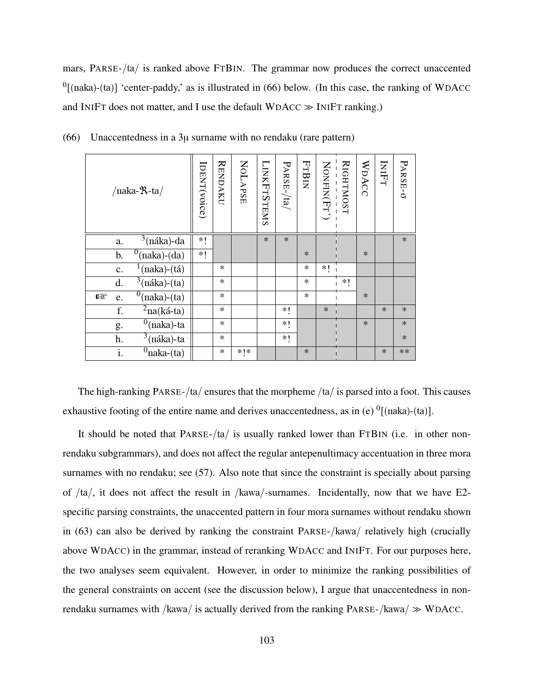mars, PARSE-/ta/ is ranked above FTBIN. The grammar now produces the correct unaccented  $<sup>0</sup>$ [(naka)-(ta)] 'center-paddy,' as is illustrated in (66) below. (In this case, the ranking of WDACC</sup> and INIFT does not matter, and I use the default  $WDACC \gg INIFT$  ranking.)

| /naka- $\mathcal{R}$ -ta/                        | IDENT(voice) | <b>RENDAKU</b> | NOLAPSE | <b>LINKFTSTEMS</b> | $PARSE$ -/ta | FTBIN  |        | RIGHTMOST<br>----------<br>NONFIN(FT') | WDACC  | INIFT  | PARSE-o |
|--------------------------------------------------|--------------|----------------|---------|--------------------|--------------|--------|--------|----------------------------------------|--------|--------|---------|
| $\sqrt[3]{\text{náka}}$ -da<br>a.                | $*!$         |                |         | $\ast$             | $\ast$       |        |        |                                        |        |        | $\ast$  |
| $^{0}$ (naka)-(da)<br>b.                         | $*!$         |                |         |                    |              | $\ast$ |        |                                        | $\ast$ |        |         |
| $\frac{1}{\text{(naka)-(tá)}}$<br>$\mathbf{c}$ . |              | $\ast$         |         |                    |              | $\ast$ | *!     |                                        |        |        |         |
| $3$ (náka)-(ta)<br>d.                            |              | $\ast$         |         |                    |              | $\ast$ |        | $*!$                                   |        |        |         |
| $0$ (naka)-(ta)<br>隐<br>e.                       |              | $\ast$         |         |                    |              | $\ast$ |        |                                        | $\ast$ |        |         |
| $2$ na(ká-ta)<br>f.                              |              | $\ast$         |         |                    | $*!$         |        | $\ast$ |                                        |        | $\ast$ | $\ast$  |
| $\overline{0}$ (naka)-ta<br>g.                   |              | $\ast$         |         |                    | ∗!           |        |        |                                        | $\ast$ |        | $\ast$  |
| $3$ (náka)-ta<br>h.                              |              | $\ast$         |         |                    | *!           |        |        |                                        |        |        | $\ast$  |
| $\overline{0}$ naka-(ta)<br>i.                   |              | $\ast$         | $*!*$   |                    |              | $\ast$ |        |                                        |        | $\ast$ | **      |

(66) Unaccentedness in a  $3\mu$  surname with no rendaku (rare pattern)

The high-ranking PARSE-/ta/ ensures that the morpheme /ta/ is parsed into a foot. This causes exhaustive footing of the entire name and derives unaccentedness, as in (e)  $\frac{0}{\text{[(naka)-(ta)]}}$ .

It should be noted that PARSE-/ta/ is usually ranked lower than FTBIN (i.e. in other nonrendaku subgrammars), and does not affect the regular antepenultimacy accentuation in three mora surnames with no rendaku; see (57). Also note that since the constraint is specially about parsing of  $/ta/$ , it does not affect the result in  $/kawa/$ -surnames. Incidentally, now that we have E2specific parsing constraints, the unaccented pattern in four mora surnames without rendaku shown in (63) can also be derived by ranking the constraint PARSE-/kawa/ relatively high (crucially above WDACC) in the grammar, instead of reranking WDACC and INIFT. For our purposes here, the two analyses seem equivalent. However, in order to minimize the ranking possibilities of the general constraints on accent (see the discussion below), I argue that unaccentedness in nonrendaku surnames with /kawa/ is actually derived from the ranking  $PARSE - /kawa / \gg WDACC$ .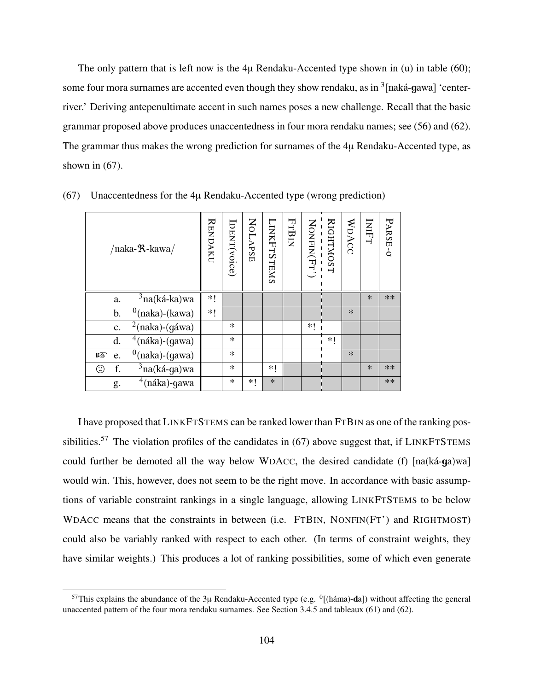The only pattern that is left now is the 4 $\mu$  Rendaku-Accented type shown in (u) in table (60); some four mora surnames are accented even though they show rendaku, as in  $\rm{^3[naká-gawa]}$  'centerriver.' Deriving antepenultimate accent in such names poses a new challenge. Recall that the basic grammar proposed above produces unaccentedness in four mora rendaku names; see (56) and (62). The grammar thus makes the wrong prediction for surnames of the 4µ Rendaku-Accented type, as shown in  $(67)$ .

| $/naka-R-kawa/$                               | <b>RENDAKU</b> | IDENT(voice) | <b>NOLAPSE</b> | <b>LINKFTSTEMS</b> | FTBIN | NONFIN(Fr') | <b>RIGHTMOST</b> | WDACC  | INIFT  | PARSE-O |
|-----------------------------------------------|----------------|--------------|----------------|--------------------|-------|-------------|------------------|--------|--------|---------|
| $3$ na(ká-ka)wa<br>a.                         | *1             |              |                |                    |       |             |                  |        | $\ast$ | **      |
| $^{0}$ (naka)-(kawa)<br>b.                    | *!             |              |                |                    |       |             |                  | $\ast$ |        |         |
| $\sqrt[2]{2(naka)}$ -(gáwa)<br>c.             |                | $\ast$       |                |                    |       | *1          |                  |        |        |         |
| $\sqrt[4]{naka}$ -(gawa)<br>d.                |                | $\ast$       |                |                    |       |             | $*$              |        |        |         |
| $'(\text{naka})$ - $(\text{gawa})$<br>隐<br>e. |                | $\ast$       |                |                    |       |             |                  | $\ast$ |        |         |
| <sup>3</sup> na(ká-ga)wa<br>f.<br>☺           |                | $\ast$       |                | ∗∣                 |       |             |                  |        | $\ast$ | $**$    |
| $4$ (náka)-gawa<br>g.                         |                | $\ast$       | *1             | $\ast$             |       |             |                  |        |        | $**$    |

(67) Unaccentedness for the 4µ Rendaku-Accented type (wrong prediction)

I have proposed that LINKFTSTEMS can be ranked lower than FTBIN as one of the ranking possibilities.<sup>57</sup> The violation profiles of the candidates in  $(67)$  above suggest that, if LINKFTSTEMS could further be demoted all the way below WDACC, the desired candidate (f)  $[na(ka-ga)wa]$ would win. This, however, does not seem to be the right move. In accordance with basic assumptions of variable constraint rankings in a single language, allowing LINKFTSTEMS to be below WDACC means that the constraints in between (i.e. FTBIN, NONFIN(FT') and RIGHTMOST) could also be variably ranked with respect to each other. (In terms of constraint weights, they have similar weights.) This produces a lot of ranking possibilities, some of which even generate

<sup>&</sup>lt;sup>57</sup>This explains the abundance of the  $3\mu$  Rendaku-Accented type (e.g.  $^{0}$ [(háma)-da]) without affecting the general unaccented pattern of the four mora rendaku surnames. See Section 3.4.5 and tableaux (61) and (62).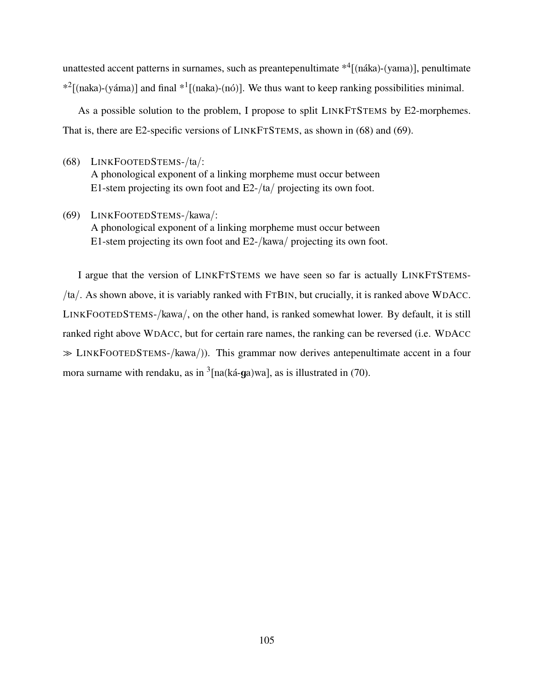unattested accent patterns in surnames, such as preantepenultimate  $*^4$  [(náka)-(yama)], penultimate  $*^2$ [(naka)-(yáma)] and final  $*^1$ [(naka)-(nó)]. We thus want to keep ranking possibilities minimal.

As a possible solution to the problem, I propose to split LINKFTSTEMS by E2-morphemes. That is, there are E2-specific versions of LINKFTSTEMS, as shown in (68) and (69).

(68) LINKFOOTEDSTEMS-/ta/:

A phonological exponent of a linking morpheme must occur between E1-stem projecting its own foot and E2-/ta/ projecting its own foot.

(69) LINKFOOTEDSTEMS-/kawa/: A phonological exponent of a linking morpheme must occur between E1-stem projecting its own foot and E2-/kawa/ projecting its own foot.

I argue that the version of LINKFTSTEMS we have seen so far is actually LINKFTSTEMS- /ta/. As shown above, it is variably ranked with FTBIN, but crucially, it is ranked above WDACC. LINKFOOTEDSTEMS-/kawa/, on the other hand, is ranked somewhat lower. By default, it is still ranked right above WDACC, but for certain rare names, the ranking can be reversed (i.e. WDACC ≫ LINKFOOTEDSTEMS-/kawa/)). This grammar now derives antepenultimate accent in a four mora surname with rendaku, as in  $\frac{3}{2}$ [na(ká-ga)wa], as is illustrated in (70).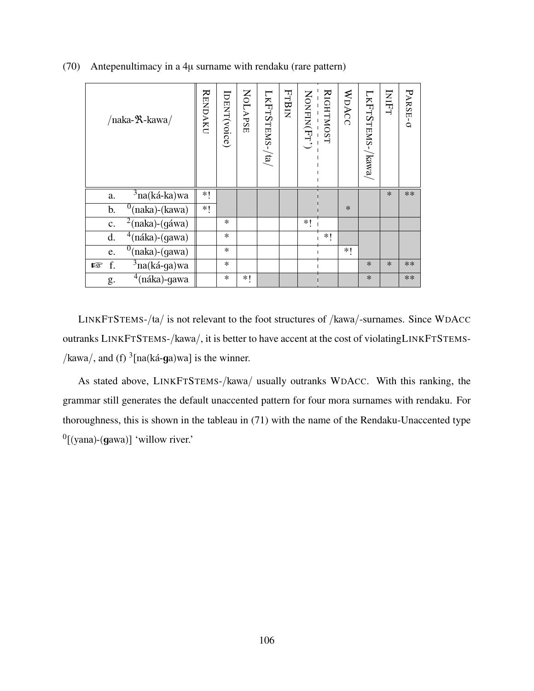| /naka- <sup>9</sup> X-kawa/                   | <b>RENDAKU</b> | IDENT(voice) | NOLAPSE | $LKFTSTEMS-/ta$ | <b>FTBIN</b> | NONFIN(Fr') | <b>RIGHTMOST</b> | WDACC  | LKFTSTEMS-<br>$\rm \langle kawa \rangle$ | INIFT  | PARSE-0 |
|-----------------------------------------------|----------------|--------------|---------|-----------------|--------------|-------------|------------------|--------|------------------------------------------|--------|---------|
| $3$ na(ká-ka)wa<br>a.                         | $*$            |              |         |                 |              |             |                  |        |                                          | $\ast$ | **      |
| (naka)-(kawa)<br>b.                           | *!             |              |         |                 |              |             |                  | $\ast$ |                                          |        |         |
| $\sqrt[2]{2}$ (naka)-(gáwa)<br>$\mathbf{c}$ . |                | $\ast$       |         |                 |              | *1          |                  |        |                                          |        |         |
| $4$ (náka)-(gawa)<br>d.                       |                | $\ast$       |         |                 |              |             | *1               |        |                                          |        |         |
| $^{0}$ (naka)-(gawa)<br>e.                    |                | $\ast$       |         |                 |              |             |                  | ∗∣     |                                          |        |         |
| $\overline{3}$ na(ká-ga)wa<br>f.<br>隐         |                | $\ast$       |         |                 |              |             |                  |        | $\ast$                                   | $\ast$ | **      |
| $4$ (náka)-gawa<br>g.                         |                | $\ast$       | *1      |                 |              |             |                  |        | $\ast$                                   |        | $**$    |

(70) Antepenultimacy in a 4µ surname with rendaku (rare pattern)

LINKFTSTEMS-/ta/ is not relevant to the foot structures of /kawa/-surnames. Since WDACC outranks LINKFTSTEMS-/kawa/, it is better to have accent at the cost of violatingLINKFTSTEMS- /kawa/, and (f)  $\frac{3}{2}$ [na(ká-ga)wa] is the winner.

As stated above, LINKFTSTEMS-/kawa/ usually outranks WDACC. With this ranking, the grammar still generates the default unaccented pattern for four mora surnames with rendaku. For thoroughness, this is shown in the tableau in (71) with the name of the Rendaku-Unaccented type  $^{0}$ [(yana)-(gawa)] 'willow river.'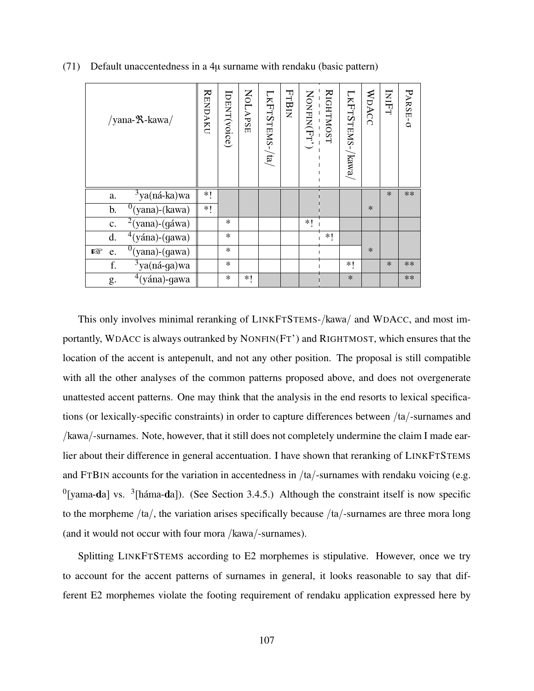| /yana- $\mathcal{R}$ -kawa/                   | <b>RENDAKU</b> | IDENT(voice) | NOLAPSE | $L$ KFTSTEMS-/ta/ | FrBIN | $\text{NonFIN}(\text{Fr}^\prime)$ | RIGHTMOST | LKFTSTEMS-/kawa | WDACC  | INIFT  | PARSE-O |
|-----------------------------------------------|----------------|--------------|---------|-------------------|-------|-----------------------------------|-----------|-----------------|--------|--------|---------|
| $3$ ya(ná-ka)wa<br>a.                         | $*!$           |              |         |                   |       |                                   |           |                 |        | $\ast$ | **      |
| $0$ (yana)-(kawa)<br>b.                       | $*!$           |              |         |                   |       |                                   |           |                 | $\ast$ |        |         |
| $\sqrt[2]{2}$ (yana)-(gáwa)<br>$\mathbf{c}$ . |                | ∗            |         |                   |       | $*$                               |           |                 |        |        |         |
| $4$ (yána)-(gawa)<br>d.                       |                | $\ast$       |         |                   |       |                                   | $*1$      |                 |        |        |         |
| $\overline{^{0}}$ (yana)-(gawa)<br>隐<br>e.    |                | $\ast$       |         |                   |       |                                   |           |                 | $\ast$ |        |         |
| $\sqrt[3]{3}$ ya(ná-ga)wa<br>f.               |                | $\ast$       |         |                   |       |                                   |           | $*!$            |        | $\ast$ | **      |
| $4(yána)$ -gawa<br>g.                         |                | $\ast$       | *1      |                   |       |                                   |           | $\ast$          |        |        | **      |

(71) Default unaccentedness in a 4µ surname with rendaku (basic pattern)

This only involves minimal reranking of LINKFTSTEMS-/kawa/ and WDACC, and most importantly, WDACC is always outranked by NONFIN(FT') and RIGHTMOST, which ensures that the location of the accent is antepenult, and not any other position. The proposal is still compatible with all the other analyses of the common patterns proposed above, and does not overgenerate unattested accent patterns. One may think that the analysis in the end resorts to lexical specifications (or lexically-specific constraints) in order to capture differences between /ta/-surnames and /kawa/-surnames. Note, however, that it still does not completely undermine the claim I made earlier about their difference in general accentuation. I have shown that reranking of LINKFTSTEMS and FTBIN accounts for the variation in accentedness in /ta/-surnames with rendaku voicing (e.g.  $<sup>0</sup>$ [yama-da] vs.  $<sup>3</sup>$ [háma-da]). (See Section 3.4.5.) Although the constraint itself is now specific</sup></sup> to the morpheme /ta/, the variation arises specifically because /ta/-surnames are three mora long (and it would not occur with four mora /kawa/-surnames).

Splitting LINKFTSTEMS according to E2 morphemes is stipulative. However, once we try to account for the accent patterns of surnames in general, it looks reasonable to say that different E2 morphemes violate the footing requirement of rendaku application expressed here by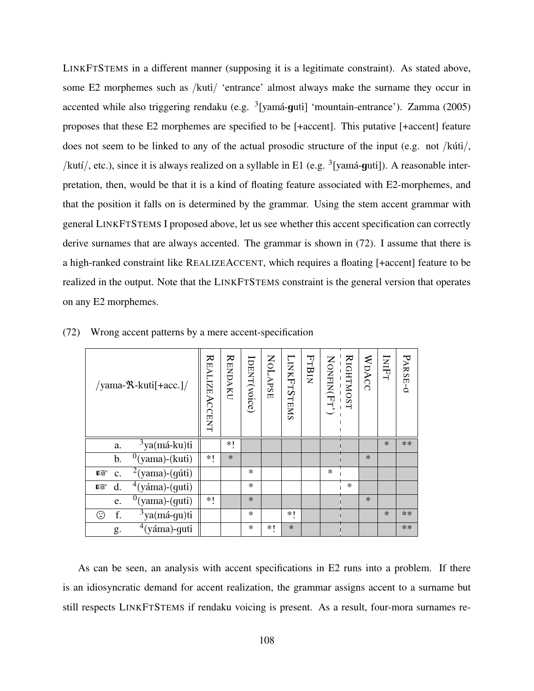LINKFTSTEMS in a different manner (supposing it is a legitimate constraint). As stated above, some E2 morphemes such as /kuti/ 'entrance' almost always make the surname they occur in accented while also triggering rendaku (e.g. <sup>3</sup>[yamá-guti] 'mountain-entrance'). Zamma (2005) proposes that these E2 morphemes are specified to be [+accent]. This putative [+accent] feature does not seem to be linked to any of the actual prosodic structure of the input (e.g. not /kúti/, /kutí/, etc.), since it is always realized on a syllable in E1 (e.g.  $\frac{3}{2}$ [yamá-guti]). A reasonable interpretation, then, would be that it is a kind of floating feature associated with E2-morphemes, and that the position it falls on is determined by the grammar. Using the stem accent grammar with general LINKFTSTEMS I proposed above, let us see whether this accent specification can correctly derive surnames that are always accented. The grammar is shown in (72). I assume that there is a high-ranked constraint like REALIZEACCENT, which requires a floating [+accent] feature to be realized in the output. Note that the LINKFTSTEMS constraint is the general version that operates on any E2 morphemes.

| /yama- $\mathcal{R}$ -kuti[+acc.]/         | REALIZEACENT | <b>RENDAKU</b> | IDENT(voice) | NOLAPSE | <b>LINKFTSTEMS</b> | FTBIN | NONFIN(Fr) | <b>RIGHTMOST</b> | WDACC  | INIFT  | PARSE-O |
|--------------------------------------------|--------------|----------------|--------------|---------|--------------------|-------|------------|------------------|--------|--------|---------|
| $\overline{\frac{3}{3}}$ ya(má-ku)ti<br>a. |              | *1             |              |         |                    |       |            |                  |        | $\ast$ | **      |
| $^{0}$ (yama)-(kuti)<br>b.                 | *1           | $\ast$         |              |         |                    |       |            |                  | $\ast$ |        |         |
| $2$ (yama)-(gúti)<br>rð.<br>$\mathbf{C}$ . |              |                | *            |         |                    |       | $\ast$     |                  |        |        |         |
| $\frac{4}{3}$ (yáma)-(guti)<br>d.<br>隐     |              |                | $\ast$       |         |                    |       |            | $\ast$           |        |        |         |
| $^{0}$ (yama)-(guti)<br>e.                 | ∗!           |                | $\ast$       |         |                    |       |            |                  | $\ast$ |        |         |
| $3$ ya(má-gu)ti<br>f.<br>☺                 |              |                | $\ast$       |         | $*1$               |       |            |                  |        | $\ast$ | $**$    |
| $4$ (yáma)-guti<br>g.                      |              |                | *            | *1      | $\ast$             |       |            |                  |        |        | $**$    |

(72) Wrong accent patterns by a mere accent-specification

As can be seen, an analysis with accent specifications in E2 runs into a problem. If there is an idiosyncratic demand for accent realization, the grammar assigns accent to a surname but still respects LINKFTSTEMS if rendaku voicing is present. As a result, four-mora surnames re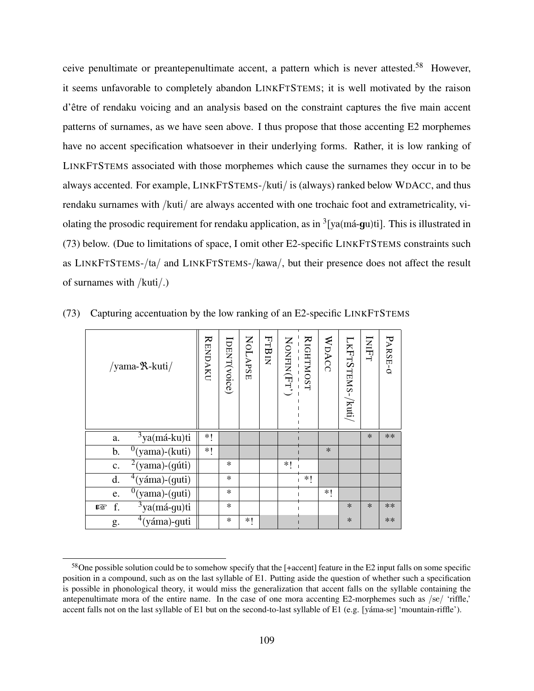ceive penultimate or preantepenultimate accent, a pattern which is never attested.<sup>58</sup> However, it seems unfavorable to completely abandon LINKFTSTEMS; it is well motivated by the raison d'être of rendaku voicing and an analysis based on the constraint captures the five main accent patterns of surnames, as we have seen above. I thus propose that those accenting E2 morphemes have no accent specification whatsoever in their underlying forms. Rather, it is low ranking of LINKFTSTEMS associated with those morphemes which cause the surnames they occur in to be always accented. For example, LINKFTSTEMS-/kuti/ is (always) ranked below WDACC, and thus rendaku surnames with /kuti/ are always accented with one trochaic foot and extrametricality, violating the prosodic requirement for rendaku application, as in <sup>3</sup>[ya(má-gu)ti]. This is illustrated in (73) below. (Due to limitations of space, I omit other E2-specific LINKFTSTEMS constraints such as LINKFTSTEMS-/ta/ and LINKFTSTEMS-/kawa/, but their presence does not affect the result of surnames with /kuti/.)

| /yama- $\mathcal{R}$ -kuti/             | <b>RENDAKU</b> | IDENT(voice) | NOLAPSE | FTBIN | NONFIN(Fr) | RIGHTMOST | WDACC  | LKFTSTEMS-/kuti | INIFT  | PARSE-O |
|-----------------------------------------|----------------|--------------|---------|-------|------------|-----------|--------|-----------------|--------|---------|
| $3$ ya(má-ku)ti<br>a.                   | $*!$           |              |         |       |            |           |        |                 | $\ast$ | **      |
| $\overline{0}$ (yama)-(kuti)<br>b.      | $*!$           |              |         |       |            |           | $\ast$ |                 |        |         |
| $2$ (yama)-(gúti)<br>$\mathbf{c}$ .     |                | *            |         |       | *1         |           |        |                 |        |         |
| $4$ (yáma)-(guti)<br>d.                 |                | $\ast$       |         |       |            | *1        |        |                 |        |         |
| $\sqrt[0]{\text{(yama)}}$ -(guti)<br>e. |                | *            |         |       |            |           | *1     |                 |        |         |
| $3$ ya(má-gu)ti<br>f.<br>rð.            |                | $\ast$       |         |       |            |           |        | $\ast$          | $\ast$ | **      |
| $4$ (yáma)-guti<br>g.                   |                | *            | *!      |       |            |           |        | $\ast$          |        | **      |

(73) Capturing accentuation by the low ranking of an E2-specific LINKFTSTEMS

<sup>&</sup>lt;sup>58</sup>One possible solution could be to somehow specify that the [+accent] feature in the E2 input falls on some specific position in a compound, such as on the last syllable of E1. Putting aside the question of whether such a specification is possible in phonological theory, it would miss the generalization that accent falls on the syllable containing the antepenultimate mora of the entire name. In the case of one mora accenting  $E2$ -morphemes such as /se/ 'riffle,' accent falls not on the last syllable of E1 but on the second-to-last syllable of E1 (e.g. [yáma-se] 'mountain-riffle').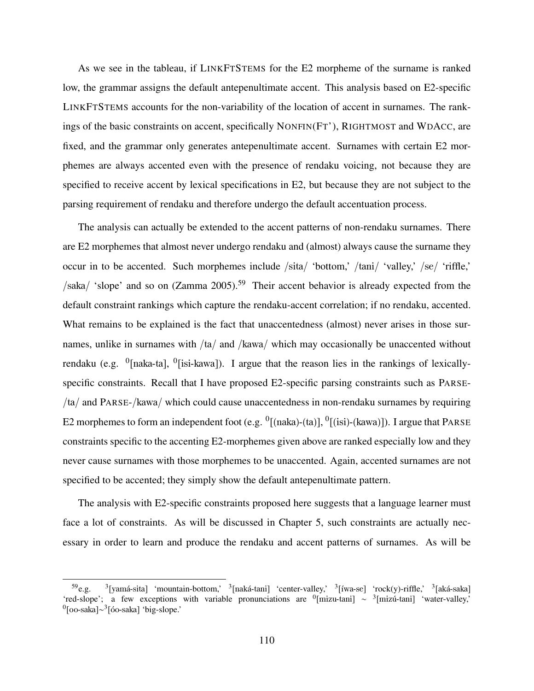As we see in the tableau, if LINKFTSTEMS for the E2 morpheme of the surname is ranked low, the grammar assigns the default antepenultimate accent. This analysis based on E2-specific LINKFTSTEMS accounts for the non-variability of the location of accent in surnames. The rankings of the basic constraints on accent, specifically NONFIN(FT'), RIGHTMOST and WDACC, are fixed, and the grammar only generates antepenultimate accent. Surnames with certain E2 morphemes are always accented even with the presence of rendaku voicing, not because they are specified to receive accent by lexical specifications in E2, but because they are not subject to the parsing requirement of rendaku and therefore undergo the default accentuation process.

The analysis can actually be extended to the accent patterns of non-rendaku surnames. There are E2 morphemes that almost never undergo rendaku and (almost) always cause the surname they occur in to be accented. Such morphemes include /sita/ 'bottom,' /tani/ 'valley,' /se/ 'riffle,'  $/saka/$  'slope' and so on (Zamma 2005).<sup>59</sup> Their accent behavior is already expected from the default constraint rankings which capture the rendaku-accent correlation; if no rendaku, accented. What remains to be explained is the fact that unaccentedness (almost) never arises in those surnames, unlike in surnames with /ta/ and /kawa/ which may occasionally be unaccented without rendaku (e.g.  $\left[0\right]$  <sup>0</sup>[naka-ta],  $\left[0\right]$ [isi-kawa]). I argue that the reason lies in the rankings of lexicallyspecific constraints. Recall that I have proposed E2-specific parsing constraints such as PARSE- /ta/ and PARSE-/kawa/ which could cause unaccentedness in non-rendaku surnames by requiring E2 morphemes to form an independent foot (e.g.  ${}^{0}$ [(naka)-(ta)],  ${}^{0}$ [(isi)-(kawa)]). I argue that PARSE constraints specific to the accenting E2-morphemes given above are ranked especially low and they never cause surnames with those morphemes to be unaccented. Again, accented surnames are not specified to be accented; they simply show the default antepenultimate pattern.

The analysis with E2-specific constraints proposed here suggests that a language learner must face a lot of constraints. As will be discussed in Chapter 5, such constraints are actually necessary in order to learn and produce the rendaku and accent patterns of surnames. As will be

 $59e.g.$ [yamá-sita] 'mountain-bottom,' <sup>3</sup>[naká-tani] 'center-valley,' <sup>3</sup>[íwa-se] 'rock(y)-riffle,' <sup>3</sup>[aká-saka] 'red-slope'; a few exceptions with variable pronunciations are  $\frac{0}{2}$ [mizu-tani]  $\sim \frac{3}{2}$ [mizú-tani] 'water-valley,' <sup>0</sup>[oo-saka]∼<sup>3</sup>[óo-saka] 'big-slope.'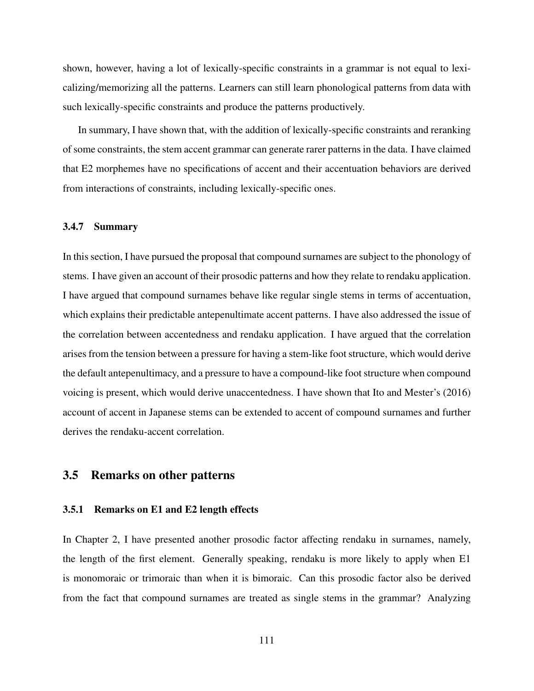shown, however, having a lot of lexically-specific constraints in a grammar is not equal to lexicalizing/memorizing all the patterns. Learners can still learn phonological patterns from data with such lexically-specific constraints and produce the patterns productively.

In summary, I have shown that, with the addition of lexically-specific constraints and reranking of some constraints, the stem accent grammar can generate rarer patterns in the data. I have claimed that E2 morphemes have no specifications of accent and their accentuation behaviors are derived from interactions of constraints, including lexically-specific ones.

### 3.4.7 Summary

In this section, I have pursued the proposal that compound surnames are subject to the phonology of stems. I have given an account of their prosodic patterns and how they relate to rendaku application. I have argued that compound surnames behave like regular single stems in terms of accentuation, which explains their predictable antepenultimate accent patterns. I have also addressed the issue of the correlation between accentedness and rendaku application. I have argued that the correlation arises from the tension between a pressure for having a stem-like foot structure, which would derive the default antepenultimacy, and a pressure to have a compound-like foot structure when compound voicing is present, which would derive unaccentedness. I have shown that Ito and Mester's (2016) account of accent in Japanese stems can be extended to accent of compound surnames and further derives the rendaku-accent correlation.

### 3.5 Remarks on other patterns

### 3.5.1 Remarks on E1 and E2 length effects

In Chapter 2, I have presented another prosodic factor affecting rendaku in surnames, namely, the length of the first element. Generally speaking, rendaku is more likely to apply when E1 is monomoraic or trimoraic than when it is bimoraic. Can this prosodic factor also be derived from the fact that compound surnames are treated as single stems in the grammar? Analyzing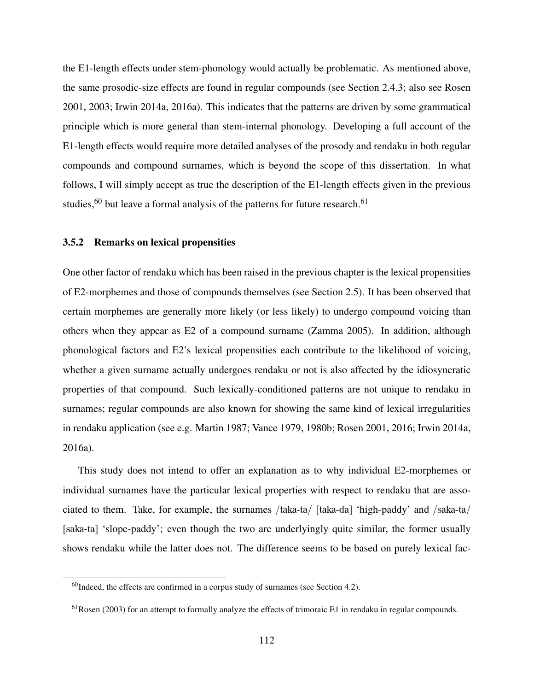the E1-length effects under stem-phonology would actually be problematic. As mentioned above, the same prosodic-size effects are found in regular compounds (see Section 2.4.3; also see Rosen 2001, 2003; Irwin 2014a, 2016a). This indicates that the patterns are driven by some grammatical principle which is more general than stem-internal phonology. Developing a full account of the E1-length effects would require more detailed analyses of the prosody and rendaku in both regular compounds and compound surnames, which is beyond the scope of this dissertation. In what follows, I will simply accept as true the description of the E1-length effects given in the previous studies,  $60$  but leave a formal analysis of the patterns for future research.  $61$ 

### 3.5.2 Remarks on lexical propensities

One other factor of rendaku which has been raised in the previous chapter is the lexical propensities of E2-morphemes and those of compounds themselves (see Section 2.5). It has been observed that certain morphemes are generally more likely (or less likely) to undergo compound voicing than others when they appear as E2 of a compound surname (Zamma 2005). In addition, although phonological factors and E2's lexical propensities each contribute to the likelihood of voicing, whether a given surname actually undergoes rendaku or not is also affected by the idiosyncratic properties of that compound. Such lexically-conditioned patterns are not unique to rendaku in surnames; regular compounds are also known for showing the same kind of lexical irregularities in rendaku application (see e.g. Martin 1987; Vance 1979, 1980b; Rosen 2001, 2016; Irwin 2014a, 2016a).

This study does not intend to offer an explanation as to why individual E2-morphemes or individual surnames have the particular lexical properties with respect to rendaku that are associated to them. Take, for example, the surnames /taka-ta/ [taka-da] 'high-paddy' and /saka-ta/ [saka-ta] 'slope-paddy'; even though the two are underlyingly quite similar, the former usually shows rendaku while the latter does not. The difference seems to be based on purely lexical fac-

 $60$ Indeed, the effects are confirmed in a corpus study of surnames (see Section 4.2).

 $61$ Rosen (2003) for an attempt to formally analyze the effects of trimoraic E1 in rendaku in regular compounds.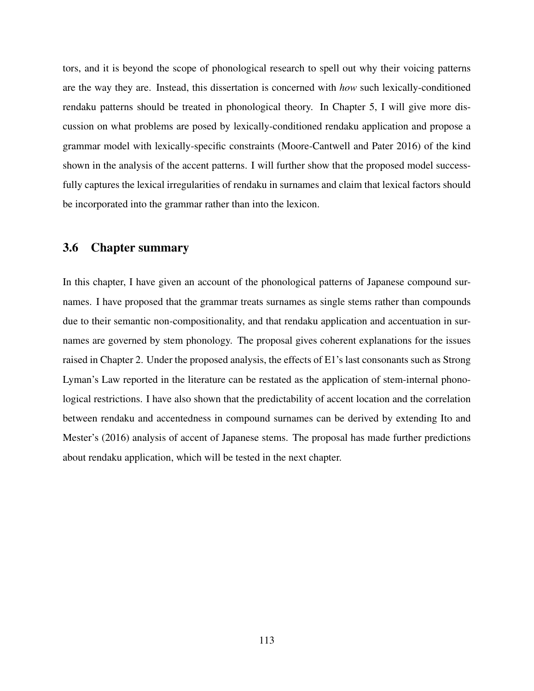tors, and it is beyond the scope of phonological research to spell out why their voicing patterns are the way they are. Instead, this dissertation is concerned with *how* such lexically-conditioned rendaku patterns should be treated in phonological theory. In Chapter 5, I will give more discussion on what problems are posed by lexically-conditioned rendaku application and propose a grammar model with lexically-specific constraints (Moore-Cantwell and Pater 2016) of the kind shown in the analysis of the accent patterns. I will further show that the proposed model successfully captures the lexical irregularities of rendaku in surnames and claim that lexical factors should be incorporated into the grammar rather than into the lexicon.

### 3.6 Chapter summary

In this chapter, I have given an account of the phonological patterns of Japanese compound surnames. I have proposed that the grammar treats surnames as single stems rather than compounds due to their semantic non-compositionality, and that rendaku application and accentuation in surnames are governed by stem phonology. The proposal gives coherent explanations for the issues raised in Chapter 2. Under the proposed analysis, the effects of E1's last consonants such as Strong Lyman's Law reported in the literature can be restated as the application of stem-internal phonological restrictions. I have also shown that the predictability of accent location and the correlation between rendaku and accentedness in compound surnames can be derived by extending Ito and Mester's (2016) analysis of accent of Japanese stems. The proposal has made further predictions about rendaku application, which will be tested in the next chapter.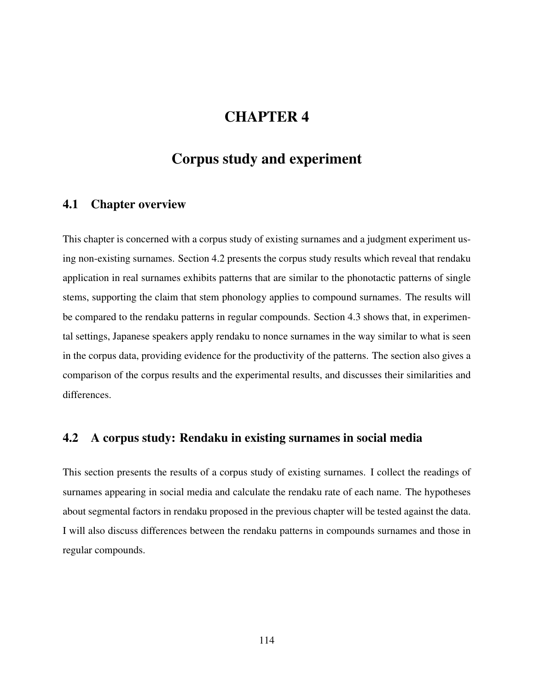# CHAPTER 4

# Corpus study and experiment

## 4.1 Chapter overview

This chapter is concerned with a corpus study of existing surnames and a judgment experiment using non-existing surnames. Section 4.2 presents the corpus study results which reveal that rendaku application in real surnames exhibits patterns that are similar to the phonotactic patterns of single stems, supporting the claim that stem phonology applies to compound surnames. The results will be compared to the rendaku patterns in regular compounds. Section 4.3 shows that, in experimental settings, Japanese speakers apply rendaku to nonce surnames in the way similar to what is seen in the corpus data, providing evidence for the productivity of the patterns. The section also gives a comparison of the corpus results and the experimental results, and discusses their similarities and differences.

## 4.2 A corpus study: Rendaku in existing surnames in social media

This section presents the results of a corpus study of existing surnames. I collect the readings of surnames appearing in social media and calculate the rendaku rate of each name. The hypotheses about segmental factors in rendaku proposed in the previous chapter will be tested against the data. I will also discuss differences between the rendaku patterns in compounds surnames and those in regular compounds.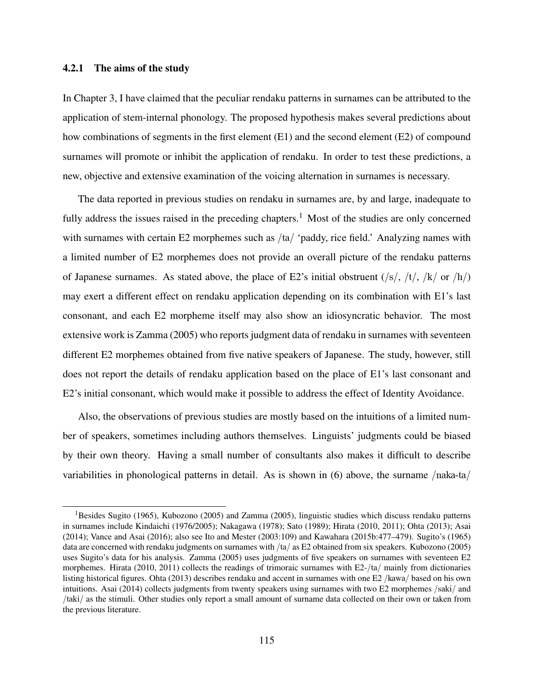### 4.2.1 The aims of the study

In Chapter 3, I have claimed that the peculiar rendaku patterns in surnames can be attributed to the application of stem-internal phonology. The proposed hypothesis makes several predictions about how combinations of segments in the first element (E1) and the second element (E2) of compound surnames will promote or inhibit the application of rendaku. In order to test these predictions, a new, objective and extensive examination of the voicing alternation in surnames is necessary.

The data reported in previous studies on rendaku in surnames are, by and large, inadequate to fully address the issues raised in the preceding chapters.<sup>1</sup> Most of the studies are only concerned with surnames with certain E2 morphemes such as /ta/ 'paddy, rice field.' Analyzing names with a limited number of E2 morphemes does not provide an overall picture of the rendaku patterns of Japanese surnames. As stated above, the place of E2's initial obstruent  $(\frac{s}{, t}, \frac{t}{, k \cdot \text{ or } h})$ may exert a different effect on rendaku application depending on its combination with E1's last consonant, and each E2 morpheme itself may also show an idiosyncratic behavior. The most extensive work is Zamma (2005) who reports judgment data of rendaku in surnames with seventeen different E2 morphemes obtained from five native speakers of Japanese. The study, however, still does not report the details of rendaku application based on the place of E1's last consonant and E2's initial consonant, which would make it possible to address the effect of Identity Avoidance.

Also, the observations of previous studies are mostly based on the intuitions of a limited number of speakers, sometimes including authors themselves. Linguists' judgments could be biased by their own theory. Having a small number of consultants also makes it difficult to describe variabilities in phonological patterns in detail. As is shown in (6) above, the surname /naka-ta/

<sup>&</sup>lt;sup>1</sup>Besides Sugito (1965), Kubozono (2005) and Zamma (2005), linguistic studies which discuss rendaku patterns in surnames include Kindaichi (1976/2005); Nakagawa (1978); Sato (1989); Hirata (2010, 2011); Ohta (2013); Asai (2014); Vance and Asai (2016); also see Ito and Mester (2003:109) and Kawahara (2015b:477–479). Sugito's (1965) data are concerned with rendaku judgments on surnames with /ta/ as E2 obtained from six speakers. Kubozono (2005) uses Sugito's data for his analysis. Zamma (2005) uses judgments of five speakers on surnames with seventeen E2 morphemes. Hirata (2010, 2011) collects the readings of trimoraic surnames with E2-/ta/ mainly from dictionaries listing historical figures. Ohta (2013) describes rendaku and accent in surnames with one E2 /kawa/ based on his own intuitions. Asai (2014) collects judgments from twenty speakers using surnames with two E2 morphemes /saki/ and /taki/ as the stimuli. Other studies only report a small amount of surname data collected on their own or taken from the previous literature.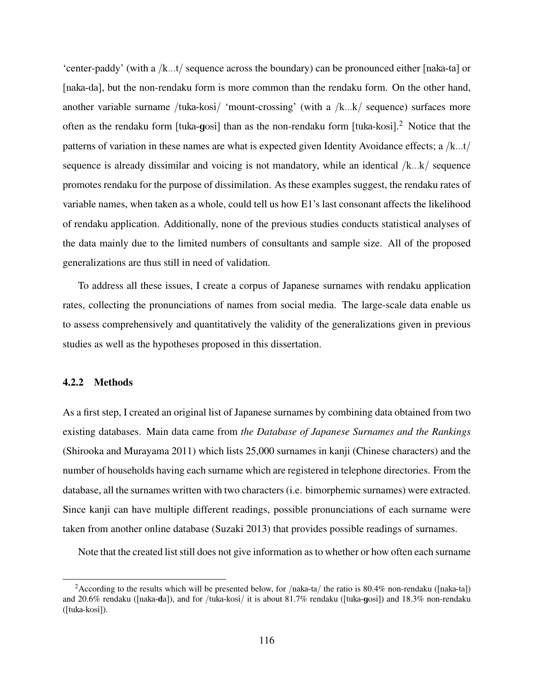'center-paddy' (with a /k...t/ sequence across the boundary) can be pronounced either [naka-ta] or [naka-da], but the non-rendaku form is more common than the rendaku form. On the other hand, another variable surname /tuka-kosi/ 'mount-crossing' (with a /k...k/ sequence) surfaces more often as the rendaku form [tuka-gosi] than as the non-rendaku form [tuka-kosi].<sup>2</sup> Notice that the patterns of variation in these names are what is expected given Identity Avoidance effects; a /k...t/ sequence is already dissimilar and voicing is not mandatory, while an identical /k...k/ sequence promotes rendaku for the purpose of dissimilation. As these examples suggest, the rendaku rates of variable names, when taken as a whole, could tell us how E1's last consonant affects the likelihood of rendaku application. Additionally, none of the previous studies conducts statistical analyses of the data mainly due to the limited numbers of consultants and sample size. All of the proposed generalizations are thus still in need of validation.

To address all these issues, I create a corpus of Japanese surnames with rendaku application rates, collecting the pronunciations of names from social media. The large-scale data enable us to assess comprehensively and quantitatively the validity of the generalizations given in previous studies as well as the hypotheses proposed in this dissertation.

### 4.2.2 Methods

As a first step, I created an original list of Japanese surnames by combining data obtained from two existing databases. Main data came from *the Database of Japanese Surnames and the Rankings* (Shirooka and Murayama 2011) which lists 25,000 surnames in kanji (Chinese characters) and the number of households having each surname which are registered in telephone directories. From the database, all the surnames written with two characters (i.e. bimorphemic surnames) were extracted. Since kanji can have multiple different readings, possible pronunciations of each surname were taken from another online database (Suzaki 2013) that provides possible readings of surnames.

Note that the created list still does not give information as to whether or how often each surname

<sup>&</sup>lt;sup>2</sup>According to the results which will be presented below, for /naka-ta/ the ratio is 80.4% non-rendaku ([naka-ta]) and 20.6% rendaku ([naka-da]), and for /tuka-kosi/ it is about 81.7% rendaku ([tuka-gosi]) and 18.3% non-rendaku ([tuka-kosi]).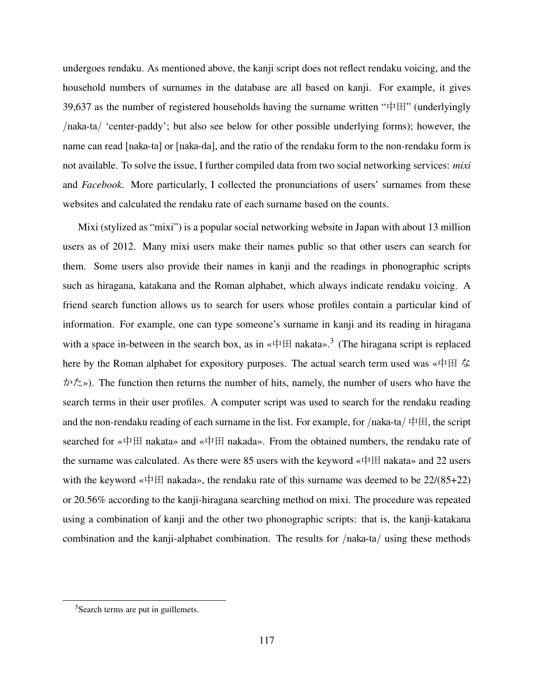undergoes rendaku. As mentioned above, the kanji script does not reflect rendaku voicing, and the household numbers of surnames in the database are all based on kanji. For example, it gives 39,637 as the number of registered households having the surname written " $\# \mathbb{H}$ " (underlyingly /naka-ta/ 'center-paddy'; but also see below for other possible underlying forms); however, the name can read [naka-ta] or [naka-da], and the ratio of the rendaku form to the non-rendaku form is not available. To solve the issue, I further compiled data from two social networking services: *mixi* and *Facebook*. More particularly, I collected the pronunciations of users' surnames from these websites and calculated the rendaku rate of each surname based on the counts.

Mixi (stylized as "mixi") is a popular social networking website in Japan with about 13 million users as of 2012. Many mixi users make their names public so that other users can search for them. Some users also provide their names in kanji and the readings in phonographic scripts such as hiragana, katakana and the Roman alphabet, which always indicate rendaku voicing. A friend search function allows us to search for users whose profiles contain a particular kind of information. For example, one can type someone's surname in kanji and its reading in hiragana with a space in-between in the search box, as in  $\alpha \notin \mathbb{H}$  nakata».<sup>3</sup> (The hiragana script is replaced here by the Roman alphabet for expository purposes. The actual search term used was «中田 な かた»). The function then returns the number of hits, namely, the number of users who have the search terms in their user profiles. A computer script was used to search for the rendaku reading and the non-rendaku reading of each surname in the list. For example, for /naka-ta/  $\#H$ , the script searched for «中田 nakata» and «中田 nakada». From the obtained numbers, the rendaku rate of the surname was calculated. As there were 85 users with the keyword «中田 nakata» and 22 users with the keyword «中田 nakada», the rendaku rate of this surname was deemed to be  $22/(85+22)$ or 20.56% according to the kanji-hiragana searching method on mixi. The procedure was repeated using a combination of kanji and the other two phonographic scripts: that is, the kanji-katakana combination and the kanji-alphabet combination. The results for /naka-ta/ using these methods

<sup>&</sup>lt;sup>3</sup>Search terms are put in guillemets.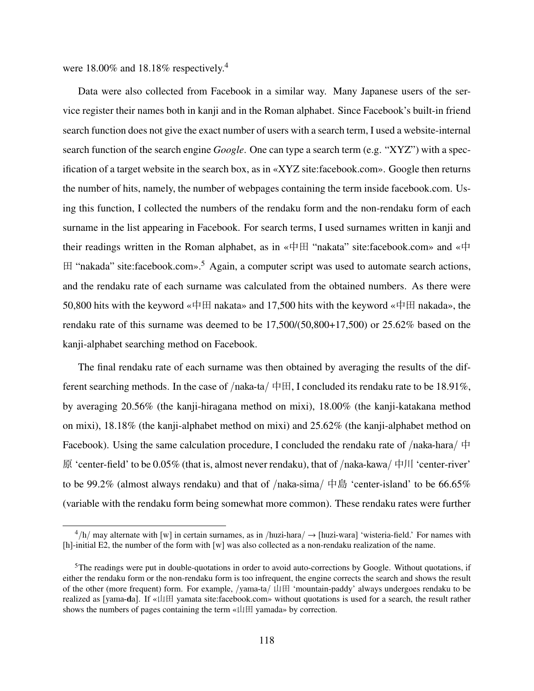were 18.00% and 18.18% respectively.<sup>4</sup>

Data were also collected from Facebook in a similar way. Many Japanese users of the service register their names both in kanji and in the Roman alphabet. Since Facebook's built-in friend search function does not give the exact number of users with a search term, I used a website-internal search function of the search engine *Google*. One can type a search term (e.g. "XYZ") with a specification of a target website in the search box, as in «XYZ site:facebook.com». Google then returns the number of hits, namely, the number of webpages containing the term inside facebook.com. Using this function, I collected the numbers of the rendaku form and the non-rendaku form of each surname in the list appearing in Facebook. For search terms, I used surnames written in kanji and their readings written in the Roman alphabet, as in «中田 "nakata" site:facebook.com» and «中  $\boxplus$  "nakada" site:facebook.com».<sup>5</sup> Again, a computer script was used to automate search actions, and the rendaku rate of each surname was calculated from the obtained numbers. As there were 50,800 hits with the keyword «中田 nakata» and 17,500 hits with the keyword «中田 nakada», the rendaku rate of this surname was deemed to be 17,500/(50,800+17,500) or 25.62% based on the kanji-alphabet searching method on Facebook.

The final rendaku rate of each surname was then obtained by averaging the results of the different searching methods. In the case of /naka-ta/  $\#H$ , I concluded its rendaku rate to be 18.91%, by averaging 20.56% (the kanji-hiragana method on mixi), 18.00% (the kanji-katakana method on mixi), 18.18% (the kanji-alphabet method on mixi) and 25.62% (the kanji-alphabet method on Facebook). Using the same calculation procedure, I concluded the rendaku rate of  $/naka-hara/$   $\oplus$ 原 'center-field' to be  $0.05\%$  (that is, almost never rendaku), that of /naka-kawa/ 中川 'center-river' to be 99.2% (almost always rendaku) and that of  $/naka-sima/$  中島 'center-island' to be 66.65% (variable with the rendaku form being somewhat more common). These rendaku rates were further

 $^{4}$ /h/ may alternate with [w] in certain surnames, as in /huzi-hara/  $\rightarrow$  [huzi-wara] 'wisteria-field.' For names with [h]-initial E2, the number of the form with  $[w]$  was also collected as a non-rendaku realization of the name.

<sup>&</sup>lt;sup>5</sup>The readings were put in double-quotations in order to avoid auto-corrections by Google. Without quotations, if either the rendaku form or the non-rendaku form is too infrequent, the engine corrects the search and shows the result of the other (more frequent) form. For example,  $\gamma$ ama-ta $\beta$   $\Box$   $\Box$  'mountain-paddy' always undergoes rendaku to be realized as [yama-da]. If «山田 yamata site:facebook.com» without quotations is used for a search, the result rather shows the numbers of pages containing the term «山田 yamada» by correction.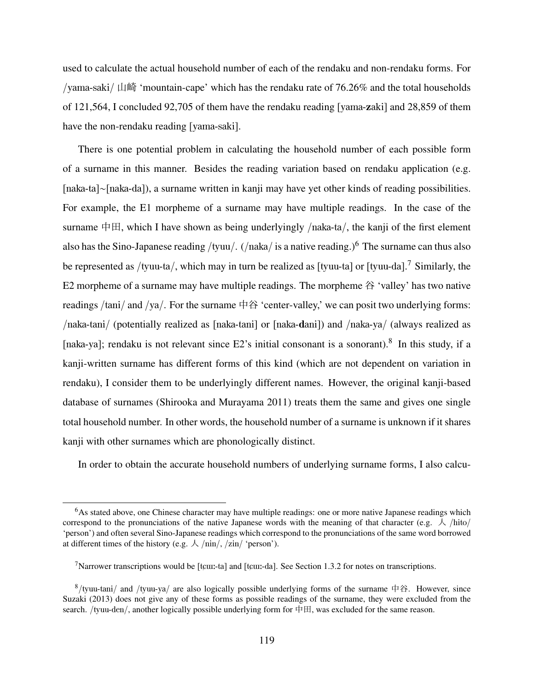used to calculate the actual household number of each of the rendaku and non-rendaku forms. For /yama-saki/ 山崎 'mountain-cape' which has the rendaku rate of  $76.26\%$  and the total households of 121,564, I concluded 92,705 of them have the rendaku reading [yama-zaki] and 28,859 of them have the non-rendaku reading [yama-saki].

There is one potential problem in calculating the household number of each possible form of a surname in this manner. Besides the reading variation based on rendaku application (e.g. [naka-ta]∼[naka-da]), a surname written in kanji may have yet other kinds of reading possibilities. For example, the E1 morpheme of a surname may have multiple readings. In the case of the surname  $\Box$  which I have shown as being underlyingly /naka-ta/, the kanji of the first element also has the Sino-Japanese reading /tyuu/. (/naka/ is a native reading.)<sup>6</sup> The surname can thus also be represented as /tyuu-ta/, which may in turn be realized as [tyuu-ta] or [tyuu-da].<sup>7</sup> Similarly, the E2 morpheme of a surname may have multiple readings. The morpheme  $\hat{A}$  'valley' has two native readings /tani/ and /ya/. For the surname 中谷 'center-valley,' we can posit two underlying forms: /naka-tani/ (potentially realized as [naka-tani] or [naka-dani]) and /naka-ya/ (always realized as [naka-ya]; rendaku is not relevant since E2's initial consonant is a sonorant).<sup>8</sup> In this study, if a kanji-written surname has different forms of this kind (which are not dependent on variation in rendaku), I consider them to be underlyingly different names. However, the original kanji-based database of surnames (Shirooka and Murayama 2011) treats them the same and gives one single total household number. In other words, the household number of a surname is unknown if it shares kanji with other surnames which are phonologically distinct.

In order to obtain the accurate household numbers of underlying surname forms, I also calcu-

 $6$ As stated above, one Chinese character may have multiple readings: one or more native Japanese readings which correspond to the pronunciations of the native Japanese words with the meaning of that character (e.g.  $\lambda$  /hito/ 'person') and often several Sino-Japanese readings which correspond to the pronunciations of the same word borrowed at different times of the history (e.g.  $\lambda$  /nin/, /zin/ 'person').

<sup>&</sup>lt;sup>7</sup>Narrower transcriptions would be [teun-ta] and [teun-da]. See Section 1.3.2 for notes on transcriptions.

<sup>&</sup>lt;sup>8</sup>/tyuu-tani/ and /tyuu-ya/ are also logically possible underlying forms of the surname  $\#A$ . However, since Suzaki (2013) does not give any of these forms as possible readings of the surname, they were excluded from the search. /tyuu-den/, another logically possible underlying form for 中田, was excluded for the same reason.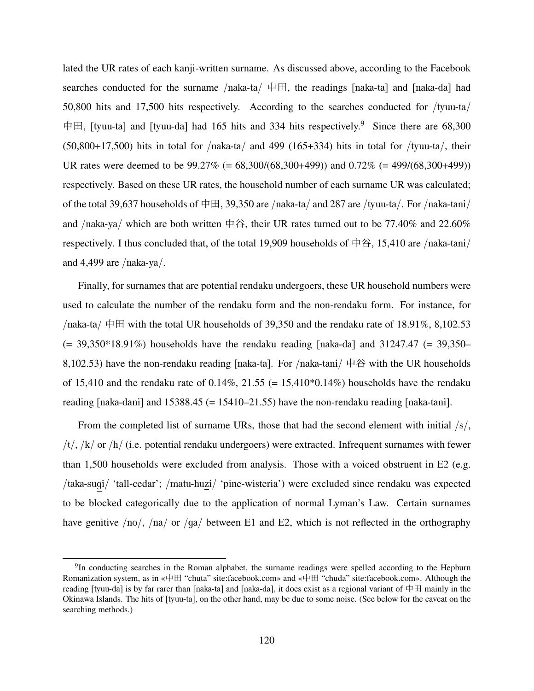lated the UR rates of each kanji-written surname. As discussed above, according to the Facebook searches conducted for the surname /naka-ta/  $\#H$ , the readings [naka-ta] and [naka-da] had 50,800 hits and 17,500 hits respectively. According to the searches conducted for /tyuu-ta/ 中田, [tyuu-ta] and [tyuu-da] had 165 hits and 334 hits respectively.<sup>9</sup> Since there are 68,300 (50,800+17,500) hits in total for /naka-ta/ and 499 (165+334) hits in total for /tyuu-ta/, their UR rates were deemed to be 99.27% (= 68,300/(68,300+499)) and 0.72% (= 499/(68,300+499)) respectively. Based on these UR rates, the household number of each surname UR was calculated; of the total 39,637 households of 中田, 39,350 are /naka-ta/ and 287 are /tyuu-ta/. For /naka-tani/ and /naka-ya/ which are both written 中谷, their UR rates turned out to be 77.40% and 22.60% respectively. I thus concluded that, of the total 19,909 households of 中谷, 15,410 are /naka-tani/ and 4,499 are  $/naka-ya/$ .

Finally, for surnames that are potential rendaku undergoers, these UR household numbers were used to calculate the number of the rendaku form and the non-rendaku form. For instance, for  $/na$ ka-ta $/ \oplus \boxplus$  with the total UR households of 39,350 and the rendaku rate of 18.91%, 8,102.53  $(= 39,350*18.91%)$  households have the rendaku reading [naka-da] and 31247.47  $(= 39,350-)$ 8,102.53) have the non-rendaku reading [naka-ta]. For /naka-tani/  $\# \hat{\mathfrak{B}}$  with the UR households of 15,410 and the rendaku rate of  $0.14\%$ ,  $21.55$  (= 15,410 $*0.14\%$ ) households have the rendaku reading [naka-dani] and  $15388.45$  (=  $15410-21.55$ ) have the non-rendaku reading [naka-tani].

From the completed list of surname URs, those that had the second element with initial /s/,  $/t/$ ,  $/k/$  or  $/h/$  (i.e. potential rendaku undergoers) were extracted. Infrequent surnames with fewer than 1,500 households were excluded from analysis. Those with a voiced obstruent in E2 (e.g. /taka-sugi/ 'tall-cedar'; /matu-huzi/ 'pine-wisteria') were excluded since rendaku was expected to be blocked categorically due to the application of normal Lyman's Law. Certain surnames have genitive /no/, /na/ or /ga/ between E1 and E2, which is not reflected in the orthography

<sup>&</sup>lt;sup>9</sup>In conducting searches in the Roman alphabet, the surname readings were spelled according to the Hepburn Romanization system, as in «中田 "chuta" site:facebook.com» and «中田 "chuda" site:facebook.com». Although the reading [tyuu-da] is by far rarer than [naka-ta] and [naka-da], it does exist as a regional variant of 中田 mainly in the Okinawa Islands. The hits of [tyuu-ta], on the other hand, may be due to some noise. (See below for the caveat on the searching methods.)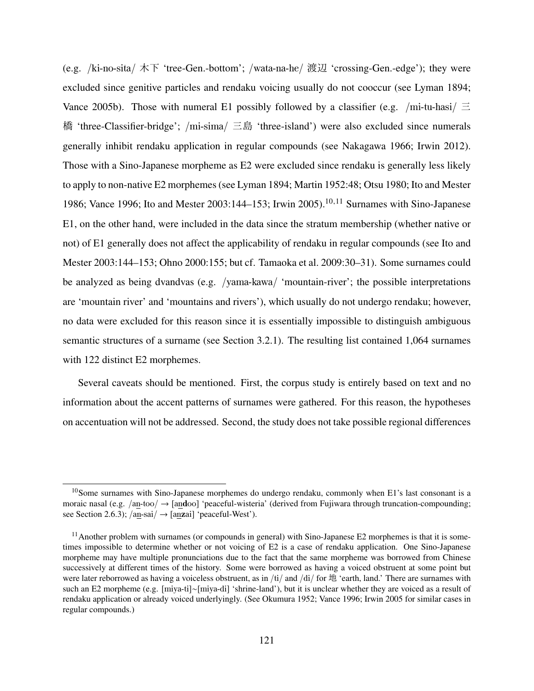(e.g. /ki-no-sita/ 木下 'tree-Gen.-bottom'; /wata-na-he/ 渡辺 'crossing-Gen.-edge'); they were excluded since genitive particles and rendaku voicing usually do not cooccur (see Lyman 1894; Vance 2005b). Those with numeral E1 possibly followed by a classifier (e.g. /mi-tu-hasi/  $\equiv$ 橋 'three-Classifier-bridge'; /mi-sima/  $\equiv \pm$  'three-island') were also excluded since numerals generally inhibit rendaku application in regular compounds (see Nakagawa 1966; Irwin 2012). Those with a Sino-Japanese morpheme as E2 were excluded since rendaku is generally less likely to apply to non-native E2 morphemes (see Lyman 1894; Martin 1952:48; Otsu 1980; Ito and Mester 1986; Vance 1996; Ito and Mester 2003:144–153; Irwin 2005).<sup>10,11</sup> Surnames with Sino-Japanese E1, on the other hand, were included in the data since the stratum membership (whether native or not) of E1 generally does not affect the applicability of rendaku in regular compounds (see Ito and Mester 2003:144–153; Ohno 2000:155; but cf. Tamaoka et al. 2009:30–31). Some surnames could be analyzed as being dvandvas (e.g. /yama-kawa/ 'mountain-river'; the possible interpretations are 'mountain river' and 'mountains and rivers'), which usually do not undergo rendaku; however, no data were excluded for this reason since it is essentially impossible to distinguish ambiguous semantic structures of a surname (see Section 3.2.1). The resulting list contained 1,064 surnames with 122 distinct E2 morphemes.

Several caveats should be mentioned. First, the corpus study is entirely based on text and no information about the accent patterns of surnames were gathered. For this reason, the hypotheses on accentuation will not be addressed. Second, the study does not take possible regional differences

 $10$ Some surnames with Sino-Japanese morphemes do undergo rendaku, commonly when E1's last consonant is a moraic nasal (e.g. /an-too/  $\rightarrow$  [andoo] 'peaceful-wisteria' (derived from Fujiwara through truncation-compounding; see Section 2.6.3);  $/an-sai/ \rightarrow$  [anzai] 'peaceful-West').

 $11$ Another problem with surnames (or compounds in general) with Sino-Japanese E2 morphemes is that it is sometimes impossible to determine whether or not voicing of E2 is a case of rendaku application. One Sino-Japanese morpheme may have multiple pronunciations due to the fact that the same morpheme was borrowed from Chinese successively at different times of the history. Some were borrowed as having a voiced obstruent at some point but were later reborrowed as having a voiceless obstruent, as in /ti/ and /di/ for  $\frac{1}{2}$  'earth, land.' There are surnames with such an E2 morpheme (e.g. [miya-ti]∼[miya-di] 'shrine-land'), but it is unclear whether they are voiced as a result of rendaku application or already voiced underlyingly. (See Okumura 1952; Vance 1996; Irwin 2005 for similar cases in regular compounds.)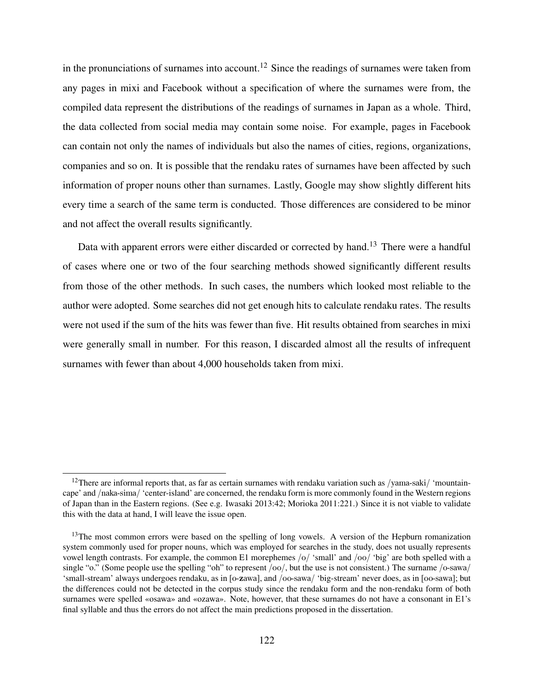in the pronunciations of surnames into account.<sup>12</sup> Since the readings of surnames were taken from any pages in mixi and Facebook without a specification of where the surnames were from, the compiled data represent the distributions of the readings of surnames in Japan as a whole. Third, the data collected from social media may contain some noise. For example, pages in Facebook can contain not only the names of individuals but also the names of cities, regions, organizations, companies and so on. It is possible that the rendaku rates of surnames have been affected by such information of proper nouns other than surnames. Lastly, Google may show slightly different hits every time a search of the same term is conducted. Those differences are considered to be minor and not affect the overall results significantly.

Data with apparent errors were either discarded or corrected by hand.<sup>13</sup> There were a handful of cases where one or two of the four searching methods showed significantly different results from those of the other methods. In such cases, the numbers which looked most reliable to the author were adopted. Some searches did not get enough hits to calculate rendaku rates. The results were not used if the sum of the hits was fewer than five. Hit results obtained from searches in mixi were generally small in number. For this reason, I discarded almost all the results of infrequent surnames with fewer than about 4,000 households taken from mixi.

<sup>&</sup>lt;sup>12</sup>There are informal reports that, as far as certain surnames with rendaku variation such as /yama-saki/ 'mountaincape' and /naka-sima/ 'center-island' are concerned, the rendaku form is more commonly found in the Western regions of Japan than in the Eastern regions. (See e.g. Iwasaki 2013:42; Morioka 2011:221.) Since it is not viable to validate this with the data at hand, I will leave the issue open.

<sup>&</sup>lt;sup>13</sup>The most common errors were based on the spelling of long vowels. A version of the Hepburn romanization system commonly used for proper nouns, which was employed for searches in the study, does not usually represents vowel length contrasts. For example, the common E1 morephemes /o/ 'small' and /oo/ 'big' are both spelled with a single "o." (Some people use the spelling "oh" to represent  $/oo/$ , but the use is not consistent.) The surname  $/oo$ -sawa 'small-stream' always undergoes rendaku, as in [o-zawa], and /oo-sawa/ 'big-stream' never does, as in [oo-sawa]; but the differences could not be detected in the corpus study since the rendaku form and the non-rendaku form of both surnames were spelled «osawa» and «ozawa». Note, however, that these surnames do not have a consonant in E1's final syllable and thus the errors do not affect the main predictions proposed in the dissertation.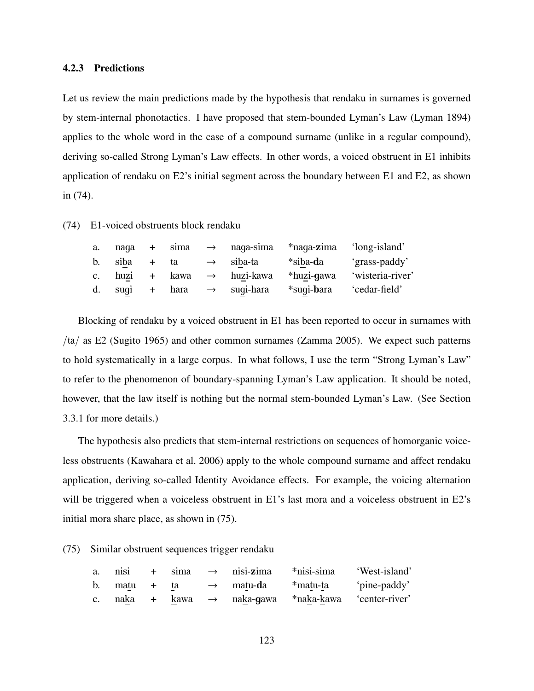#### 4.2.3 Predictions

Let us review the main predictions made by the hypothesis that rendaku in surnames is governed by stem-internal phonotactics. I have proposed that stem-bounded Lyman's Law (Lyman 1894) applies to the whole word in the case of a compound surname (unlike in a regular compound), deriving so-called Strong Lyman's Law effects. In other words, a voiced obstruent in E1 inhibits application of rendaku on E2's initial segment across the boundary between E1 and E2, as shown in (74).

(74) E1-voiced obstruents block rendaku

| a. | naga           | $+$ | sima                      | $\rightarrow$ naqa-sima | *naqa-zima        | 'long-island'    |
|----|----------------|-----|---------------------------|-------------------------|-------------------|------------------|
| b. | siba           |     | + ta                      | $\rightarrow$ siba-ta   | *siba- <b>d</b> a | 'grass-paddy'    |
|    | c. huzi + kawa |     |                           | $\rightarrow$ huzi-kawa | *huzi-gawa        | 'wisteria-river' |
| d. |                |     | suqi + hara $\rightarrow$ | suqi-hara               | *suqi-bara        | 'cedar-field'    |

Blocking of rendaku by a voiced obstruent in E1 has been reported to occur in surnames with /ta/ as E2 (Sugito 1965) and other common surnames (Zamma 2005). We expect such patterns to hold systematically in a large corpus. In what follows, I use the term "Strong Lyman's Law" to refer to the phenomenon of boundary-spanning Lyman's Law application. It should be noted, however, that the law itself is nothing but the normal stem-bounded Lyman's Law. (See Section 3.3.1 for more details.)

The hypothesis also predicts that stem-internal restrictions on sequences of homorganic voiceless obstruents (Kawahara et al. 2006) apply to the whole compound surname and affect rendaku application, deriving so-called Identity Avoidance effects. For example, the voicing alternation will be triggered when a voiceless obstruent in E1's last mora and a voiceless obstruent in E2's initial mora share place, as shown in (75).

(75) Similar obstruent sequences trigger rendaku

| a.             | nisi | $+$ | sima | $\rightarrow$ | nisi-zima               | *nisi-sima | 'West-island'  |
|----------------|------|-----|------|---------------|-------------------------|------------|----------------|
| b.             | matu |     | ta   |               | $\rightarrow$ matu-da   | *matu-ta   | 'pine-paddy'   |
| C <sub>1</sub> | naka |     | kawa |               | $\rightarrow$ naka-gawa | *naka-kawa | 'center-river' |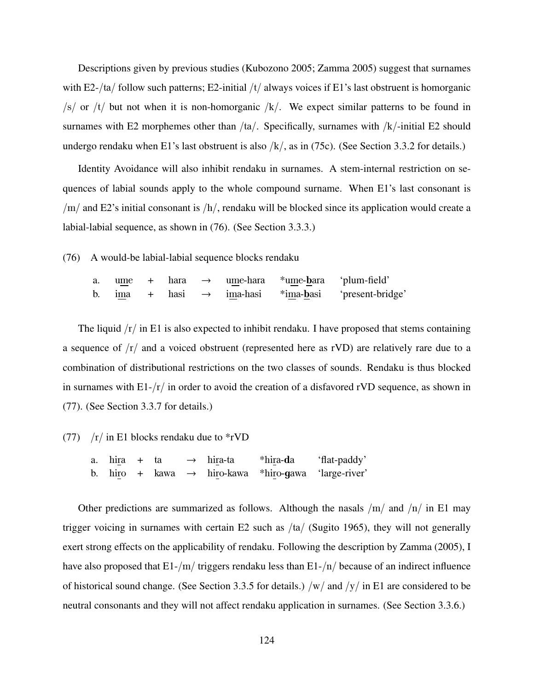Descriptions given by previous studies (Kubozono 2005; Zamma 2005) suggest that surnames with E2-/ta/ follow such patterns; E2-initial /t/ always voices if E1's last obstruent is homorganic  $\sqrt{s}$  or  $\sqrt{t}$  but not when it is non-homorganic  $\sqrt{k}$ . We expect similar patterns to be found in surnames with E2 morphemes other than  $/ta/$ . Specifically, surnames with  $/kt/$ -initial E2 should undergo rendaku when E1's last obstruent is also  $/k/$ , as in (75c). (See Section 3.3.2 for details.)

Identity Avoidance will also inhibit rendaku in surnames. A stem-internal restriction on sequences of labial sounds apply to the whole compound surname. When E1's last consonant is  $/m/$  and E2's initial consonant is  $/h/$ , rendaku will be blocked since its application would create a labial-labial sequence, as shown in (76). (See Section 3.3.3.)

(76) A would-be labial-labial sequence blocks rendaku

a. ume + hara  $\rightarrow$  ume-hara \*ume-bara 'plum-field' b. ima + hasi  $\rightarrow$  ima-hasi  $*$ ima-basi 'present-bridge'

The liquid  $\sqrt{r}$  in E1 is also expected to inhibit rendaku. I have proposed that stems containing a sequence of  $\sqrt{r}$  and a voiced obstruent (represented here as rVD) are relatively rare due to a combination of distributional restrictions on the two classes of sounds. Rendaku is thus blocked in surnames with  $E1-\frac{r}{n}$  in order to avoid the creation of a disfavored rVD sequence, as shown in (77). (See Section 3.3.7 for details.)

(77)  $/r /$  in E1 blocks rendaku due to  $* rVD$ 

a. hira + ta  $\rightarrow$  hira-ta \*hira-da 'flat-paddy' b. hiro + kawa  $\rightarrow$  hiro-kawa \*hiro-gawa 'large-river'

Other predictions are summarized as follows. Although the nasals  $/m/$  and  $/n/$  in E1 may trigger voicing in surnames with certain E2 such as  $/ta/$  (Sugito 1965), they will not generally exert strong effects on the applicability of rendaku. Following the description by Zamma (2005), I have also proposed that  $E1-/m/$  triggers rendaku less than  $E1-/n/$  because of an indirect influence of historical sound change. (See Section 3.3.5 for details.) /w/ and /y/ in E1 are considered to be neutral consonants and they will not affect rendaku application in surnames. (See Section 3.3.6.)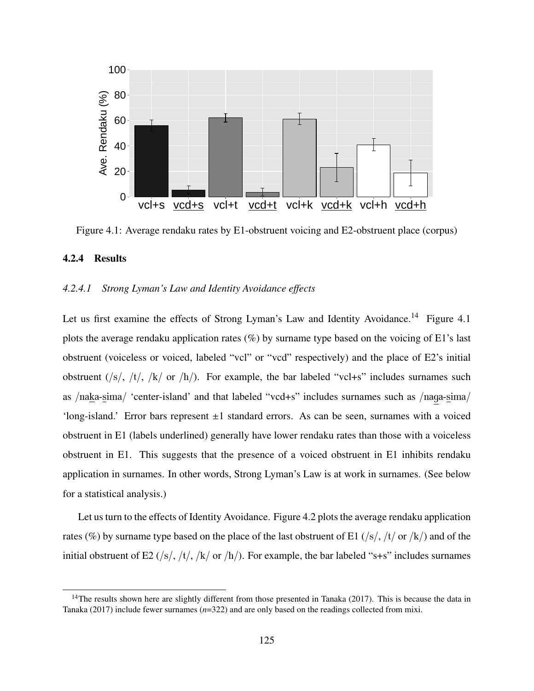

Figure 4.1: Average rendaku rates by E1-obstruent voicing and E2-obstruent place (corpus)

### 4.2.4 Results

### *4.2.4.1 Strong Lyman's Law and Identity Avoidance effects*

Let us first examine the effects of Strong Lyman's Law and Identity Avoidance.<sup>14</sup> Figure 4.1 plots the average rendaku application rates  $(\%)$  by surname type based on the voicing of E1's last obstruent (voiceless or voiced, labeled "vcl" or "vcd" respectively) and the place of E2's initial obstruent  $(\frac{s}{t}, \frac{t}{t}, \frac{k}{\alpha}$  or  $\frac{h}{l}$ . For example, the bar labeled "vcl+s" includes surnames such as /naka-sima/ 'center-island' and that labeled "vcd+s" includes surnames such as /naga-sima/ 'long-island.' Error bars represent  $\pm 1$  standard errors. As can be seen, surnames with a voiced obstruent in E1 (labels underlined) generally have lower rendaku rates than those with a voiceless obstruent in E1. This suggests that the presence of a voiced obstruent in E1 inhibits rendaku application in surnames. In other words, Strong Lyman's Law is at work in surnames. (See below for a statistical analysis.)

Let us turn to the effects of Identity Avoidance. Figure 4.2 plots the average rendaku application rates (%) by surname type based on the place of the last obstruent of E1 (/s/, /t/ or /k/) and of the initial obstruent of E2 (/s/, /t/, /k/ or /h/). For example, the bar labeled "s+s" includes surnames

 $14$ The results shown here are slightly different from those presented in Tanaka (2017). This is because the data in Tanaka (2017) include fewer surnames (*n*=322) and are only based on the readings collected from mixi.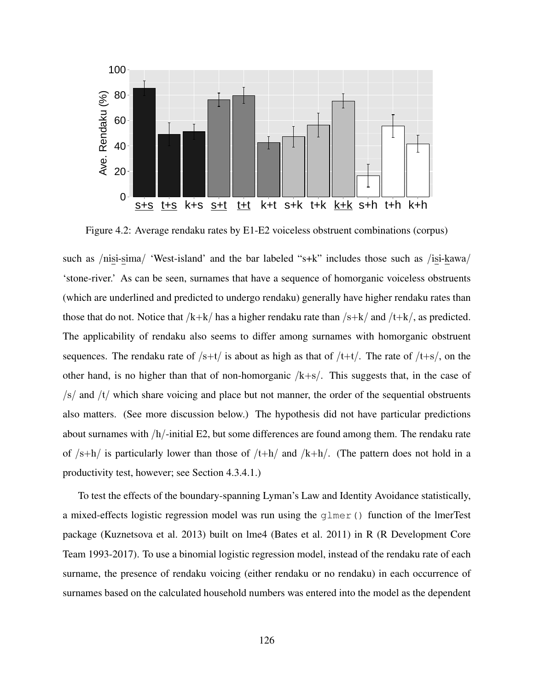

Figure 4.2: Average rendaku rates by E1-E2 voiceless obstruent combinations (corpus)

such as /nisi-sima/ 'West-island' and the bar labeled "s+k" includes those such as /isi-kawa/ 'stone-river.' As can be seen, surnames that have a sequence of homorganic voiceless obstruents (which are underlined and predicted to undergo rendaku) generally have higher rendaku rates than those that do not. Notice that  $/k+k/$  has a higher rendaku rate than  $/s+k/$  and  $/t+k/$ , as predicted. The applicability of rendaku also seems to differ among surnames with homorganic obstruent sequences. The rendaku rate of  $/s+t/$  is about as high as that of  $/t+t/$ . The rate of  $/t+s/$ , on the other hand, is no higher than that of non-homorganic  $/k+s$ . This suggests that, in the case of  $\sqrt{s}$  and  $\sqrt{t}$  which share voicing and place but not manner, the order of the sequential obstruents also matters. (See more discussion below.) The hypothesis did not have particular predictions about surnames with  $/h$ -initial E2, but some differences are found among them. The rendaku rate of  $/s+h/$  is particularly lower than those of  $/t+h/$  and  $/k+h/$ . (The pattern does not hold in a productivity test, however; see Section 4.3.4.1.)

To test the effects of the boundary-spanning Lyman's Law and Identity Avoidance statistically, a mixed-effects logistic regression model was run using the glmer() function of the lmerTest package (Kuznetsova et al. 2013) built on lme4 (Bates et al. 2011) in R (R Development Core Team 1993-2017). To use a binomial logistic regression model, instead of the rendaku rate of each surname, the presence of rendaku voicing (either rendaku or no rendaku) in each occurrence of surnames based on the calculated household numbers was entered into the model as the dependent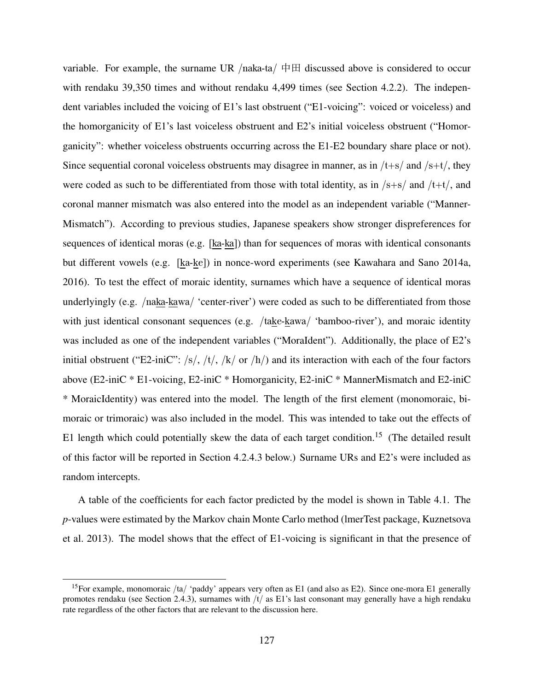variable. For example, the surname UR /naka-ta/  $\# \boxplus$  discussed above is considered to occur with rendaku 39,350 times and without rendaku 4,499 times (see Section 4.2.2). The independent variables included the voicing of E1's last obstruent ("E1-voicing": voiced or voiceless) and the homorganicity of E1's last voiceless obstruent and E2's initial voiceless obstruent ("Homorganicity": whether voiceless obstruents occurring across the E1-E2 boundary share place or not). Since sequential coronal voiceless obstruents may disagree in manner, as in  $/t+s$  and  $/s+t/$ , they were coded as such to be differentiated from those with total identity, as in  $/s+s/$  and  $/t+t/$ , and coronal manner mismatch was also entered into the model as an independent variable ("Manner-Mismatch"). According to previous studies, Japanese speakers show stronger dispreferences for sequences of identical moras (e.g. [ka-ka]) than for sequences of moras with identical consonants but different vowels (e.g. [ka-ke]) in nonce-word experiments (see Kawahara and Sano 2014a, 2016). To test the effect of moraic identity, surnames which have a sequence of identical moras underlyingly (e.g. /naka-kawa/ 'center-river') were coded as such to be differentiated from those with just identical consonant sequences (e.g. /take-kawa/ 'bamboo-river'), and moraic identity was included as one of the independent variables ("MoraIdent"). Additionally, the place of E2's initial obstruent ("E2-iniC": /s/, /t/, /k/ or /h/) and its interaction with each of the four factors above (E2-iniC \* E1-voicing, E2-iniC \* Homorganicity, E2-iniC \* MannerMismatch and E2-iniC \* MoraicIdentity) was entered into the model. The length of the first element (monomoraic, bimoraic or trimoraic) was also included in the model. This was intended to take out the effects of E1 length which could potentially skew the data of each target condition.<sup>15</sup> (The detailed result of this factor will be reported in Section 4.2.4.3 below.) Surname URs and E2's were included as random intercepts.

A table of the coefficients for each factor predicted by the model is shown in Table 4.1. The *p*-values were estimated by the Markov chain Monte Carlo method (lmerTest package, Kuznetsova et al. 2013). The model shows that the effect of E1-voicing is significant in that the presence of

<sup>&</sup>lt;sup>15</sup>For example, monomoraic /ta/ 'paddy' appears very often as E1 (and also as E2). Since one-mora E1 generally promotes rendaku (see Section 2.4.3), surnames with /t/ as E1's last consonant may generally have a high rendaku rate regardless of the other factors that are relevant to the discussion here.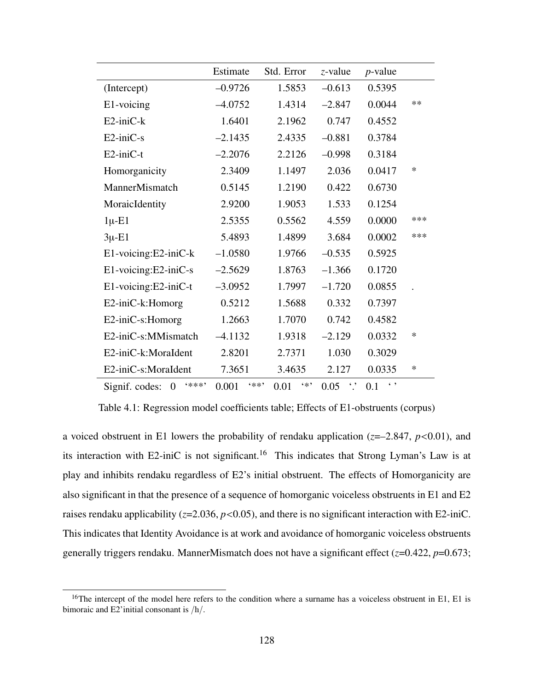|                                           | Estimate        | Std. Error   | $z$ -value             | $p$ -value          |     |
|-------------------------------------------|-----------------|--------------|------------------------|---------------------|-----|
| (Intercept)                               | $-0.9726$       | 1.5853       | $-0.613$               | 0.5395              |     |
| E1-voicing                                | $-4.0752$       | 1.4314       | $-2.847$               | 0.0044              | **  |
| $E2$ -ini $C$ -k                          | 1.6401          | 2.1962       | 0.747                  | 0.4552              |     |
| E2-iniC-s                                 | $-2.1435$       | 2.4335       | $-0.881$               | 0.3784              |     |
| $E2$ -ini $C-t$                           | $-2.2076$       | 2.2126       | $-0.998$               | 0.3184              |     |
| Homorganicity                             | 2.3409          | 1.1497       | 2.036                  | 0.0417              | ∗   |
| MannerMismatch                            | 0.5145          | 1.2190       | 0.422                  | 0.6730              |     |
| MoraicIdentity                            | 2.9200          | 1.9053       | 1.533                  | 0.1254              |     |
| $1\mu$ -E1                                | 2.5355          | 0.5562       | 4.559                  | 0.0000              | *** |
| $3\mu$ -E1                                | 5.4893          | 1.4899       | 3.684                  | 0.0002              | *** |
| E1-voicing:E2-iniC-k                      | $-1.0580$       | 1.9766       | $-0.535$               | 0.5925              |     |
| E1-voicing:E2-iniC-s                      | $-2.5629$       | 1.8763       | $-1.366$               | 0.1720              |     |
| E1-voicing:E2-iniC-t                      | $-3.0952$       | 1.7997       | $-1.720$               | 0.0855              |     |
| E2-iniC-k:Homorg                          | 0.5212          | 1.5688       | 0.332                  | 0.7397              |     |
| E2-iniC-s:Homorg                          | 1.2663          | 1.7070       | 0.742                  | 0.4582              |     |
| E2-iniC-s:MMismatch                       | $-4.1132$       | 1.9318       | $-2.129$               | 0.0332              | *   |
| E2-iniC-k:MoraIdent                       | 2.8201          | 2.7371       | 1.030                  | 0.3029              |     |
| E2-iniC-s:MoraIdent                       | 7.3651          | 3.4635       | 2.127                  | 0.0335              | ∗   |
| (米米米)<br>Signif. codes:<br>$\overline{0}$ | $4* *$<br>0.001 | $4*$<br>0.01 | $\ddot{\cdot}$<br>0.05 | $\leftarrow$<br>0.1 |     |

Table 4.1: Regression model coefficients table; Effects of E1-obstruents (corpus)

a voiced obstruent in E1 lowers the probability of rendaku application (*z*=–2.847, *p*<0.01), and its interaction with E2-iniC is not significant.<sup>16</sup> This indicates that Strong Lyman's Law is at play and inhibits rendaku regardless of E2's initial obstruent. The effects of Homorganicity are also significant in that the presence of a sequence of homorganic voiceless obstruents in E1 and E2 raises rendaku applicability (*z*=2.036, *p*<0.05), and there is no significant interaction with E2-iniC. This indicates that Identity Avoidance is at work and avoidance of homorganic voiceless obstruents generally triggers rendaku. MannerMismatch does not have a significant effect (*z*=0.422, *p*=0.673;

<sup>&</sup>lt;sup>16</sup>The intercept of the model here refers to the condition where a surname has a voiceless obstruent in E1, E1 is bimoraic and E2'initial consonant is /h/.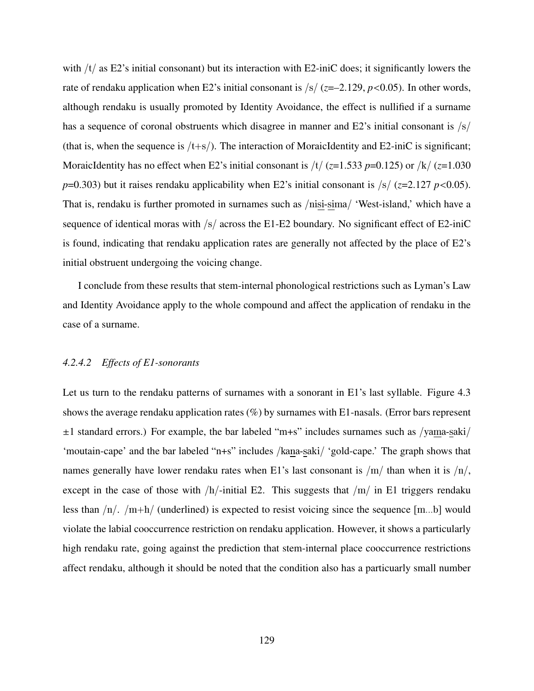with  $/t/$  as E2's initial consonant) but its interaction with E2-iniC does; it significantly lowers the rate of rendaku application when E2's initial consonant is /s/ (*z*=–2.129, *p*<0.05). In other words, although rendaku is usually promoted by Identity Avoidance, the effect is nullified if a surname has a sequence of coronal obstruents which disagree in manner and E2's initial consonant is  $\frac{s}{s}$ (that is, when the sequence is  $/t+s$ ). The interaction of MoraicIdentity and E2-iniC is significant; MoraicIdentity has no effect when E2's initial consonant is  $/t/(z=1.533 p=0.125)$  or  $/k/(z=1.030$ *p*=0.303) but it raises rendaku applicability when E2's initial consonant is  $\frac{|s|}{(z=2.127 \ p<0.05)}$ . That is, rendaku is further promoted in surnames such as /nisi-sima/ 'West-island,' which have a sequence of identical moras with  $\frac{s}{\text{s}}$  across the E1-E2 boundary. No significant effect of E2-iniC is found, indicating that rendaku application rates are generally not affected by the place of E2's initial obstruent undergoing the voicing change.

I conclude from these results that stem-internal phonological restrictions such as Lyman's Law and Identity Avoidance apply to the whole compound and affect the application of rendaku in the case of a surname.

#### *4.2.4.2 Effects of E1-sonorants*

Let us turn to the rendaku patterns of surnames with a sonorant in E1's last syllable. Figure 4.3 shows the average rendaku application rates  $(\%)$  by surnames with E1-nasals. (Error bars represent  $\pm 1$  standard errors.) For example, the bar labeled "m+s" includes surnames such as /yama-saki/ 'moutain-cape' and the bar labeled "n+s" includes /kana-saki/ 'gold-cape.' The graph shows that names generally have lower rendaku rates when E1's last consonant is  $/m/$  than when it is  $/n/$ , except in the case of those with  $/h$ -initial E2. This suggests that  $/m/$  in E1 triggers rendaku less than  $/n/$ .  $/m+h/$  (underlined) is expected to resist voicing since the sequence [m...b] would violate the labial cooccurrence restriction on rendaku application. However, it shows a particularly high rendaku rate, going against the prediction that stem-internal place cooccurrence restrictions affect rendaku, although it should be noted that the condition also has a particuarly small number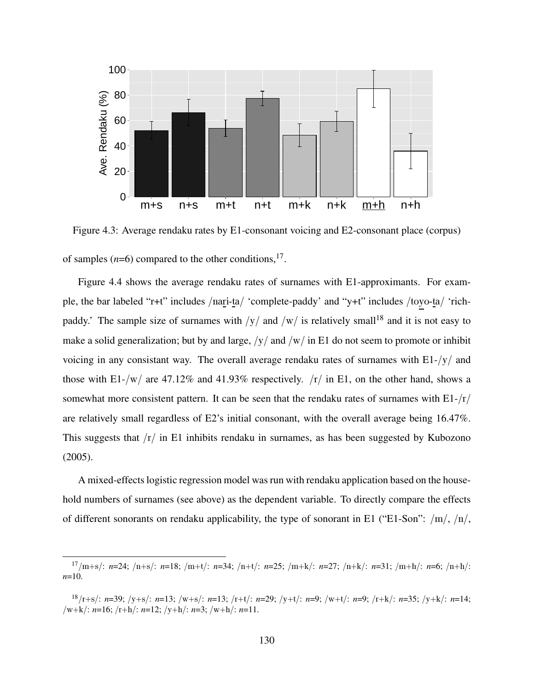

Figure 4.3: Average rendaku rates by E1-consonant voicing and E2-consonant place (corpus) of samples  $(n=6)$  compared to the other conditions,<sup>17</sup>.

Figure 4.4 shows the average rendaku rates of surnames with E1-approximants. For example, the bar labeled "r+t" includes /nari-ta/ 'complete-paddy' and "y+t" includes /toyo-ta/ 'richpaddy.' The sample size of surnames with  $/y/$  and  $/w/$  is relatively small<sup>18</sup> and it is not easy to make a solid generalization; but by and large,  $/y/$  and  $/w/$  in E1 do not seem to promote or inhibit voicing in any consistant way. The overall average rendaku rates of surnames with  $E1-y/$  and those with E1-/w/ are 47.12% and 41.93% respectively.  $\langle r \rangle$  in E1, on the other hand, shows a somewhat more consistent pattern. It can be seen that the rendaku rates of surnames with  $E1-fr/$ are relatively small regardless of E2's initial consonant, with the overall average being 16.47%. This suggests that  $/r/$  in E1 inhibits rendaku in surnames, as has been suggested by Kubozono (2005).

A mixed-effects logistic regression model was run with rendaku application based on the household numbers of surnames (see above) as the dependent variable. To directly compare the effects of different sonorants on rendaku applicability, the type of sonorant in E1 ("E1-Son":  $/m/$ ,  $/n/$ ,

<sup>17</sup>/m+s/: *n*=24; /n+s/: *n*=18; /m+t/: *n*=34; /n+t/: *n*=25; /m+k/: *n*=27; /n+k/: *n*=31; /m+h/: *n*=6; /n+h/: *n*=10.

<sup>18</sup>/r+s/: *n*=39; /y+s/: *n*=13; /w+s/: *n*=13; /r+t/: *n*=29; /y+t/: *n*=9; /w+t/: *n*=9; /r+k/: *n*=35; /y+k/: *n*=14; /w+k/: *n*=16; /r+h/: *n*=12; /y+h/: *n*=3; /w+h/: *n*=11.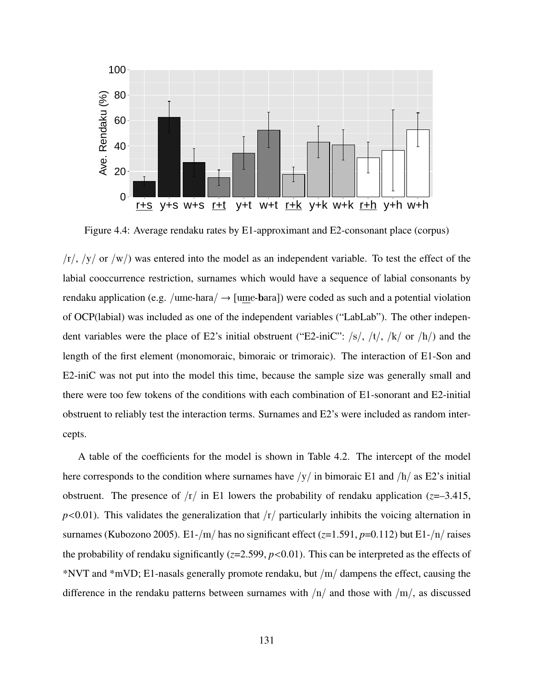

Figure 4.4: Average rendaku rates by E1-approximant and E2-consonant place (corpus)

 $\frac{f_r}{f_r}$ ,  $\frac{f_y}{f_y}$  or  $\frac{f_w}{f_y}$  was entered into the model as an independent variable. To test the effect of the labial cooccurrence restriction, surnames which would have a sequence of labial consonants by rendaku application (e.g. /ume-hara/  $\rightarrow$  [ume-bara]) were coded as such and a potential violation of OCP(labial) was included as one of the independent variables ("LabLab"). The other independent variables were the place of E2's initial obstruent ("E2-iniC":  $/s/$ ,  $/t/$ ,  $/k/$  or  $/h/$ ) and the length of the first element (monomoraic, bimoraic or trimoraic). The interaction of E1-Son and E2-iniC was not put into the model this time, because the sample size was generally small and there were too few tokens of the conditions with each combination of E1-sonorant and E2-initial obstruent to reliably test the interaction terms. Surnames and E2's were included as random intercepts.

A table of the coefficients for the model is shown in Table 4.2. The intercept of the model here corresponds to the condition where surnames have  $/y/$  in bimoraic E1 and  $/h/$  as E2's initial obstruent. The presence of  $\frac{r}{i}$  in E1 lowers the probability of rendaku application ( $z=-3.415$ ,  $p$ <0.01). This validates the generalization that  $\frac{r}{p}$  particularly inhibits the voicing alternation in surnames (Kubozono 2005). E1-/m/ has no significant effect (*z*=1.591, *p*=0.112) but E1-/n/ raises the probability of rendaku significantly (*z*=2.599, *p*<0.01). This can be interpreted as the effects of \*NVT and  $*mVD$ ; E1-nasals generally promote rendaku, but  $/m/d$  dampens the effect, causing the difference in the rendaku patterns between surnames with  $/n/$  and those with  $/m/$ , as discussed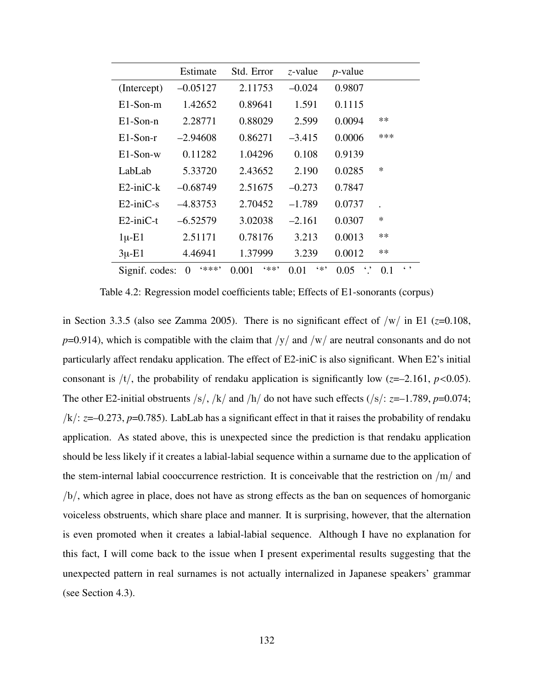|                     | Estimate   | Std. Error    | z-value       | $p$ -value |                                      |
|---------------------|------------|---------------|---------------|------------|--------------------------------------|
| (Intercept)         | $-0.05127$ | 2.11753       | $-0.024$      | 0.9807     |                                      |
| $E1-Son-m$          | 1.42652    | 0.89641       | 1.591         | 0.1115     |                                      |
| $E1-Son-n$          | 2.28771    | 0.88029       | 2.599         | 0.0094     | $**$                                 |
| $E1-Son-r$          | $-2.94608$ | 0.86271       | $-3.415$      | 0.0006     | ***                                  |
| $E1-Son-w$          | 0.11282    | 1.04296       | 0.108         | 0.9139     |                                      |
| LabLab              | 5.33720    | 2.43652       | 2.190         | 0.0285     | $\ast$                               |
| $E2$ -ini $C$ - $k$ | $-0.68749$ | 2.51675       | $-0.273$      | 0.7847     |                                      |
| $E2$ -ini $C$ -s    | $-4.83753$ | 2.70452       | $-1.789$      | 0.0737     |                                      |
| $E2$ -ini $C$ -t    | $-6.52579$ | 3.02038       | $-2.161$      | 0.0307     | $\ast$                               |
| $1\mu$ -E1          | 2.51171    | 0.78176       | 3.213         | 0.0013     | **                                   |
| $3\mu$ -E1          | 4.46941    | 1.37999       | 3.239         | 0.0012     | **                                   |
| Signif. codes:      | (米米米)<br>0 | 6米米?<br>0.001 | $6 *$<br>0.01 | 0.05       | $\left( \quad ,\quad \right)$<br>0.1 |

Table 4.2: Regression model coefficients table; Effects of E1-sonorants (corpus)

in Section 3.3.5 (also see Zamma 2005). There is no significant effect of  $/w/$  in E1 ( $z=0.108$ ,  $p=0.914$ ), which is compatible with the claim that  $/y/$  and  $/w/$  are neutral consonants and do not particularly affect rendaku application. The effect of E2-iniC is also significant. When E2's initial consonant is  $/t/$ , the probability of rendaku application is significantly low ( $z=-2.161$ ,  $p<0.05$ ). The other E2-initial obstruents /s/, /k/ and /h/ do not have such effects (/s/:  $z=-1.789$ ,  $p=0.074$ ; /k/: *z*=–0.273, *p*=0.785). LabLab has a significant effect in that it raises the probability of rendaku application. As stated above, this is unexpected since the prediction is that rendaku application should be less likely if it creates a labial-labial sequence within a surname due to the application of the stem-internal labial cooccurrence restriction. It is conceivable that the restriction on /m/ and /b/, which agree in place, does not have as strong effects as the ban on sequences of homorganic voiceless obstruents, which share place and manner. It is surprising, however, that the alternation is even promoted when it creates a labial-labial sequence. Although I have no explanation for this fact, I will come back to the issue when I present experimental results suggesting that the unexpected pattern in real surnames is not actually internalized in Japanese speakers' grammar (see Section 4.3).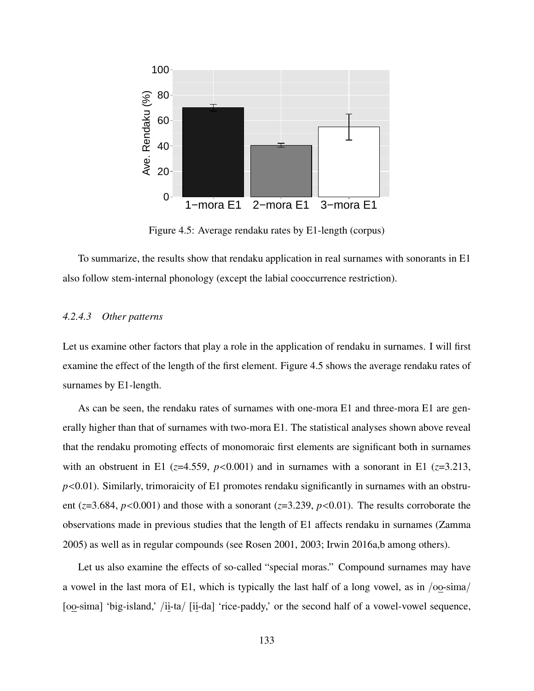

Figure 4.5: Average rendaku rates by E1-length (corpus)

To summarize, the results show that rendaku application in real surnames with sonorants in E1 also follow stem-internal phonology (except the labial cooccurrence restriction).

#### *4.2.4.3 Other patterns*

Let us examine other factors that play a role in the application of rendaku in surnames. I will first examine the effect of the length of the first element. Figure 4.5 shows the average rendaku rates of surnames by E1-length.

As can be seen, the rendaku rates of surnames with one-mora E1 and three-mora E1 are generally higher than that of surnames with two-mora E1. The statistical analyses shown above reveal that the rendaku promoting effects of monomoraic first elements are significant both in surnames with an obstruent in E1 ( $z=4.559$ ,  $p<0.001$ ) and in surnames with a sonorant in E1 ( $z=3.213$ , *p*<0.01). Similarly, trimoraicity of E1 promotes rendaku significantly in surnames with an obstruent ( $z=3.684$ ,  $p<0.001$ ) and those with a sonorant ( $z=3.239$ ,  $p<0.01$ ). The results corroborate the observations made in previous studies that the length of E1 affects rendaku in surnames (Zamma 2005) as well as in regular compounds (see Rosen 2001, 2003; Irwin 2016a,b among others).

Let us also examine the effects of so-called "special moras." Compound surnames may have a vowel in the last mora of E1, which is typically the last half of a long vowel, as in /oo-sima/ [oo-sima] 'big-island,' /ii-ta/ [ii-da] 'rice-paddy,' or the second half of a vowel-vowel sequence,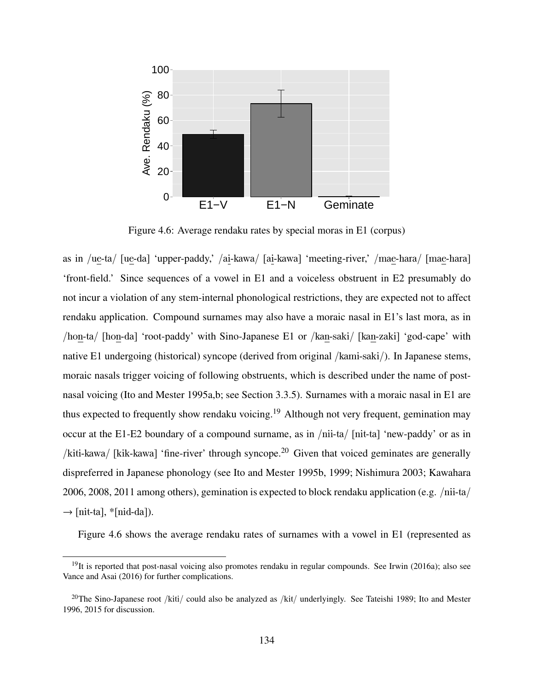

Figure 4.6: Average rendaku rates by special moras in E1 (corpus)

as in /ue-ta/ [ue-da] 'upper-paddy,' /ai-kawa/ [ai-kawa] 'meeting-river,' /mae-hara/ [mae-hara] 'front-field.' Since sequences of a vowel in E1 and a voiceless obstruent in E2 presumably do not incur a violation of any stem-internal phonological restrictions, they are expected not to affect rendaku application. Compound surnames may also have a moraic nasal in E1's last mora, as in /hon-ta/ [hon-da] 'root-paddy' with Sino-Japanese E1 or /kan-saki/ [kan-zaki] 'god-cape' with native E1 undergoing (historical) syncope (derived from original /kami-saki/). In Japanese stems, moraic nasals trigger voicing of following obstruents, which is described under the name of postnasal voicing (Ito and Mester 1995a,b; see Section 3.3.5). Surnames with a moraic nasal in E1 are thus expected to frequently show rendaku voicing.<sup>19</sup> Although not very frequent, gemination may occur at the E1-E2 boundary of a compound surname, as in /nii-ta/ [nit-ta] 'new-paddy' or as in /kiti-kawa/ [kik-kawa] 'fine-river' through syncope.<sup>20</sup> Given that voiced geminates are generally dispreferred in Japanese phonology (see Ito and Mester 1995b, 1999; Nishimura 2003; Kawahara 2006, 2008, 2011 among others), gemination is expected to block rendaku application (e.g. /nii-ta/  $\rightarrow$  [nit-ta], \*[nid-da]).

Figure 4.6 shows the average rendaku rates of surnames with a vowel in E1 (represented as

<sup>&</sup>lt;sup>19</sup>It is reported that post-nasal voicing also promotes rendaku in regular compounds. See Irwin (2016a); also see Vance and Asai (2016) for further complications.

<sup>&</sup>lt;sup>20</sup>The Sino-Japanese root /kiti/ could also be analyzed as /kit/ underlyingly. See Tateishi 1989; Ito and Mester 1996, 2015 for discussion.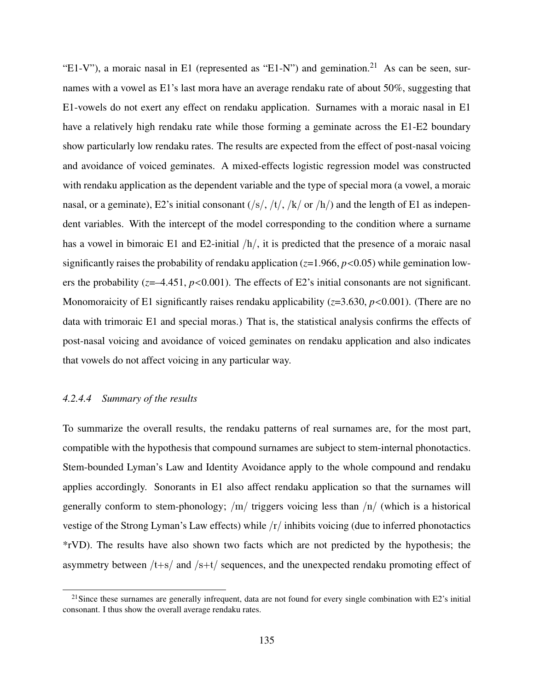"E1-V"), a moraic nasal in E1 (represented as "E1-N") and gemination.<sup>21</sup> As can be seen, surnames with a vowel as E1's last mora have an average rendaku rate of about 50%, suggesting that E1-vowels do not exert any effect on rendaku application. Surnames with a moraic nasal in E1 have a relatively high rendaku rate while those forming a geminate across the E1-E2 boundary show particularly low rendaku rates. The results are expected from the effect of post-nasal voicing and avoidance of voiced geminates. A mixed-effects logistic regression model was constructed with rendaku application as the dependent variable and the type of special mora (a vowel, a moraic nasal, or a geminate), E2's initial consonant  $(\frac{s}{, t}, \frac{t}{, k} \text{ or } \frac{h}{)$  and the length of E1 as independent variables. With the intercept of the model corresponding to the condition where a surname has a vowel in bimoraic E1 and E2-initial  $/h/$ , it is predicted that the presence of a moraic nasal significantly raises the probability of rendaku application (*z*=1.966, *p*<0.05) while gemination lowers the probability ( $z=-4.451$ ,  $p<0.001$ ). The effects of E2's initial consonants are not significant. Monomoraicity of E1 significantly raises rendaku applicability ( $z=3.630$ ,  $p<0.001$ ). (There are no data with trimoraic E1 and special moras.) That is, the statistical analysis confirms the effects of post-nasal voicing and avoidance of voiced geminates on rendaku application and also indicates that vowels do not affect voicing in any particular way.

#### *4.2.4.4 Summary of the results*

To summarize the overall results, the rendaku patterns of real surnames are, for the most part, compatible with the hypothesis that compound surnames are subject to stem-internal phonotactics. Stem-bounded Lyman's Law and Identity Avoidance apply to the whole compound and rendaku applies accordingly. Sonorants in E1 also affect rendaku application so that the surnames will generally conform to stem-phonology;  $/m/$  triggers voicing less than  $/n/$  (which is a historical vestige of the Strong Lyman's Law effects) while  $\frac{r}{\pi}$  inhibits voicing (due to inferred phonotactics \*rVD). The results have also shown two facts which are not predicted by the hypothesis; the asymmetry between  $/t+s$  and  $/s+t$  sequences, and the unexpected rendaku promoting effect of

 $21$ Since these surnames are generally infrequent, data are not found for every single combination with E2's initial consonant. I thus show the overall average rendaku rates.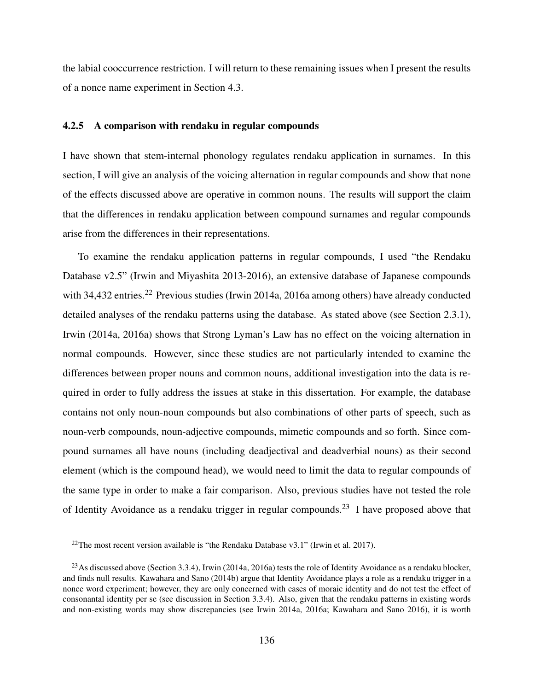the labial cooccurrence restriction. I will return to these remaining issues when I present the results of a nonce name experiment in Section 4.3.

#### 4.2.5 A comparison with rendaku in regular compounds

I have shown that stem-internal phonology regulates rendaku application in surnames. In this section, I will give an analysis of the voicing alternation in regular compounds and show that none of the effects discussed above are operative in common nouns. The results will support the claim that the differences in rendaku application between compound surnames and regular compounds arise from the differences in their representations.

To examine the rendaku application patterns in regular compounds, I used "the Rendaku Database v2.5" (Irwin and Miyashita 2013-2016), an extensive database of Japanese compounds with 34,432 entries.<sup>22</sup> Previous studies (Irwin 2014a, 2016a among others) have already conducted detailed analyses of the rendaku patterns using the database. As stated above (see Section 2.3.1), Irwin (2014a, 2016a) shows that Strong Lyman's Law has no effect on the voicing alternation in normal compounds. However, since these studies are not particularly intended to examine the differences between proper nouns and common nouns, additional investigation into the data is required in order to fully address the issues at stake in this dissertation. For example, the database contains not only noun-noun compounds but also combinations of other parts of speech, such as noun-verb compounds, noun-adjective compounds, mimetic compounds and so forth. Since compound surnames all have nouns (including deadjectival and deadverbial nouns) as their second element (which is the compound head), we would need to limit the data to regular compounds of the same type in order to make a fair comparison. Also, previous studies have not tested the role of Identity Avoidance as a rendaku trigger in regular compounds.<sup>23</sup> I have proposed above that

<sup>&</sup>lt;sup>22</sup>The most recent version available is "the Rendaku Database v3.1" (Irwin et al. 2017).

 $^{23}$ As discussed above (Section 3.3.4), Irwin (2014a, 2016a) tests the role of Identity Avoidance as a rendaku blocker, and finds null results. Kawahara and Sano (2014b) argue that Identity Avoidance plays a role as a rendaku trigger in a nonce word experiment; however, they are only concerned with cases of moraic identity and do not test the effect of consonantal identity per se (see discussion in Section 3.3.4). Also, given that the rendaku patterns in existing words and non-existing words may show discrepancies (see Irwin 2014a, 2016a; Kawahara and Sano 2016), it is worth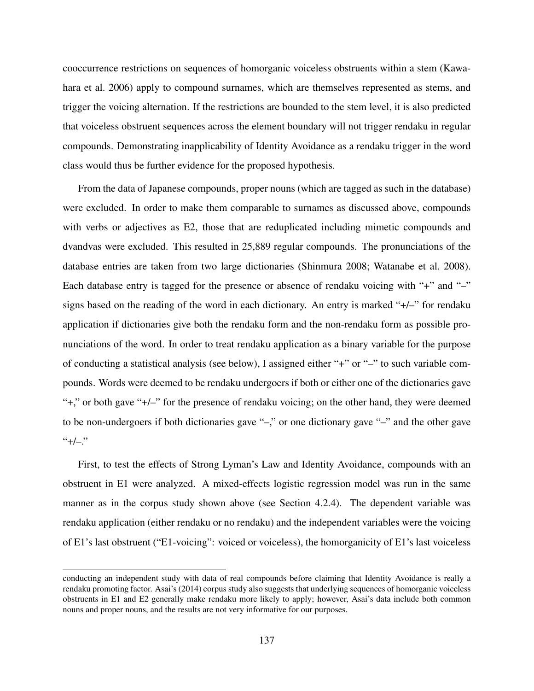cooccurrence restrictions on sequences of homorganic voiceless obstruents within a stem (Kawahara et al. 2006) apply to compound surnames, which are themselves represented as stems, and trigger the voicing alternation. If the restrictions are bounded to the stem level, it is also predicted that voiceless obstruent sequences across the element boundary will not trigger rendaku in regular compounds. Demonstrating inapplicability of Identity Avoidance as a rendaku trigger in the word class would thus be further evidence for the proposed hypothesis.

From the data of Japanese compounds, proper nouns (which are tagged as such in the database) were excluded. In order to make them comparable to surnames as discussed above, compounds with verbs or adjectives as E2, those that are reduplicated including mimetic compounds and dvandvas were excluded. This resulted in 25,889 regular compounds. The pronunciations of the database entries are taken from two large dictionaries (Shinmura 2008; Watanabe et al. 2008). Each database entry is tagged for the presence or absence of rendaku voicing with "+" and "-" signs based on the reading of the word in each dictionary. An entry is marked "+/–" for rendaku application if dictionaries give both the rendaku form and the non-rendaku form as possible pronunciations of the word. In order to treat rendaku application as a binary variable for the purpose of conducting a statistical analysis (see below), I assigned either "+" or "–" to such variable compounds. Words were deemed to be rendaku undergoers if both or either one of the dictionaries gave "+," or both gave "+/–" for the presence of rendaku voicing; on the other hand, they were deemed to be non-undergoers if both dictionaries gave "–," or one dictionary gave "–" and the other gave  $``+/-."$ 

First, to test the effects of Strong Lyman's Law and Identity Avoidance, compounds with an obstruent in E1 were analyzed. A mixed-effects logistic regression model was run in the same manner as in the corpus study shown above (see Section 4.2.4). The dependent variable was rendaku application (either rendaku or no rendaku) and the independent variables were the voicing of E1's last obstruent ("E1-voicing": voiced or voiceless), the homorganicity of E1's last voiceless

conducting an independent study with data of real compounds before claiming that Identity Avoidance is really a rendaku promoting factor. Asai's (2014) corpus study also suggests that underlying sequences of homorganic voiceless obstruents in E1 and E2 generally make rendaku more likely to apply; however, Asai's data include both common nouns and proper nouns, and the results are not very informative for our purposes.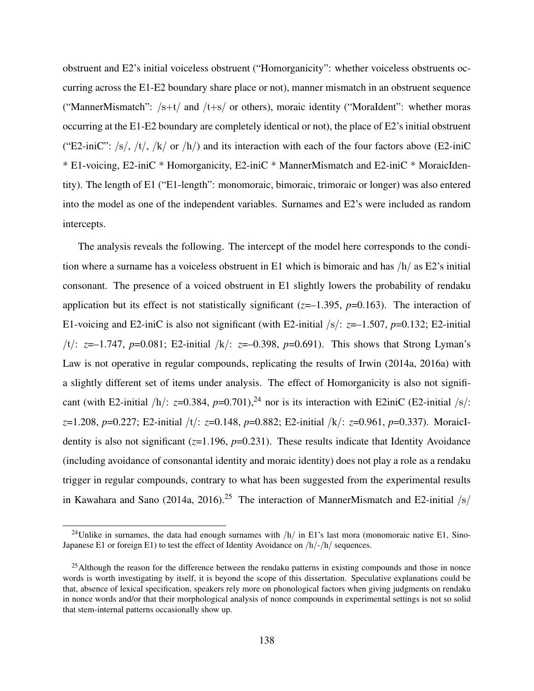obstruent and E2's initial voiceless obstruent ("Homorganicity": whether voiceless obstruents occurring across the E1-E2 boundary share place or not), manner mismatch in an obstruent sequence ("MannerMismatch":  $/s+t/$  and  $/t+s/$  or others), moraic identity ("MoraIdent": whether moras occurring at the E1-E2 boundary are completely identical or not), the place of E2's initial obstruent ("E2-iniC":  $\frac{s}{s}$ ,  $\frac{t}{s}$ ,  $\frac{t}{s}$ ,  $\frac{s}{s}$  or  $\frac{h}{s}$  and its interaction with each of the four factors above (E2-iniC) \* E1-voicing, E2-iniC \* Homorganicity, E2-iniC \* MannerMismatch and E2-iniC \* MoraicIdentity). The length of E1 ("E1-length": monomoraic, bimoraic, trimoraic or longer) was also entered into the model as one of the independent variables. Surnames and E2's were included as random intercepts.

The analysis reveals the following. The intercept of the model here corresponds to the condition where a surname has a voiceless obstruent in E1 which is bimoraic and has  $/h/$  as E2's initial consonant. The presence of a voiced obstruent in E1 slightly lowers the probability of rendaku application but its effect is not statistically significant  $(z=-1.395, p=0.163)$ . The interaction of E1-voicing and E2-iniC is also not significant (with E2-initial /s/: *z*=–1.507, *p*=0.132; E2-initial /t/: *z*=–1.747, *p*=0.081; E2-initial /k/: *z*=–0.398, *p*=0.691). This shows that Strong Lyman's Law is not operative in regular compounds, replicating the results of Irwin (2014a, 2016a) with a slightly different set of items under analysis. The effect of Homorganicity is also not significant (with E2-initial  $/h$ : *z*=0.384, *p*=0.701),<sup>24</sup> nor is its interaction with E2iniC (E2-initial /s/: *z*=1.208, *p*=0.227; E2-initial /t/: *z*=0.148, *p*=0.882; E2-initial /k/: *z*=0.961, *p*=0.337). MoraicIdentity is also not significant (*z*=1.196, *p*=0.231). These results indicate that Identity Avoidance (including avoidance of consonantal identity and moraic identity) does not play a role as a rendaku trigger in regular compounds, contrary to what has been suggested from the experimental results in Kawahara and Sano (2014a, 2016).<sup>25</sup> The interaction of MannerMismatch and E2-initial  $\sqrt{s}$ 

<sup>&</sup>lt;sup>24</sup>Unlike in surnames, the data had enough surnames with  $/h/$  in E1's last mora (monomoraic native E1, Sino-Japanese E1 or foreign E1) to test the effect of Identity Avoidance on /h/-/h/ sequences.

<sup>&</sup>lt;sup>25</sup>Although the reason for the difference between the rendaku patterns in existing compounds and those in nonce words is worth investigating by itself, it is beyond the scope of this dissertation. Speculative explanations could be that, absence of lexical specification, speakers rely more on phonological factors when giving judgments on rendaku in nonce words and/or that their morphological analysis of nonce compounds in experimental settings is not so solid that stem-internal patterns occasionally show up.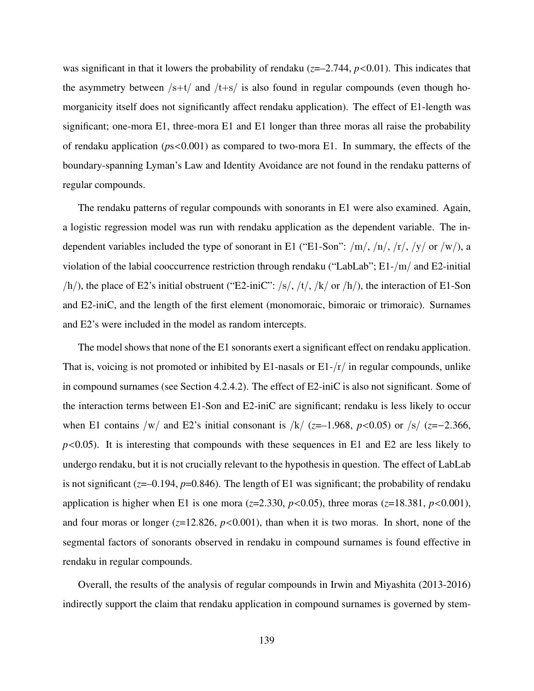was significant in that it lowers the probability of rendaku  $(z=-2.744, p<0.01)$ . This indicates that the asymmetry between  $/s+t/$  and  $/t+s/$  is also found in regular compounds (even though homorganicity itself does not significantly affect rendaku application). The effect of E1-length was significant; one-mora E1, three-mora E1 and E1 longer than three moras all raise the probability of rendaku application (*p*s<0.001) as compared to two-mora E1. In summary, the effects of the boundary-spanning Lyman's Law and Identity Avoidance are not found in the rendaku patterns of regular compounds.

The rendaku patterns of regular compounds with sonorants in E1 were also examined. Again, a logistic regression model was run with rendaku application as the dependent variable. The independent variables included the type of sonorant in E1 ("E1-Son":  $/m/$ ,  $/n/$ ,  $/r/$ ,  $/y/$  or  $/w/$ ), a violation of the labial cooccurrence restriction through rendaku ("LabLab"; E1-/m/ and E2-initial  $/h$ , the place of E2's initial obstruent ("E2-iniC": /s/, /t/, /k/ or /h/), the interaction of E1-Son and E2-iniC, and the length of the first element (monomoraic, bimoraic or trimoraic). Surnames and E2's were included in the model as random intercepts.

The model shows that none of the E1 sonorants exert a significant effect on rendaku application. That is, voicing is not promoted or inhibited by E1-nasals or  $E1-fr/$  in regular compounds, unlike in compound surnames (see Section 4.2.4.2). The effect of E2-iniC is also not significant. Some of the interaction terms between E1-Son and E2-iniC are significant; rendaku is less likely to occur when E1 contains /w/ and E2's initial consonant is /k/ (*z*=–1.968, *p*<0.05) or /s/ (*z*=−2.366, *p*<0.05). It is interesting that compounds with these sequences in E1 and E2 are less likely to undergo rendaku, but it is not crucially relevant to the hypothesis in question. The effect of LabLab is not significant (*z*=–0.194, *p*=0.846). The length of E1 was significant; the probability of rendaku application is higher when E1 is one mora ( $z=2.330$ ,  $p<0.05$ ), three moras ( $z=18.381$ ,  $p<0.001$ ), and four moras or longer  $(z=12.826, p<0.001)$ , than when it is two moras. In short, none of the segmental factors of sonorants observed in rendaku in compound surnames is found effective in rendaku in regular compounds.

Overall, the results of the analysis of regular compounds in Irwin and Miyashita (2013-2016) indirectly support the claim that rendaku application in compound surnames is governed by stem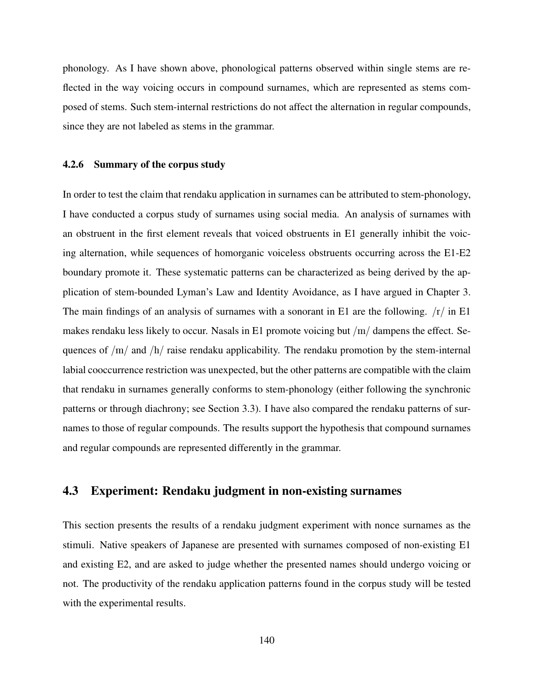phonology. As I have shown above, phonological patterns observed within single stems are reflected in the way voicing occurs in compound surnames, which are represented as stems composed of stems. Such stem-internal restrictions do not affect the alternation in regular compounds, since they are not labeled as stems in the grammar.

#### 4.2.6 Summary of the corpus study

In order to test the claim that rendaku application in surnames can be attributed to stem-phonology, I have conducted a corpus study of surnames using social media. An analysis of surnames with an obstruent in the first element reveals that voiced obstruents in E1 generally inhibit the voicing alternation, while sequences of homorganic voiceless obstruents occurring across the E1-E2 boundary promote it. These systematic patterns can be characterized as being derived by the application of stem-bounded Lyman's Law and Identity Avoidance, as I have argued in Chapter 3. The main findings of an analysis of surnames with a sonorant in E1 are the following.  $/r /$  in E1 makes rendaku less likely to occur. Nasals in E1 promote voicing but /m/ dampens the effect. Sequences of  $/m/$  and  $/h/$  raise rendaku applicability. The rendaku promotion by the stem-internal labial cooccurrence restriction was unexpected, but the other patterns are compatible with the claim that rendaku in surnames generally conforms to stem-phonology (either following the synchronic patterns or through diachrony; see Section 3.3). I have also compared the rendaku patterns of surnames to those of regular compounds. The results support the hypothesis that compound surnames and regular compounds are represented differently in the grammar.

### 4.3 Experiment: Rendaku judgment in non-existing surnames

This section presents the results of a rendaku judgment experiment with nonce surnames as the stimuli. Native speakers of Japanese are presented with surnames composed of non-existing E1 and existing E2, and are asked to judge whether the presented names should undergo voicing or not. The productivity of the rendaku application patterns found in the corpus study will be tested with the experimental results.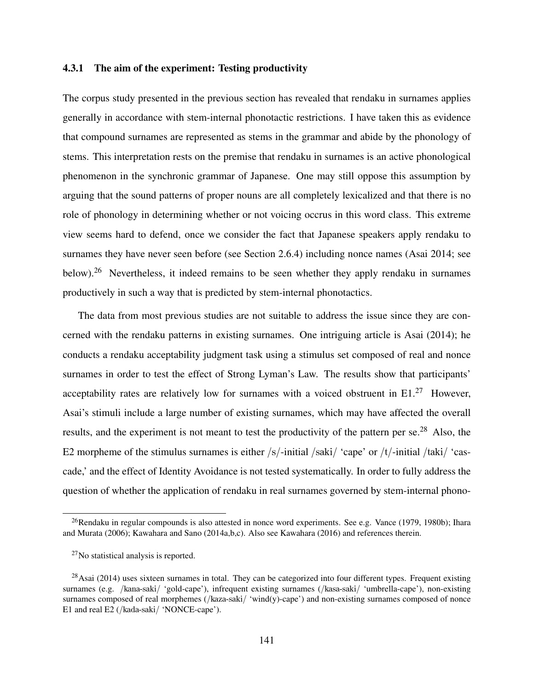#### 4.3.1 The aim of the experiment: Testing productivity

The corpus study presented in the previous section has revealed that rendaku in surnames applies generally in accordance with stem-internal phonotactic restrictions. I have taken this as evidence that compound surnames are represented as stems in the grammar and abide by the phonology of stems. This interpretation rests on the premise that rendaku in surnames is an active phonological phenomenon in the synchronic grammar of Japanese. One may still oppose this assumption by arguing that the sound patterns of proper nouns are all completely lexicalized and that there is no role of phonology in determining whether or not voicing occrus in this word class. This extreme view seems hard to defend, once we consider the fact that Japanese speakers apply rendaku to surnames they have never seen before (see Section 2.6.4) including nonce names (Asai 2014; see below).<sup>26</sup> Nevertheless, it indeed remains to be seen whether they apply rendaku in surnames productively in such a way that is predicted by stem-internal phonotactics.

The data from most previous studies are not suitable to address the issue since they are concerned with the rendaku patterns in existing surnames. One intriguing article is Asai (2014); he conducts a rendaku acceptability judgment task using a stimulus set composed of real and nonce surnames in order to test the effect of Strong Lyman's Law. The results show that participants' acceptability rates are relatively low for surnames with a voiced obstruent in  $E1<sup>27</sup>$  However, Asai's stimuli include a large number of existing surnames, which may have affected the overall results, and the experiment is not meant to test the productivity of the pattern per se.<sup>28</sup> Also, the E2 morpheme of the stimulus surnames is either  $/s/$ -initial  $/saki/$  'cape' or  $/t/$ -initial  $/taki/$  'cascade,' and the effect of Identity Avoidance is not tested systematically. In order to fully address the question of whether the application of rendaku in real surnames governed by stem-internal phono-

<sup>&</sup>lt;sup>26</sup>Rendaku in regular compounds is also attested in nonce word experiments. See e.g. Vance (1979, 1980b); Ihara and Murata (2006); Kawahara and Sano (2014a,b,c). Also see Kawahara (2016) and references therein.

<sup>27</sup>No statistical analysis is reported.

 $^{28}$ Asai (2014) uses sixteen surnames in total. They can be categorized into four different types. Frequent existing surnames (e.g. /kana-saki/ 'gold-cape'), infrequent existing surnames (/kasa-saki/ 'umbrella-cape'), non-existing surnames composed of real morphemes (/kaza-saki/ 'wind(y)-cape') and non-existing surnames composed of nonce E1 and real E2 (/kada-saki/ 'NONCE-cape').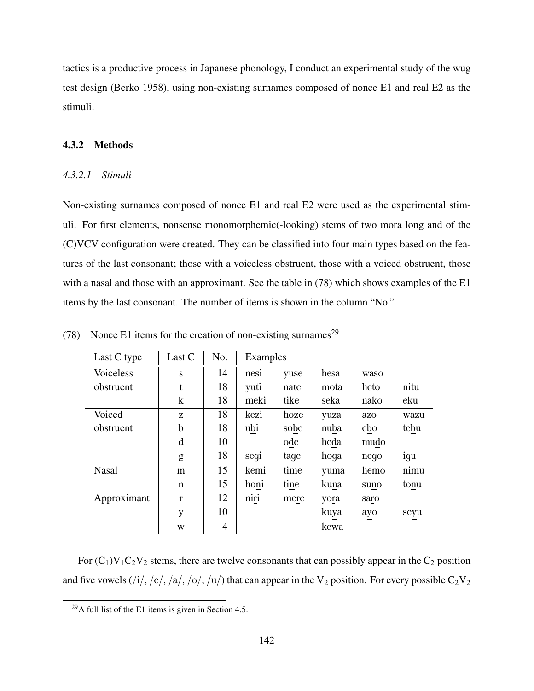tactics is a productive process in Japanese phonology, I conduct an experimental study of the wug test design (Berko 1958), using non-existing surnames composed of nonce E1 and real E2 as the stimuli.

#### 4.3.2 Methods

#### *4.3.2.1 Stimuli*

Non-existing surnames composed of nonce E1 and real E2 were used as the experimental stimuli. For first elements, nonsense monomorphemic(-looking) stems of two mora long and of the (C)VCV configuration were created. They can be classified into four main types based on the features of the last consonant; those with a voiceless obstruent, those with a voiced obstruent, those with a nasal and those with an approximant. See the table in (78) which shows examples of the E1 items by the last consonant. The number of items is shown in the column "No."

| Last C type      | Last C       | No. | Examples |      |              |      |      |  |
|------------------|--------------|-----|----------|------|--------------|------|------|--|
| <b>Voiceless</b> | S            | 14  | nesi     | yuse | hesa         | waso |      |  |
| obstruent        | t            | 18  | yuti     | nate | mota         | heto |      |  |
|                  | k            | 18  | meki     | tike | seka         | nako | eku  |  |
| Voiced           | Z            | 18  | kezi     | hoze | yuza         | azo  |      |  |
| obstruent        | b            | 18  | ubi      | sobe | nuba         | ebo  | tebu |  |
|                  | d            | 10  |          | ode  | heda         | mudo |      |  |
|                  | g            | 18  | segi     | tage | hoga         | nego | igu  |  |
| <b>Nasal</b>     | m            | 15  | kemi     | time | yuma         | hemo |      |  |
|                  | n            | 15  | honi     | tine | kuna         | suno | tonu |  |
| Approximant      | $\mathbf{r}$ | 12  | niri     | mere | yora<br>saro |      |      |  |
|                  | y            | 10  |          |      | kuya         | ayo  | seyu |  |
|                  | W            | 4   |          |      | kewa         |      |      |  |

(78) Nonce E1 items for the creation of non-existing surnames<sup>29</sup>

For  $(C_1)V_1C_2V_2$  stems, there are twelve consonants that can possibly appear in the  $C_2$  position and five vowels (/i/, /e/, /a/, /o/, /u/) that can appear in the V<sub>2</sub> position. For every possible  $C_2V_2$ 

 $29A$  full list of the E1 items is given in Section 4.5.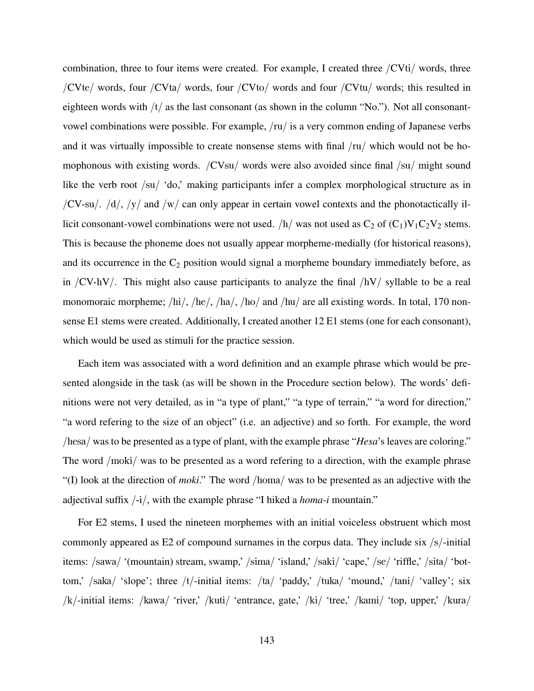combination, three to four items were created. For example, I created three /CVti/ words, three /CVte/ words, four /CVta/ words, four /CVto/ words and four /CVtu/ words; this resulted in eighteen words with  $/t/$  as the last consonant (as shown in the column "No."). Not all consonantvowel combinations were possible. For example, /ru/ is a very common ending of Japanese verbs and it was virtually impossible to create nonsense stems with final /ru/ which would not be homophonous with existing words.  $/CVsu/$  words were also avoided since final  $/su/$  might sound like the verb root /su/ 'do,' making participants infer a complex morphological structure as in /CV-su/.  $/d$ ,  $/y/$  and  $/w/$  can only appear in certain vowel contexts and the phonotactically illicit consonant-vowel combinations were not used.  $/h/$  was not used as  $C_2$  of  $(C_1)V_1C_2V_2$  stems. This is because the phoneme does not usually appear morpheme-medially (for historical reasons), and its occurrence in the  $C_2$  position would signal a morpheme boundary immediately before, as in /CV-hV/. This might also cause participants to analyze the final  $/hV/$  syllable to be a real monomoraic morpheme; /hi/, /he/, /ha/, /ho/ and /hu/ are all existing words. In total, 170 nonsense E1 stems were created. Additionally, I created another 12 E1 stems (one for each consonant), which would be used as stimuli for the practice session.

Each item was associated with a word definition and an example phrase which would be presented alongside in the task (as will be shown in the Procedure section below). The words' definitions were not very detailed, as in "a type of plant," "a type of terrain," "a word for direction," "a word refering to the size of an object" (i.e. an adjective) and so forth. For example, the word /hesa/ was to be presented as a type of plant, with the example phrase "*Hesa*'s leaves are coloring." The word /moki/ was to be presented as a word refering to a direction, with the example phrase "(I) look at the direction of *moki*." The word /homa/ was to be presented as an adjective with the adjectival suffix /-i/, with the example phrase "I hiked a *homa-i* mountain."

For E2 stems, I used the nineteen morphemes with an initial voiceless obstruent which most commonly appeared as E2 of compound surnames in the corpus data. They include six /s/-initial items: /sawa/ '(mountain) stream, swamp,' /sima/ 'island,' /saki/ 'cape,' /se/ 'riffle,' /sita/ 'bottom,' /saka/ 'slope'; three /t/-initial items: /ta/ 'paddy,' /tuka/ 'mound,' /tani/ 'valley'; six /k/-initial items: /kawa/ 'river,' /kuti/ 'entrance, gate,' /ki/ 'tree,' /kami/ 'top, upper,' /kura/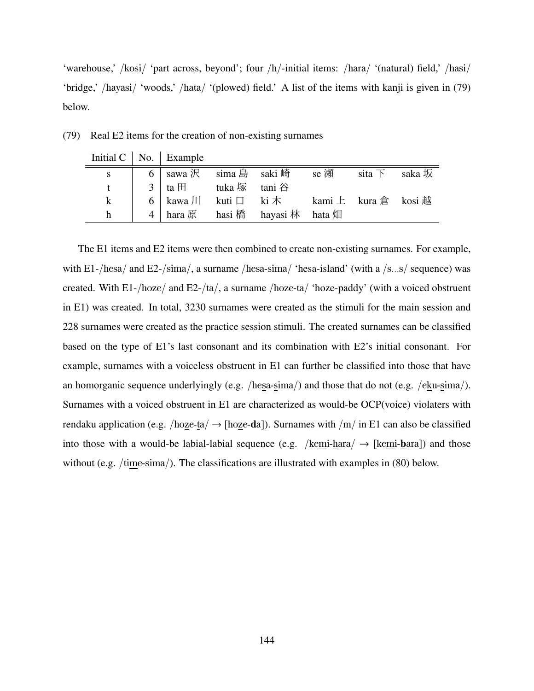'warehouse,' /kosi/ 'part across, beyond'; four /h/-initial items: /hara/ '(natural) field,' /hasi/ 'bridge,' /hayasi/ 'woods,' /hata/ '(plowed) field.' A list of the items with kanji is given in (79) below.

|              | Initial $C \mid No. \mid$ Example |                                                             |  |  |
|--------------|-----------------------------------|-------------------------------------------------------------|--|--|
|              |                                   | □ 6   sawa 沢 │ sima 島 │ saki 崎 │ │ se 瀬 │ │ sita 下 │ saka 坂 |  |  |
|              | 3   ta $\boxplus$ tuka 塚 tani 谷   |                                                             |  |  |
| $\mathbf{k}$ |                                   | 6   kawa 川 kuti 口 ki 木 kami 上 kura 倉 kosi 越                 |  |  |
| h            |                                   | 4 hara 原 hasi 橋 hayasi 林 hata 畑                             |  |  |

(79) Real E2 items for the creation of non-existing surnames

The E1 items and E2 items were then combined to create non-existing surnames. For example, with E1-/hesa/ and E2-/sima/, a surname /hesa-sima/ 'hesa-island' (with a /s...s/ sequence) was created. With E1-/hoze/ and E2-/ta/, a surname /hoze-ta/ 'hoze-paddy' (with a voiced obstruent in E1) was created. In total, 3230 surnames were created as the stimuli for the main session and 228 surnames were created as the practice session stimuli. The created surnames can be classified based on the type of E1's last consonant and its combination with E2's initial consonant. For example, surnames with a voiceless obstruent in E1 can further be classified into those that have an homorganic sequence underlyingly (e.g. /hesa-sima/) and those that do not (e.g. /eku-sima/). Surnames with a voiced obstruent in E1 are characterized as would-be OCP(voice) violaters with rendaku application (e.g.  $/$ hoze-ta $/$   $\rightarrow$  [hoze-da]). Surnames with  $/m/$  in E1 can also be classified into those with a would-be labial-labial sequence (e.g. /kemi-hara/  $\rightarrow$  [kemi-hara]) and those without (e.g. /time-sima/). The classifications are illustrated with examples in (80) below.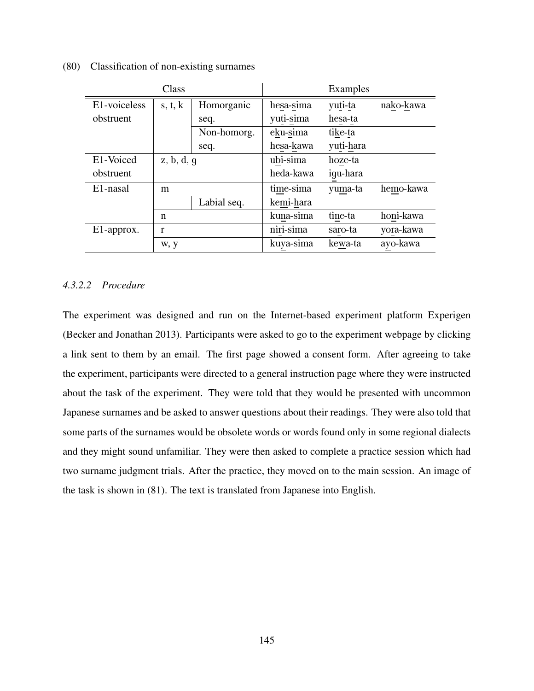(80) Classification of non-existing surnames

|                       | Class                 |             |             | Examples  |           |
|-----------------------|-----------------------|-------------|-------------|-----------|-----------|
| E1-voiceless          | s, t, k<br>Homorganic |             | hesa-sima   | yuti-ta   | nako-kawa |
| obstruent             |                       | seq.        | yuti-sima   | hesa-ta   |           |
|                       |                       | Non-homorg. | eku-sima    | tike-ta   |           |
|                       |                       | seq.        | hesa-kawa   | yuti-hara |           |
| E1-Voiced             | z, b, d, g            |             | ubi-sima    | hoze-ta   |           |
| obstruent             |                       |             | heda-kawa   | igu-hara  |           |
| E <sub>1</sub> -nasal | m                     |             | time-sima   | yuma-ta   | hemo-kawa |
|                       |                       | Labial seq. | kemi-hara   |           |           |
|                       | n                     |             | kuna-sima   | tine-ta   | honi-kawa |
| E1-approx.            | r                     |             | $niri-sima$ | saro-ta   | yora-kawa |
|                       | W, y                  |             | kuya-sima   | kewa-ta   | ayo-kawa  |

#### *4.3.2.2 Procedure*

The experiment was designed and run on the Internet-based experiment platform Experigen (Becker and Jonathan 2013). Participants were asked to go to the experiment webpage by clicking a link sent to them by an email. The first page showed a consent form. After agreeing to take the experiment, participants were directed to a general instruction page where they were instructed about the task of the experiment. They were told that they would be presented with uncommon Japanese surnames and be asked to answer questions about their readings. They were also told that some parts of the surnames would be obsolete words or words found only in some regional dialects and they might sound unfamiliar. They were then asked to complete a practice session which had two surname judgment trials. After the practice, they moved on to the main session. An image of the task is shown in (81). The text is translated from Japanese into English.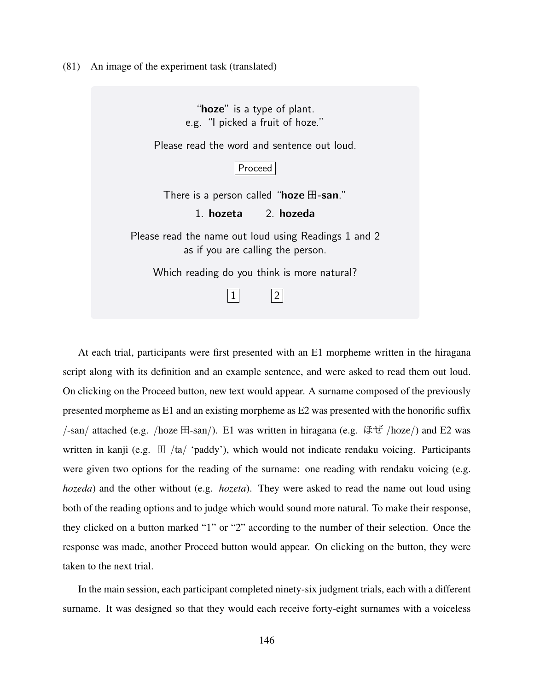(81) An image of the experiment task (translated)

"**hoze**" is a type of plant. e.g. "I picked a fruit of hoze." Please read the word and sentence out loud. Proceed There is a person called "**hoze** 田**-san**." 1. **hozeta** 2. **hozeda** Please read the name out loud using Readings 1 and 2 as if you are calling the person. Which reading do you think is more natural?  $\vert 1 \vert$   $\vert 2 \vert$ 

At each trial, participants were first presented with an E1 morpheme written in the hiragana script along with its definition and an example sentence, and were asked to read them out loud. On clicking on the Proceed button, new text would appear. A surname composed of the previously presented morpheme as E1 and an existing morpheme as E2 was presented with the honorific suffix /-san/ attached (e.g. /hoze 田-san/). E1 was written in hiragana (e.g. ほぜ /hoze/) and E2 was written in kanji (e.g.  $\boxplus$  /ta/ 'paddy'), which would not indicate rendaku voicing. Participants were given two options for the reading of the surname: one reading with rendaku voicing (e.g. *hozeda*) and the other without (e.g. *hozeta*). They were asked to read the name out loud using both of the reading options and to judge which would sound more natural. To make their response, they clicked on a button marked "1" or "2" according to the number of their selection. Once the response was made, another Proceed button would appear. On clicking on the button, they were taken to the next trial.

In the main session, each participant completed ninety-six judgment trials, each with a different surname. It was designed so that they would each receive forty-eight surnames with a voiceless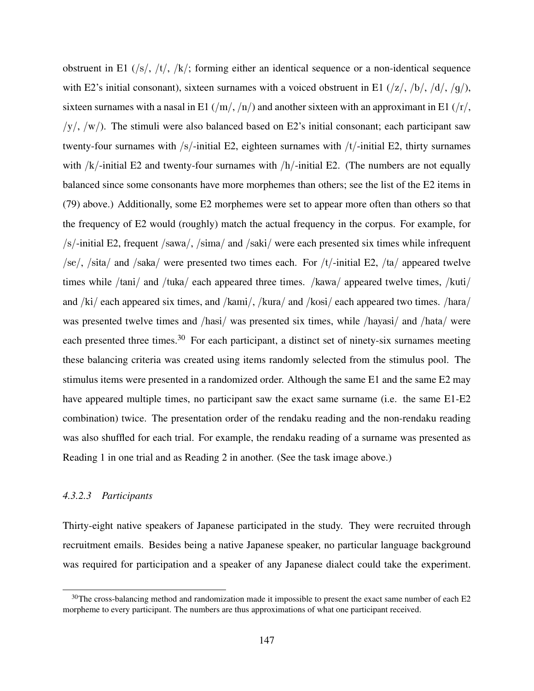obstruent in E1 (/s/, /t/, /k/; forming either an identical sequence or a non-identical sequence with E2's initial consonant), sixteen surnames with a voiced obstruent in E1  $(|z|, |b|, |d|, |g|)$ , sixteen surnames with a nasal in E1  $(\frac{m}{n})$  and another sixteen with an approximant in E1  $(\frac{r}{r})$ ,  $/y/$ ,  $/w/$ ). The stimuli were also balanced based on E2's initial consonant; each participant saw twenty-four surnames with /s/-initial E2, eighteen surnames with /t/-initial E2, thirty surnames with  $/k$ -initial E2 and twenty-four surnames with  $/h$ -initial E2. (The numbers are not equally balanced since some consonants have more morphemes than others; see the list of the E2 items in (79) above.) Additionally, some E2 morphemes were set to appear more often than others so that the frequency of E2 would (roughly) match the actual frequency in the corpus. For example, for /s/-initial E2, frequent /sawa/, /sima/ and /saki/ were each presented six times while infrequent  $\sqrt{\text{se}}$ ,  $\sqrt{\text{si}}$  and  $\sqrt{\text{saka}}$  were presented two times each. For  $\sqrt{\text{t}}$ -initial E2,  $\sqrt{\text{ta}}$  appeared twelve times while /tani/ and /tuka/ each appeared three times. /kawa/ appeared twelve times, /kuti/ and /ki/ each appeared six times, and /kami/, /kura/ and /kosi/ each appeared two times. /hara/ was presented twelve times and /hasi/ was presented six times, while /hayasi/ and /hata/ were each presented three times.<sup>30</sup> For each participant, a distinct set of ninety-six surnames meeting these balancing criteria was created using items randomly selected from the stimulus pool. The stimulus items were presented in a randomized order. Although the same E1 and the same E2 may have appeared multiple times, no participant saw the exact same surname (i.e. the same E1-E2 combination) twice. The presentation order of the rendaku reading and the non-rendaku reading was also shuffled for each trial. For example, the rendaku reading of a surname was presented as Reading 1 in one trial and as Reading 2 in another. (See the task image above.)

#### *4.3.2.3 Participants*

Thirty-eight native speakers of Japanese participated in the study. They were recruited through recruitment emails. Besides being a native Japanese speaker, no particular language background was required for participation and a speaker of any Japanese dialect could take the experiment.

 $30$ The cross-balancing method and randomization made it impossible to present the exact same number of each E2 morpheme to every participant. The numbers are thus approximations of what one participant received.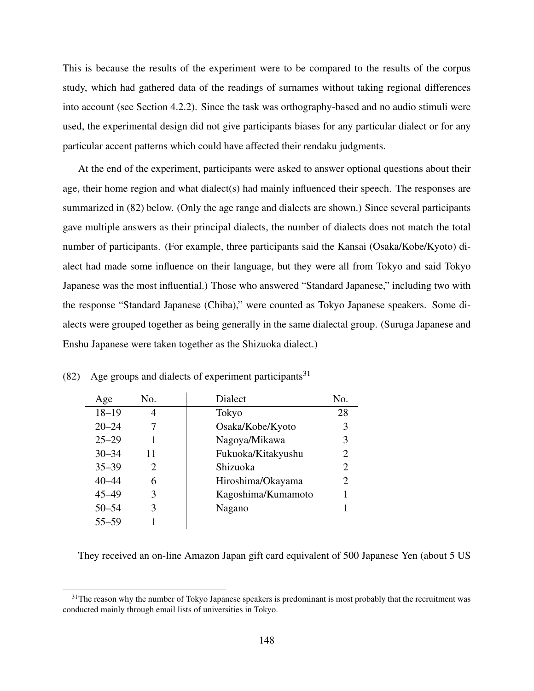This is because the results of the experiment were to be compared to the results of the corpus study, which had gathered data of the readings of surnames without taking regional differences into account (see Section 4.2.2). Since the task was orthography-based and no audio stimuli were used, the experimental design did not give participants biases for any particular dialect or for any particular accent patterns which could have affected their rendaku judgments.

At the end of the experiment, participants were asked to answer optional questions about their age, their home region and what dialect(s) had mainly influenced their speech. The responses are summarized in (82) below. (Only the age range and dialects are shown.) Since several participants gave multiple answers as their principal dialects, the number of dialects does not match the total number of participants. (For example, three participants said the Kansai (Osaka/Kobe/Kyoto) dialect had made some influence on their language, but they were all from Tokyo and said Tokyo Japanese was the most influential.) Those who answered "Standard Japanese," including two with the response "Standard Japanese (Chiba)," were counted as Tokyo Japanese speakers. Some dialects were grouped together as being generally in the same dialectal group. (Suruga Japanese and Enshu Japanese were taken together as the Shizuoka dialect.)

| Age       | No.                         | <b>Dialect</b>     | No.                         |
|-----------|-----------------------------|--------------------|-----------------------------|
| $18 - 19$ | 4                           | Tokyo              | 28                          |
| $20 - 24$ |                             | Osaka/Kobe/Kyoto   | 3                           |
| $25 - 29$ |                             | Nagoya/Mikawa      | 3                           |
| $30 - 34$ | 11                          | Fukuoka/Kitakyushu | $\mathcal{D}_{\cdot}$       |
| $35 - 39$ | $\mathcal{D}_{\mathcal{L}}$ | Shizuoka           | $\mathcal{D}_{\mathcal{L}}$ |
| $40 - 44$ | 6                           | Hiroshima/Okayama  | $\mathcal{D}_{\cdot}$       |
| $45 - 49$ | 3                           | Kagoshima/Kumamoto |                             |
| $50 - 54$ | 3                           | Nagano             |                             |
| 55–59     |                             |                    |                             |

(82) Age groups and dialects of experiment participants<sup>31</sup>

They received an on-line Amazon Japan gift card equivalent of 500 Japanese Yen (about 5 US

 $31$ The reason why the number of Tokyo Japanese speakers is predominant is most probably that the recruitment was conducted mainly through email lists of universities in Tokyo.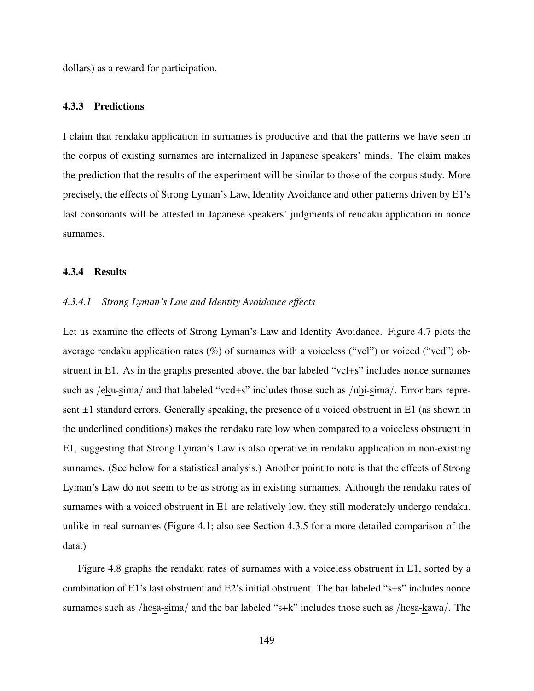dollars) as a reward for participation.

#### 4.3.3 Predictions

I claim that rendaku application in surnames is productive and that the patterns we have seen in the corpus of existing surnames are internalized in Japanese speakers' minds. The claim makes the prediction that the results of the experiment will be similar to those of the corpus study. More precisely, the effects of Strong Lyman's Law, Identity Avoidance and other patterns driven by E1's last consonants will be attested in Japanese speakers' judgments of rendaku application in nonce surnames.

#### 4.3.4 Results

#### *4.3.4.1 Strong Lyman's Law and Identity Avoidance effects*

Let us examine the effects of Strong Lyman's Law and Identity Avoidance. Figure 4.7 plots the average rendaku application rates (%) of surnames with a voiceless ("vcl") or voiced ("vcd") obstruent in E1. As in the graphs presented above, the bar labeled "vcl+s" includes nonce surnames such as /eku-sima/ and that labeled "vcd+s" includes those such as /ubi-sima/. Error bars represent  $\pm 1$  standard errors. Generally speaking, the presence of a voiced obstruent in E1 (as shown in the underlined conditions) makes the rendaku rate low when compared to a voiceless obstruent in E1, suggesting that Strong Lyman's Law is also operative in rendaku application in non-existing surnames. (See below for a statistical analysis.) Another point to note is that the effects of Strong Lyman's Law do not seem to be as strong as in existing surnames. Although the rendaku rates of surnames with a voiced obstruent in E1 are relatively low, they still moderately undergo rendaku, unlike in real surnames (Figure 4.1; also see Section 4.3.5 for a more detailed comparison of the data.)

Figure 4.8 graphs the rendaku rates of surnames with a voiceless obstruent in E1, sorted by a combination of E1's last obstruent and E2's initial obstruent. The bar labeled "s+s" includes nonce surnames such as /hesa-sima/ and the bar labeled "s+k" includes those such as /hesa-kawa/. The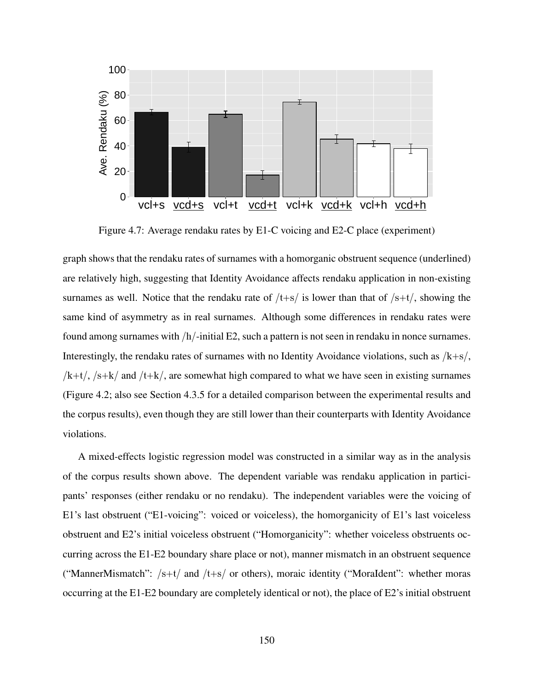

Figure 4.7: Average rendaku rates by E1-C voicing and E2-C place (experiment)

graph shows that the rendaku rates of surnames with a homorganic obstruent sequence (underlined) are relatively high, suggesting that Identity Avoidance affects rendaku application in non-existing surnames as well. Notice that the rendaku rate of  $/t+s/$  is lower than that of  $/s+t/$ , showing the same kind of asymmetry as in real surnames. Although some differences in rendaku rates were found among surnames with /h/-initial E2, such a pattern is not seen in rendaku in nonce surnames. Interestingly, the rendaku rates of surnames with no Identity Avoidance violations, such as  $/k+s/$ ,  $/k+t/$ ,  $/s+k/$  and  $/t+k/$ , are somewhat high compared to what we have seen in existing surnames (Figure 4.2; also see Section 4.3.5 for a detailed comparison between the experimental results and the corpus results), even though they are still lower than their counterparts with Identity Avoidance violations.

A mixed-effects logistic regression model was constructed in a similar way as in the analysis of the corpus results shown above. The dependent variable was rendaku application in participants' responses (either rendaku or no rendaku). The independent variables were the voicing of E1's last obstruent ("E1-voicing": voiced or voiceless), the homorganicity of E1's last voiceless obstruent and E2's initial voiceless obstruent ("Homorganicity": whether voiceless obstruents occurring across the E1-E2 boundary share place or not), manner mismatch in an obstruent sequence ("MannerMismatch":  $/s+t/$  and  $/t+s/$  or others), moraic identity ("MoraIdent": whether moras occurring at the E1-E2 boundary are completely identical or not), the place of E2's initial obstruent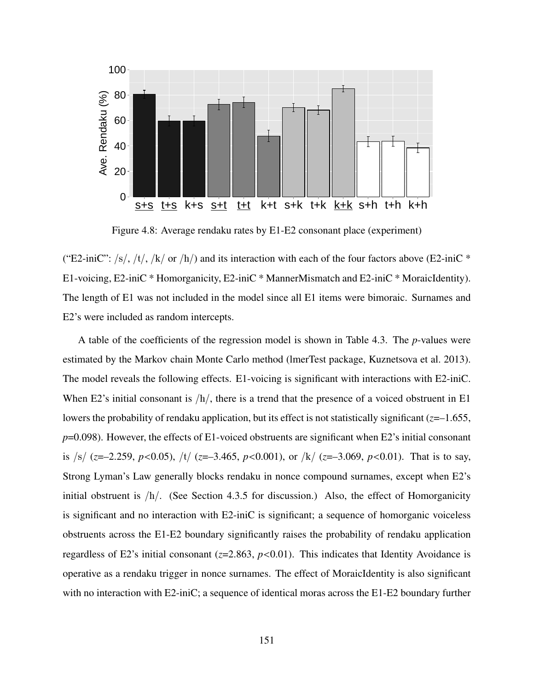

Figure 4.8: Average rendaku rates by E1-E2 consonant place (experiment)

("E2-iniC": /s/, /t/, /k/ or /h/) and its interaction with each of the four factors above (E2-iniC  $*$ E1-voicing, E2-iniC \* Homorganicity, E2-iniC \* MannerMismatch and E2-iniC \* MoraicIdentity). The length of E1 was not included in the model since all E1 items were bimoraic. Surnames and E2's were included as random intercepts.

A table of the coefficients of the regression model is shown in Table 4.3. The *p*-values were estimated by the Markov chain Monte Carlo method (lmerTest package, Kuznetsova et al. 2013). The model reveals the following effects. E1-voicing is significant with interactions with E2-iniC. When E2's initial consonant is  $/h/$ , there is a trend that the presence of a voiced obstruent in E1 lowers the probability of rendaku application, but its effect is not statistically significant (*z*=–1.655, *p*=0.098). However, the effects of E1-voiced obstruents are significant when E2's initial consonant is /s/ (*z*=–2.259, *p*<0.05), /t/ (*z*=–3.465, *p*<0.001), or /k/ (*z*=–3.069, *p*<0.01). That is to say, Strong Lyman's Law generally blocks rendaku in nonce compound surnames, except when E2's initial obstruent is  $/h/$ . (See Section 4.3.5 for discussion.) Also, the effect of Homorganicity is significant and no interaction with E2-iniC is significant; a sequence of homorganic voiceless obstruents across the E1-E2 boundary significantly raises the probability of rendaku application regardless of E2's initial consonant (*z*=2.863, *p*<0.01). This indicates that Identity Avoidance is operative as a rendaku trigger in nonce surnames. The effect of MoraicIdentity is also significant with no interaction with E2-iniC; a sequence of identical moras across the E1-E2 boundary further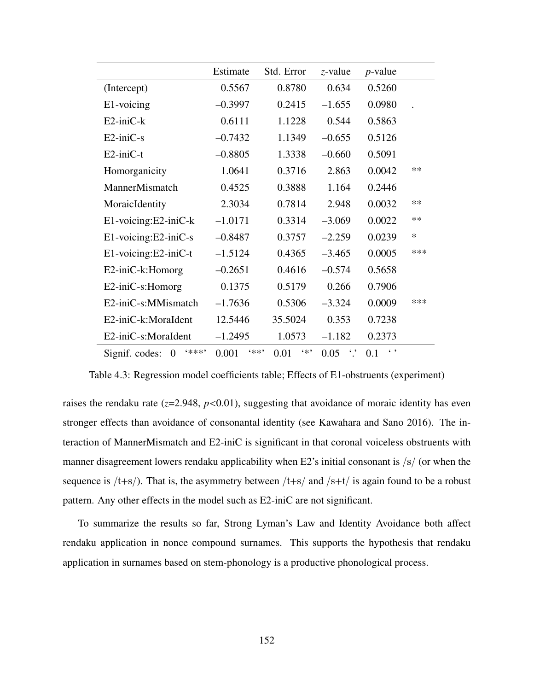|                                     | Estimate      | Std. Error   | $z$ -value             | $p$ -value          |        |
|-------------------------------------|---------------|--------------|------------------------|---------------------|--------|
| (Intercept)                         | 0.5567        | 0.8780       | 0.634                  | 0.5260              |        |
| E1-voicing                          | $-0.3997$     | 0.2415       | $-1.655$               | 0.0980              |        |
| $E2$ -ini $C$ - $k$                 | 0.6111        | 1.1228       | 0.544                  | 0.5863              |        |
| $E2$ -ini $C$ -s                    | $-0.7432$     | 1.1349       | $-0.655$               | 0.5126              |        |
| $E2$ -ini $C-t$                     | $-0.8805$     | 1.3338       | $-0.660$               | 0.5091              |        |
| Homorganicity                       | 1.0641        | 0.3716       | 2.863                  | 0.0042              | **     |
| MannerMismatch                      | 0.4525        | 0.3888       | 1.164                  | 0.2446              |        |
| MoraicIdentity                      | 2.3034        | 0.7814       | 2.948                  | 0.0032              | $**$   |
| E1-voicing:E2-iniC-k                | $-1.0171$     | 0.3314       | $-3.069$               | 0.0022              | $**$   |
| E1-voicing:E2-iniC-s                | $-0.8487$     | 0.3757       | $-2.259$               | 0.0239              | $\ast$ |
| E1-voicing:E2-iniC-t                | $-1.5124$     | 0.4365       | $-3.465$               | 0.0005              | ***    |
| E2-iniC-k:Homorg                    | $-0.2651$     | 0.4616       | $-0.574$               | 0.5658              |        |
| $E2$ -ini $C$ -s:Homorg             | 0.1375        | 0.5179       | 0.266                  | 0.7906              |        |
| E2-iniC-s:MMismatch                 | $-1.7636$     | 0.5306       | $-3.324$               | 0.0009              | ***    |
| E2-iniC-k:MoraIdent                 | 12.5446       | 35.5024      | 0.353                  | 0.7238              |        |
| E2-iniC-s:MoraIdent                 | $-1.2495$     | 1.0573       | $-1.182$               | 0.2373              |        |
| 6米米米?<br>Signif. codes:<br>$\theta$ | (米米)<br>0.001 | $4*$<br>0.01 | $\ddot{\cdot}$<br>0.05 | $\leftarrow$<br>0.1 |        |

Table 4.3: Regression model coefficients table; Effects of E1-obstruents (experiment)

raises the rendaku rate  $(z=2.948, p<0.01)$ , suggesting that avoidance of moraic identity has even stronger effects than avoidance of consonantal identity (see Kawahara and Sano 2016). The interaction of MannerMismatch and E2-iniC is significant in that coronal voiceless obstruents with manner disagreement lowers rendaku applicability when E2's initial consonant is /s/ (or when the sequence is  $/t+s$ ). That is, the asymmetry between  $/t+s$  and  $/s+t$  is again found to be a robust pattern. Any other effects in the model such as E2-iniC are not significant.

To summarize the results so far, Strong Lyman's Law and Identity Avoidance both affect rendaku application in nonce compound surnames. This supports the hypothesis that rendaku application in surnames based on stem-phonology is a productive phonological process.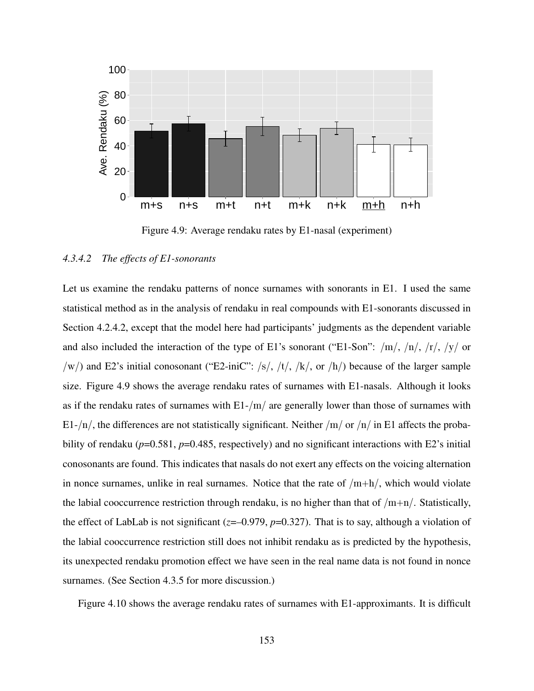

Figure 4.9: Average rendaku rates by E1-nasal (experiment)

#### *4.3.4.2 The effects of E1-sonorants*

Let us examine the rendaku patterns of nonce surnames with sonorants in E1. I used the same statistical method as in the analysis of rendaku in real compounds with E1-sonorants discussed in Section 4.2.4.2, except that the model here had participants' judgments as the dependent variable and also included the interaction of the type of E1's sonorant ("E1-Son":  $/m/$ ,  $/n/$ ,  $/r/$ ,  $/y/$  or /w/) and E2's initial conosonant ("E2-iniC": /s/, /t/, /k/, or /h/) because of the larger sample size. Figure 4.9 shows the average rendaku rates of surnames with E1-nasals. Although it looks as if the rendaku rates of surnames with  $E1-/m/$  are generally lower than those of surnames with E1-/n/, the differences are not statistically significant. Neither /m/ or /n/ in E1 affects the probability of rendaku ( $p=0.581$ ,  $p=0.485$ , respectively) and no significant interactions with E2's initial conosonants are found. This indicates that nasals do not exert any effects on the voicing alternation in nonce surnames, unlike in real surnames. Notice that the rate of  $/m+h/$ , which would violate the labial cooccurrence restriction through rendaku, is no higher than that of  $/m+n/$ . Statistically, the effect of LabLab is not significant ( $z=-0.979$ ,  $p=0.327$ ). That is to say, although a violation of the labial cooccurrence restriction still does not inhibit rendaku as is predicted by the hypothesis, its unexpected rendaku promotion effect we have seen in the real name data is not found in nonce surnames. (See Section 4.3.5 for more discussion.)

Figure 4.10 shows the average rendaku rates of surnames with E1-approximants. It is difficult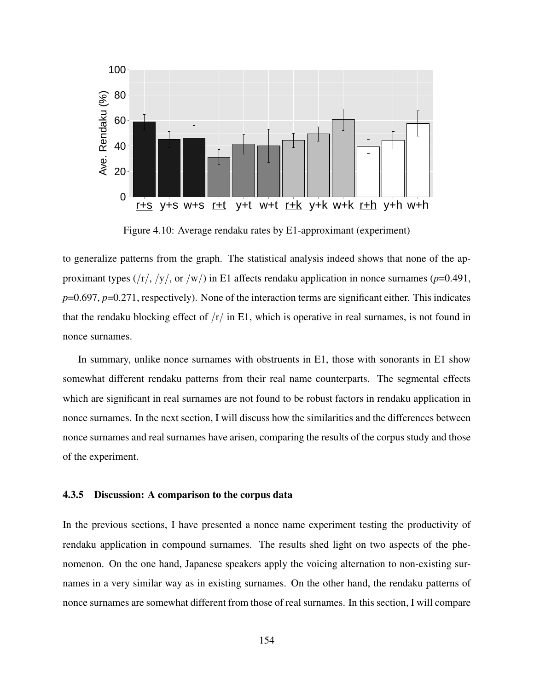

Figure 4.10: Average rendaku rates by E1-approximant (experiment)

to generalize patterns from the graph. The statistical analysis indeed shows that none of the approximant types (/r/, /y/, or /w/) in E1 affects rendaku application in nonce surnames (*p*=0.491, *p*=0.697, *p*=0.271, respectively). None of the interaction terms are significant either. This indicates that the rendaku blocking effect of  $/r/$  in E1, which is operative in real surnames, is not found in nonce surnames.

In summary, unlike nonce surnames with obstruents in E1, those with sonorants in E1 show somewhat different rendaku patterns from their real name counterparts. The segmental effects which are significant in real surnames are not found to be robust factors in rendaku application in nonce surnames. In the next section, I will discuss how the similarities and the differences between nonce surnames and real surnames have arisen, comparing the results of the corpus study and those of the experiment.

#### 4.3.5 Discussion: A comparison to the corpus data

In the previous sections, I have presented a nonce name experiment testing the productivity of rendaku application in compound surnames. The results shed light on two aspects of the phenomenon. On the one hand, Japanese speakers apply the voicing alternation to non-existing surnames in a very similar way as in existing surnames. On the other hand, the rendaku patterns of nonce surnames are somewhat different from those of real surnames. In this section, I will compare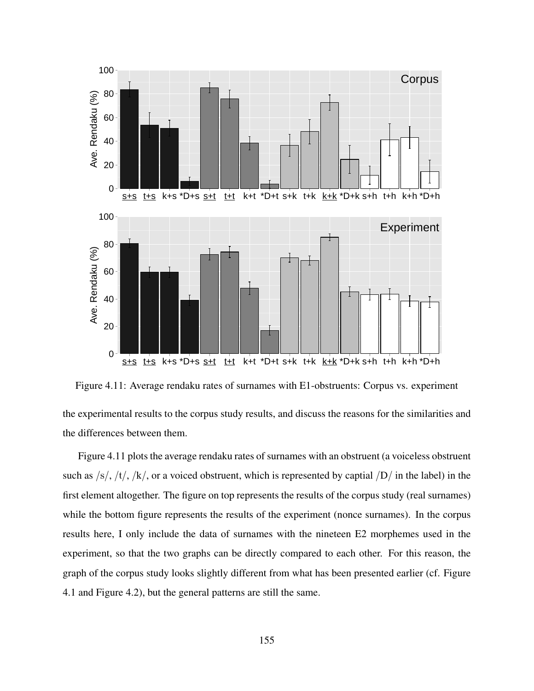

Figure 4.11: Average rendaku rates of surnames with E1-obstruents: Corpus vs. experiment

the experimental results to the corpus study results, and discuss the reasons for the similarities and the differences between them.

Figure 4.11 plots the average rendaku rates of surnames with an obstruent (a voiceless obstruent such as  $\frac{|s|}{\sqrt{k}}$ ,  $\frac{|t|}{\sqrt{k}}$ , or a voiced obstruent, which is represented by captial  $\frac{|D|}{\sqrt{k}}$  in the label) in the first element altogether. The figure on top represents the results of the corpus study (real surnames) while the bottom figure represents the results of the experiment (nonce surnames). In the corpus results here, I only include the data of surnames with the nineteen E2 morphemes used in the experiment, so that the two graphs can be directly compared to each other. For this reason, the graph of the corpus study looks slightly different from what has been presented earlier (cf. Figure 4.1 and Figure 4.2), but the general patterns are still the same.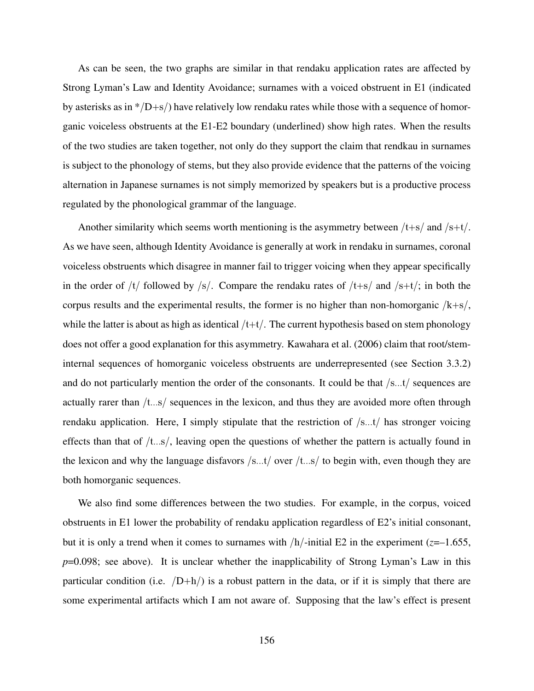As can be seen, the two graphs are similar in that rendaku application rates are affected by Strong Lyman's Law and Identity Avoidance; surnames with a voiced obstruent in E1 (indicated by asterisks as in  $\frac{*}{D+s}$  have relatively low rendaku rates while those with a sequence of homorganic voiceless obstruents at the E1-E2 boundary (underlined) show high rates. When the results of the two studies are taken together, not only do they support the claim that rendkau in surnames is subject to the phonology of stems, but they also provide evidence that the patterns of the voicing alternation in Japanese surnames is not simply memorized by speakers but is a productive process regulated by the phonological grammar of the language.

Another similarity which seems worth mentioning is the asymmetry between  $/t+s$  and  $/s+t$ . As we have seen, although Identity Avoidance is generally at work in rendaku in surnames, coronal voiceless obstruents which disagree in manner fail to trigger voicing when they appear specifically in the order of  $/t/$  followed by  $/s/$ . Compare the rendaku rates of  $/t+s/$  and  $/s+t/$ ; in both the corpus results and the experimental results, the former is no higher than non-homorganic  $/k+s$ , while the latter is about as high as identical  $/t+t/$ . The current hypothesis based on stem phonology does not offer a good explanation for this asymmetry. Kawahara et al. (2006) claim that root/steminternal sequences of homorganic voiceless obstruents are underrepresented (see Section 3.3.2) and do not particularly mention the order of the consonants. It could be that /s...t/ sequences are actually rarer than /t...s/ sequences in the lexicon, and thus they are avoided more often through rendaku application. Here, I simply stipulate that the restriction of /s...t/ has stronger voicing effects than that of  $/t$ ...s/, leaving open the questions of whether the pattern is actually found in the lexicon and why the language disfavors  $/s...t/$  over  $/t...s/$  to begin with, even though they are both homorganic sequences.

We also find some differences between the two studies. For example, in the corpus, voiced obstruents in E1 lower the probability of rendaku application regardless of E2's initial consonant, but it is only a trend when it comes to surnames with  $/h$ -initial E2 in the experiment ( $z=1.655$ , *p*=0.098; see above). It is unclear whether the inapplicability of Strong Lyman's Law in this particular condition (i.e.  $/D+h/$ ) is a robust pattern in the data, or if it is simply that there are some experimental artifacts which I am not aware of. Supposing that the law's effect is present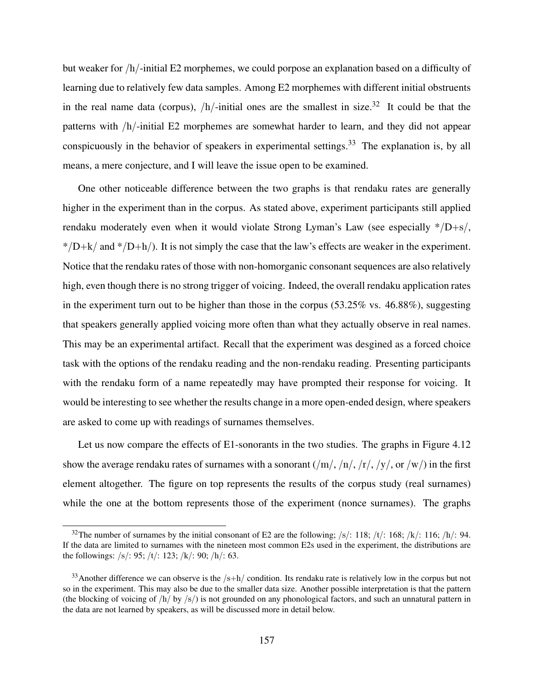but weaker for /h/-initial E2 morphemes, we could porpose an explanation based on a difficulty of learning due to relatively few data samples. Among E2 morphemes with different initial obstruents in the real name data (corpus),  $/h$ -initial ones are the smallest in size.<sup>32</sup> It could be that the patterns with /h/-initial E2 morphemes are somewhat harder to learn, and they did not appear conspicuously in the behavior of speakers in experimental settings.<sup>33</sup> The explanation is, by all means, a mere conjecture, and I will leave the issue open to be examined.

One other noticeable difference between the two graphs is that rendaku rates are generally higher in the experiment than in the corpus. As stated above, experiment participants still applied rendaku moderately even when it would violate Strong Lyman's Law (see especially  $*/D+s/$ ,  $*/D+k/$  and  $*/D+h/$ ). It is not simply the case that the law's effects are weaker in the experiment. Notice that the rendaku rates of those with non-homorganic consonant sequences are also relatively high, even though there is no strong trigger of voicing. Indeed, the overall rendaku application rates in the experiment turn out to be higher than those in the corpus (53.25% vs. 46.88%), suggesting that speakers generally applied voicing more often than what they actually observe in real names. This may be an experimental artifact. Recall that the experiment was desgined as a forced choice task with the options of the rendaku reading and the non-rendaku reading. Presenting participants with the rendaku form of a name repeatedly may have prompted their response for voicing. It would be interesting to see whether the results change in a more open-ended design, where speakers are asked to come up with readings of surnames themselves.

Let us now compare the effects of E1-sonorants in the two studies. The graphs in Figure 4.12 show the average rendaku rates of surnames with a sonorant  $(\frac{m}{n}, \frac{n}{n}, \frac{r}{n}, \frac{y}{n}, \text{or } w)$  in the first element altogether. The figure on top represents the results of the corpus study (real surnames) while the one at the bottom represents those of the experiment (nonce surnames). The graphs

<sup>&</sup>lt;sup>32</sup>The number of surnames by the initial consonant of E2 are the following; /s/: 118; /t/: 168; /k/: 116; /h/: 94. If the data are limited to surnames with the nineteen most common E2s used in the experiment, the distributions are the followings: /s/: 95; /t/: 123; /k/: 90; /h/: 63.

 $33$ Another difference we can observe is the  $/s+h/$  condition. Its rendaku rate is relatively low in the corpus but not so in the experiment. This may also be due to the smaller data size. Another possible interpretation is that the pattern (the blocking of voicing of  $/h/$  by  $\frac{s}{2}$ ) is not grounded on any phonological factors, and such an unnatural pattern in the data are not learned by speakers, as will be discussed more in detail below.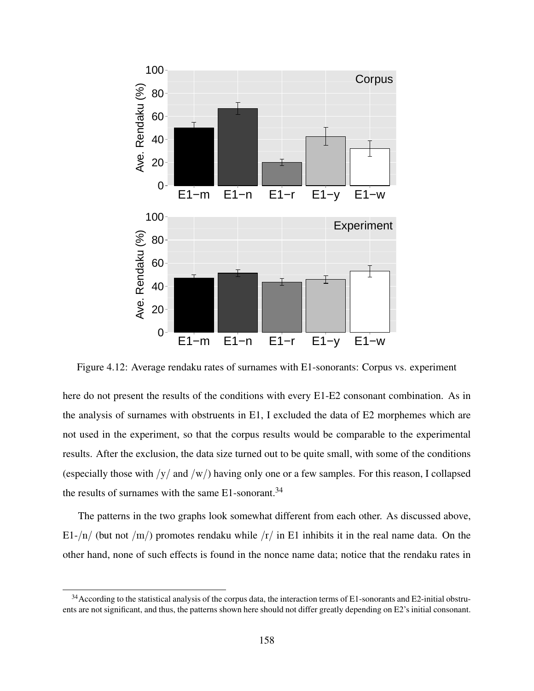

Figure 4.12: Average rendaku rates of surnames with E1-sonorants: Corpus vs. experiment

here do not present the results of the conditions with every E1-E2 consonant combination. As in the analysis of surnames with obstruents in E1, I excluded the data of E2 morphemes which are not used in the experiment, so that the corpus results would be comparable to the experimental results. After the exclusion, the data size turned out to be quite small, with some of the conditions (especially those with  $/y/$  and  $/w/$ ) having only one or a few samples. For this reason, I collapsed the results of surnames with the same  $E1$ -sonorant.<sup>34</sup>

The patterns in the two graphs look somewhat different from each other. As discussed above, E1-/n/ (but not /m/) promotes rendaku while /r/ in E1 inhibits it in the real name data. On the other hand, none of such effects is found in the nonce name data; notice that the rendaku rates in

 $34$  According to the statistical analysis of the corpus data, the interaction terms of E1-sonorants and E2-initial obstruents are not significant, and thus, the patterns shown here should not differ greatly depending on E2's initial consonant.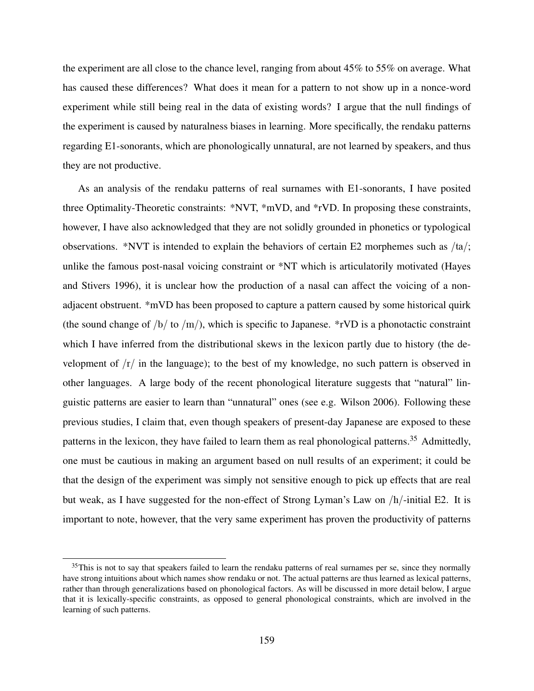the experiment are all close to the chance level, ranging from about 45% to 55% on average. What has caused these differences? What does it mean for a pattern to not show up in a nonce-word experiment while still being real in the data of existing words? I argue that the null findings of the experiment is caused by naturalness biases in learning. More specifically, the rendaku patterns regarding E1-sonorants, which are phonologically unnatural, are not learned by speakers, and thus they are not productive.

As an analysis of the rendaku patterns of real surnames with E1-sonorants, I have posited three Optimality-Theoretic constraints: \*NVT, \*mVD, and \*rVD. In proposing these constraints, however, I have also acknowledged that they are not solidly grounded in phonetics or typological observations. \*NVT is intended to explain the behaviors of certain E2 morphemes such as /ta/; unlike the famous post-nasal voicing constraint or \*NT which is articulatorily motivated (Hayes and Stivers 1996), it is unclear how the production of a nasal can affect the voicing of a nonadjacent obstruent. \*mVD has been proposed to capture a pattern caused by some historical quirk (the sound change of  $/b/$  to  $/m/$ ), which is specific to Japanese. \*rVD is a phonotactic constraint which I have inferred from the distributional skews in the lexicon partly due to history (the development of  $\frac{r}{r}$  in the language); to the best of my knowledge, no such pattern is observed in other languages. A large body of the recent phonological literature suggests that "natural" linguistic patterns are easier to learn than "unnatural" ones (see e.g. Wilson 2006). Following these previous studies, I claim that, even though speakers of present-day Japanese are exposed to these patterns in the lexicon, they have failed to learn them as real phonological patterns.<sup>35</sup> Admittedly, one must be cautious in making an argument based on null results of an experiment; it could be that the design of the experiment was simply not sensitive enough to pick up effects that are real but weak, as I have suggested for the non-effect of Strong Lyman's Law on /h/-initial E2. It is important to note, however, that the very same experiment has proven the productivity of patterns

 $35$ This is not to say that speakers failed to learn the rendaku patterns of real surnames per se, since they normally have strong intuitions about which names show rendaku or not. The actual patterns are thus learned as lexical patterns, rather than through generalizations based on phonological factors. As will be discussed in more detail below, I argue that it is lexically-specific constraints, as opposed to general phonological constraints, which are involved in the learning of such patterns.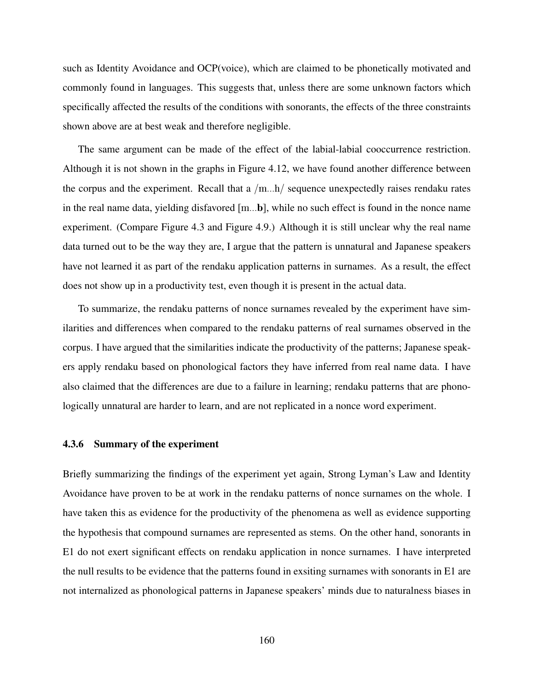such as Identity Avoidance and OCP(voice), which are claimed to be phonetically motivated and commonly found in languages. This suggests that, unless there are some unknown factors which specifically affected the results of the conditions with sonorants, the effects of the three constraints shown above are at best weak and therefore negligible.

The same argument can be made of the effect of the labial-labial cooccurrence restriction. Although it is not shown in the graphs in Figure 4.12, we have found another difference between the corpus and the experiment. Recall that a  $/m...h/$  sequence unexpectedly raises rendaku rates in the real name data, yielding disfavored [m...b], while no such effect is found in the nonce name experiment. (Compare Figure 4.3 and Figure 4.9.) Although it is still unclear why the real name data turned out to be the way they are, I argue that the pattern is unnatural and Japanese speakers have not learned it as part of the rendaku application patterns in surnames. As a result, the effect does not show up in a productivity test, even though it is present in the actual data.

To summarize, the rendaku patterns of nonce surnames revealed by the experiment have similarities and differences when compared to the rendaku patterns of real surnames observed in the corpus. I have argued that the similarities indicate the productivity of the patterns; Japanese speakers apply rendaku based on phonological factors they have inferred from real name data. I have also claimed that the differences are due to a failure in learning; rendaku patterns that are phonologically unnatural are harder to learn, and are not replicated in a nonce word experiment.

#### 4.3.6 Summary of the experiment

Briefly summarizing the findings of the experiment yet again, Strong Lyman's Law and Identity Avoidance have proven to be at work in the rendaku patterns of nonce surnames on the whole. I have taken this as evidence for the productivity of the phenomena as well as evidence supporting the hypothesis that compound surnames are represented as stems. On the other hand, sonorants in E1 do not exert significant effects on rendaku application in nonce surnames. I have interpreted the null results to be evidence that the patterns found in exsiting surnames with sonorants in E1 are not internalized as phonological patterns in Japanese speakers' minds due to naturalness biases in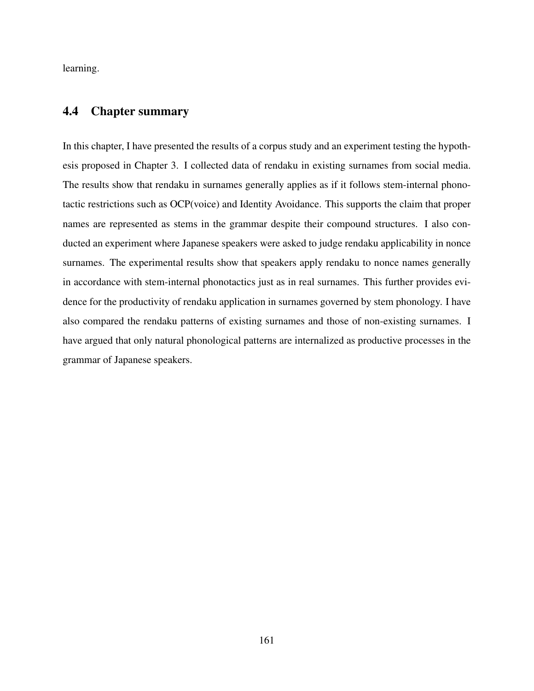learning.

## 4.4 Chapter summary

In this chapter, I have presented the results of a corpus study and an experiment testing the hypothesis proposed in Chapter 3. I collected data of rendaku in existing surnames from social media. The results show that rendaku in surnames generally applies as if it follows stem-internal phonotactic restrictions such as OCP(voice) and Identity Avoidance. This supports the claim that proper names are represented as stems in the grammar despite their compound structures. I also conducted an experiment where Japanese speakers were asked to judge rendaku applicability in nonce surnames. The experimental results show that speakers apply rendaku to nonce names generally in accordance with stem-internal phonotactics just as in real surnames. This further provides evidence for the productivity of rendaku application in surnames governed by stem phonology. I have also compared the rendaku patterns of existing surnames and those of non-existing surnames. I have argued that only natural phonological patterns are internalized as productive processes in the grammar of Japanese speakers.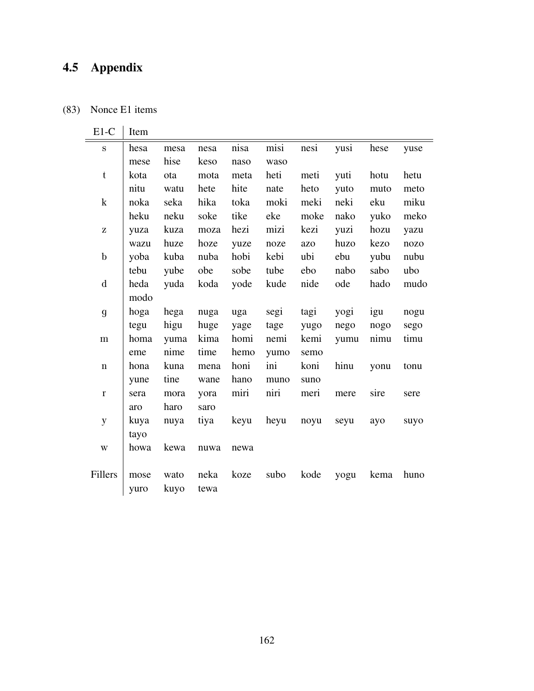# 4.5 Appendix

## (83) Nonce E1 items

| $E1-C$                  | Item |      |      |      |      |      |      |      |      |
|-------------------------|------|------|------|------|------|------|------|------|------|
| $\mathbf S$             | hesa | mesa | nesa | nisa | misi | nesi | yusi | hese | yuse |
|                         | mese | hise | keso | naso | waso |      |      |      |      |
| t                       | kota | ota  | mota | meta | heti | meti | yuti | hotu | hetu |
|                         | nitu | watu | hete | hite | nate | heto | yuto | muto | meto |
| $\mathbf k$             | noka | seka | hika | toka | moki | meki | neki | eku  | miku |
|                         | heku | neku | soke | tike | eke  | moke | nako | yuko | meko |
| $\bf Z$                 | yuza | kuza | moza | hezi | mizi | kezi | yuzi | hozu | yazu |
|                         | wazu | huze | hoze | yuze | noze | azo  | huzo | kezo | nozo |
| $\mathbf b$             | yoba | kuba | nuba | hobi | kebi | ubi  | ebu  | yubu | nubu |
|                         | tebu | yube | obe  | sobe | tube | ebo  | nabo | sabo | ubo  |
| $\mathbf d$             | heda | yuda | koda | yode | kude | nide | ode  | hado | mudo |
|                         | modo |      |      |      |      |      |      |      |      |
| $\mathfrak g$           | hoga | hega | nuga | uga  | segi | tagi | yogi | igu  | nogu |
|                         | tegu | higu | huge | yage | tage | yugo | nego | nogo | sego |
| ${\rm m}$               | homa | yuma | kima | homi | nemi | kemi | yumu | nimu | timu |
|                         | eme  | nime | time | hemo | yumo | semo |      |      |      |
| $\mathbf n$             | hona | kuna | mena | honi | ini  | koni | hinu | yonu | tonu |
|                         | yune | tine | wane | hano | muno | suno |      |      |      |
| $\mathbf r$             | sera | mora | yora | miri | niri | meri | mere | sire | sere |
|                         | aro  | haro | saro |      |      |      |      |      |      |
| y                       | kuya | nuya | tiya | keyu | heyu | noyu | seyu | ayo  | suyo |
|                         | tayo |      |      |      |      |      |      |      |      |
| $\ensuremath{\text{W}}$ | howa | kewa | nuwa | newa |      |      |      |      |      |
|                         |      |      |      |      |      |      |      |      |      |
| Fillers                 | mose | wato | neka | koze | subo | kode | yogu | kema | huno |
|                         | yuro | kuyo | tewa |      |      |      |      |      |      |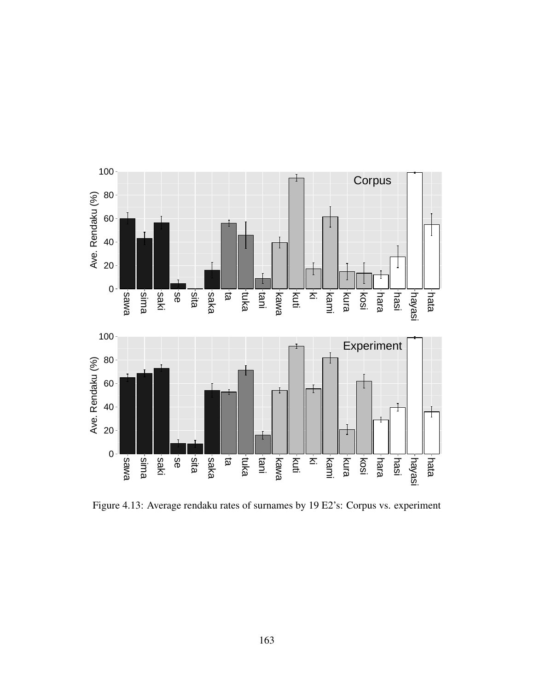

Figure 4.13: Average rendaku rates of surnames by 19 E2's: Corpus vs. experiment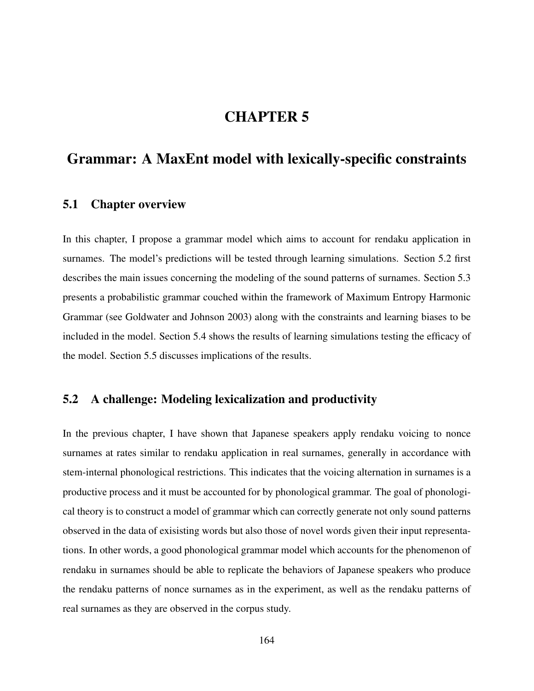# CHAPTER 5

# Grammar: A MaxEnt model with lexically-specific constraints

# 5.1 Chapter overview

In this chapter, I propose a grammar model which aims to account for rendaku application in surnames. The model's predictions will be tested through learning simulations. Section 5.2 first describes the main issues concerning the modeling of the sound patterns of surnames. Section 5.3 presents a probabilistic grammar couched within the framework of Maximum Entropy Harmonic Grammar (see Goldwater and Johnson 2003) along with the constraints and learning biases to be included in the model. Section 5.4 shows the results of learning simulations testing the efficacy of the model. Section 5.5 discusses implications of the results.

# 5.2 A challenge: Modeling lexicalization and productivity

In the previous chapter, I have shown that Japanese speakers apply rendaku voicing to nonce surnames at rates similar to rendaku application in real surnames, generally in accordance with stem-internal phonological restrictions. This indicates that the voicing alternation in surnames is a productive process and it must be accounted for by phonological grammar. The goal of phonological theory is to construct a model of grammar which can correctly generate not only sound patterns observed in the data of exisisting words but also those of novel words given their input representations. In other words, a good phonological grammar model which accounts for the phenomenon of rendaku in surnames should be able to replicate the behaviors of Japanese speakers who produce the rendaku patterns of nonce surnames as in the experiment, as well as the rendaku patterns of real surnames as they are observed in the corpus study.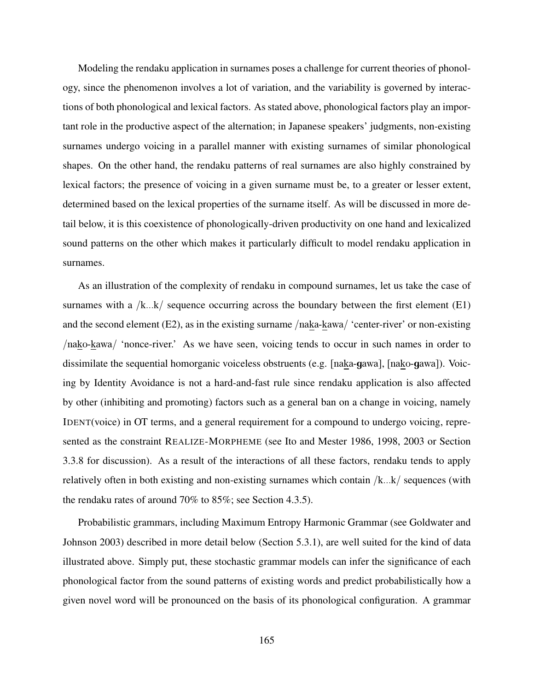Modeling the rendaku application in surnames poses a challenge for current theories of phonology, since the phenomenon involves a lot of variation, and the variability is governed by interactions of both phonological and lexical factors. As stated above, phonological factors play an important role in the productive aspect of the alternation; in Japanese speakers' judgments, non-existing surnames undergo voicing in a parallel manner with existing surnames of similar phonological shapes. On the other hand, the rendaku patterns of real surnames are also highly constrained by lexical factors; the presence of voicing in a given surname must be, to a greater or lesser extent, determined based on the lexical properties of the surname itself. As will be discussed in more detail below, it is this coexistence of phonologically-driven productivity on one hand and lexicalized sound patterns on the other which makes it particularly difficult to model rendaku application in surnames.

As an illustration of the complexity of rendaku in compound surnames, let us take the case of surnames with a  $/k...k$  sequence occurring across the boundary between the first element (E1) and the second element (E2), as in the existing surname /naka-kawa/ 'center-river' or non-existing /nako-kawa/ 'nonce-river.' As we have seen, voicing tends to occur in such names in order to dissimilate the sequential homorganic voiceless obstruents (e.g. [naka-gawa], [nako-gawa]). Voicing by Identity Avoidance is not a hard-and-fast rule since rendaku application is also affected by other (inhibiting and promoting) factors such as a general ban on a change in voicing, namely IDENT(voice) in OT terms, and a general requirement for a compound to undergo voicing, represented as the constraint REALIZE-MORPHEME (see Ito and Mester 1986, 1998, 2003 or Section 3.3.8 for discussion). As a result of the interactions of all these factors, rendaku tends to apply relatively often in both existing and non-existing surnames which contain /k...k/ sequences (with the rendaku rates of around 70% to 85%; see Section 4.3.5).

Probabilistic grammars, including Maximum Entropy Harmonic Grammar (see Goldwater and Johnson 2003) described in more detail below (Section 5.3.1), are well suited for the kind of data illustrated above. Simply put, these stochastic grammar models can infer the significance of each phonological factor from the sound patterns of existing words and predict probabilistically how a given novel word will be pronounced on the basis of its phonological configuration. A grammar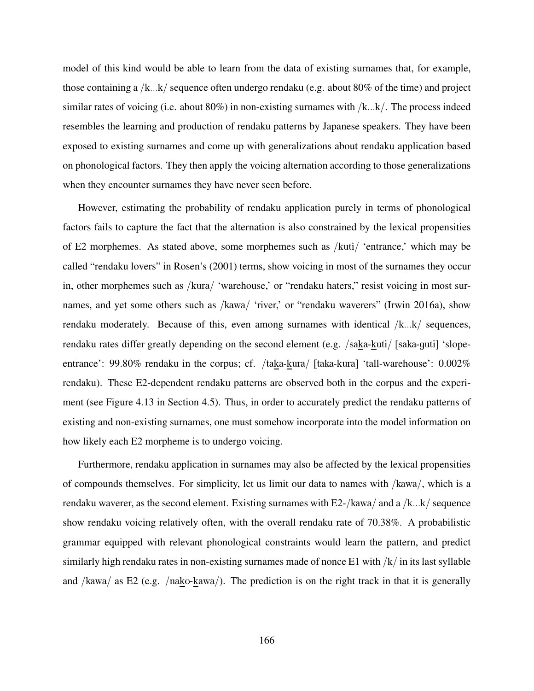model of this kind would be able to learn from the data of existing surnames that, for example, those containing a /k...k/ sequence often undergo rendaku (e.g. about 80% of the time) and project similar rates of voicing (i.e. about  $80\%$ ) in non-existing surnames with  $/k...k'$ . The process indeed resembles the learning and production of rendaku patterns by Japanese speakers. They have been exposed to existing surnames and come up with generalizations about rendaku application based on phonological factors. They then apply the voicing alternation according to those generalizations when they encounter surnames they have never seen before.

However, estimating the probability of rendaku application purely in terms of phonological factors fails to capture the fact that the alternation is also constrained by the lexical propensities of E2 morphemes. As stated above, some morphemes such as /kuti/ 'entrance,' which may be called "rendaku lovers" in Rosen's (2001) terms, show voicing in most of the surnames they occur in, other morphemes such as /kura/ 'warehouse,' or "rendaku haters," resist voicing in most surnames, and yet some others such as /kawa/ 'river,' or "rendaku waverers" (Irwin 2016a), show rendaku moderately. Because of this, even among surnames with identical  $/k...k$  sequences, rendaku rates differ greatly depending on the second element (e.g. /saka-kuti/ [saka-guti] 'slopeentrance': 99.80% rendaku in the corpus; cf. /taka-kura/ [taka-kura] 'tall-warehouse': 0.002% rendaku). These E2-dependent rendaku patterns are observed both in the corpus and the experiment (see Figure 4.13 in Section 4.5). Thus, in order to accurately predict the rendaku patterns of existing and non-existing surnames, one must somehow incorporate into the model information on how likely each E2 morpheme is to undergo voicing.

Furthermore, rendaku application in surnames may also be affected by the lexical propensities of compounds themselves. For simplicity, let us limit our data to names with /kawa/, which is a rendaku waverer, as the second element. Existing surnames with E2-/kawa/ and a /k...k/ sequence show rendaku voicing relatively often, with the overall rendaku rate of 70.38%. A probabilistic grammar equipped with relevant phonological constraints would learn the pattern, and predict similarly high rendaku rates in non-existing surnames made of nonce E1 with /k/ in its last syllable and /kawa/ as E2 (e.g. /nako-kawa/). The prediction is on the right track in that it is generally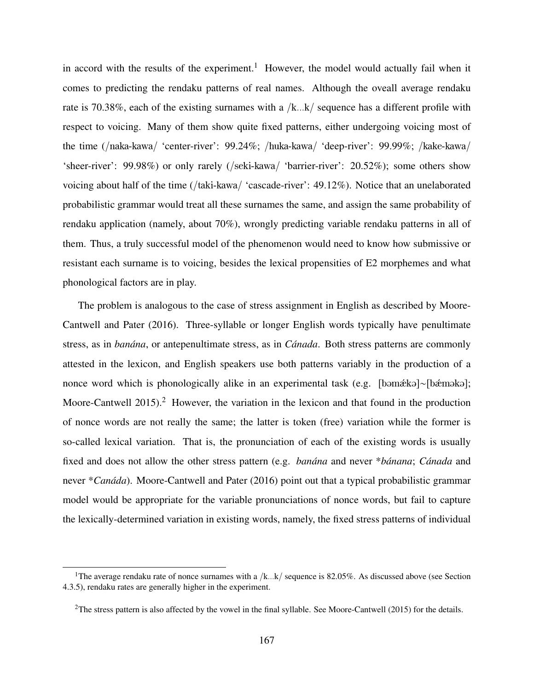in accord with the results of the experiment.<sup>1</sup> However, the model would actually fail when it comes to predicting the rendaku patterns of real names. Although the oveall average rendaku rate is 70.38%, each of the existing surnames with a /k...k/ sequence has a different profile with respect to voicing. Many of them show quite fixed patterns, either undergoing voicing most of the time (/naka-kawa/ 'center-river': 99.24%; /huka-kawa/ 'deep-river': 99.99%; /kake-kawa/ 'sheer-river': 99.98%) or only rarely (/seki-kawa/ 'barrier-river': 20.52%); some others show voicing about half of the time (/taki-kawa/ 'cascade-river': 49.12%). Notice that an unelaborated probabilistic grammar would treat all these surnames the same, and assign the same probability of rendaku application (namely, about 70%), wrongly predicting variable rendaku patterns in all of them. Thus, a truly successful model of the phenomenon would need to know how submissive or resistant each surname is to voicing, besides the lexical propensities of E2 morphemes and what phonological factors are in play.

The problem is analogous to the case of stress assignment in English as described by Moore-Cantwell and Pater (2016). Three-syllable or longer English words typically have penultimate stress, as in *banána*, or antepenultimate stress, as in *Cánada*. Both stress patterns are commonly attested in the lexicon, and English speakers use both patterns variably in the production of a nonce word which is phonologically alike in an experimental task (e.g. [bəmǽkə]∼[bǽməkə]; Moore-Cantwell 2015).<sup>2</sup> However, the variation in the lexicon and that found in the production of nonce words are not really the same; the latter is token (free) variation while the former is so-called lexical variation. That is, the pronunciation of each of the existing words is usually fixed and does not allow the other stress pattern (e.g. *banána* and never \**bánana*; *Cánada* and never \**Canáda*). Moore-Cantwell and Pater (2016) point out that a typical probabilistic grammar model would be appropriate for the variable pronunciations of nonce words, but fail to capture the lexically-determined variation in existing words, namely, the fixed stress patterns of individual

<sup>&</sup>lt;sup>1</sup>The average rendaku rate of nonce surnames with a /k...k/ sequence is 82.05%. As discussed above (see Section 4.3.5), rendaku rates are generally higher in the experiment.

 $2$ The stress pattern is also affected by the vowel in the final syllable. See Moore-Cantwell (2015) for the details.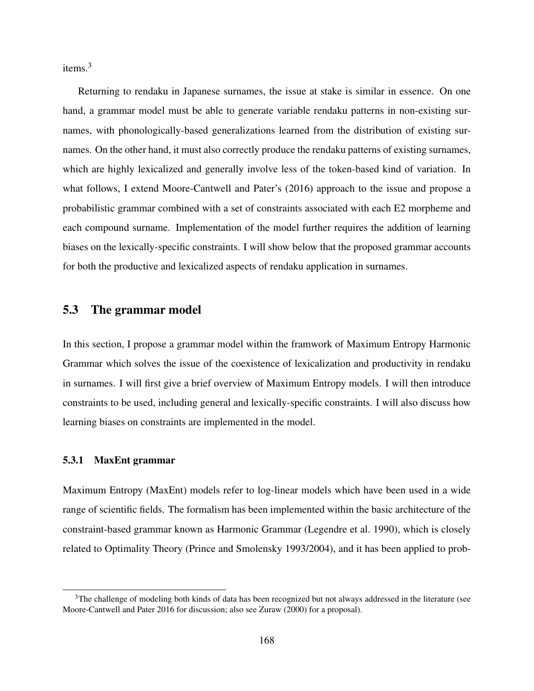items.<sup>3</sup>

Returning to rendaku in Japanese surnames, the issue at stake is similar in essence. On one hand, a grammar model must be able to generate variable rendaku patterns in non-existing surnames, with phonologically-based generalizations learned from the distribution of existing surnames. On the other hand, it must also correctly produce the rendaku patterns of existing surnames, which are highly lexicalized and generally involve less of the token-based kind of variation. In what follows, I extend Moore-Cantwell and Pater's (2016) approach to the issue and propose a probabilistic grammar combined with a set of constraints associated with each E2 morpheme and each compound surname. Implementation of the model further requires the addition of learning biases on the lexically-specific constraints. I will show below that the proposed grammar accounts for both the productive and lexicalized aspects of rendaku application in surnames.

## 5.3 The grammar model

In this section, I propose a grammar model within the framwork of Maximum Entropy Harmonic Grammar which solves the issue of the coexistence of lexicalization and productivity in rendaku in surnames. I will first give a brief overview of Maximum Entropy models. I will then introduce constraints to be used, including general and lexically-specific constraints. I will also discuss how learning biases on constraints are implemented in the model.

## 5.3.1 MaxEnt grammar

Maximum Entropy (MaxEnt) models refer to log-linear models which have been used in a wide range of scientific fields. The formalism has been implemented within the basic architecture of the constraint-based grammar known as Harmonic Grammar (Legendre et al. 1990), which is closely related to Optimality Theory (Prince and Smolensky 1993/2004), and it has been applied to prob-

<sup>&</sup>lt;sup>3</sup>The challenge of modeling both kinds of data has been recognized but not always addressed in the literature (see Moore-Cantwell and Pater 2016 for discussion; also see Zuraw (2000) for a proposal).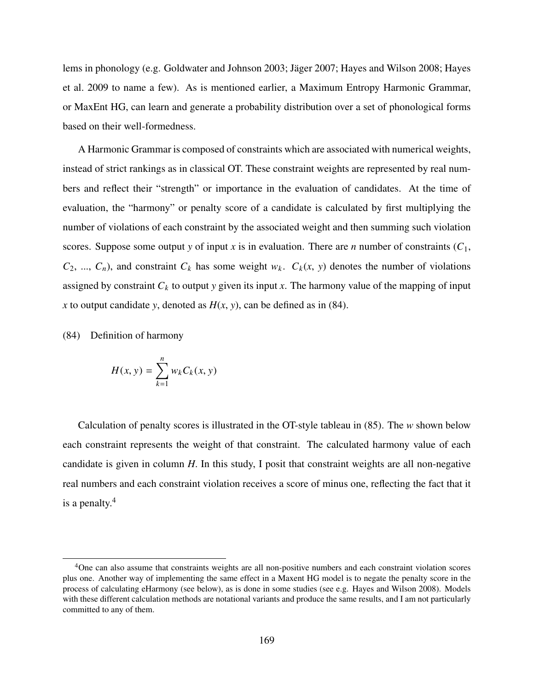lems in phonology (e.g. Goldwater and Johnson 2003; Jäger 2007; Hayes and Wilson 2008; Hayes et al. 2009 to name a few). As is mentioned earlier, a Maximum Entropy Harmonic Grammar, or MaxEnt HG, can learn and generate a probability distribution over a set of phonological forms based on their well-formedness.

A Harmonic Grammar is composed of constraints which are associated with numerical weights, instead of strict rankings as in classical OT. These constraint weights are represented by real numbers and reflect their "strength" or importance in the evaluation of candidates. At the time of evaluation, the "harmony" or penalty score of a candidate is calculated by first multiplying the number of violations of each constraint by the associated weight and then summing such violation scores. Suppose some output *y* of input *x* is in evaluation. There are *n* number of constraints  $(C_1,$  $C_2$ , ...,  $C_n$ ), and constraint  $C_k$  has some weight  $w_k$ .  $C_k(x, y)$  denotes the number of violations assigned by constraint  $C_k$  to output *y* given its input *x*. The harmony value of the mapping of input *x* to output candidate *y*, denoted as  $H(x, y)$ , can be defined as in (84).

(84) Definition of harmony

$$
H(x, y) = \sum_{k=1}^{n} w_k C_k(x, y)
$$

Calculation of penalty scores is illustrated in the OT-style tableau in (85). The *w* shown below each constraint represents the weight of that constraint. The calculated harmony value of each candidate is given in column *H*. In this study, I posit that constraint weights are all non-negative real numbers and each constraint violation receives a score of minus one, reflecting the fact that it is a penalty.<sup>4</sup>

<sup>4</sup>One can also assume that constraints weights are all non-positive numbers and each constraint violation scores plus one. Another way of implementing the same effect in a Maxent HG model is to negate the penalty score in the process of calculating eHarmony (see below), as is done in some studies (see e.g. Hayes and Wilson 2008). Models with these different calculation methods are notational variants and produce the same results, and I am not particularly committed to any of them.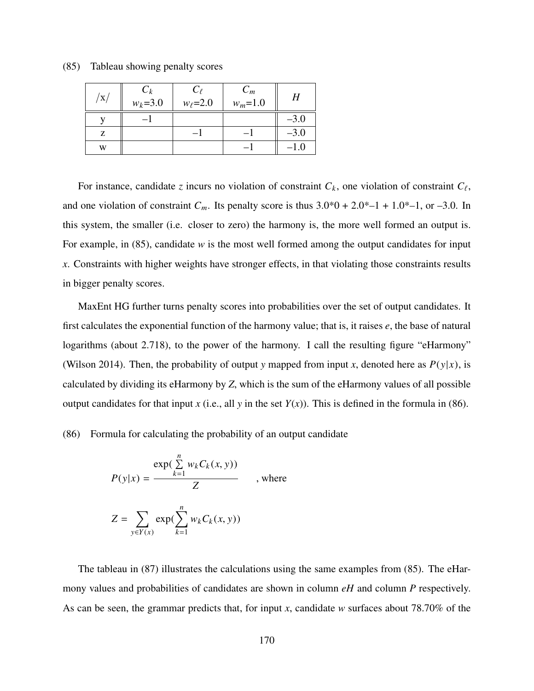| $\mathbf X$ | $C_k$<br>$W_k = 3.0$ | $C_{\ell}$<br>$w_{\ell} = 2.0$ | $C_m$<br>$w_m = 1.0$ |        |
|-------------|----------------------|--------------------------------|----------------------|--------|
|             |                      |                                |                      | $-3.0$ |
| Z           |                      |                                |                      | $-3.0$ |
| W           |                      |                                |                      |        |

(85) Tableau showing penalty scores

For instance, candidate *z* incurs no violation of constraint  $C_k$ , one violation of constraint  $C_\ell$ , and one violation of constraint  $C_m$ . Its penalty score is thus  $3.0*0 + 2.0* -1 + 1.0* -1$ , or  $-3.0$ . In this system, the smaller (i.e. closer to zero) the harmony is, the more well formed an output is. For example, in (85), candidate *w* is the most well formed among the output candidates for input *x*. Constraints with higher weights have stronger effects, in that violating those constraints results in bigger penalty scores.

MaxEnt HG further turns penalty scores into probabilities over the set of output candidates. It first calculates the exponential function of the harmony value; that is, it raises *e*, the base of natural logarithms (about 2.718), to the power of the harmony. I call the resulting figure "eHarmony" (Wilson 2014). Then, the probability of output *y* mapped from input *x*, denoted here as  $P(y|x)$ , is calculated by dividing its eHarmony by *Z*, which is the sum of the eHarmony values of all possible output candidates for that input *x* (i.e., all *y* in the set  $Y(x)$ ). This is defined in the formula in (86).

(86) Formula for calculating the probability of an output candidate

$$
P(y|x) = \frac{\exp(\sum_{k=1}^{n} w_k C_k(x, y))}{Z} \quad , \text{where}
$$

$$
Z = \sum_{y \in Y(x)} \exp(\sum_{k=1}^{n} w_k C_k(x, y))
$$

The tableau in (87) illustrates the calculations using the same examples from (85). The eHarmony values and probabilities of candidates are shown in column *eH* and column *P* respectively. As can be seen, the grammar predicts that, for input *x*, candidate *w* surfaces about 78.70% of the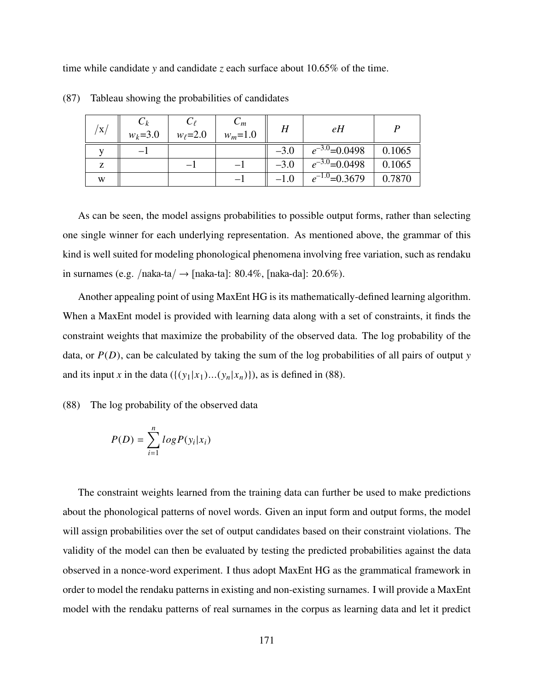time while candidate *y* and candidate *z* each surface about 10.65% of the time.

| $\rm{^\prime x/}$ | $W_k = 3.0$ | $w_{\ell} = 2.0$ | $\cup_m$<br>$w_m = 1.0$ |        | eH                 |        |
|-------------------|-------------|------------------|-------------------------|--------|--------------------|--------|
|                   |             |                  |                         | $-3.0$ | $e^{-3.0}$ =0.0498 | 0.1065 |
| Z                 |             |                  |                         | $-3.0$ | $e^{-3.0}$ =0.0498 | 0.1065 |
| W                 |             |                  |                         | $-1.0$ | $e^{-1.0}$ =0.3679 | 0.7870 |

(87) Tableau showing the probabilities of candidates

As can be seen, the model assigns probabilities to possible output forms, rather than selecting one single winner for each underlying representation. As mentioned above, the grammar of this kind is well suited for modeling phonological phenomena involving free variation, such as rendaku in surnames (e.g. /naka-ta/  $\rightarrow$  [naka-ta]: 80.4%, [naka-da]: 20.6%).

Another appealing point of using MaxEnt HG is its mathematically-defined learning algorithm. When a MaxEnt model is provided with learning data along with a set of constraints, it finds the constraint weights that maximize the probability of the observed data. The log probability of the data, or  $P(D)$ , can be calculated by taking the sum of the log probabilities of all pairs of output *y* and its input *x* in the data  $({\{(y_1|x_1)...(y_n|x_n)\}})$ , as is defined in (88).

(88) The log probability of the observed data

$$
P(D) = \sum_{i=1}^{n} log P(y_i | x_i)
$$

The constraint weights learned from the training data can further be used to make predictions about the phonological patterns of novel words. Given an input form and output forms, the model will assign probabilities over the set of output candidates based on their constraint violations. The validity of the model can then be evaluated by testing the predicted probabilities against the data observed in a nonce-word experiment. I thus adopt MaxEnt HG as the grammatical framework in order to model the rendaku patterns in existing and non-existing surnames. I will provide a MaxEnt model with the rendaku patterns of real surnames in the corpus as learning data and let it predict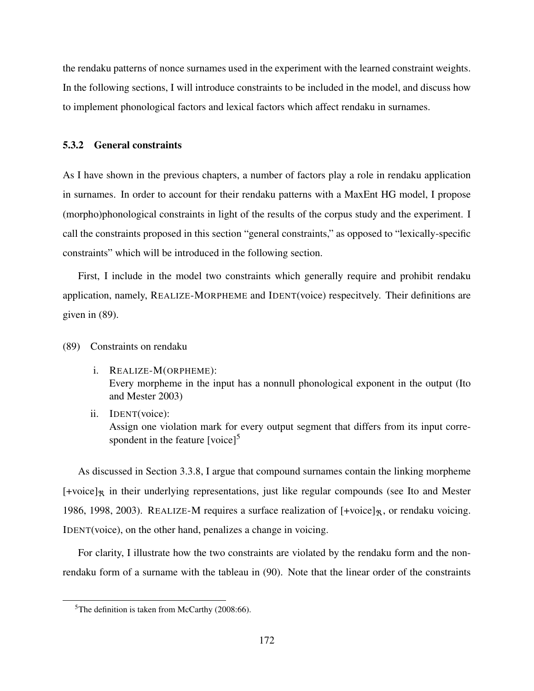the rendaku patterns of nonce surnames used in the experiment with the learned constraint weights. In the following sections, I will introduce constraints to be included in the model, and discuss how to implement phonological factors and lexical factors which affect rendaku in surnames.

## 5.3.2 General constraints

As I have shown in the previous chapters, a number of factors play a role in rendaku application in surnames. In order to account for their rendaku patterns with a MaxEnt HG model, I propose (morpho)phonological constraints in light of the results of the corpus study and the experiment. I call the constraints proposed in this section "general constraints," as opposed to "lexically-specific constraints" which will be introduced in the following section.

First, I include in the model two constraints which generally require and prohibit rendaku application, namely, REALIZE-MORPHEME and IDENT(voice) respecitvely. Their definitions are given in (89).

- (89) Constraints on rendaku
	- i. REALIZE-M(ORPHEME): Every morpheme in the input has a nonnull phonological exponent in the output (Ito and Mester 2003)
	- ii. IDENT(voice): Assign one violation mark for every output segment that differs from its input correspondent in the feature  $\lceil \text{voice} \rceil^5$

As discussed in Section 3.3.8, I argue that compound surnames contain the linking morpheme  $[+voice]$ <sup>R</sup> in their underlying representations, just like regular compounds (see Ito and Mester 1986, 1998, 2003). REALIZE-M requires a surface realization of  $[+voice]_{\mathcal{R}}$ , or rendaku voicing. IDENT(voice), on the other hand, penalizes a change in voicing.

For clarity, I illustrate how the two constraints are violated by the rendaku form and the nonrendaku form of a surname with the tableau in (90). Note that the linear order of the constraints

 ${}^{5}$ The definition is taken from McCarthy (2008:66).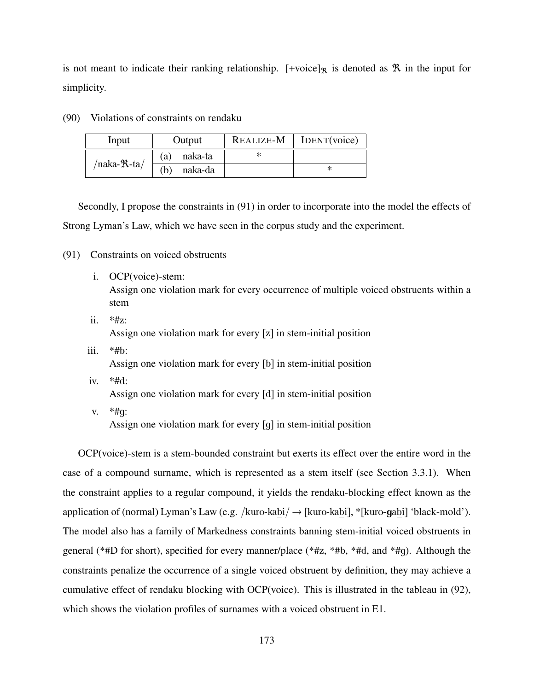is not meant to indicate their ranking relationship. [+voice]<sub>R</sub> is denoted as  $\Re$  in the input for simplicity.

| Input                     | Output        | $REALIZE-M$   IDENT(voice) |
|---------------------------|---------------|----------------------------|
|                           | naka-ta<br>a) |                            |
| /naka- $\mathcal{R}$ -ta/ | naka-da<br>b, |                            |

(90) Violations of constraints on rendaku

Secondly, I propose the constraints in (91) in order to incorporate into the model the effects of Strong Lyman's Law, which we have seen in the corpus study and the experiment.

- (91) Constraints on voiced obstruents
	- i. OCP(voice)-stem: Assign one violation mark for every occurrence of multiple voiced obstruents within a stem
	- ii.  $*#z$ : Assign one violation mark for every [z] in stem-initial position
	- iii.  $*#b$ : Assign one violation mark for every [b] in stem-initial position
	- iv. \*#d: Assign one violation mark for every [d] in stem-initial position
		- v.  $*#q$ :

Assign one violation mark for every [g] in stem-initial position

OCP(voice)-stem is a stem-bounded constraint but exerts its effect over the entire word in the case of a compound surname, which is represented as a stem itself (see Section 3.3.1). When the constraint applies to a regular compound, it yields the rendaku-blocking effect known as the application of (normal) Lyman's Law (e.g. /kuro-kabi/  $\rightarrow$  [kuro-kabi], \*[kuro-gabi] 'black-mold'). The model also has a family of Markedness constraints banning stem-initial voiced obstruents in general (\*#D for short), specified for every manner/place (\*#z, \*#b, \*#d, and \*#g). Although the constraints penalize the occurrence of a single voiced obstruent by definition, they may achieve a cumulative effect of rendaku blocking with OCP(voice). This is illustrated in the tableau in (92), which shows the violation profiles of surnames with a voiced obstruent in E1.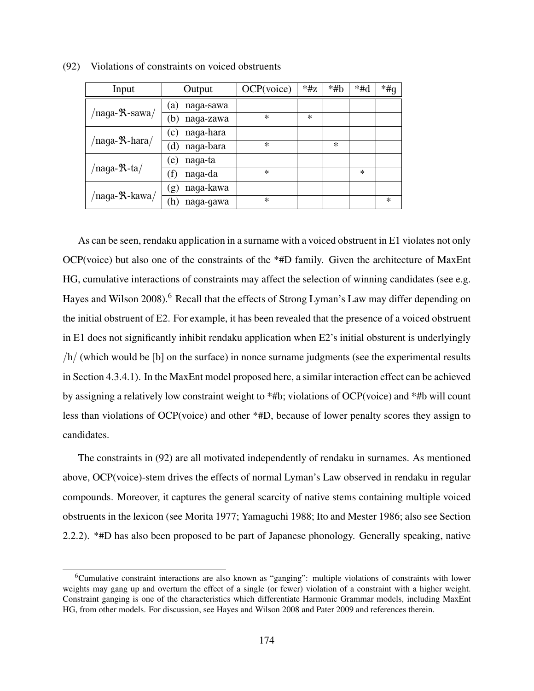| Input                            | Output                  | OCP(voice) | $*$ #z | $*$ #b | $*#d$  | $*$ #q |
|----------------------------------|-------------------------|------------|--------|--------|--------|--------|
|                                  | naga-sawa<br>(a)        |            |        |        |        |        |
| /naga- $\text{\texttt{R-sawa}}/$ | (b)<br>naga-zawa        | $\ast$     | $\ast$ |        |        |        |
|                                  | naga-hara<br>(c)        |            |        |        |        |        |
| /naga-R-hara/                    | naga-bara<br>(d)        | $\ast$     |        | $\ast$ |        |        |
|                                  | naga-ta<br>$\epsilon$ ) |            |        |        |        |        |
| /naga-R-ta/                      | naga-da<br>(f)          | $\ast$     |        |        | $\ast$ |        |
|                                  | naga-kawa<br>(g)        |            |        |        |        |        |
| /naga- <sup>9</sup> x-kawa/      | naga-gawa<br>(h)        | $\ast$     |        |        |        | $\ast$ |

(92) Violations of constraints on voiced obstruents

As can be seen, rendaku application in a surname with a voiced obstruent in E1 violates not only OCP(voice) but also one of the constraints of the \*#D family. Given the architecture of MaxEnt HG, cumulative interactions of constraints may affect the selection of winning candidates (see e.g. Hayes and Wilson 2008).<sup>6</sup> Recall that the effects of Strong Lyman's Law may differ depending on the initial obstruent of E2. For example, it has been revealed that the presence of a voiced obstruent in E1 does not significantly inhibit rendaku application when E2's initial obsturent is underlyingly /h/ (which would be [b] on the surface) in nonce surname judgments (see the experimental results in Section 4.3.4.1). In the MaxEnt model proposed here, a similar interaction effect can be achieved by assigning a relatively low constraint weight to \*#b; violations of OCP(voice) and \*#b will count less than violations of OCP(voice) and other \*#D, because of lower penalty scores they assign to candidates.

The constraints in (92) are all motivated independently of rendaku in surnames. As mentioned above, OCP(voice)-stem drives the effects of normal Lyman's Law observed in rendaku in regular compounds. Moreover, it captures the general scarcity of native stems containing multiple voiced obstruents in the lexicon (see Morita 1977; Yamaguchi 1988; Ito and Mester 1986; also see Section 2.2.2). \*#D has also been proposed to be part of Japanese phonology. Generally speaking, native

<sup>6</sup>Cumulative constraint interactions are also known as "ganging": multiple violations of constraints with lower weights may gang up and overturn the effect of a single (or fewer) violation of a constraint with a higher weight. Constraint ganging is one of the characteristics which differentiate Harmonic Grammar models, including MaxEnt HG, from other models. For discussion, see Hayes and Wilson 2008 and Pater 2009 and references therein.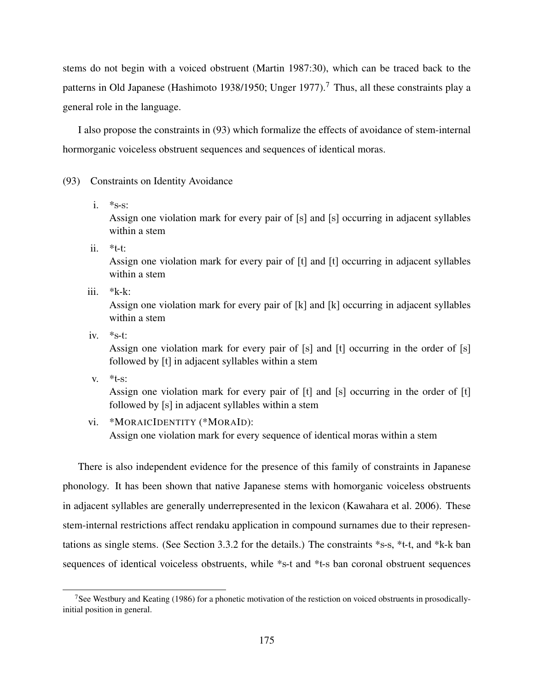stems do not begin with a voiced obstruent (Martin 1987:30), which can be traced back to the patterns in Old Japanese (Hashimoto 1938/1950; Unger 1977).<sup>7</sup> Thus, all these constraints play a general role in the language.

I also propose the constraints in (93) which formalize the effects of avoidance of stem-internal hormorganic voiceless obstruent sequences and sequences of identical moras.

#### (93) Constraints on Identity Avoidance

i.  $*_{S-S}$ :

Assign one violation mark for every pair of [s] and [s] occurring in adjacent syllables within a stem

ii. \*t-t:

Assign one violation mark for every pair of [t] and [t] occurring in adjacent syllables within a stem

iii. \*k-k:

Assign one violation mark for every pair of [k] and [k] occurring in adjacent syllables within a stem

iv.  $*_{S-t}$ :

Assign one violation mark for every pair of [s] and [t] occurring in the order of [s] followed by [t] in adjacent syllables within a stem

v.  $*$ t-s:

Assign one violation mark for every pair of [t] and [s] occurring in the order of [t] followed by [s] in adjacent syllables within a stem

vi. \*MORAICIDENTITY (\*MORAID):

Assign one violation mark for every sequence of identical moras within a stem

There is also independent evidence for the presence of this family of constraints in Japanese phonology. It has been shown that native Japanese stems with homorganic voiceless obstruents in adjacent syllables are generally underrepresented in the lexicon (Kawahara et al. 2006). These stem-internal restrictions affect rendaku application in compound surnames due to their representations as single stems. (See Section 3.3.2 for the details.) The constraints \*s-s, \*t-t, and \*k-k ban sequences of identical voiceless obstruents, while \*s-t and \*t-s ban coronal obstruent sequences

<sup>&</sup>lt;sup>7</sup>See Westbury and Keating (1986) for a phonetic motivation of the restiction on voiced obstruents in prosodicallyinitial position in general.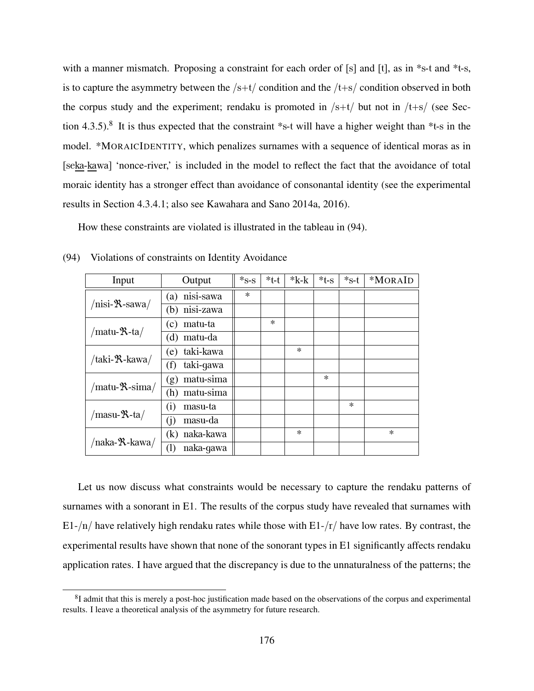with a manner mismatch. Proposing a constraint for each order of [s] and [t], as in \*s-t and \*t-s, is to capture the asymmetry between the  $/s+t/$  condition and the  $/t+s/$  condition observed in both the corpus study and the experiment; rendaku is promoted in  $/s+t/$  but not in  $/t+s/$  (see Section 4.3.5).<sup>8</sup> It is thus expected that the constraint \*s-t will have a higher weight than \*t-s in the model. \*MORAICIDENTITY, which penalizes surnames with a sequence of identical moras as in [seka-kawa] 'nonce-river,' is included in the model to reflect the fact that the avoidance of total moraic identity has a stronger effect than avoidance of consonantal identity (see the experimental results in Section 4.3.4.1; also see Kawahara and Sano 2014a, 2016).

How these constraints are violated is illustrated in the tableau in (94).

| Input                             | Output                       | $*_{S-S}$ | $*$ t-t | $*_{k-k}$ | $*t-s$ | $*_{S-t}$ | *MORAID |
|-----------------------------------|------------------------------|-----------|---------|-----------|--------|-----------|---------|
|                                   | nisi-sawa<br>(a)             | $\ast$    |         |           |        |           |         |
| $/nisi-$ <b>R</b> -sawa/          | nisi-zawa<br>(b)             |           |         |           |        |           |         |
|                                   | matu-ta<br>(c)               |           | $\ast$  |           |        |           |         |
| /matu- $\mathcal{R}$ -ta/         | matu-da<br>d)                |           |         |           |        |           |         |
|                                   | taki-kawa<br>(e)             |           |         | $\ast$    |        |           |         |
| /taki- <b>'X</b> -kawa/           | taki-gawa<br>(f)             |           |         |           |        |           |         |
|                                   | matu-sima<br>(g)             |           |         |           | $\ast$ |           |         |
| $/$ matu- $\mathcal{R}$ -sima $/$ | matu-sima<br>(h)             |           |         |           |        |           |         |
|                                   | masu-ta<br>$\left( i\right)$ |           |         |           |        | $\ast$    |         |
| /masu- <b>R</b> -ta/              | masu-da<br>(j)               |           |         |           |        |           |         |
|                                   | naka-kawa<br>(k)             |           |         | $\ast$    |        |           | $\ast$  |
| /naka- <sup>9</sup> X-kawa/       | naka-gawa<br>(1)             |           |         |           |        |           |         |

(94) Violations of constraints on Identity Avoidance

Let us now discuss what constraints would be necessary to capture the rendaku patterns of surnames with a sonorant in E1. The results of the corpus study have revealed that surnames with E1-/n/ have relatively high rendaku rates while those with E1-/r/ have low rates. By contrast, the experimental results have shown that none of the sonorant types in E1 significantly affects rendaku application rates. I have argued that the discrepancy is due to the unnaturalness of the patterns; the

<sup>&</sup>lt;sup>8</sup>I admit that this is merely a post-hoc justification made based on the observations of the corpus and experimental results. I leave a theoretical analysis of the asymmetry for future research.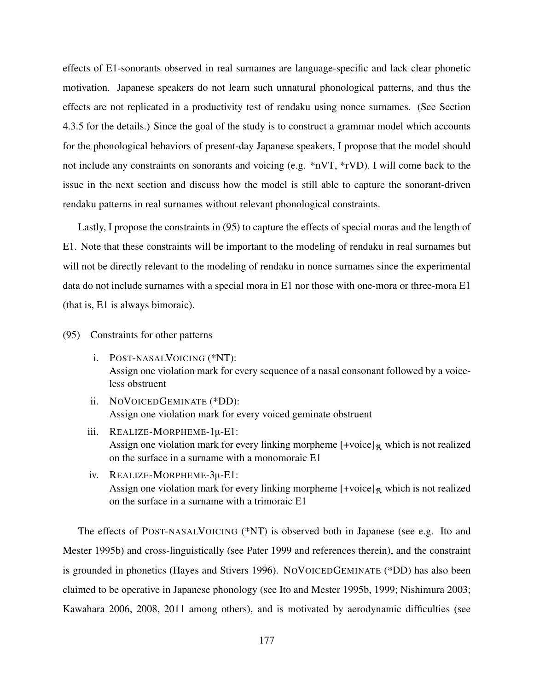effects of E1-sonorants observed in real surnames are language-specific and lack clear phonetic motivation. Japanese speakers do not learn such unnatural phonological patterns, and thus the effects are not replicated in a productivity test of rendaku using nonce surnames. (See Section 4.3.5 for the details.) Since the goal of the study is to construct a grammar model which accounts for the phonological behaviors of present-day Japanese speakers, I propose that the model should not include any constraints on sonorants and voicing (e.g. \*nVT, \*rVD). I will come back to the issue in the next section and discuss how the model is still able to capture the sonorant-driven rendaku patterns in real surnames without relevant phonological constraints.

Lastly, I propose the constraints in (95) to capture the effects of special moras and the length of E1. Note that these constraints will be important to the modeling of rendaku in real surnames but will not be directly relevant to the modeling of rendaku in nonce surnames since the experimental data do not include surnames with a special mora in E1 nor those with one-mora or three-mora E1 (that is, E1 is always bimoraic).

(95) Constraints for other patterns

- i. POST-NASALVOICING (\*NT): Assign one violation mark for every sequence of a nasal consonant followed by a voiceless obstruent
- ii. NOVOICEDGEMINATE (\*DD): Assign one violation mark for every voiced geminate obstruent
- iii. REALIZE-MORPHEME-1µ-E1: Assign one violation mark for every linking morpheme  $[+$ voice]<sub> $\mathbf{\hat{x}}$ </sub> which is not realized on the surface in a surname with a monomoraic E1
- iv. REALIZE-MORPHEME-3µ-E1: Assign one violation mark for every linking morpheme  $[+$ voice]<sub> $\mathbf{\hat{x}}$ </sub> which is not realized on the surface in a surname with a trimoraic E1

The effects of POST-NASALVOICING (\*NT) is observed both in Japanese (see e.g. Ito and Mester 1995b) and cross-linguistically (see Pater 1999 and references therein), and the constraint is grounded in phonetics (Hayes and Stivers 1996). NOVOICEDGEMINATE (\*DD) has also been claimed to be operative in Japanese phonology (see Ito and Mester 1995b, 1999; Nishimura 2003; Kawahara 2006, 2008, 2011 among others), and is motivated by aerodynamic difficulties (see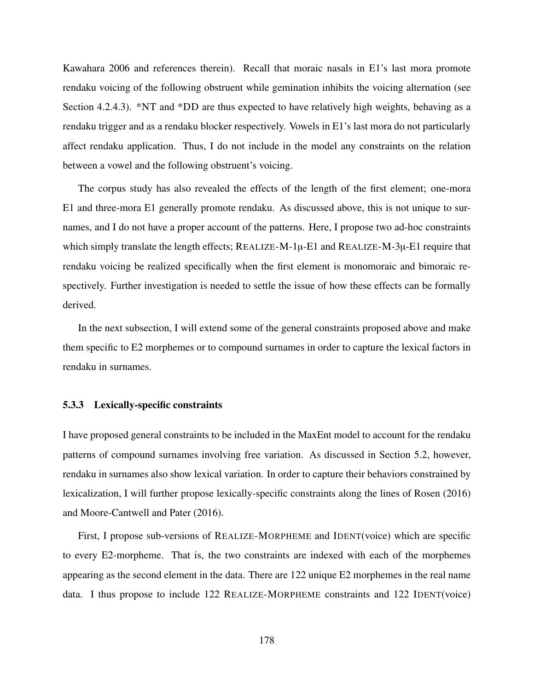Kawahara 2006 and references therein). Recall that moraic nasals in E1's last mora promote rendaku voicing of the following obstruent while gemination inhibits the voicing alternation (see Section 4.2.4.3). \*NT and \*DD are thus expected to have relatively high weights, behaving as a rendaku trigger and as a rendaku blocker respectively. Vowels in E1's last mora do not particularly affect rendaku application. Thus, I do not include in the model any constraints on the relation between a vowel and the following obstruent's voicing.

The corpus study has also revealed the effects of the length of the first element; one-mora E1 and three-mora E1 generally promote rendaku. As discussed above, this is not unique to surnames, and I do not have a proper account of the patterns. Here, I propose two ad-hoc constraints which simply translate the length effects;  $REALIZE-M-1\mu-E1$  and  $REALIZE-M-3\mu-E1$  require that rendaku voicing be realized specifically when the first element is monomoraic and bimoraic respectively. Further investigation is needed to settle the issue of how these effects can be formally derived.

In the next subsection, I will extend some of the general constraints proposed above and make them specific to E2 morphemes or to compound surnames in order to capture the lexical factors in rendaku in surnames.

#### 5.3.3 Lexically-specific constraints

I have proposed general constraints to be included in the MaxEnt model to account for the rendaku patterns of compound surnames involving free variation. As discussed in Section 5.2, however, rendaku in surnames also show lexical variation. In order to capture their behaviors constrained by lexicalization, I will further propose lexically-specific constraints along the lines of Rosen (2016) and Moore-Cantwell and Pater (2016).

First, I propose sub-versions of REALIZE-MORPHEME and IDENT(voice) which are specific to every E2-morpheme. That is, the two constraints are indexed with each of the morphemes appearing as the second element in the data. There are 122 unique E2 morphemes in the real name data. I thus propose to include 122 REALIZE-MORPHEME constraints and 122 IDENT(voice)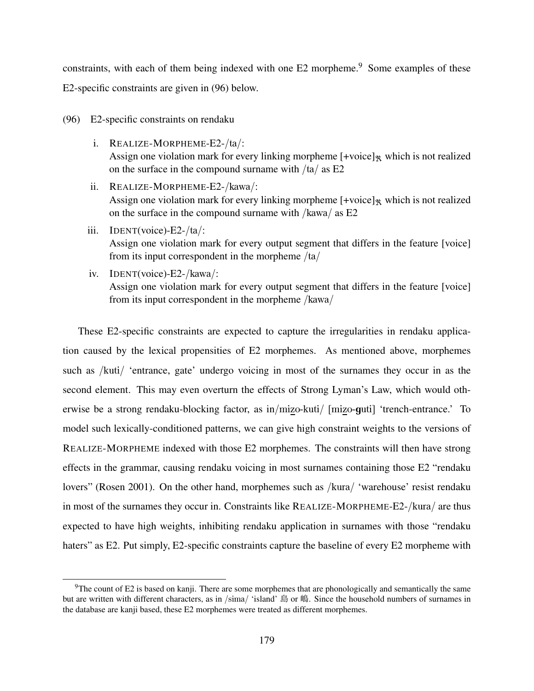constraints, with each of them being indexed with one E2 morpheme.<sup>9</sup> Some examples of these E2-specific constraints are given in (96) below.

- (96) E2-specific constraints on rendaku
	- i. REALIZE-MORPHEME-E2-/ta/: Assign one violation mark for every linking morpheme  $[+$ voice]<sub> $\mathbf{\hat{x}}$ </sub> which is not realized on the surface in the compound surname with /ta/ as E2
	- ii. REALIZE-MORPHEME-E2-/kawa/: Assign one violation mark for every linking morpheme  $[+{\rm voice}]_{\mathcal{R}}$  which is not realized on the surface in the compound surname with /kawa/ as E2
	- iii. IDENT(voice)-E2-/ta/: Assign one violation mark for every output segment that differs in the feature [voice] from its input correspondent in the morpheme  $/ta/$
	- iv. IDENT(voice)-E2-/kawa/: Assign one violation mark for every output segment that differs in the feature [voice] from its input correspondent in the morpheme /kawa/

These E2-specific constraints are expected to capture the irregularities in rendaku application caused by the lexical propensities of E2 morphemes. As mentioned above, morphemes such as /kuti/ 'entrance, gate' undergo voicing in most of the surnames they occur in as the second element. This may even overturn the effects of Strong Lyman's Law, which would otherwise be a strong rendaku-blocking factor, as in/mizo-kuti/ [mizo-guti] 'trench-entrance.' To model such lexically-conditioned patterns, we can give high constraint weights to the versions of REALIZE-MORPHEME indexed with those E2 morphemes. The constraints will then have strong effects in the grammar, causing rendaku voicing in most surnames containing those E2 "rendaku lovers" (Rosen 2001). On the other hand, morphemes such as /kura/ 'warehouse' resist rendaku in most of the surnames they occur in. Constraints like REALIZE-MORPHEME-E2-/kura/ are thus expected to have high weights, inhibiting rendaku application in surnames with those "rendaku haters" as E2. Put simply, E2-specific constraints capture the baseline of every E2 morpheme with

<sup>&</sup>lt;sup>9</sup>The count of E2 is based on kanji. There are some morphemes that are phonologically and semantically the same but are written with different characters, as in /sima/ 'island' 島 or 嶋. Since the household numbers of surnames in the database are kanji based, these E2 morphemes were treated as different morphemes.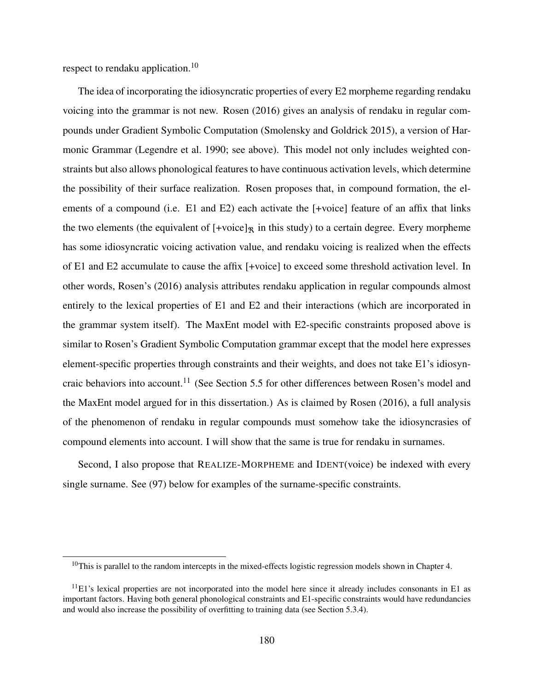respect to rendaku application.<sup>10</sup>

The idea of incorporating the idiosyncratic properties of every E2 morpheme regarding rendaku voicing into the grammar is not new. Rosen (2016) gives an analysis of rendaku in regular compounds under Gradient Symbolic Computation (Smolensky and Goldrick 2015), a version of Harmonic Grammar (Legendre et al. 1990; see above). This model not only includes weighted constraints but also allows phonological features to have continuous activation levels, which determine the possibility of their surface realization. Rosen proposes that, in compound formation, the elements of a compound (i.e. E1 and E2) each activate the [+voice] feature of an affix that links the two elements (the equivalent of  $[+{\rm voice}]_{\mathcal{R}}$  in this study) to a certain degree. Every morpheme has some idiosyncratic voicing activation value, and rendaku voicing is realized when the effects of E1 and E2 accumulate to cause the affix [+voice] to exceed some threshold activation level. In other words, Rosen's (2016) analysis attributes rendaku application in regular compounds almost entirely to the lexical properties of E1 and E2 and their interactions (which are incorporated in the grammar system itself). The MaxEnt model with E2-specific constraints proposed above is similar to Rosen's Gradient Symbolic Computation grammar except that the model here expresses element-specific properties through constraints and their weights, and does not take E1's idiosyncraic behaviors into account.<sup>11</sup> (See Section 5.5 for other differences between Rosen's model and the MaxEnt model argued for in this dissertation.) As is claimed by Rosen (2016), a full analysis of the phenomenon of rendaku in regular compounds must somehow take the idiosyncrasies of compound elements into account. I will show that the same is true for rendaku in surnames.

Second, I also propose that REALIZE-MORPHEME and IDENT(voice) be indexed with every single surname. See (97) below for examples of the surname-specific constraints.

<sup>&</sup>lt;sup>10</sup>This is parallel to the random intercepts in the mixed-effects logistic regression models shown in Chapter 4.

 $11E1$ 's lexical properties are not incorporated into the model here since it already includes consonants in E1 as important factors. Having both general phonological constraints and E1-specific constraints would have redundancies and would also increase the possibility of overfitting to training data (see Section 5.3.4).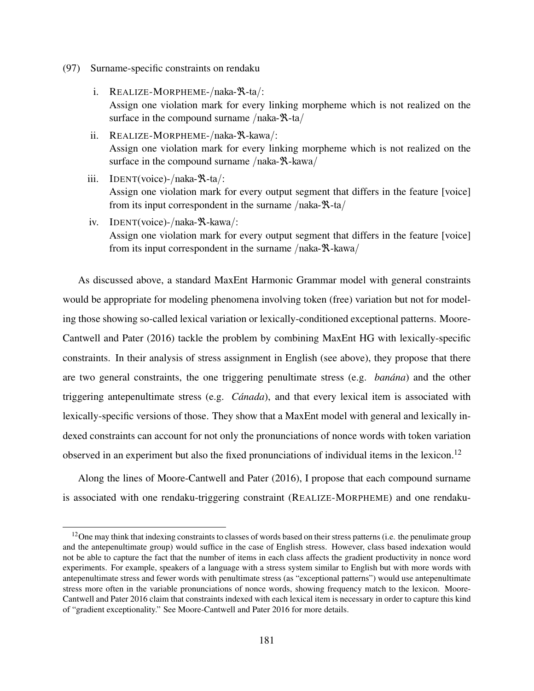- (97) Surname-specific constraints on rendaku
	- i. REALIZE-MORPHEME-/naka-ℜ-ta/: Assign one violation mark for every linking morpheme which is not realized on the surface in the compound surname /naka-ℝ-ta/
	- ii. REALIZE-MORPHEME-/naka-ℜ-kawa/: Assign one violation mark for every linking morpheme which is not realized on the surface in the compound surname /naka-ℝ-kawa/
	- iii. IDENT(voice)-/naka-ℜ-ta/: Assign one violation mark for every output segment that differs in the feature [voice] from its input correspondent in the surname  $/naka-R-ta/$
	- iv. IDENT(voice)-/naka-ℜ-kawa/: Assign one violation mark for every output segment that differs in the feature [voice] from its input correspondent in the surname  $/naka-R-kawa/$

As discussed above, a standard MaxEnt Harmonic Grammar model with general constraints would be appropriate for modeling phenomena involving token (free) variation but not for modeling those showing so-called lexical variation or lexically-conditioned exceptional patterns. Moore-Cantwell and Pater (2016) tackle the problem by combining MaxEnt HG with lexically-specific constraints. In their analysis of stress assignment in English (see above), they propose that there are two general constraints, the one triggering penultimate stress (e.g. *banána*) and the other triggering antepenultimate stress (e.g. *Cánada*), and that every lexical item is associated with lexically-specific versions of those. They show that a MaxEnt model with general and lexically indexed constraints can account for not only the pronunciations of nonce words with token variation observed in an experiment but also the fixed pronunciations of individual items in the lexicon.<sup>12</sup>

Along the lines of Moore-Cantwell and Pater (2016), I propose that each compound surname is associated with one rendaku-triggering constraint (REALIZE-MORPHEME) and one rendaku-

<sup>&</sup>lt;sup>12</sup>One may think that indexing constraints to classes of words based on their stress patterns (i.e. the penulimate group and the antepenultimate group) would suffice in the case of English stress. However, class based indexation would not be able to capture the fact that the number of items in each class affects the gradient productivity in nonce word experiments. For example, speakers of a language with a stress system similar to English but with more words with antepenultimate stress and fewer words with penultimate stress (as "exceptional patterns") would use antepenultimate stress more often in the variable pronunciations of nonce words, showing frequency match to the lexicon. Moore-Cantwell and Pater 2016 claim that constraints indexed with each lexical item is necessary in order to capture this kind of "gradient exceptionality." See Moore-Cantwell and Pater 2016 for more details.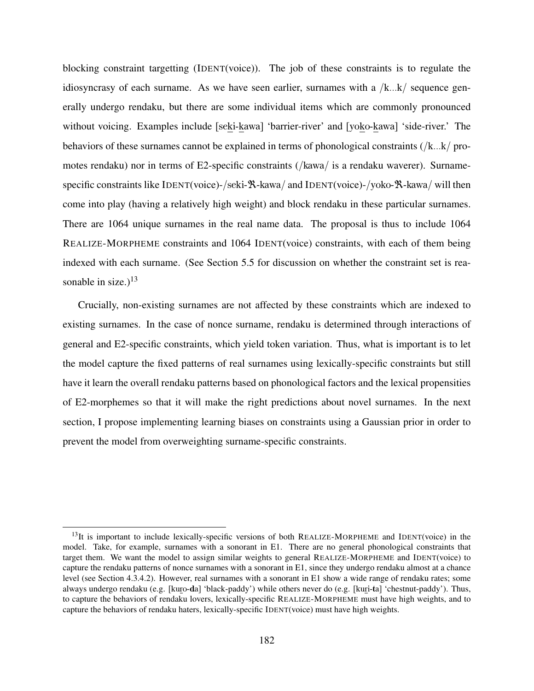blocking constraint targetting (IDENT(voice)). The job of these constraints is to regulate the idiosyncrasy of each surname. As we have seen earlier, surnames with a  $/k...k$  sequence generally undergo rendaku, but there are some individual items which are commonly pronounced without voicing. Examples include [seki-kawa] 'barrier-river' and [yoko-kawa] 'side-river.' The behaviors of these surnames cannot be explained in terms of phonological constraints (/k...k/ promotes rendaku) nor in terms of E2-specific constraints (/kawa/ is a rendaku waverer). Surnamespecific constraints like IDENT(voice)-/seki-ℝ-kawa/ and IDENT(voice)-/yoko-ℝ-kawa/ will then come into play (having a relatively high weight) and block rendaku in these particular surnames. There are 1064 unique surnames in the real name data. The proposal is thus to include 1064 REALIZE-MORPHEME constraints and 1064 IDENT(voice) constraints, with each of them being indexed with each surname. (See Section 5.5 for discussion on whether the constraint set is reasonable in size.) $^{13}$ 

Crucially, non-existing surnames are not affected by these constraints which are indexed to existing surnames. In the case of nonce surname, rendaku is determined through interactions of general and E2-specific constraints, which yield token variation. Thus, what is important is to let the model capture the fixed patterns of real surnames using lexically-specific constraints but still have it learn the overall rendaku patterns based on phonological factors and the lexical propensities of E2-morphemes so that it will make the right predictions about novel surnames. In the next section, I propose implementing learning biases on constraints using a Gaussian prior in order to prevent the model from overweighting surname-specific constraints.

 $13$ It is important to include lexically-specific versions of both REALIZE-MORPHEME and IDENT(voice) in the model. Take, for example, surnames with a sonorant in E1. There are no general phonological constraints that target them. We want the model to assign similar weights to general REALIZE-MORPHEME and IDENT(voice) to capture the rendaku patterns of nonce surnames with a sonorant in E1, since they undergo rendaku almost at a chance level (see Section 4.3.4.2). However, real surnames with a sonorant in E1 show a wide range of rendaku rates; some always undergo rendaku (e.g. [kuro-da] 'black-paddy') while others never do (e.g. [kuri-ta] 'chestnut-paddy'). Thus, to capture the behaviors of rendaku lovers, lexically-specific REALIZE-MORPHEME must have high weights, and to capture the behaviors of rendaku haters, lexically-specific IDENT(voice) must have high weights.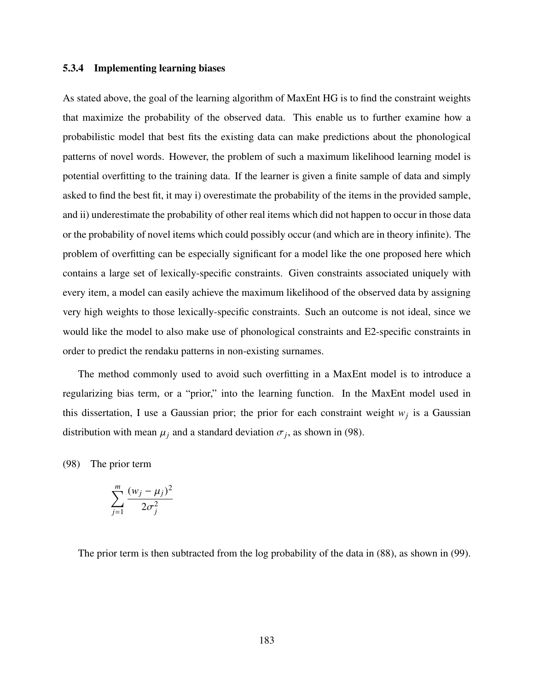#### 5.3.4 Implementing learning biases

As stated above, the goal of the learning algorithm of MaxEnt HG is to find the constraint weights that maximize the probability of the observed data. This enable us to further examine how a probabilistic model that best fits the existing data can make predictions about the phonological patterns of novel words. However, the problem of such a maximum likelihood learning model is potential overfitting to the training data. If the learner is given a finite sample of data and simply asked to find the best fit, it may i) overestimate the probability of the items in the provided sample, and ii) underestimate the probability of other real items which did not happen to occur in those data or the probability of novel items which could possibly occur (and which are in theory infinite). The problem of overfitting can be especially significant for a model like the one proposed here which contains a large set of lexically-specific constraints. Given constraints associated uniquely with every item, a model can easily achieve the maximum likelihood of the observed data by assigning very high weights to those lexically-specific constraints. Such an outcome is not ideal, since we would like the model to also make use of phonological constraints and E2-specific constraints in order to predict the rendaku patterns in non-existing surnames.

The method commonly used to avoid such overfitting in a MaxEnt model is to introduce a regularizing bias term, or a "prior," into the learning function. In the MaxEnt model used in this dissertation, I use a Gaussian prior; the prior for each constraint weight  $w_j$  is a Gaussian distribution with mean  $\mu_j$  and a standard deviation  $\sigma_j$ , as shown in (98).

(98) The prior term

$$
\sum_{j=1}^m \frac{(w_j - \mu_j)^2}{2\sigma_j^2}
$$

The prior term is then subtracted from the log probability of the data in (88), as shown in (99).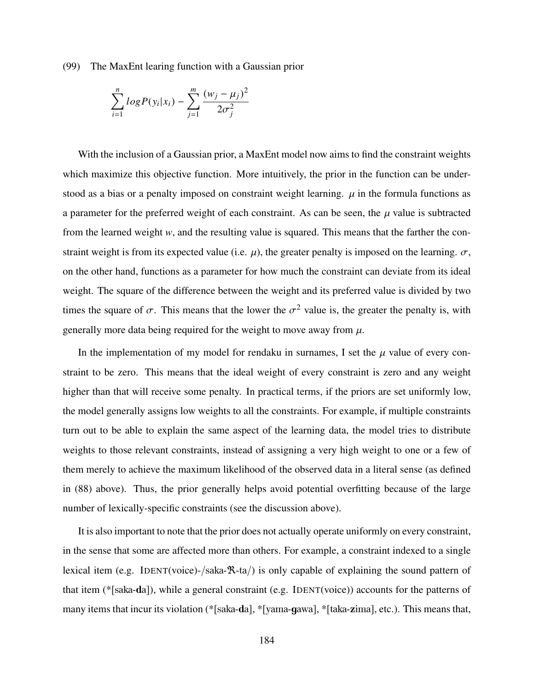(99) The MaxEnt learing function with a Gaussian prior

$$
\sum_{i=1}^{n} log P(y_i | x_i) - \sum_{j=1}^{m} \frac{(w_j - \mu_j)^2}{2\sigma_j^2}
$$

With the inclusion of a Gaussian prior, a MaxEnt model now aims to find the constraint weights which maximize this objective function. More intuitively, the prior in the function can be understood as a bias or a penalty imposed on constraint weight learning.  $\mu$  in the formula functions as a parameter for the preferred weight of each constraint. As can be seen, the  $\mu$  value is subtracted from the learned weight *w*, and the resulting value is squared. This means that the farther the constraint weight is from its expected value (i.e.  $\mu$ ), the greater penalty is imposed on the learning.  $\sigma$ , on the other hand, functions as a parameter for how much the constraint can deviate from its ideal weight. The square of the difference between the weight and its preferred value is divided by two times the square of  $\sigma$ . This means that the lower the  $\sigma^2$  value is, the greater the penalty is, with generally more data being required for the weight to move away from  $\mu$ .

In the implementation of my model for rendaku in surnames, I set the  $\mu$  value of every constraint to be zero. This means that the ideal weight of every constraint is zero and any weight higher than that will receive some penalty. In practical terms, if the priors are set uniformly low, the model generally assigns low weights to all the constraints. For example, if multiple constraints turn out to be able to explain the same aspect of the learning data, the model tries to distribute weights to those relevant constraints, instead of assigning a very high weight to one or a few of them merely to achieve the maximum likelihood of the observed data in a literal sense (as defined in (88) above). Thus, the prior generally helps avoid potential overfitting because of the large number of lexically-specific constraints (see the discussion above).

It is also important to note that the prior does not actually operate uniformly on every constraint, in the sense that some are affected more than others. For example, a constraint indexed to a single lexical item (e.g. IDENT(voice)-/saka-ℜ-ta/) is only capable of explaining the sound pattern of that item (\*[saka-da]), while a general constraint (e.g. IDENT(voice)) accounts for the patterns of many items that incur its violation (\*[saka-da], \*[yama-gawa], \*[taka-zima], etc.). This means that,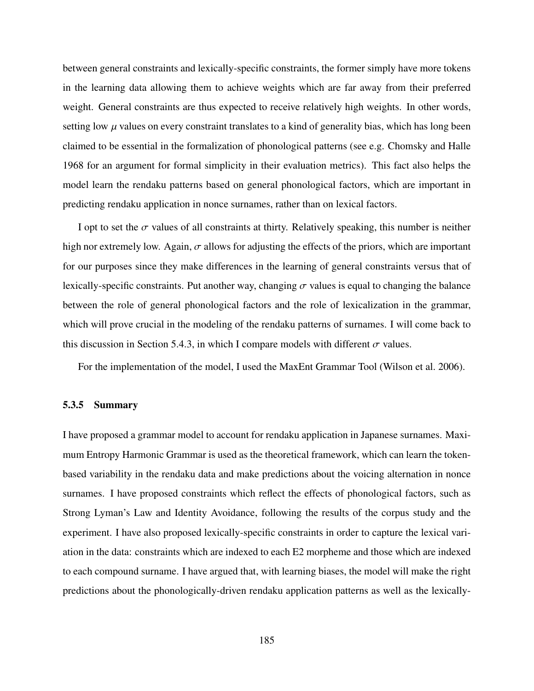between general constraints and lexically-specific constraints, the former simply have more tokens in the learning data allowing them to achieve weights which are far away from their preferred weight. General constraints are thus expected to receive relatively high weights. In other words, setting low  $\mu$  values on every constraint translates to a kind of generality bias, which has long been claimed to be essential in the formalization of phonological patterns (see e.g. Chomsky and Halle 1968 for an argument for formal simplicity in their evaluation metrics). This fact also helps the model learn the rendaku patterns based on general phonological factors, which are important in predicting rendaku application in nonce surnames, rather than on lexical factors.

I opt to set the  $\sigma$  values of all constraints at thirty. Relatively speaking, this number is neither high nor extremely low. Again,  $\sigma$  allows for adjusting the effects of the priors, which are important for our purposes since they make differences in the learning of general constraints versus that of lexically-specific constraints. Put another way, changing  $\sigma$  values is equal to changing the balance between the role of general phonological factors and the role of lexicalization in the grammar, which will prove crucial in the modeling of the rendaku patterns of surnames. I will come back to this discussion in Section 5.4.3, in which I compare models with different  $\sigma$  values.

For the implementation of the model, I used the MaxEnt Grammar Tool (Wilson et al. 2006).

#### 5.3.5 Summary

I have proposed a grammar model to account for rendaku application in Japanese surnames. Maximum Entropy Harmonic Grammar is used as the theoretical framework, which can learn the tokenbased variability in the rendaku data and make predictions about the voicing alternation in nonce surnames. I have proposed constraints which reflect the effects of phonological factors, such as Strong Lyman's Law and Identity Avoidance, following the results of the corpus study and the experiment. I have also proposed lexically-specific constraints in order to capture the lexical variation in the data: constraints which are indexed to each E2 morpheme and those which are indexed to each compound surname. I have argued that, with learning biases, the model will make the right predictions about the phonologically-driven rendaku application patterns as well as the lexically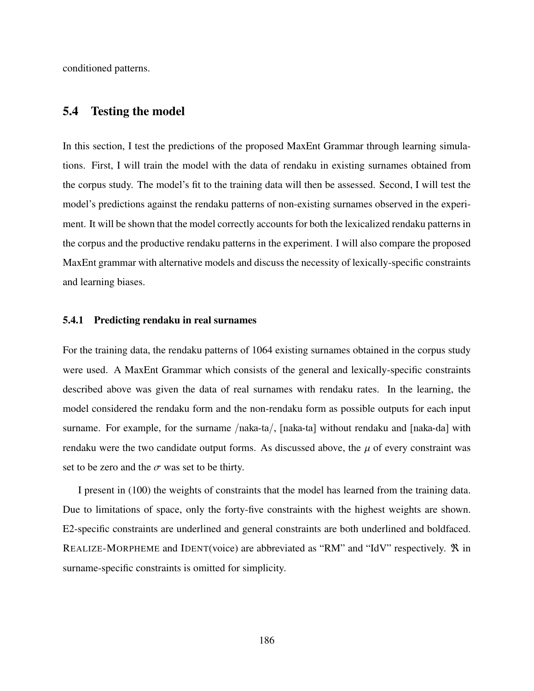conditioned patterns.

# 5.4 Testing the model

In this section, I test the predictions of the proposed MaxEnt Grammar through learning simulations. First, I will train the model with the data of rendaku in existing surnames obtained from the corpus study. The model's fit to the training data will then be assessed. Second, I will test the model's predictions against the rendaku patterns of non-existing surnames observed in the experiment. It will be shown that the model correctly accounts for both the lexicalized rendaku patterns in the corpus and the productive rendaku patterns in the experiment. I will also compare the proposed MaxEnt grammar with alternative models and discuss the necessity of lexically-specific constraints and learning biases.

#### 5.4.1 Predicting rendaku in real surnames

For the training data, the rendaku patterns of 1064 existing surnames obtained in the corpus study were used. A MaxEnt Grammar which consists of the general and lexically-specific constraints described above was given the data of real surnames with rendaku rates. In the learning, the model considered the rendaku form and the non-rendaku form as possible outputs for each input surname. For example, for the surname /naka-ta/, [naka-ta] without rendaku and [naka-da] with rendaku were the two candidate output forms. As discussed above, the  $\mu$  of every constraint was set to be zero and the  $\sigma$  was set to be thirty.

I present in (100) the weights of constraints that the model has learned from the training data. Due to limitations of space, only the forty-five constraints with the highest weights are shown. E2-specific constraints are underlined and general constraints are both underlined and boldfaced. REALIZE-MORPHEME and IDENT(voice) are abbreviated as "RM" and "IdV" respectively.  $\mathcal{R}$  in surname-specific constraints is omitted for simplicity.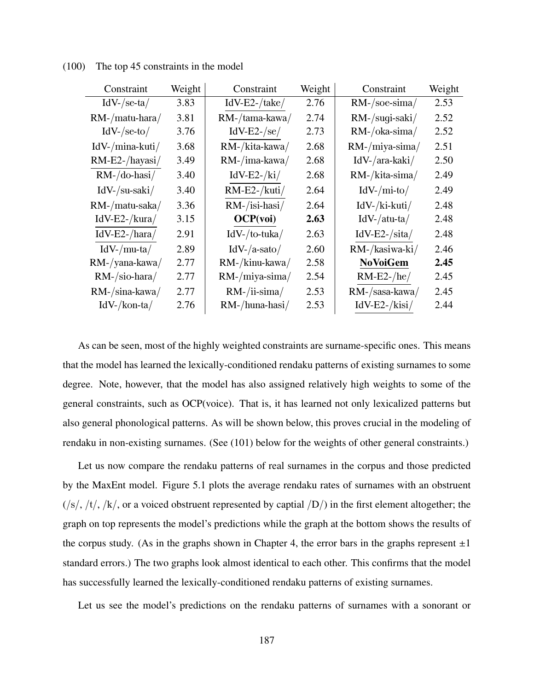| Constraint           | Weight | Constraint            | Weight | Constraint          | Weight |
|----------------------|--------|-----------------------|--------|---------------------|--------|
| $IdV$ -/se-ta/       | 3.83   | $IdV-E2$ -/take/      | 2.76   | $RM$ -/soe-sima/    | 2.53   |
| $RM$ -/matu-hara/    | 3.81   | RM-/tama-kawa/        | 2.74   | RM-/sugi-saki/      | 2.52   |
| $IdV$ -/se-to/       | 3.76   | $IdV-E2$ -/se/        | 2.73   | $RM$ -/oka-sima/    | 2.52   |
| $IdV$ -/mina-kuti/   | 3.68   | RM-/kita-kawa/        | 2.68   | $RM$ -/miya-sima/   | 2.51   |
| $RM-E2$ -/hayasi/    | 3.49   | $RM$ -/ima-kawa/      | 2.68   | $IdV$ -/ara-kaki/   | 2.50   |
| $RM - /$ do-hasi $/$ | 3.40   | $IdV-E2-\frac{ki}{ }$ | 2.68   | RM-/kita-sima/      | 2.49   |
| $IdV$ -/su-saki/     | 3.40   | $RM-E2$ -/kuti/       | 2.64   | $IdV$ -/mi-to/      | 2.49   |
| RM-/matu-saka/       | 3.36   | $RM$ -/isi-hasi/      | 2.64   | $IdV$ -/ki-kuti/    | 2.48   |
| $IdV-E2$ -/kura/     | 3.15   | OCP(voi)              | 2.63   | $IdV$ -/atu-ta/     | 2.48   |
| $IdV-E2$ -/hara/     | 2.91   | $IdV$ -/to-tuka/      | 2.63   | $IdV-E2$ -/sita/    | 2.48   |
| $IdV$ -/mu-ta/       | 2.89   | $IdV$ -/a-sato/       | 2.60   | RM-/kasiwa-ki/      | 2.46   |
| $RM$ -/yana-kawa/    | 2.77   | $RM$ -/kinu-kawa/     | 2.58   | <b>NoVoiGem</b>     | 2.45   |
| $RM$ -/sio-hara/     | 2.77   | $RM$ -/miya-sima/     | 2.54   | $RM-E2-\text{/he/}$ | 2.45   |
| RM-/sina-kawa/       | 2.77   | $RM$ -/ii-sima/       | 2.53   | RM-/sasa-kawa/      | 2.45   |
| $IdV$ -/kon-ta/      | 2.76   | $RM$ -/huna-hasi/     | 2.53   | $IdV-E2-kisi/$      | 2.44   |

(100) The top 45 constraints in the model

As can be seen, most of the highly weighted constraints are surname-specific ones. This means that the model has learned the lexically-conditioned rendaku patterns of existing surnames to some degree. Note, however, that the model has also assigned relatively high weights to some of the general constraints, such as OCP(voice). That is, it has learned not only lexicalized patterns but also general phonological patterns. As will be shown below, this proves crucial in the modeling of rendaku in non-existing surnames. (See (101) below for the weights of other general constraints.)

Let us now compare the rendaku patterns of real surnames in the corpus and those predicted by the MaxEnt model. Figure 5.1 plots the average rendaku rates of surnames with an obstruent  $(\sqrt{s}/t)/\sqrt{k}$ , or a voiced obstruent represented by captial  $\sqrt{D}$  in the first element altogether; the graph on top represents the model's predictions while the graph at the bottom shows the results of the corpus study. (As in the graphs shown in Chapter 4, the error bars in the graphs represent  $\pm 1$ standard errors.) The two graphs look almost identical to each other. This confirms that the model has successfully learned the lexically-conditioned rendaku patterns of existing surnames.

Let us see the model's predictions on the rendaku patterns of surnames with a sonorant or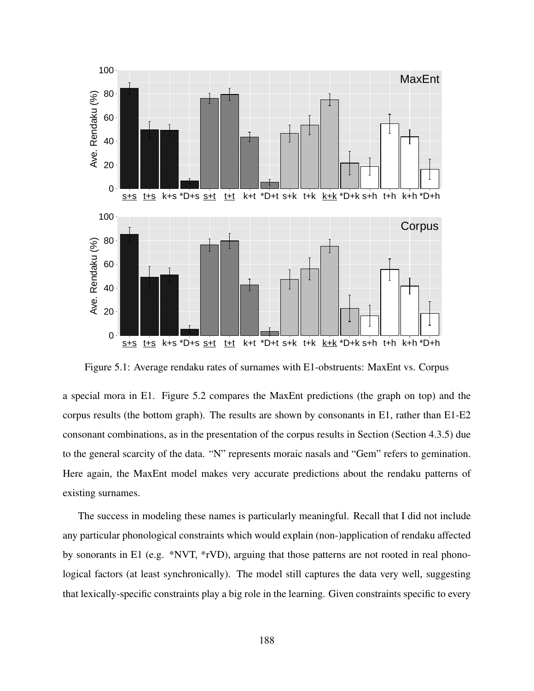

Figure 5.1: Average rendaku rates of surnames with E1-obstruents: MaxEnt vs. Corpus

a special mora in E1. Figure 5.2 compares the MaxEnt predictions (the graph on top) and the corpus results (the bottom graph). The results are shown by consonants in E1, rather than E1-E2 consonant combinations, as in the presentation of the corpus results in Section (Section 4.3.5) due to the general scarcity of the data. "N" represents moraic nasals and "Gem" refers to gemination. Here again, the MaxEnt model makes very accurate predictions about the rendaku patterns of existing surnames.

The success in modeling these names is particularly meaningful. Recall that I did not include any particular phonological constraints which would explain (non-)application of rendaku affected by sonorants in E1 (e.g. \*NVT, \*rVD), arguing that those patterns are not rooted in real phonological factors (at least synchronically). The model still captures the data very well, suggesting that lexically-specific constraints play a big role in the learning. Given constraints specific to every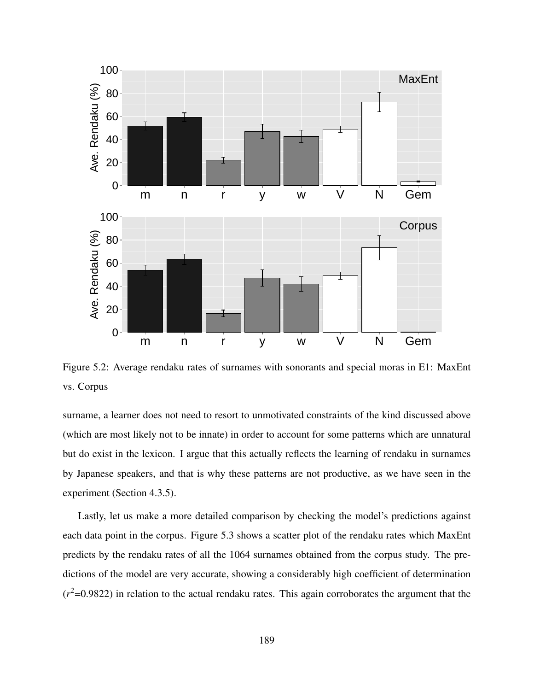

Figure 5.2: Average rendaku rates of surnames with sonorants and special moras in E1: MaxEnt vs. Corpus

surname, a learner does not need to resort to unmotivated constraints of the kind discussed above (which are most likely not to be innate) in order to account for some patterns which are unnatural but do exist in the lexicon. I argue that this actually reflects the learning of rendaku in surnames by Japanese speakers, and that is why these patterns are not productive, as we have seen in the experiment (Section 4.3.5).

Lastly, let us make a more detailed comparison by checking the model's predictions against each data point in the corpus. Figure 5.3 shows a scatter plot of the rendaku rates which MaxEnt predicts by the rendaku rates of all the 1064 surnames obtained from the corpus study. The predictions of the model are very accurate, showing a considerably high coefficient of determination  $(r^2=0.9822)$  in relation to the actual rendaku rates. This again corroborates the argument that the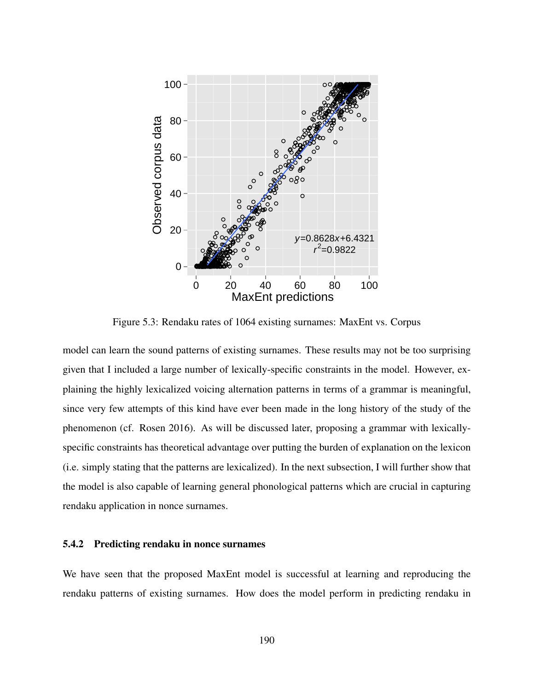

Figure 5.3: Rendaku rates of 1064 existing surnames: MaxEnt vs. Corpus

model can learn the sound patterns of existing surnames. These results may not be too surprising given that I included a large number of lexically-specific constraints in the model. However, explaining the highly lexicalized voicing alternation patterns in terms of a grammar is meaningful, since very few attempts of this kind have ever been made in the long history of the study of the phenomenon (cf. Rosen 2016). As will be discussed later, proposing a grammar with lexicallyspecific constraints has theoretical advantage over putting the burden of explanation on the lexicon (i.e. simply stating that the patterns are lexicalized). In the next subsection, I will further show that the model is also capable of learning general phonological patterns which are crucial in capturing rendaku application in nonce surnames.

### 5.4.2 Predicting rendaku in nonce surnames

We have seen that the proposed MaxEnt model is successful at learning and reproducing the rendaku patterns of existing surnames. How does the model perform in predicting rendaku in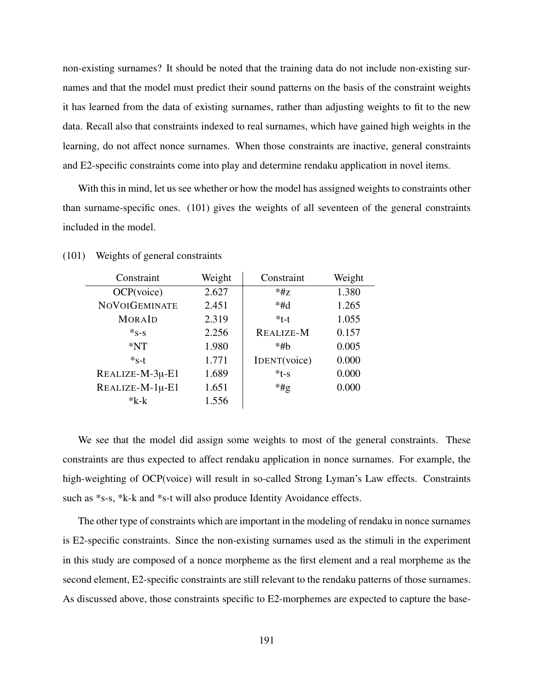non-existing surnames? It should be noted that the training data do not include non-existing surnames and that the model must predict their sound patterns on the basis of the constraint weights it has learned from the data of existing surnames, rather than adjusting weights to fit to the new data. Recall also that constraints indexed to real surnames, which have gained high weights in the learning, do not affect nonce surnames. When those constraints are inactive, general constraints and E2-specific constraints come into play and determine rendaku application in novel items.

With this in mind, let us see whether or how the model has assigned weights to constraints other than surname-specific ones. (101) gives the weights of all seventeen of the general constraints included in the model.

| Constraint           | Weight | Constraint       | Weight |
|----------------------|--------|------------------|--------|
| OCP(voice)           | 2.627  | $*HZ$            | 1.380  |
| <b>NOVOIGEMINATE</b> | 2.451  | $*#d$            | 1.265  |
| <b>MORAID</b>        | 2.319  | $*t-t$           | 1.055  |
| $*_{S-S}$            | 2.256  | <b>REALIZE-M</b> | 0.157  |
| $*NT$                | 1.980  | $*$ #b           | 0.005  |
| $*_{S-t}$            | 1.771  | IDENT(voice)     | 0.000  |
| REALIZE-M-3µ-E1      | 1.689  | $*t-s$           | 0.000  |
| REALIZE-M-1µ-E1      | 1.651  | $*$ #g           | 0.000  |
| $*_{k-k}$            | 1.556  |                  |        |

(101) Weights of general constraints

We see that the model did assign some weights to most of the general constraints. These constraints are thus expected to affect rendaku application in nonce surnames. For example, the high-weighting of OCP(voice) will result in so-called Strong Lyman's Law effects. Constraints such as \*s-s, \*k-k and \*s-t will also produce Identity Avoidance effects.

The other type of constraints which are important in the modeling of rendaku in nonce surnames is E2-specific constraints. Since the non-existing surnames used as the stimuli in the experiment in this study are composed of a nonce morpheme as the first element and a real morpheme as the second element, E2-specific constraints are still relevant to the rendaku patterns of those surnames. As discussed above, those constraints specific to E2-morphemes are expected to capture the base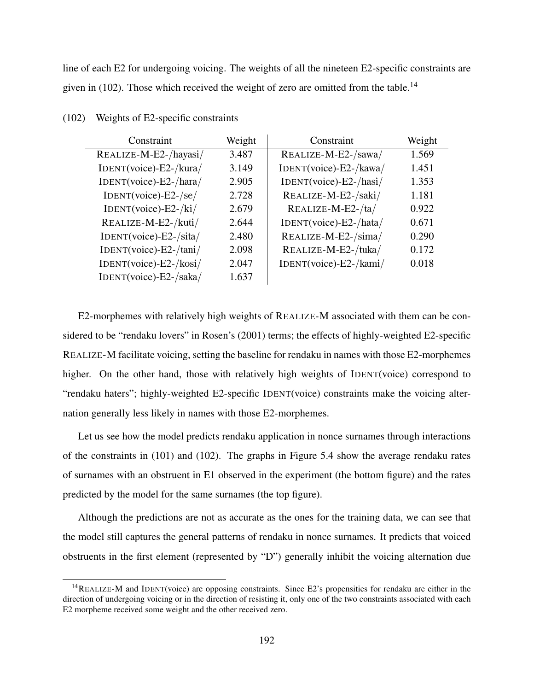line of each E2 for undergoing voicing. The weights of all the nineteen E2-specific constraints are given in (102). Those which received the weight of zero are omitted from the table.<sup>14</sup>

| Constraint                    | Weight | Constraint             | Weight |
|-------------------------------|--------|------------------------|--------|
| REALIZE-M-E2-/hayasi/         | 3.487  | REALIZE-M-E2-/sawa/    | 1.569  |
| IDENT(voice)-E2-/kura/        | 3.149  | IDENT(voice)-E2-/kawa/ | 1.451  |
| IDENT(voice)-E2-/hara/        | 2.905  | IDENT(voice)-E2-/hasi/ | 1.353  |
| $IDENT(voice) - E2 - /se/$    | 2.728  | REALIZE-M-E2-/saki/    | 1.181  |
| $IDENT(voice) - E2 - /ki/$    | 2.679  | REALIZE-M-E2-/ta/      | 0.922  |
| REALIZE-M-E2-/kuti/           | 2.644  | IDENT(voice)-E2-/hata/ | 0.671  |
| IDENT(voice)-E2-/sita/        | 2.480  | REALIZE-M-E2-/sima/    | 0.290  |
| IDENT(voice)-E2-/tani/        | 2.098  | REALIZE-M-E2-/tuka/    | 0.172  |
| $IDENT(voice) - E2 - / kosi/$ | 2.047  | IDENT(voice)-E2-/kami/ | 0.018  |
| IDENT(voice)-E2-/saka/        | 1.637  |                        |        |

#### (102) Weights of E2-specific constraints

E2-morphemes with relatively high weights of REALIZE-M associated with them can be considered to be "rendaku lovers" in Rosen's (2001) terms; the effects of highly-weighted E2-specific REALIZE-M facilitate voicing, setting the baseline for rendaku in names with those E2-morphemes higher. On the other hand, those with relatively high weights of IDENT(voice) correspond to "rendaku haters"; highly-weighted E2-specific IDENT(voice) constraints make the voicing alternation generally less likely in names with those E2-morphemes.

Let us see how the model predicts rendaku application in nonce surnames through interactions of the constraints in (101) and (102). The graphs in Figure 5.4 show the average rendaku rates of surnames with an obstruent in E1 observed in the experiment (the bottom figure) and the rates predicted by the model for the same surnames (the top figure).

Although the predictions are not as accurate as the ones for the training data, we can see that the model still captures the general patterns of rendaku in nonce surnames. It predicts that voiced obstruents in the first element (represented by "D") generally inhibit the voicing alternation due

<sup>14</sup>REALIZE-M and IDENT(voice) are opposing constraints. Since E2's propensities for rendaku are either in the direction of undergoing voicing or in the direction of resisting it, only one of the two constraints associated with each E2 morpheme received some weight and the other received zero.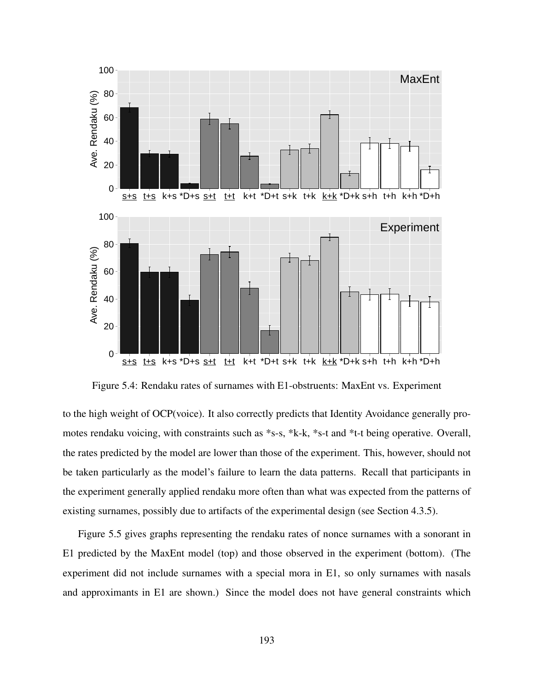

Figure 5.4: Rendaku rates of surnames with E1-obstruents: MaxEnt vs. Experiment

to the high weight of OCP(voice). It also correctly predicts that Identity Avoidance generally promotes rendaku voicing, with constraints such as \*s-s, \*k-k, \*s-t and \*t-t being operative. Overall, the rates predicted by the model are lower than those of the experiment. This, however, should not be taken particularly as the model's failure to learn the data patterns. Recall that participants in the experiment generally applied rendaku more often than what was expected from the patterns of existing surnames, possibly due to artifacts of the experimental design (see Section 4.3.5).

Figure 5.5 gives graphs representing the rendaku rates of nonce surnames with a sonorant in E1 predicted by the MaxEnt model (top) and those observed in the experiment (bottom). (The experiment did not include surnames with a special mora in E1, so only surnames with nasals and approximants in E1 are shown.) Since the model does not have general constraints which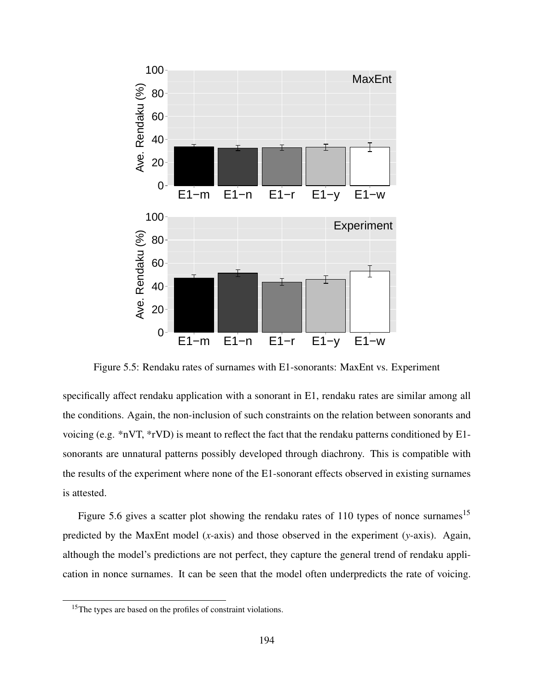

Figure 5.5: Rendaku rates of surnames with E1-sonorants: MaxEnt vs. Experiment

specifically affect rendaku application with a sonorant in E1, rendaku rates are similar among all the conditions. Again, the non-inclusion of such constraints on the relation between sonorants and voicing (e.g. \*nVT, \*rVD) is meant to reflect the fact that the rendaku patterns conditioned by E1 sonorants are unnatural patterns possibly developed through diachrony. This is compatible with the results of the experiment where none of the E1-sonorant effects observed in existing surnames is attested.

Figure 5.6 gives a scatter plot showing the rendaku rates of 110 types of nonce surnames<sup>15</sup> predicted by the MaxEnt model (*x*-axis) and those observed in the experiment (*y*-axis). Again, although the model's predictions are not perfect, they capture the general trend of rendaku application in nonce surnames. It can be seen that the model often underpredicts the rate of voicing.

<sup>&</sup>lt;sup>15</sup>The types are based on the profiles of constraint violations.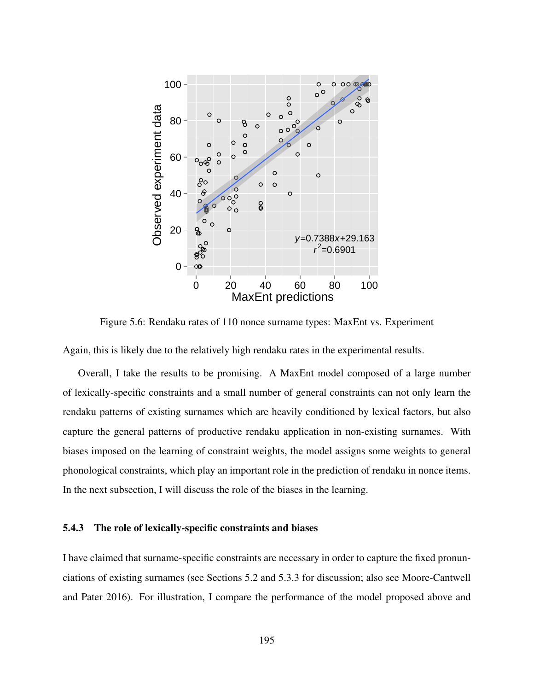

Figure 5.6: Rendaku rates of 110 nonce surname types: MaxEnt vs. Experiment

Again, this is likely due to the relatively high rendaku rates in the experimental results.

Overall, I take the results to be promising. A MaxEnt model composed of a large number of lexically-specific constraints and a small number of general constraints can not only learn the rendaku patterns of existing surnames which are heavily conditioned by lexical factors, but also capture the general patterns of productive rendaku application in non-existing surnames. With biases imposed on the learning of constraint weights, the model assigns some weights to general phonological constraints, which play an important role in the prediction of rendaku in nonce items. In the next subsection, I will discuss the role of the biases in the learning.

#### 5.4.3 The role of lexically-specific constraints and biases

I have claimed that surname-specific constraints are necessary in order to capture the fixed pronunciations of existing surnames (see Sections 5.2 and 5.3.3 for discussion; also see Moore-Cantwell and Pater 2016). For illustration, I compare the performance of the model proposed above and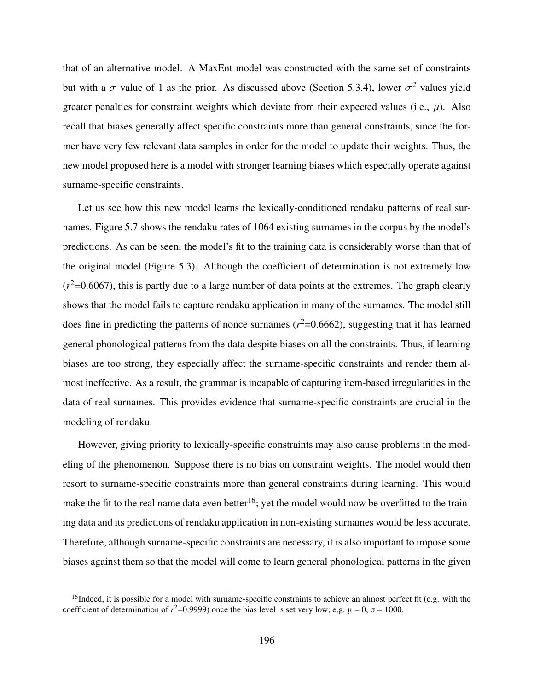that of an alternative model. A MaxEnt model was constructed with the same set of constraints but with a  $\sigma$  value of 1 as the prior. As discussed above (Section 5.3.4), lower  $\sigma^2$  values yield greater penalties for constraint weights which deviate from their expected values (i.e.,  $\mu$ ). Also recall that biases generally affect specific constraints more than general constraints, since the former have very few relevant data samples in order for the model to update their weights. Thus, the new model proposed here is a model with stronger learning biases which especially operate against surname-specific constraints.

Let us see how this new model learns the lexically-conditioned rendaku patterns of real surnames. Figure 5.7 shows the rendaku rates of 1064 existing surnames in the corpus by the model's predictions. As can be seen, the model's fit to the training data is considerably worse than that of the original model (Figure 5.3). Although the coefficient of determination is not extremely low  $(r^2=0.6067)$ , this is partly due to a large number of data points at the extremes. The graph clearly shows that the model fails to capture rendaku application in many of the surnames. The model still does fine in predicting the patterns of nonce surnames  $(r^2=0.6662)$ , suggesting that it has learned general phonological patterns from the data despite biases on all the constraints. Thus, if learning biases are too strong, they especially affect the surname-specific constraints and render them almost ineffective. As a result, the grammar is incapable of capturing item-based irregularities in the data of real surnames. This provides evidence that surname-specific constraints are crucial in the modeling of rendaku.

However, giving priority to lexically-specific constraints may also cause problems in the modeling of the phenomenon. Suppose there is no bias on constraint weights. The model would then resort to surname-specific constraints more than general constraints during learning. This would make the fit to the real name data even better<sup>16</sup>; yet the model would now be overfitted to the training data and its predictions of rendaku application in non-existing surnames would be less accurate. Therefore, although surname-specific constraints are necessary, it is also important to impose some biases against them so that the model will come to learn general phonological patterns in the given

<sup>&</sup>lt;sup>16</sup>Indeed, it is possible for a model with surname-specific constraints to achieve an almost perfect fit (e.g. with the coefficient of determination of  $r^2$ =0.9999) once the bias level is set very low; e.g.  $\mu$  = 0,  $\sigma$  = 1000.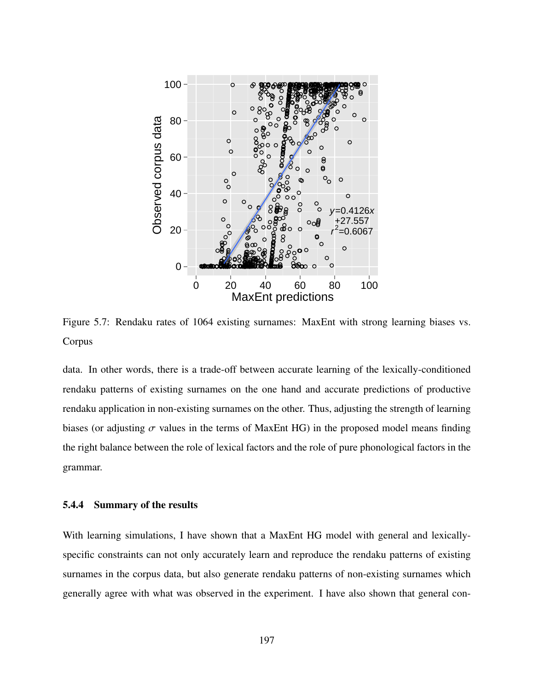

Figure 5.7: Rendaku rates of 1064 existing surnames: MaxEnt with strong learning biases vs. Corpus

data. In other words, there is a trade-off between accurate learning of the lexically-conditioned rendaku patterns of existing surnames on the one hand and accurate predictions of productive rendaku application in non-existing surnames on the other. Thus, adjusting the strength of learning biases (or adjusting  $\sigma$  values in the terms of MaxEnt HG) in the proposed model means finding the right balance between the role of lexical factors and the role of pure phonological factors in the grammar.

## 5.4.4 Summary of the results

With learning simulations, I have shown that a MaxEnt HG model with general and lexicallyspecific constraints can not only accurately learn and reproduce the rendaku patterns of existing surnames in the corpus data, but also generate rendaku patterns of non-existing surnames which generally agree with what was observed in the experiment. I have also shown that general con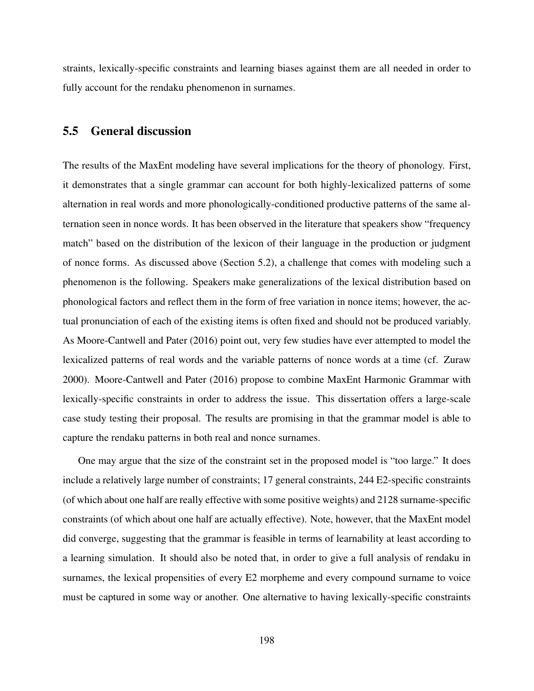straints, lexically-specific constraints and learning biases against them are all needed in order to fully account for the rendaku phenomenon in surnames.

# 5.5 General discussion

The results of the MaxEnt modeling have several implications for the theory of phonology. First, it demonstrates that a single grammar can account for both highly-lexicalized patterns of some alternation in real words and more phonologically-conditioned productive patterns of the same alternation seen in nonce words. It has been observed in the literature that speakers show "frequency match" based on the distribution of the lexicon of their language in the production or judgment of nonce forms. As discussed above (Section 5.2), a challenge that comes with modeling such a phenomenon is the following. Speakers make generalizations of the lexical distribution based on phonological factors and reflect them in the form of free variation in nonce items; however, the actual pronunciation of each of the existing items is often fixed and should not be produced variably. As Moore-Cantwell and Pater (2016) point out, very few studies have ever attempted to model the lexicalized patterns of real words and the variable patterns of nonce words at a time (cf. Zuraw 2000). Moore-Cantwell and Pater (2016) propose to combine MaxEnt Harmonic Grammar with lexically-specific constraints in order to address the issue. This dissertation offers a large-scale case study testing their proposal. The results are promising in that the grammar model is able to capture the rendaku patterns in both real and nonce surnames.

One may argue that the size of the constraint set in the proposed model is "too large." It does include a relatively large number of constraints; 17 general constraints, 244 E2-specific constraints (of which about one half are really effective with some positive weights) and 2128 surname-specific constraints (of which about one half are actually effective). Note, however, that the MaxEnt model did converge, suggesting that the grammar is feasible in terms of learnability at least according to a learning simulation. It should also be noted that, in order to give a full analysis of rendaku in surnames, the lexical propensities of every E2 morpheme and every compound surname to voice must be captured in some way or another. One alternative to having lexically-specific constraints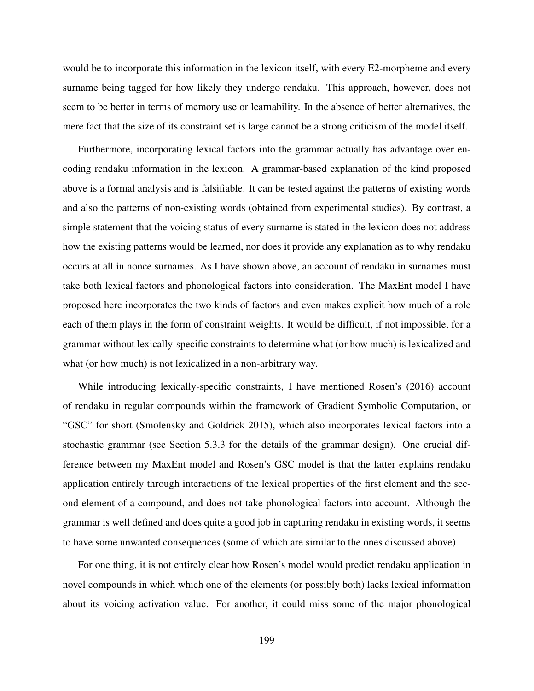would be to incorporate this information in the lexicon itself, with every E2-morpheme and every surname being tagged for how likely they undergo rendaku. This approach, however, does not seem to be better in terms of memory use or learnability. In the absence of better alternatives, the mere fact that the size of its constraint set is large cannot be a strong criticism of the model itself.

Furthermore, incorporating lexical factors into the grammar actually has advantage over encoding rendaku information in the lexicon. A grammar-based explanation of the kind proposed above is a formal analysis and is falsifiable. It can be tested against the patterns of existing words and also the patterns of non-existing words (obtained from experimental studies). By contrast, a simple statement that the voicing status of every surname is stated in the lexicon does not address how the existing patterns would be learned, nor does it provide any explanation as to why rendaku occurs at all in nonce surnames. As I have shown above, an account of rendaku in surnames must take both lexical factors and phonological factors into consideration. The MaxEnt model I have proposed here incorporates the two kinds of factors and even makes explicit how much of a role each of them plays in the form of constraint weights. It would be difficult, if not impossible, for a grammar without lexically-specific constraints to determine what (or how much) is lexicalized and what (or how much) is not lexicalized in a non-arbitrary way.

While introducing lexically-specific constraints, I have mentioned Rosen's (2016) account of rendaku in regular compounds within the framework of Gradient Symbolic Computation, or "GSC" for short (Smolensky and Goldrick 2015), which also incorporates lexical factors into a stochastic grammar (see Section 5.3.3 for the details of the grammar design). One crucial difference between my MaxEnt model and Rosen's GSC model is that the latter explains rendaku application entirely through interactions of the lexical properties of the first element and the second element of a compound, and does not take phonological factors into account. Although the grammar is well defined and does quite a good job in capturing rendaku in existing words, it seems to have some unwanted consequences (some of which are similar to the ones discussed above).

For one thing, it is not entirely clear how Rosen's model would predict rendaku application in novel compounds in which which one of the elements (or possibly both) lacks lexical information about its voicing activation value. For another, it could miss some of the major phonological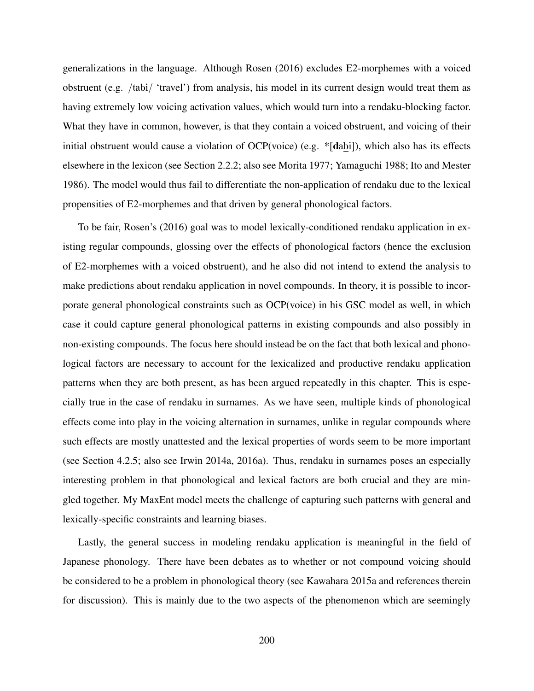generalizations in the language. Although Rosen (2016) excludes E2-morphemes with a voiced obstruent (e.g. /tabi/ 'travel') from analysis, his model in its current design would treat them as having extremely low voicing activation values, which would turn into a rendaku-blocking factor. What they have in common, however, is that they contain a voiced obstruent, and voicing of their initial obstruent would cause a violation of OCP(voice) (e.g. \*[dabi]), which also has its effects elsewhere in the lexicon (see Section 2.2.2; also see Morita 1977; Yamaguchi 1988; Ito and Mester 1986). The model would thus fail to differentiate the non-application of rendaku due to the lexical propensities of E2-morphemes and that driven by general phonological factors.

To be fair, Rosen's (2016) goal was to model lexically-conditioned rendaku application in existing regular compounds, glossing over the effects of phonological factors (hence the exclusion of E2-morphemes with a voiced obstruent), and he also did not intend to extend the analysis to make predictions about rendaku application in novel compounds. In theory, it is possible to incorporate general phonological constraints such as OCP(voice) in his GSC model as well, in which case it could capture general phonological patterns in existing compounds and also possibly in non-existing compounds. The focus here should instead be on the fact that both lexical and phonological factors are necessary to account for the lexicalized and productive rendaku application patterns when they are both present, as has been argued repeatedly in this chapter. This is especially true in the case of rendaku in surnames. As we have seen, multiple kinds of phonological effects come into play in the voicing alternation in surnames, unlike in regular compounds where such effects are mostly unattested and the lexical properties of words seem to be more important (see Section 4.2.5; also see Irwin 2014a, 2016a). Thus, rendaku in surnames poses an especially interesting problem in that phonological and lexical factors are both crucial and they are mingled together. My MaxEnt model meets the challenge of capturing such patterns with general and lexically-specific constraints and learning biases.

Lastly, the general success in modeling rendaku application is meaningful in the field of Japanese phonology. There have been debates as to whether or not compound voicing should be considered to be a problem in phonological theory (see Kawahara 2015a and references therein for discussion). This is mainly due to the two aspects of the phenomenon which are seemingly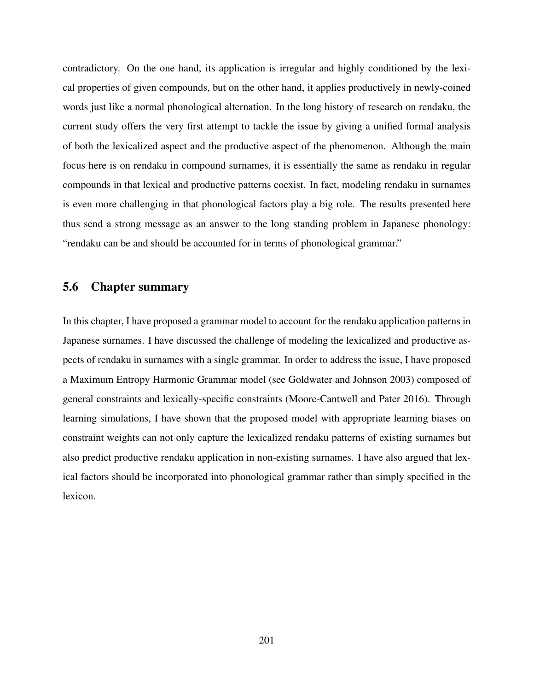contradictory. On the one hand, its application is irregular and highly conditioned by the lexical properties of given compounds, but on the other hand, it applies productively in newly-coined words just like a normal phonological alternation. In the long history of research on rendaku, the current study offers the very first attempt to tackle the issue by giving a unified formal analysis of both the lexicalized aspect and the productive aspect of the phenomenon. Although the main focus here is on rendaku in compound surnames, it is essentially the same as rendaku in regular compounds in that lexical and productive patterns coexist. In fact, modeling rendaku in surnames is even more challenging in that phonological factors play a big role. The results presented here thus send a strong message as an answer to the long standing problem in Japanese phonology: "rendaku can be and should be accounted for in terms of phonological grammar."

#### 5.6 Chapter summary

In this chapter, I have proposed a grammar model to account for the rendaku application patterns in Japanese surnames. I have discussed the challenge of modeling the lexicalized and productive aspects of rendaku in surnames with a single grammar. In order to address the issue, I have proposed a Maximum Entropy Harmonic Grammar model (see Goldwater and Johnson 2003) composed of general constraints and lexically-specific constraints (Moore-Cantwell and Pater 2016). Through learning simulations, I have shown that the proposed model with appropriate learning biases on constraint weights can not only capture the lexicalized rendaku patterns of existing surnames but also predict productive rendaku application in non-existing surnames. I have also argued that lexical factors should be incorporated into phonological grammar rather than simply specified in the lexicon.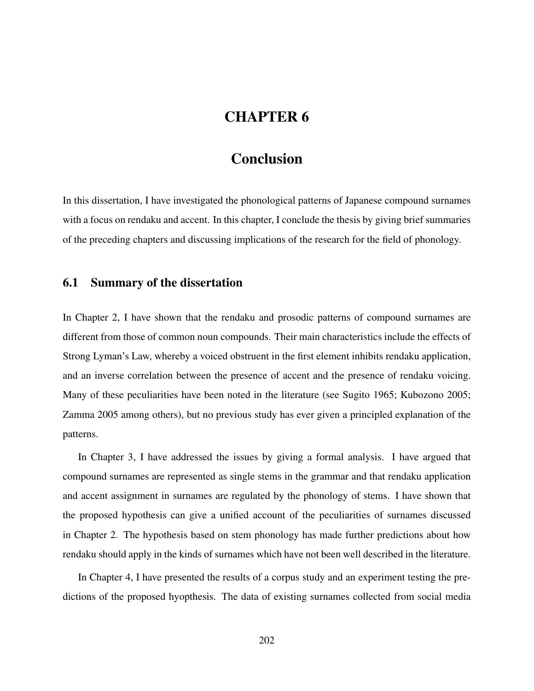# CHAPTER 6

## Conclusion

In this dissertation, I have investigated the phonological patterns of Japanese compound surnames with a focus on rendaku and accent. In this chapter, I conclude the thesis by giving brief summaries of the preceding chapters and discussing implications of the research for the field of phonology.

#### 6.1 Summary of the dissertation

In Chapter 2, I have shown that the rendaku and prosodic patterns of compound surnames are different from those of common noun compounds. Their main characteristics include the effects of Strong Lyman's Law, whereby a voiced obstruent in the first element inhibits rendaku application, and an inverse correlation between the presence of accent and the presence of rendaku voicing. Many of these peculiarities have been noted in the literature (see Sugito 1965; Kubozono 2005; Zamma 2005 among others), but no previous study has ever given a principled explanation of the patterns.

In Chapter 3, I have addressed the issues by giving a formal analysis. I have argued that compound surnames are represented as single stems in the grammar and that rendaku application and accent assignment in surnames are regulated by the phonology of stems. I have shown that the proposed hypothesis can give a unified account of the peculiarities of surnames discussed in Chapter 2. The hypothesis based on stem phonology has made further predictions about how rendaku should apply in the kinds of surnames which have not been well described in the literature.

In Chapter 4, I have presented the results of a corpus study and an experiment testing the predictions of the proposed hyopthesis. The data of existing surnames collected from social media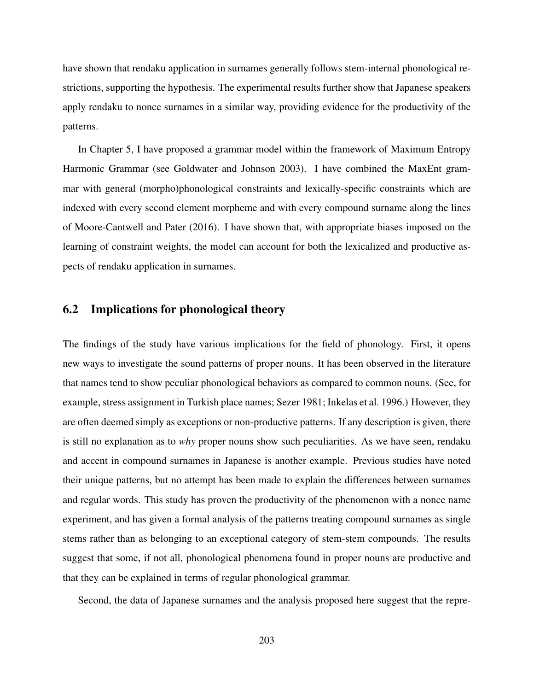have shown that rendaku application in surnames generally follows stem-internal phonological restrictions, supporting the hypothesis. The experimental results further show that Japanese speakers apply rendaku to nonce surnames in a similar way, providing evidence for the productivity of the patterns.

In Chapter 5, I have proposed a grammar model within the framework of Maximum Entropy Harmonic Grammar (see Goldwater and Johnson 2003). I have combined the MaxEnt grammar with general (morpho)phonological constraints and lexically-specific constraints which are indexed with every second element morpheme and with every compound surname along the lines of Moore-Cantwell and Pater (2016). I have shown that, with appropriate biases imposed on the learning of constraint weights, the model can account for both the lexicalized and productive aspects of rendaku application in surnames.

### 6.2 Implications for phonological theory

The findings of the study have various implications for the field of phonology. First, it opens new ways to investigate the sound patterns of proper nouns. It has been observed in the literature that names tend to show peculiar phonological behaviors as compared to common nouns. (See, for example, stress assignment in Turkish place names; Sezer 1981; Inkelas et al. 1996.) However, they are often deemed simply as exceptions or non-productive patterns. If any description is given, there is still no explanation as to *why* proper nouns show such peculiarities. As we have seen, rendaku and accent in compound surnames in Japanese is another example. Previous studies have noted their unique patterns, but no attempt has been made to explain the differences between surnames and regular words. This study has proven the productivity of the phenomenon with a nonce name experiment, and has given a formal analysis of the patterns treating compound surnames as single stems rather than as belonging to an exceptional category of stem-stem compounds. The results suggest that some, if not all, phonological phenomena found in proper nouns are productive and that they can be explained in terms of regular phonological grammar.

Second, the data of Japanese surnames and the analysis proposed here suggest that the repre-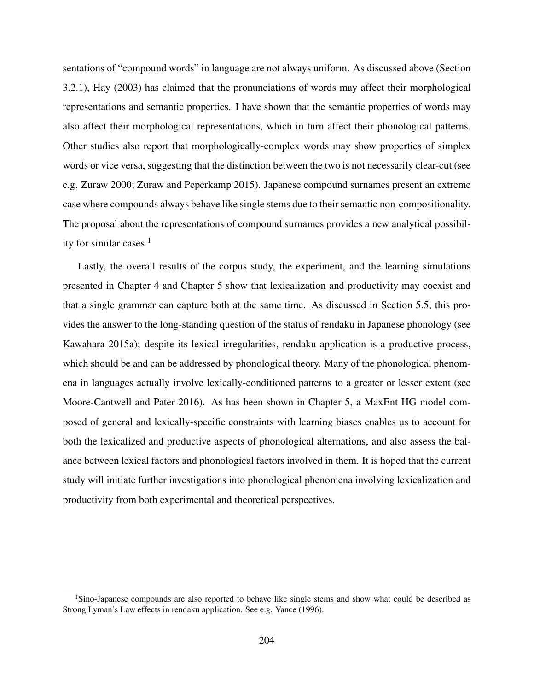sentations of "compound words" in language are not always uniform. As discussed above (Section 3.2.1), Hay (2003) has claimed that the pronunciations of words may affect their morphological representations and semantic properties. I have shown that the semantic properties of words may also affect their morphological representations, which in turn affect their phonological patterns. Other studies also report that morphologically-complex words may show properties of simplex words or vice versa, suggesting that the distinction between the two is not necessarily clear-cut (see e.g. Zuraw 2000; Zuraw and Peperkamp 2015). Japanese compound surnames present an extreme case where compounds always behave like single stems due to their semantic non-compositionality. The proposal about the representations of compound surnames provides a new analytical possibility for similar cases. $<sup>1</sup>$ </sup>

Lastly, the overall results of the corpus study, the experiment, and the learning simulations presented in Chapter 4 and Chapter 5 show that lexicalization and productivity may coexist and that a single grammar can capture both at the same time. As discussed in Section 5.5, this provides the answer to the long-standing question of the status of rendaku in Japanese phonology (see Kawahara 2015a); despite its lexical irregularities, rendaku application is a productive process, which should be and can be addressed by phonological theory. Many of the phonological phenomena in languages actually involve lexically-conditioned patterns to a greater or lesser extent (see Moore-Cantwell and Pater 2016). As has been shown in Chapter 5, a MaxEnt HG model composed of general and lexically-specific constraints with learning biases enables us to account for both the lexicalized and productive aspects of phonological alternations, and also assess the balance between lexical factors and phonological factors involved in them. It is hoped that the current study will initiate further investigations into phonological phenomena involving lexicalization and productivity from both experimental and theoretical perspectives.

<sup>&</sup>lt;sup>1</sup>Sino-Japanese compounds are also reported to behave like single stems and show what could be described as Strong Lyman's Law effects in rendaku application. See e.g. Vance (1996).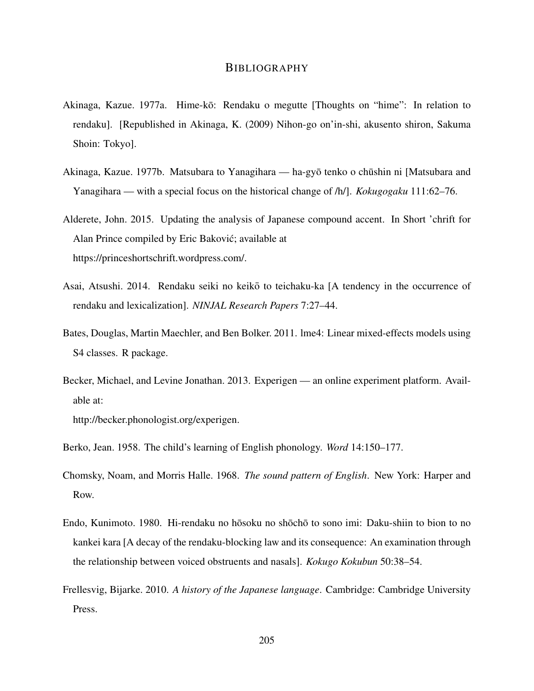#### BIBLIOGRAPHY

- Akinaga, Kazue. 1977a. Hime-kō: Rendaku o megutte [Thoughts on "hime": In relation to rendaku]. [Republished in Akinaga, K. (2009) Nihon-go on'in-shi, akusento shiron, Sakuma Shoin: Tokyo].
- Akinaga, Kazue. 1977b. Matsubara to Yanagihara ha-gyō tenko o chūshin ni [Matsubara and Yanagihara — with a special focus on the historical change of /h/]. *Kokugogaku* 111:62–76.
- Alderete, John. 2015. Updating the analysis of Japanese compound accent. In Short 'chrift for Alan Prince compiled by Eric Bakovic; available at ´ https://princeshortschrift.wordpress.com/.
- Asai, Atsushi. 2014. Rendaku seiki no keiko to teichaku-ka [A tendency in the occurrence of ¯ rendaku and lexicalization]. *NINJAL Research Papers* 7:27–44.
- Bates, Douglas, Martin Maechler, and Ben Bolker. 2011. lme4: Linear mixed-effects models using S4 classes. R package.
- Becker, Michael, and Levine Jonathan. 2013. Experigen an online experiment platform. Available at:

http://becker.phonologist.org/experigen.

Berko, Jean. 1958. The child's learning of English phonology. *Word* 14:150–177.

- Chomsky, Noam, and Morris Halle. 1968. *The sound pattern of English*. New York: Harper and Row.
- Endo, Kunimoto. 1980. Hi-rendaku no hōsoku no shōchō to sono imi: Daku-shiin to bion to no kankei kara [A decay of the rendaku-blocking law and its consequence: An examination through the relationship between voiced obstruents and nasals]. *Kokugo Kokubun* 50:38–54.
- Frellesvig, Bijarke. 2010. *A history of the Japanese language*. Cambridge: Cambridge University Press.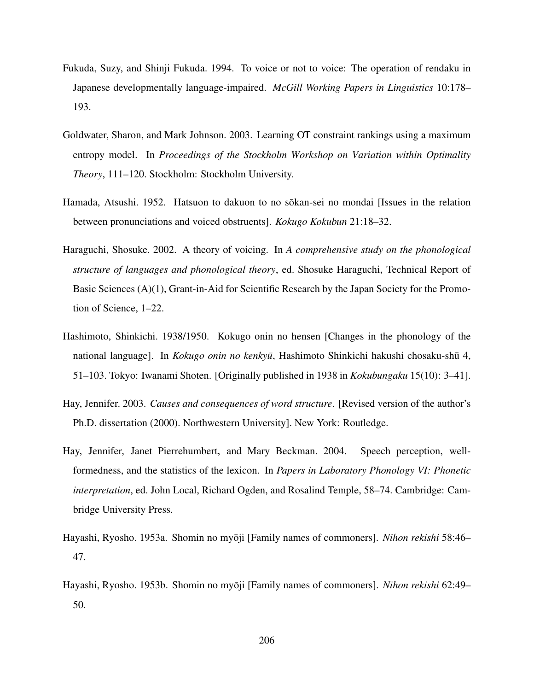- Fukuda, Suzy, and Shinji Fukuda. 1994. To voice or not to voice: The operation of rendaku in Japanese developmentally language-impaired. *McGill Working Papers in Linguistics* 10:178– 193.
- Goldwater, Sharon, and Mark Johnson. 2003. Learning OT constraint rankings using a maximum entropy model. In *Proceedings of the Stockholm Workshop on Variation within Optimality Theory*, 111–120. Stockholm: Stockholm University.
- Hamada, Atsushi. 1952. Hatsuon to dakuon to no sokan-sei no mondai [Issues in the relation between pronunciations and voiced obstruents]. *Kokugo Kokubun* 21:18–32.
- Haraguchi, Shosuke. 2002. A theory of voicing. In *A comprehensive study on the phonological structure of languages and phonological theory*, ed. Shosuke Haraguchi, Technical Report of Basic Sciences (A)(1), Grant-in-Aid for Scientific Research by the Japan Society for the Promotion of Science, 1–22.
- Hashimoto, Shinkichi. 1938/1950. Kokugo onin no hensen [Changes in the phonology of the national language]. In *Kokugo onin no kenkyū*, Hashimoto Shinkichi hakushi chosaku-shū 4, 51–103. Tokyo: Iwanami Shoten. [Originally published in 1938 in *Kokubungaku* 15(10): 3–41].
- Hay, Jennifer. 2003. *Causes and consequences of word structure*. [Revised version of the author's Ph.D. dissertation (2000). Northwestern University]. New York: Routledge.
- Hay, Jennifer, Janet Pierrehumbert, and Mary Beckman. 2004. Speech perception, wellformedness, and the statistics of the lexicon. In *Papers in Laboratory Phonology VI: Phonetic interpretation*, ed. John Local, Richard Ogden, and Rosalind Temple, 58–74. Cambridge: Cambridge University Press.
- Hayashi, Ryosho. 1953a. Shomin no myoji [Family names of commoners]. ¯ *Nihon rekishi* 58:46– 47.
- Hayashi, Ryosho. 1953b. Shomin no myōji [Family names of commoners]. *Nihon rekishi* 62:49– 50.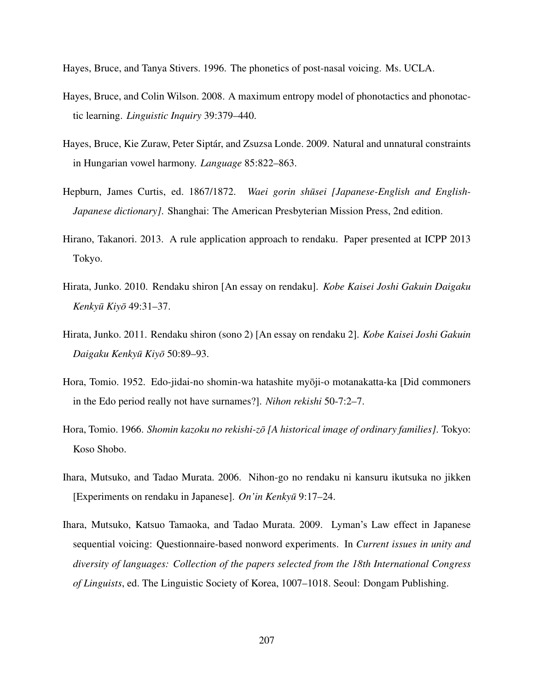Hayes, Bruce, and Tanya Stivers. 1996. The phonetics of post-nasal voicing. Ms. UCLA.

- Hayes, Bruce, and Colin Wilson. 2008. A maximum entropy model of phonotactics and phonotactic learning. *Linguistic Inquiry* 39:379–440.
- Hayes, Bruce, Kie Zuraw, Peter Siptár, and Zsuzsa Londe. 2009. Natural and unnatural constraints in Hungarian vowel harmony. *Language* 85:822–863.
- Hepburn, James Curtis, ed. 1867/1872. *Waei gorin shūsei [Japanese-English and English-Japanese dictionary]*. Shanghai: The American Presbyterian Mission Press, 2nd edition.
- Hirano, Takanori. 2013. A rule application approach to rendaku. Paper presented at ICPP 2013 Tokyo.
- Hirata, Junko. 2010. Rendaku shiron [An essay on rendaku]. *Kobe Kaisei Joshi Gakuin Daigaku Kenkyu Kiy ¯ o¯* 49:31–37.
- Hirata, Junko. 2011. Rendaku shiron (sono 2) [An essay on rendaku 2]. *Kobe Kaisei Joshi Gakuin Daigaku Kenkyu Kiy ¯ o¯* 50:89–93.
- Hora, Tomio. 1952. Edo-jidai-no shomin-wa hatashite myōji-o motanakatta-ka [Did commoners in the Edo period really not have surnames?]. *Nihon rekishi* 50-7:2–7.
- Hora, Tomio. 1966. *Shomin kazoku no rekishi-zo [A historical image of ordinary families] ¯* . Tokyo: Koso Shobo.
- Ihara, Mutsuko, and Tadao Murata. 2006. Nihon-go no rendaku ni kansuru ikutsuka no jikken [Experiments on rendaku in Japanese]. *On'in Kenkyu¯* 9:17–24.
- Ihara, Mutsuko, Katsuo Tamaoka, and Tadao Murata. 2009. Lyman's Law effect in Japanese sequential voicing: Questionnaire-based nonword experiments. In *Current issues in unity and diversity of languages: Collection of the papers selected from the 18th International Congress of Linguists*, ed. The Linguistic Society of Korea, 1007–1018. Seoul: Dongam Publishing.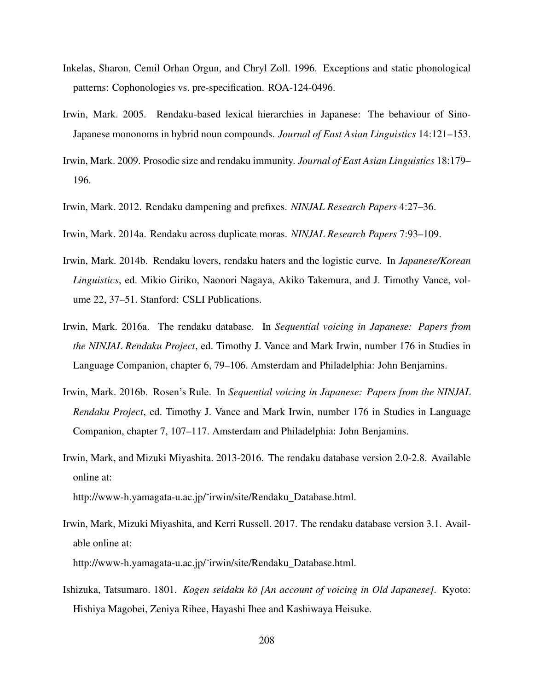- Inkelas, Sharon, Cemil Orhan Orgun, and Chryl Zoll. 1996. Exceptions and static phonological patterns: Cophonologies vs. pre-specification. ROA-124-0496.
- Irwin, Mark. 2005. Rendaku-based lexical hierarchies in Japanese: The behaviour of Sino-Japanese mononoms in hybrid noun compounds. *Journal of East Asian Linguistics* 14:121–153.
- Irwin, Mark. 2009. Prosodic size and rendaku immunity. *Journal of East Asian Linguistics* 18:179– 196.
- Irwin, Mark. 2012. Rendaku dampening and prefixes. *NINJAL Research Papers* 4:27–36.
- Irwin, Mark. 2014a. Rendaku across duplicate moras. *NINJAL Research Papers* 7:93–109.
- Irwin, Mark. 2014b. Rendaku lovers, rendaku haters and the logistic curve. In *Japanese/Korean Linguistics*, ed. Mikio Giriko, Naonori Nagaya, Akiko Takemura, and J. Timothy Vance, volume 22, 37–51. Stanford: CSLI Publications.
- Irwin, Mark. 2016a. The rendaku database. In *Sequential voicing in Japanese: Papers from the NINJAL Rendaku Project*, ed. Timothy J. Vance and Mark Irwin, number 176 in Studies in Language Companion, chapter 6, 79–106. Amsterdam and Philadelphia: John Benjamins.
- Irwin, Mark. 2016b. Rosen's Rule. In *Sequential voicing in Japanese: Papers from the NINJAL Rendaku Project*, ed. Timothy J. Vance and Mark Irwin, number 176 in Studies in Language Companion, chapter 7, 107–117. Amsterdam and Philadelphia: John Benjamins.
- Irwin, Mark, and Mizuki Miyashita. 2013-2016. The rendaku database version 2.0-2.8. Available online at:

http://www-h.yamagata-u.ac.jp/˜irwin/site/Rendaku\_Database.html.

- Irwin, Mark, Mizuki Miyashita, and Kerri Russell. 2017. The rendaku database version 3.1. Available online at: http://www-h.yamagata-u.ac.jp/˜irwin/site/Rendaku\_Database.html.
- Ishizuka, Tatsumaro. 1801. *Kogen seidaku kō [An account of voicing in Old Japanese]*. Kyoto: Hishiya Magobei, Zeniya Rihee, Hayashi Ihee and Kashiwaya Heisuke.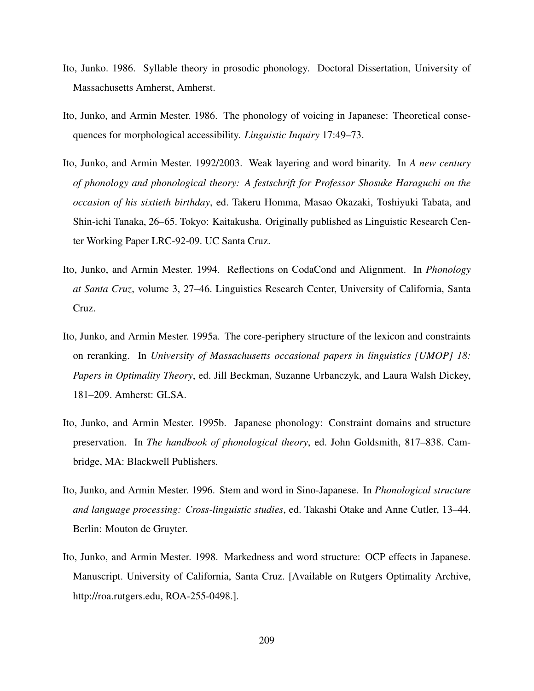- Ito, Junko. 1986. Syllable theory in prosodic phonology. Doctoral Dissertation, University of Massachusetts Amherst, Amherst.
- Ito, Junko, and Armin Mester. 1986. The phonology of voicing in Japanese: Theoretical consequences for morphological accessibility. *Linguistic Inquiry* 17:49–73.
- Ito, Junko, and Armin Mester. 1992/2003. Weak layering and word binarity. In *A new century of phonology and phonological theory: A festschrift for Professor Shosuke Haraguchi on the occasion of his sixtieth birthday*, ed. Takeru Homma, Masao Okazaki, Toshiyuki Tabata, and Shin-ichi Tanaka, 26–65. Tokyo: Kaitakusha. Originally published as Linguistic Research Center Working Paper LRC-92-09. UC Santa Cruz.
- Ito, Junko, and Armin Mester. 1994. Reflections on CodaCond and Alignment. In *Phonology at Santa Cruz*, volume 3, 27–46. Linguistics Research Center, University of California, Santa Cruz.
- Ito, Junko, and Armin Mester. 1995a. The core-periphery structure of the lexicon and constraints on reranking. In *University of Massachusetts occasional papers in linguistics [UMOP] 18: Papers in Optimality Theory*, ed. Jill Beckman, Suzanne Urbanczyk, and Laura Walsh Dickey, 181–209. Amherst: GLSA.
- Ito, Junko, and Armin Mester. 1995b. Japanese phonology: Constraint domains and structure preservation. In *The handbook of phonological theory*, ed. John Goldsmith, 817–838. Cambridge, MA: Blackwell Publishers.
- Ito, Junko, and Armin Mester. 1996. Stem and word in Sino-Japanese. In *Phonological structure and language processing: Cross-linguistic studies*, ed. Takashi Otake and Anne Cutler, 13–44. Berlin: Mouton de Gruyter.
- Ito, Junko, and Armin Mester. 1998. Markedness and word structure: OCP effects in Japanese. Manuscript. University of California, Santa Cruz. [Available on Rutgers Optimality Archive, http://roa.rutgers.edu, ROA-255-0498.].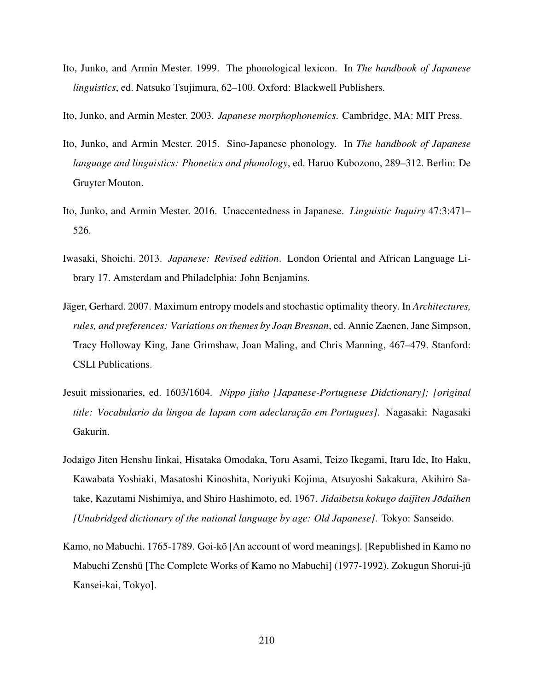Ito, Junko, and Armin Mester. 1999. The phonological lexicon. In *The handbook of Japanese linguistics*, ed. Natsuko Tsujimura, 62–100. Oxford: Blackwell Publishers.

Ito, Junko, and Armin Mester. 2003. *Japanese morphophonemics*. Cambridge, MA: MIT Press.

- Ito, Junko, and Armin Mester. 2015. Sino-Japanese phonology. In *The handbook of Japanese language and linguistics: Phonetics and phonology*, ed. Haruo Kubozono, 289–312. Berlin: De Gruyter Mouton.
- Ito, Junko, and Armin Mester. 2016. Unaccentedness in Japanese. *Linguistic Inquiry* 47:3:471– 526.
- Iwasaki, Shoichi. 2013. *Japanese: Revised edition*. London Oriental and African Language Library 17. Amsterdam and Philadelphia: John Benjamins.
- Jäger, Gerhard. 2007. Maximum entropy models and stochastic optimality theory. In *Architectures, rules, and preferences: Variations on themes by Joan Bresnan*, ed. Annie Zaenen, Jane Simpson, Tracy Holloway King, Jane Grimshaw, Joan Maling, and Chris Manning, 467–479. Stanford: CSLI Publications.
- Jesuit missionaries, ed. 1603/1604. *Nippo jisho [Japanese-Portuguese Didctionary]; [original title: Vocabulario da lingoa de Iapam com adeclaração em Portugues]*. Nagasaki: Nagasaki Gakurin.
- Jodaigo Jiten Henshu Iinkai, Hisataka Omodaka, Toru Asami, Teizo Ikegami, Itaru Ide, Ito Haku, Kawabata Yoshiaki, Masatoshi Kinoshita, Noriyuki Kojima, Atsuyoshi Sakakura, Akihiro Satake, Kazutami Nishimiya, and Shiro Hashimoto, ed. 1967. *Jidaibetsu kokugo daijiten Jodaihen ¯ [Unabridged dictionary of the national language by age: Old Japanese]*. Tokyo: Sanseido.
- Kamo, no Mabuchi. 1765-1789. Goi-kō [An account of word meanings]. [Republished in Kamo no Mabuchi Zenshū [The Complete Works of Kamo no Mabuchi] (1977-1992). Zokugun Shorui-jū Kansei-kai, Tokyo].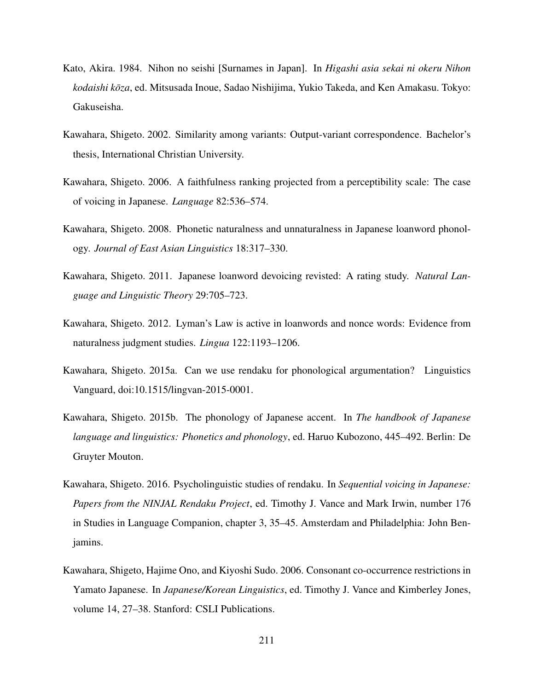- Kato, Akira. 1984. Nihon no seishi [Surnames in Japan]. In *Higashi asia sekai ni okeru Nihon kodaishi kōza*, ed. Mitsusada Inoue, Sadao Nishijima, Yukio Takeda, and Ken Amakasu. Tokyo: Gakuseisha.
- Kawahara, Shigeto. 2002. Similarity among variants: Output-variant correspondence. Bachelor's thesis, International Christian University.
- Kawahara, Shigeto. 2006. A faithfulness ranking projected from a perceptibility scale: The case of voicing in Japanese. *Language* 82:536–574.
- Kawahara, Shigeto. 2008. Phonetic naturalness and unnaturalness in Japanese loanword phonology. *Journal of East Asian Linguistics* 18:317–330.
- Kawahara, Shigeto. 2011. Japanese loanword devoicing revisted: A rating study. *Natural Language and Linguistic Theory* 29:705–723.
- Kawahara, Shigeto. 2012. Lyman's Law is active in loanwords and nonce words: Evidence from naturalness judgment studies. *Lingua* 122:1193–1206.
- Kawahara, Shigeto. 2015a. Can we use rendaku for phonological argumentation? Linguistics Vanguard, doi:10.1515/lingvan-2015-0001.
- Kawahara, Shigeto. 2015b. The phonology of Japanese accent. In *The handbook of Japanese language and linguistics: Phonetics and phonology*, ed. Haruo Kubozono, 445–492. Berlin: De Gruyter Mouton.
- Kawahara, Shigeto. 2016. Psycholinguistic studies of rendaku. In *Sequential voicing in Japanese: Papers from the NINJAL Rendaku Project*, ed. Timothy J. Vance and Mark Irwin, number 176 in Studies in Language Companion, chapter 3, 35–45. Amsterdam and Philadelphia: John Benjamins.
- Kawahara, Shigeto, Hajime Ono, and Kiyoshi Sudo. 2006. Consonant co-occurrence restrictions in Yamato Japanese. In *Japanese/Korean Linguistics*, ed. Timothy J. Vance and Kimberley Jones, volume 14, 27–38. Stanford: CSLI Publications.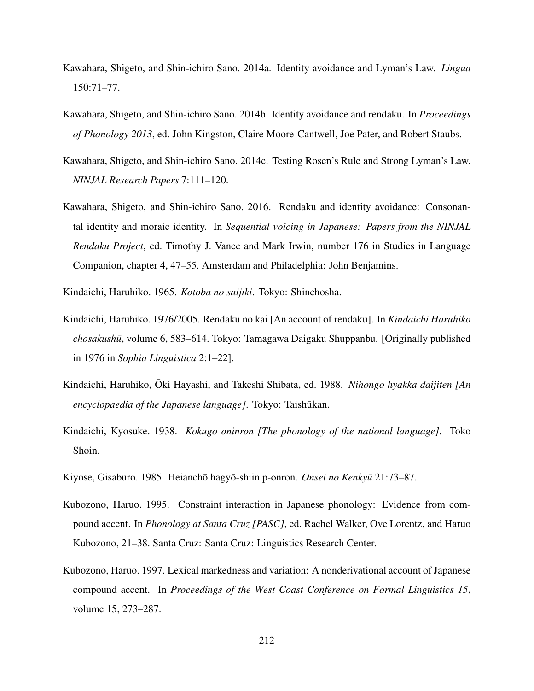- Kawahara, Shigeto, and Shin-ichiro Sano. 2014a. Identity avoidance and Lyman's Law. *Lingua* 150:71–77.
- Kawahara, Shigeto, and Shin-ichiro Sano. 2014b. Identity avoidance and rendaku. In *Proceedings of Phonology 2013*, ed. John Kingston, Claire Moore-Cantwell, Joe Pater, and Robert Staubs.
- Kawahara, Shigeto, and Shin-ichiro Sano. 2014c. Testing Rosen's Rule and Strong Lyman's Law. *NINJAL Research Papers* 7:111–120.
- Kawahara, Shigeto, and Shin-ichiro Sano. 2016. Rendaku and identity avoidance: Consonantal identity and moraic identity. In *Sequential voicing in Japanese: Papers from the NINJAL Rendaku Project*, ed. Timothy J. Vance and Mark Irwin, number 176 in Studies in Language Companion, chapter 4, 47–55. Amsterdam and Philadelphia: John Benjamins.
- Kindaichi, Haruhiko. 1965. *Kotoba no saijiki*. Tokyo: Shinchosha.
- Kindaichi, Haruhiko. 1976/2005. Rendaku no kai [An account of rendaku]. In *Kindaichi Haruhiko chosakushu¯*, volume 6, 583–614. Tokyo: Tamagawa Daigaku Shuppanbu. [Originally published in 1976 in *Sophia Linguistica* 2:1–22].
- Kindaichi, Haruhiko, Oki Hayashi, and Takeshi Shibata, ed. 1988. *Nihongo hyakka daijiten [An encyclopaedia of the Japanese language]*. Tokyo: Taishūkan.
- Kindaichi, Kyosuke. 1938. *Kokugo oninron [The phonology of the national language]*. Toko Shoin.
- Kiyose, Gisaburo. 1985. Heianchō hagyō-shiin p-onron. *Onsei no Kenkyū* 21:73–87.
- Kubozono, Haruo. 1995. Constraint interaction in Japanese phonology: Evidence from compound accent. In *Phonology at Santa Cruz [PASC]*, ed. Rachel Walker, Ove Lorentz, and Haruo Kubozono, 21–38. Santa Cruz: Santa Cruz: Linguistics Research Center.
- Kubozono, Haruo. 1997. Lexical markedness and variation: A nonderivational account of Japanese compound accent. In *Proceedings of the West Coast Conference on Formal Linguistics 15*, volume 15, 273–287.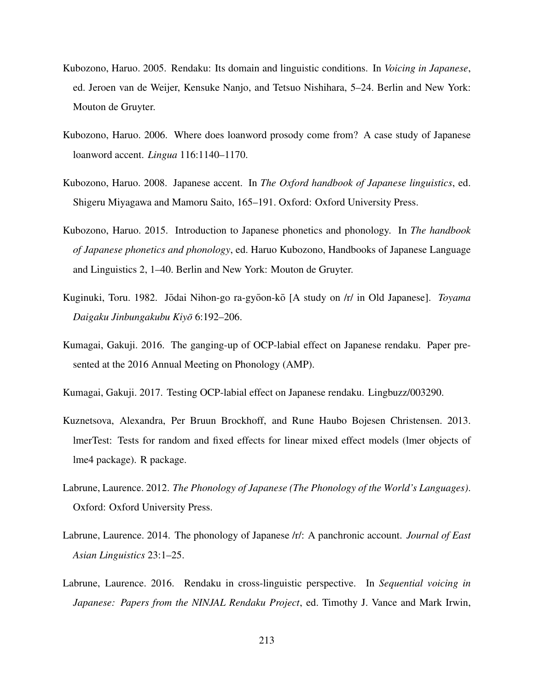- Kubozono, Haruo. 2005. Rendaku: Its domain and linguistic conditions. In *Voicing in Japanese*, ed. Jeroen van de Weijer, Kensuke Nanjo, and Tetsuo Nishihara, 5–24. Berlin and New York: Mouton de Gruyter.
- Kubozono, Haruo. 2006. Where does loanword prosody come from? A case study of Japanese loanword accent. *Lingua* 116:1140–1170.
- Kubozono, Haruo. 2008. Japanese accent. In *The Oxford handbook of Japanese linguistics*, ed. Shigeru Miyagawa and Mamoru Saito, 165–191. Oxford: Oxford University Press.
- Kubozono, Haruo. 2015. Introduction to Japanese phonetics and phonology. In *The handbook of Japanese phonetics and phonology*, ed. Haruo Kubozono, Handbooks of Japanese Language and Linguistics 2, 1–40. Berlin and New York: Mouton de Gruyter.
- Kuginuki, Toru. 1982. Jōdai Nihon-go ra-gyōon-kō [A study on /r/ in Old Japanese]. *Toyama Daigaku Jinbungakubu Kiyo¯* 6:192–206.
- Kumagai, Gakuji. 2016. The ganging-up of OCP-labial effect on Japanese rendaku. Paper presented at the 2016 Annual Meeting on Phonology (AMP).
- Kumagai, Gakuji. 2017. Testing OCP-labial effect on Japanese rendaku. Lingbuzz/003290.
- Kuznetsova, Alexandra, Per Bruun Brockhoff, and Rune Haubo Bojesen Christensen. 2013. lmerTest: Tests for random and fixed effects for linear mixed effect models (lmer objects of lme4 package). R package.
- Labrune, Laurence. 2012. *The Phonology of Japanese (The Phonology of the World's Languages)*. Oxford: Oxford University Press.
- Labrune, Laurence. 2014. The phonology of Japanese /r/: A panchronic account. *Journal of East Asian Linguistics* 23:1–25.
- Labrune, Laurence. 2016. Rendaku in cross-linguistic perspective. In *Sequential voicing in Japanese: Papers from the NINJAL Rendaku Project*, ed. Timothy J. Vance and Mark Irwin,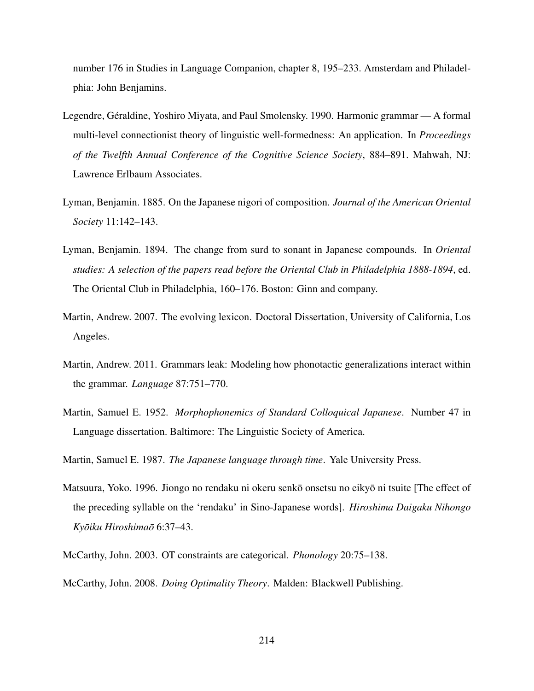number 176 in Studies in Language Companion, chapter 8, 195–233. Amsterdam and Philadelphia: John Benjamins.

- Legendre, Géraldine, Yoshiro Miyata, and Paul Smolensky. 1990. Harmonic grammar A formal multi-level connectionist theory of linguistic well-formedness: An application. In *Proceedings of the Twelfth Annual Conference of the Cognitive Science Society*, 884–891. Mahwah, NJ: Lawrence Erlbaum Associates.
- Lyman, Benjamin. 1885. On the Japanese nigori of composition. *Journal of the American Oriental Society* 11:142–143.
- Lyman, Benjamin. 1894. The change from surd to sonant in Japanese compounds. In *Oriental studies: A selection of the papers read before the Oriental Club in Philadelphia 1888-1894*, ed. The Oriental Club in Philadelphia, 160–176. Boston: Ginn and company.
- Martin, Andrew. 2007. The evolving lexicon. Doctoral Dissertation, University of California, Los Angeles.
- Martin, Andrew. 2011. Grammars leak: Modeling how phonotactic generalizations interact within the grammar. *Language* 87:751–770.
- Martin, Samuel E. 1952. *Morphophonemics of Standard Colloquical Japanese*. Number 47 in Language dissertation. Baltimore: The Linguistic Society of America.
- Martin, Samuel E. 1987. *The Japanese language through time*. Yale University Press.
- Matsuura, Yoko. 1996. Jiongo no rendaku ni okeru senko onsetsu no eikyo ni tsuite [The effect of the preceding syllable on the 'rendaku' in Sino-Japanese words]. *Hiroshima Daigaku Nihongo Kyoiku Hiroshima ¯ o¯* 6:37–43.
- McCarthy, John. 2003. OT constraints are categorical. *Phonology* 20:75–138.

McCarthy, John. 2008. *Doing Optimality Theory*. Malden: Blackwell Publishing.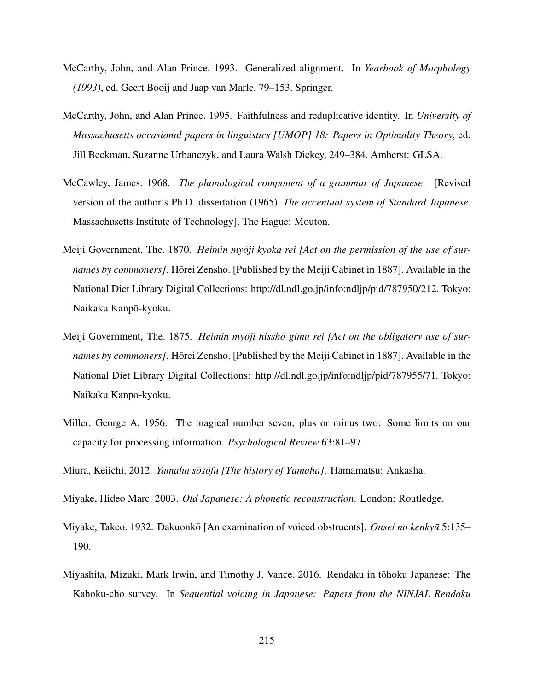- McCarthy, John, and Alan Prince. 1993. Generalized alignment. In *Yearbook of Morphology (1993)*, ed. Geert Booij and Jaap van Marle, 79–153. Springer.
- McCarthy, John, and Alan Prince. 1995. Faithfulness and reduplicative identity. In *University of Massachusetts occasional papers in linguistics [UMOP] 18: Papers in Optimality Theory*, ed. Jill Beckman, Suzanne Urbanczyk, and Laura Walsh Dickey, 249–384. Amherst: GLSA.
- McCawley, James. 1968. *The phonological component of a grammar of Japanese*. [Revised version of the author's Ph.D. dissertation (1965). *The accentual system of Standard Japanese*. Massachusetts Institute of Technology]. The Hague: Mouton.
- Meiji Government, The. 1870. *Heimin myōji kyoka rei [Act on the permission of the use of surnames by commoners]*. Horei Zensho. [Published by the Meiji Cabinet in 1887]. Available in the National Diet Library Digital Collections: http://dl.ndl.go.jp/info:ndljp/pid/787950/212. Tokyo: Naikaku Kanpō-kyoku.
- Meiji Government, The. 1875. *Heimin myōji hisshō gimu rei [Act on the obligatory use of surnames by commoners]*. Hōrei Zensho. [Published by the Meiji Cabinet in 1887]. Available in the National Diet Library Digital Collections: http://dl.ndl.go.jp/info:ndljp/pid/787955/71. Tokyo: Naikaku Kanpo-kyoku. ¯
- Miller, George A. 1956. The magical number seven, plus or minus two: Some limits on our capacity for processing information. *Psychological Review* 63:81–97.
- Miura, Keiichi. 2012. *Yamaha sōsōfu [The history of Yamaha]*. Hamamatsu: Ankasha.
- Miyake, Hideo Marc. 2003. *Old Japanese: A phonetic reconstruction*. London: Routledge.
- Miyake, Takeo. 1932. Dakuonkō [An examination of voiced obstruents]. *Onsei no kenkyū* 5:135– 190.
- Miyashita, Mizuki, Mark Irwin, and Timothy J. Vance. 2016. Rendaku in tohoku Japanese: The ¯ Kahoku-chō survey. In *Sequential voicing in Japanese: Papers from the NINJAL Rendaku*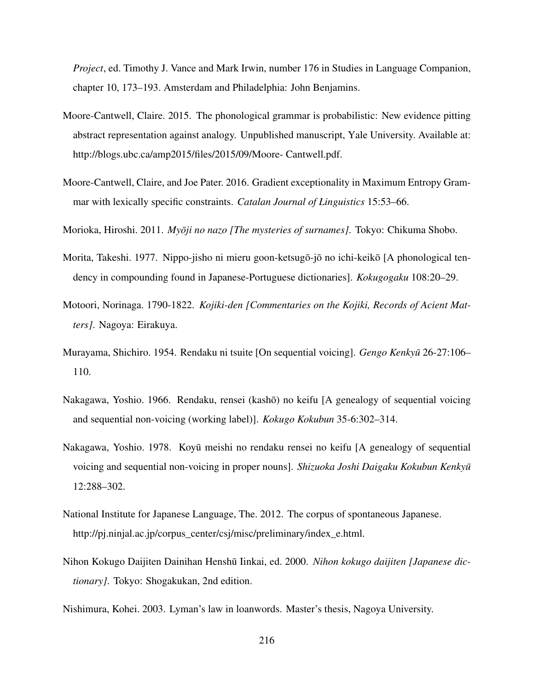*Project*, ed. Timothy J. Vance and Mark Irwin, number 176 in Studies in Language Companion, chapter 10, 173–193. Amsterdam and Philadelphia: John Benjamins.

- Moore-Cantwell, Claire. 2015. The phonological grammar is probabilistic: New evidence pitting abstract representation against analogy. Unpublished manuscript, Yale University. Available at: http://blogs.ubc.ca/amp2015/files/2015/09/Moore- Cantwell.pdf.
- Moore-Cantwell, Claire, and Joe Pater. 2016. Gradient exceptionality in Maximum Entropy Grammar with lexically specific constraints. *Catalan Journal of Linguistics* 15:53–66.
- Morioka, Hiroshi. 2011. *Myōji no nazo [The mysteries of surnames]*. Tokyo: Chikuma Shobo.
- Morita, Takeshi. 1977. Nippo-jisho ni mieru goon-ketsugō-jō no ichi-keikō [A phonological tendency in compounding found in Japanese-Portuguese dictionaries]. *Kokugogaku* 108:20–29.
- Motoori, Norinaga. 1790-1822. *Kojiki-den [Commentaries on the Kojiki, Records of Acient Matters]*. Nagoya: Eirakuya.
- Murayama, Shichiro. 1954. Rendaku ni tsuite [On sequential voicing]. *Gengo Kenkyu¯* 26-27:106– 110.
- Nakagawa, Yoshio. 1966. Rendaku, rensei (kashō) no keifu [A genealogy of sequential voicing and sequential non-voicing (working label)]. *Kokugo Kokubun* 35-6:302–314.
- Nakagawa, Yoshio. 1978. Koyū meishi no rendaku rensei no keifu [A genealogy of sequential voicing and sequential non-voicing in proper nouns]. *Shizuoka Joshi Daigaku Kokubun Kenkyu¯* 12:288–302.
- National Institute for Japanese Language, The. 2012. The corpus of spontaneous Japanese. http://pj.ninjal.ac.jp/corpus\_center/csj/misc/preliminary/index\_e.html.
- Nihon Kokugo Daijiten Dainihan Henshū Iinkai, ed. 2000. *Nihon kokugo daijiten [Japanese dictionary]*. Tokyo: Shogakukan, 2nd edition.
- Nishimura, Kohei. 2003. Lyman's law in loanwords. Master's thesis, Nagoya University.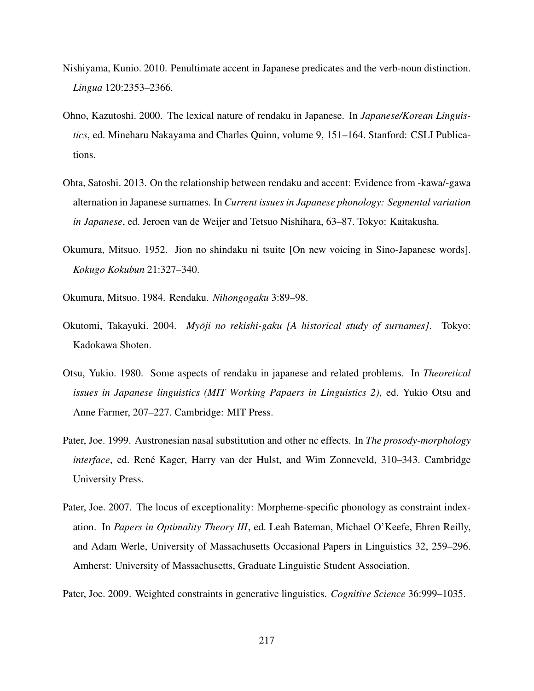- Nishiyama, Kunio. 2010. Penultimate accent in Japanese predicates and the verb-noun distinction. *Lingua* 120:2353–2366.
- Ohno, Kazutoshi. 2000. The lexical nature of rendaku in Japanese. In *Japanese/Korean Linguistics*, ed. Mineharu Nakayama and Charles Quinn, volume 9, 151–164. Stanford: CSLI Publications.
- Ohta, Satoshi. 2013. On the relationship between rendaku and accent: Evidence from -kawa/-gawa alternation in Japanese surnames. In *Current issues in Japanese phonology: Segmental variation in Japanese*, ed. Jeroen van de Weijer and Tetsuo Nishihara, 63–87. Tokyo: Kaitakusha.
- Okumura, Mitsuo. 1952. Jion no shindaku ni tsuite [On new voicing in Sino-Japanese words]. *Kokugo Kokubun* 21:327–340.
- Okumura, Mitsuo. 1984. Rendaku. *Nihongogaku* 3:89–98.
- Okutomi, Takayuki. 2004. *Myōji no rekishi-gaku [A historical study of surnames]*. Tokyo: Kadokawa Shoten.
- Otsu, Yukio. 1980. Some aspects of rendaku in japanese and related problems. In *Theoretical issues in Japanese linguistics (MIT Working Papaers in Linguistics 2)*, ed. Yukio Otsu and Anne Farmer, 207–227. Cambridge: MIT Press.
- Pater, Joe. 1999. Austronesian nasal substitution and other nc effects. In *The prosody-morphology interface*, ed. René Kager, Harry van der Hulst, and Wim Zonneveld, 310–343. Cambridge University Press.
- Pater, Joe. 2007. The locus of exceptionality: Morpheme-specific phonology as constraint indexation. In *Papers in Optimality Theory III*, ed. Leah Bateman, Michael O'Keefe, Ehren Reilly, and Adam Werle, University of Massachusetts Occasional Papers in Linguistics 32, 259–296. Amherst: University of Massachusetts, Graduate Linguistic Student Association.
- Pater, Joe. 2009. Weighted constraints in generative linguistics. *Cognitive Science* 36:999–1035.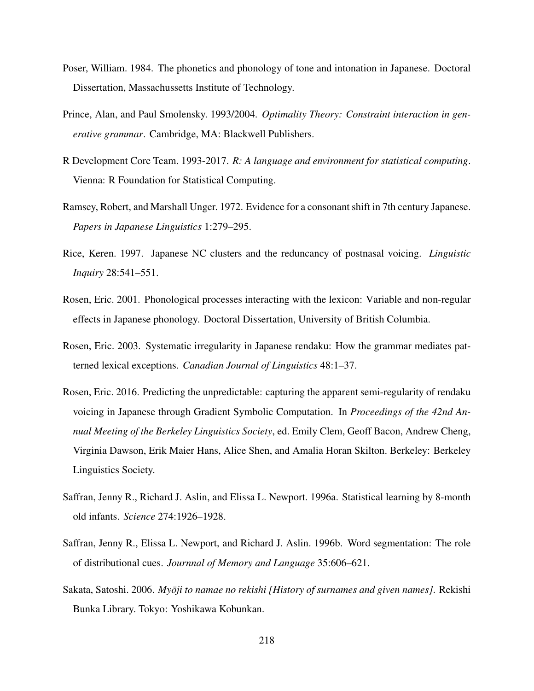- Poser, William. 1984. The phonetics and phonology of tone and intonation in Japanese. Doctoral Dissertation, Massachussetts Institute of Technology.
- Prince, Alan, and Paul Smolensky. 1993/2004. *Optimality Theory: Constraint interaction in generative grammar*. Cambridge, MA: Blackwell Publishers.
- R Development Core Team. 1993-2017. *R: A language and environment for statistical computing*. Vienna: R Foundation for Statistical Computing.
- Ramsey, Robert, and Marshall Unger. 1972. Evidence for a consonant shift in 7th century Japanese. *Papers in Japanese Linguistics* 1:279–295.
- Rice, Keren. 1997. Japanese NC clusters and the reduncancy of postnasal voicing. *Linguistic Inquiry* 28:541–551.
- Rosen, Eric. 2001. Phonological processes interacting with the lexicon: Variable and non-regular effects in Japanese phonology. Doctoral Dissertation, University of British Columbia.
- Rosen, Eric. 2003. Systematic irregularity in Japanese rendaku: How the grammar mediates patterned lexical exceptions. *Canadian Journal of Linguistics* 48:1–37.
- Rosen, Eric. 2016. Predicting the unpredictable: capturing the apparent semi-regularity of rendaku voicing in Japanese through Gradient Symbolic Computation. In *Proceedings of the 42nd Annual Meeting of the Berkeley Linguistics Society*, ed. Emily Clem, Geoff Bacon, Andrew Cheng, Virginia Dawson, Erik Maier Hans, Alice Shen, and Amalia Horan Skilton. Berkeley: Berkeley Linguistics Society.
- Saffran, Jenny R., Richard J. Aslin, and Elissa L. Newport. 1996a. Statistical learning by 8-month old infants. *Science* 274:1926–1928.
- Saffran, Jenny R., Elissa L. Newport, and Richard J. Aslin. 1996b. Word segmentation: The role of distributional cues. *Journnal of Memory and Language* 35:606–621.
- Sakata, Satoshi. 2006. *Myōji to namae no rekishi [History of surnames and given names]*. Rekishi Bunka Library. Tokyo: Yoshikawa Kobunkan.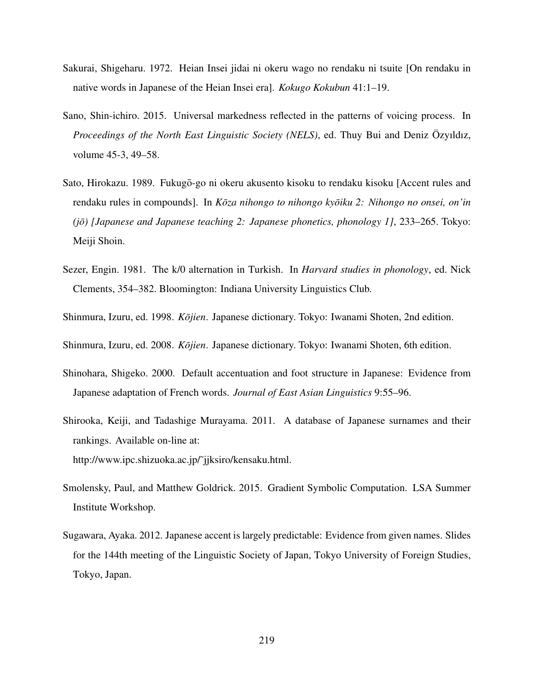- Sakurai, Shigeharu. 1972. Heian Insei jidai ni okeru wago no rendaku ni tsuite [On rendaku in native words in Japanese of the Heian Insei era]. *Kokugo Kokubun* 41:1–19.
- Sano, Shin-ichiro. 2015. Universal markedness reflected in the patterns of voicing process. In *Proceedings of the North East Linguistic Society (NELS)*, ed. Thuy Bui and Deniz Özyıldız, volume 45-3, 49–58.
- Sato, Hirokazu. 1989. Fukugō-go ni okeru akusento kisoku to rendaku kisoku [Accent rules and rendaku rules in compounds]. In *Kōza nihongo to nihongo kyōiku 2: Nihongo no onsei, on'in (jō) [Japanese and Japanese teaching 2: Japanese phonetics, phonology 1], 233–265.* Tokyo: Meiji Shoin.
- Sezer, Engin. 1981. The k/0 alternation in Turkish. In *Harvard studies in phonology*, ed. Nick Clements, 354–382. Bloomington: Indiana University Linguistics Club.
- Shinmura, Izuru, ed. 1998. *Kōjien*. Japanese dictionary. Tokyo: Iwanami Shoten, 2nd edition.
- Shinmura, Izuru, ed. 2008. *Kōjien*. Japanese dictionary. Tokyo: Iwanami Shoten, 6th edition.
- Shinohara, Shigeko. 2000. Default accentuation and foot structure in Japanese: Evidence from Japanese adaptation of French words. *Journal of East Asian Linguistics* 9:55–96.
- Shirooka, Keiji, and Tadashige Murayama. 2011. A database of Japanese surnames and their rankings. Available on-line at: http://www.ipc.shizuoka.ac.jp/˜jjksiro/kensaku.html.
- Smolensky, Paul, and Matthew Goldrick. 2015. Gradient Symbolic Computation. LSA Summer Institute Workshop.
- Sugawara, Ayaka. 2012. Japanese accent is largely predictable: Evidence from given names. Slides for the 144th meeting of the Linguistic Society of Japan, Tokyo University of Foreign Studies, Tokyo, Japan.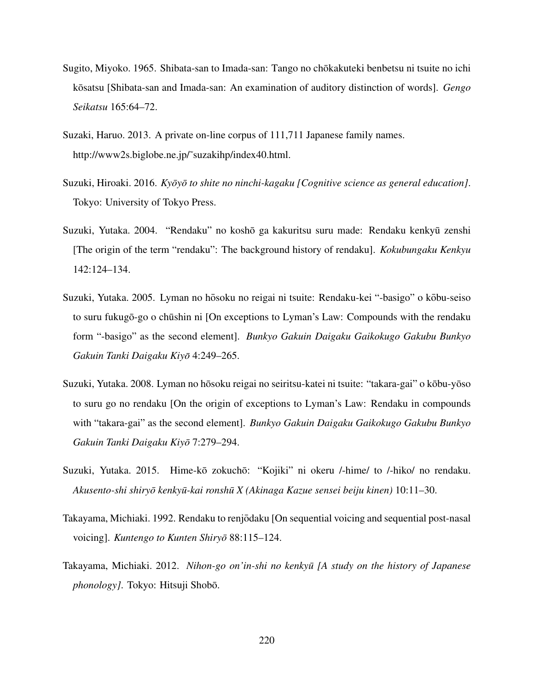- Sugito, Miyoko. 1965. Shibata-san to Imada-san: Tango no chōkakuteki benbetsu ni tsuite no ichi kōsatsu [Shibata-san and Imada-san: An examination of auditory distinction of words]. *Gengo Seikatsu* 165:64–72.
- Suzaki, Haruo. 2013. A private on-line corpus of 111,711 Japanese family names. http://www2s.biglobe.ne.jp/˜suzakihp/index40.html.
- Suzuki, Hiroaki. 2016. *Kyōyō to shite no ninchi-kagaku [Cognitive science as general education]*. Tokyo: University of Tokyo Press.
- Suzuki, Yutaka. 2004. "Rendaku" no koshō ga kakuritsu suru made: Rendaku kenkyū zenshi [The origin of the term "rendaku": The background history of rendaku]. *Kokubungaku Kenkyu* 142:124–134.
- Suzuki, Yutaka. 2005. Lyman no hōsoku no reigai ni tsuite: Rendaku-kei "-basigo" o kōbu-seiso to suru fukugō-go o chūshin ni [On exceptions to Lyman's Law: Compounds with the rendaku form "-basigo" as the second element]. *Bunkyo Gakuin Daigaku Gaikokugo Gakubu Bunkyo Gakuin Tanki Daigaku Kiyo¯* 4:249–265.
- Suzuki, Yutaka. 2008. Lyman no hōsoku reigai no seiritsu-katei ni tsuite: "takara-gai" o kōbu-yōso to suru go no rendaku [On the origin of exceptions to Lyman's Law: Rendaku in compounds with "takara-gai" as the second element]. *Bunkyo Gakuin Daigaku Gaikokugo Gakubu Bunkyo Gakuin Tanki Daigaku Kiyo¯* 7:279–294.
- Suzuki, Yutaka. 2015. Hime-kō zokuchō: "Kojiki" ni okeru /-hime/ to /-hiko/ no rendaku. *Akusento-shi shiryo kenky ¯ u-kai ronsh ¯ u X (Akinaga Kazue sensei beiju kinen) ¯* 10:11–30.
- Takayama, Michiaki. 1992. Rendaku to renjodaku [On sequential voicing and sequential post-nasal ¯ voicing]. *Kuntengo to Kunten Shiryo* 88:115–124.
- Takayama, Michiaki. 2012. *Nihon-go on'in-shi no kenkyu [A study on the history of Japanese ¯ phonology]*. Tokyo: Hitsuji Shobō.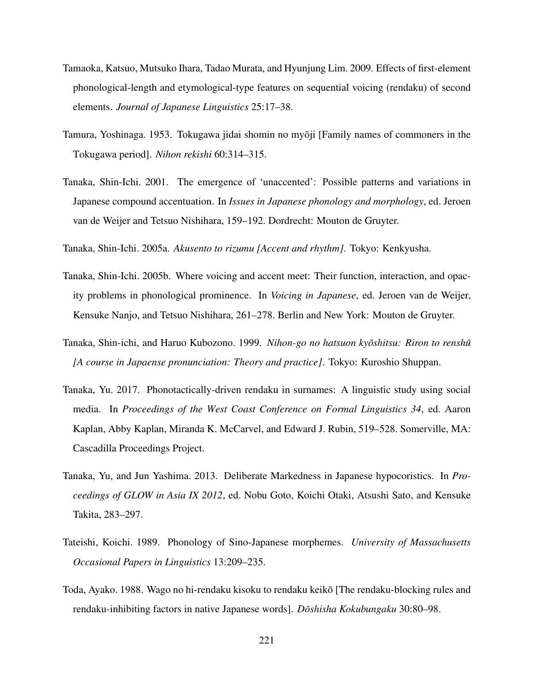- Tamaoka, Katsuo, Mutsuko Ihara, Tadao Murata, and Hyunjung Lim. 2009. Effects of first-element phonological-length and etymological-type features on sequential voicing (rendaku) of second elements. *Journal of Japanese Linguistics* 25:17–38.
- Tamura, Yoshinaga. 1953. Tokugawa jidai shomin no myōji [Family names of commoners in the Tokugawa period]. *Nihon rekishi* 60:314–315.
- Tanaka, Shin-Ichi. 2001. The emergence of 'unaccented': Possible patterns and variations in Japanese compound accentuation. In *Issues in Japanese phonology and morphology*, ed. Jeroen van de Weijer and Tetsuo Nishihara, 159–192. Dordrecht: Mouton de Gruyter.

Tanaka, Shin-Ichi. 2005a. *Akusento to rizumu [Accent and rhythm]*. Tokyo: Kenkyusha.

- Tanaka, Shin-Ichi. 2005b. Where voicing and accent meet: Their function, interaction, and opacity problems in phonological prominence. In *Voicing in Japanese*, ed. Jeroen van de Weijer, Kensuke Nanjo, and Tetsuo Nishihara, 261–278. Berlin and New York: Mouton de Gruyter.
- Tanaka, Shin-ichi, and Haruo Kubozono. 1999. *Nihon-go no hatsuon kyōshitsu: Riron to renshū [A course in Japaense pronunciation: Theory and practice]*. Tokyo: Kuroshio Shuppan.
- Tanaka, Yu. 2017. Phonotactically-driven rendaku in surnames: A linguistic study using social media. In *Proceedings of the West Coast Conference on Formal Linguistics 34*, ed. Aaron Kaplan, Abby Kaplan, Miranda K. McCarvel, and Edward J. Rubin, 519–528. Somerville, MA: Cascadilla Proceedings Project.
- Tanaka, Yu, and Jun Yashima. 2013. Deliberate Markedness in Japanese hypocoristics. In *Proceedings of GLOW in Asia IX 2012*, ed. Nobu Goto, Koichi Otaki, Atsushi Sato, and Kensuke Takita, 283–297.
- Tateishi, Koichi. 1989. Phonology of Sino-Japanese morphemes. *University of Massachusetts Occasional Papers in Linguistics* 13:209–235.
- Toda, Ayako. 1988. Wago no hi-rendaku kisoku to rendaku keiko [The rendaku-blocking rules and ¯ rendaku-inhibiting factors in native Japanese words]. *Dōshisha Kokubungaku* 30:80–98.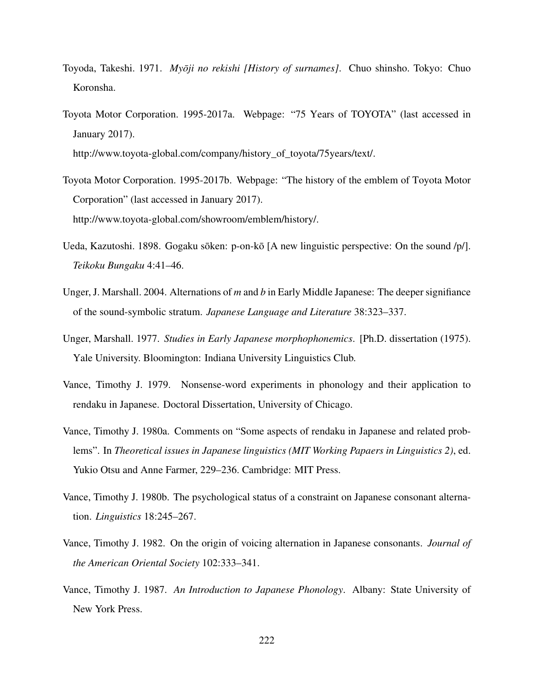- Toyoda, Takeshi. 1971. *Myōji no rekishi [History of surnames]*. Chuo shinsho. Tokyo: Chuo Koronsha.
- Toyota Motor Corporation. 1995-2017a. Webpage: "75 Years of TOYOTA" (last accessed in January 2017).

http://www.toyota-global.com/company/history\_of\_toyota/75years/text/.

- Toyota Motor Corporation. 1995-2017b. Webpage: "The history of the emblem of Toyota Motor Corporation" (last accessed in January 2017). http://www.toyota-global.com/showroom/emblem/history/.
- Ueda, Kazutoshi. 1898. Gogaku sōken: p-on-kō [A new linguistic perspective: On the sound  $/p/$ ]. *Teikoku Bungaku* 4:41–46.
- Unger, J. Marshall. 2004. Alternations of *m* and *b* in Early Middle Japanese: The deeper signifiance of the sound-symbolic stratum. *Japanese Language and Literature* 38:323–337.
- Unger, Marshall. 1977. *Studies in Early Japanese morphophonemics*. [Ph.D. dissertation (1975). Yale University. Bloomington: Indiana University Linguistics Club.
- Vance, Timothy J. 1979. Nonsense-word experiments in phonology and their application to rendaku in Japanese. Doctoral Dissertation, University of Chicago.
- Vance, Timothy J. 1980a. Comments on "Some aspects of rendaku in Japanese and related problems". In *Theoretical issues in Japanese linguistics (MIT Working Papaers in Linguistics 2)*, ed. Yukio Otsu and Anne Farmer, 229–236. Cambridge: MIT Press.
- Vance, Timothy J. 1980b. The psychological status of a constraint on Japanese consonant alternation. *Linguistics* 18:245–267.
- Vance, Timothy J. 1982. On the origin of voicing alternation in Japanese consonants. *Journal of the American Oriental Society* 102:333–341.
- Vance, Timothy J. 1987. *An Introduction to Japanese Phonology*. Albany: State University of New York Press.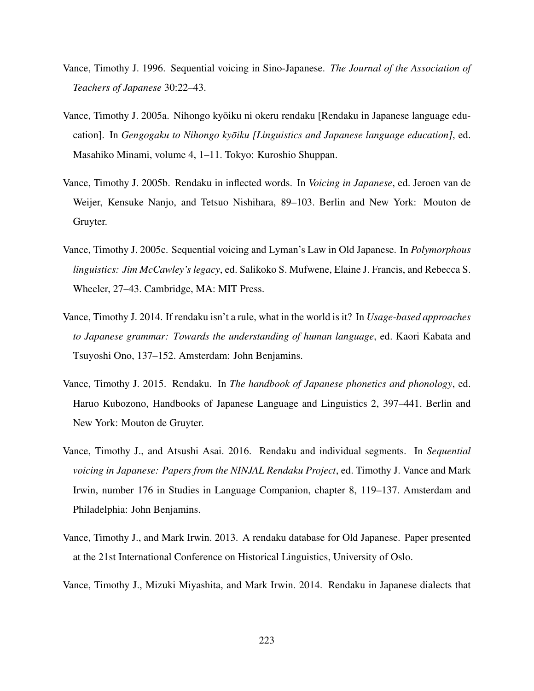- Vance, Timothy J. 1996. Sequential voicing in Sino-Japanese. *The Journal of the Association of Teachers of Japanese* 30:22–43.
- Vance, Timothy J. 2005a. Nihongo kyoiku ni okeru rendaku [Rendaku in Japanese language edu- ¯ cation]. In *Gengogaku to Nihongo kyōiku [Linguistics and Japanese language education]*, ed. Masahiko Minami, volume 4, 1–11. Tokyo: Kuroshio Shuppan.
- Vance, Timothy J. 2005b. Rendaku in inflected words. In *Voicing in Japanese*, ed. Jeroen van de Weijer, Kensuke Nanjo, and Tetsuo Nishihara, 89–103. Berlin and New York: Mouton de Gruyter.
- Vance, Timothy J. 2005c. Sequential voicing and Lyman's Law in Old Japanese. In *Polymorphous linguistics: Jim McCawley's legacy*, ed. Salikoko S. Mufwene, Elaine J. Francis, and Rebecca S. Wheeler, 27–43. Cambridge, MA: MIT Press.
- Vance, Timothy J. 2014. If rendaku isn't a rule, what in the world is it? In *Usage-based approaches to Japanese grammar: Towards the understanding of human language*, ed. Kaori Kabata and Tsuyoshi Ono, 137–152. Amsterdam: John Benjamins.
- Vance, Timothy J. 2015. Rendaku. In *The handbook of Japanese phonetics and phonology*, ed. Haruo Kubozono, Handbooks of Japanese Language and Linguistics 2, 397–441. Berlin and New York: Mouton de Gruyter.
- Vance, Timothy J., and Atsushi Asai. 2016. Rendaku and individual segments. In *Sequential voicing in Japanese: Papers from the NINJAL Rendaku Project*, ed. Timothy J. Vance and Mark Irwin, number 176 in Studies in Language Companion, chapter 8, 119–137. Amsterdam and Philadelphia: John Benjamins.
- Vance, Timothy J., and Mark Irwin. 2013. A rendaku database for Old Japanese. Paper presented at the 21st International Conference on Historical Linguistics, University of Oslo.
- Vance, Timothy J., Mizuki Miyashita, and Mark Irwin. 2014. Rendaku in Japanese dialects that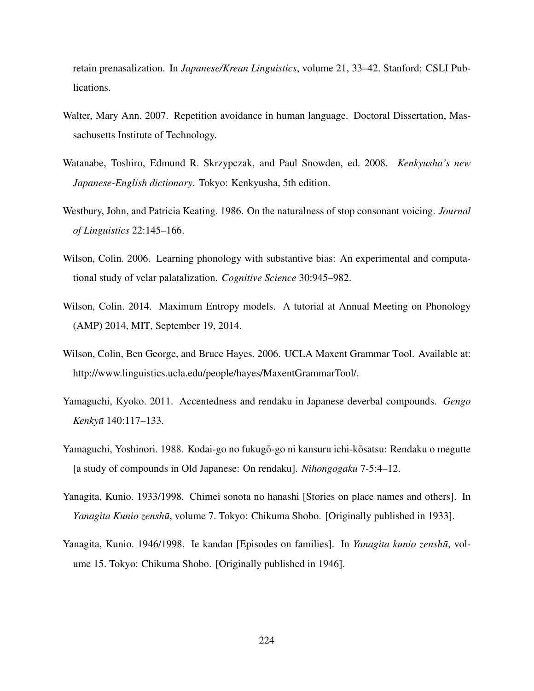retain prenasalization. In *Japanese/Krean Linguistics*, volume 21, 33–42. Stanford: CSLI Publications.

- Walter, Mary Ann. 2007. Repetition avoidance in human language. Doctoral Dissertation, Massachusetts Institute of Technology.
- Watanabe, Toshiro, Edmund R. Skrzypczak, and Paul Snowden, ed. 2008. *Kenkyusha's new Japanese-English dictionary*. Tokyo: Kenkyusha, 5th edition.
- Westbury, John, and Patricia Keating. 1986. On the naturalness of stop consonant voicing. *Journal of Linguistics* 22:145–166.
- Wilson, Colin. 2006. Learning phonology with substantive bias: An experimental and computational study of velar palatalization. *Cognitive Science* 30:945–982.
- Wilson, Colin. 2014. Maximum Entropy models. A tutorial at Annual Meeting on Phonology (AMP) 2014, MIT, September 19, 2014.
- Wilson, Colin, Ben George, and Bruce Hayes. 2006. UCLA Maxent Grammar Tool. Available at: http://www.linguistics.ucla.edu/people/hayes/MaxentGrammarTool/.
- Yamaguchi, Kyoko. 2011. Accentedness and rendaku in Japanese deverbal compounds. *Gengo Kenkyu¯* 140:117–133.
- Yamaguchi, Yoshinori. 1988. Kodai-go no fukugō-go ni kansuru ichi-kō satsu: Rendaku o megutte [a study of compounds in Old Japanese: On rendaku]. *Nihongogaku* 7-5:4–12.
- Yanagita, Kunio. 1933/1998. Chimei sonota no hanashi [Stories on place names and others]. In *Yanagita Kunio zenshū*, volume 7. Tokyo: Chikuma Shobo. [Originally published in 1933].
- Yanagita, Kunio. 1946/1998. Ie kandan [Episodes on families]. In *Yanagita kunio zenshū*, volume 15. Tokyo: Chikuma Shobo. [Originally published in 1946].